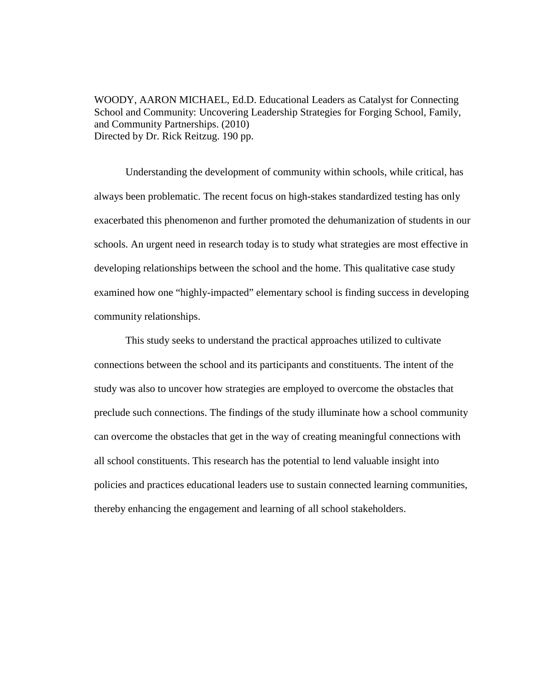WOODY, AARON MICHAEL, Ed.D. Educational Leaders as Catalyst for Connecting School and Community: Uncovering Leadership Strategies for Forging School, Family, and Community Partnerships. (2010) Directed by Dr. Rick Reitzug. 190 pp.

Understanding the development of community within schools, while critical, has always been problematic. The recent focus on high-stakes standardized testing has only exacerbated this phenomenon and further promoted the dehumanization of students in our schools. An urgent need in research today is to study what strategies are most effective in developing relationships between the school and the home. This qualitative case study examined how one "highly-impacted" elementary school is finding success in developing community relationships.

This study seeks to understand the practical approaches utilized to cultivate connections between the school and its participants and constituents. The intent of the study was also to uncover how strategies are employed to overcome the obstacles that preclude such connections. The findings of the study illuminate how a school community can overcome the obstacles that get in the way of creating meaningful connections with all school constituents. This research has the potential to lend valuable insight into policies and practices educational leaders use to sustain connected learning communities, thereby enhancing the engagement and learning of all school stakeholders.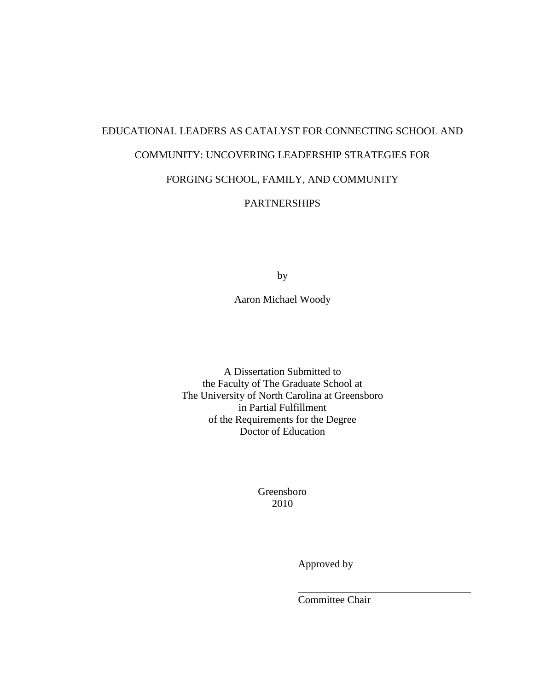# EDUCATIONAL LEADERS AS CATALYST FOR CONNECTING SCHOOL AND COMMUNITY: UNCOVERING LEADERSHIP STRATEGIES FOR FORGING SCHOOL, FAMILY, AND COMMUNITY

# **PARTNERSHIPS**

by

Aaron Michael Woody

A Dissertation Submitted to the Faculty of The Graduate School at The University of North Carolina at Greensboro in Partial Fulfillment of the Requirements for the Degree Doctor of Education

> Greensboro 2010

> > Approved by

Committee Chair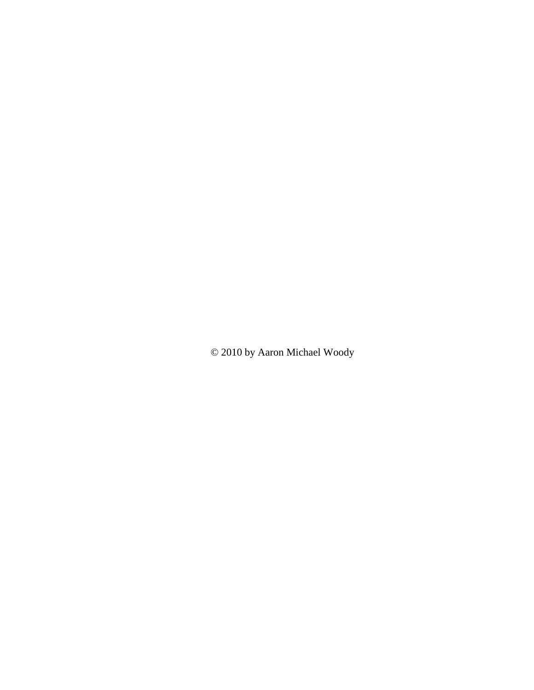© 2010 by Aaron Michael Woody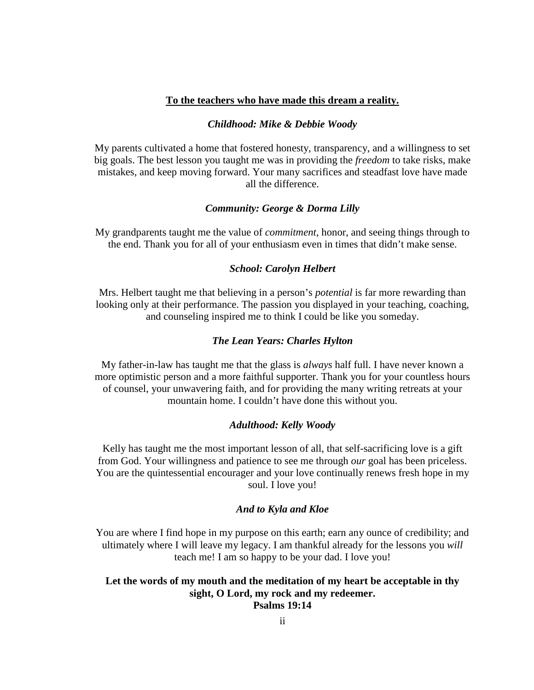### **To the teachers who have made this dream a reality.**

### *Childhood: Mike & Debbie Woody*

My parents cultivated a home that fostered honesty, transparency, and a willingness to set big goals. The best lesson you taught me was in providing the *freedom* to take risks, make mistakes, and keep moving forward. Your many sacrifices and steadfast love have made all the difference.

### *Community: George & Dorma Lilly*

My grandparents taught me the value of *commitment*, honor, and seeing things through to the end. Thank you for all of your enthusiasm even in times that didn't make sense.

### *School: Carolyn Helbert*

Mrs. Helbert taught me that believing in a person's *potential* is far more rewarding than looking only at their performance. The passion you displayed in your teaching, coaching, and counseling inspired me to think I could be like you someday.

### *The Lean Years: Charles Hylton*

My father-in-law has taught me that the glass is *always* half full. I have never known a more optimistic person and a more faithful supporter. Thank you for your countless hours of counsel, your unwavering faith, and for providing the many writing retreats at your mountain home. I couldn't have done this without you.

#### *Adulthood: Kelly Woody*

Kelly has taught me the most important lesson of all, that self-sacrificing love is a gift from God. Your willingness and patience to see me through *our* goal has been priceless. You are the quintessential encourager and your love continually renews fresh hope in my soul. I love you!

### *And to Kyla and Kloe*

You are where I find hope in my purpose on this earth; earn any ounce of credibility; and ultimately where I will leave my legacy. I am thankful already for the lessons you *will* teach me! I am so happy to be your dad. I love you!

## **Let the words of my mouth and the meditation of my heart be acceptable in thy sight, O Lord, my rock and my redeemer.**

**Psalms 19:14**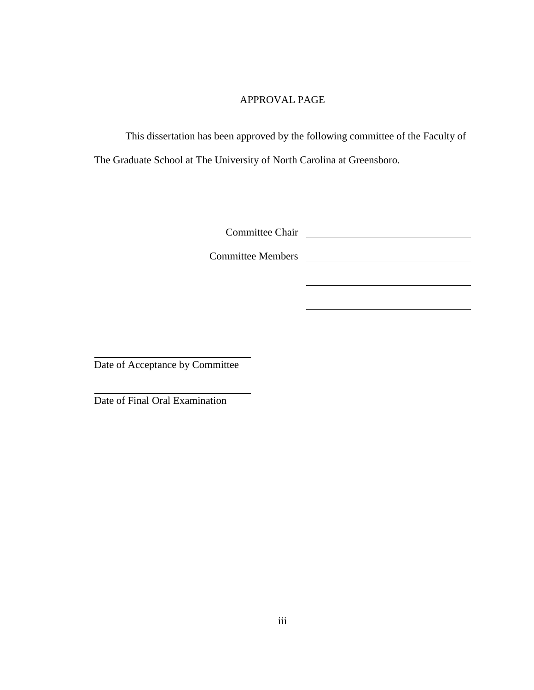### APPROVAL PAGE

This dissertation has been approved by the following committee of the Faculty of The Graduate School at The University of North Carolina at Greensboro.

Committee Chair

Committee Members

Date of Acceptance by Committee

Date of Final Oral Examination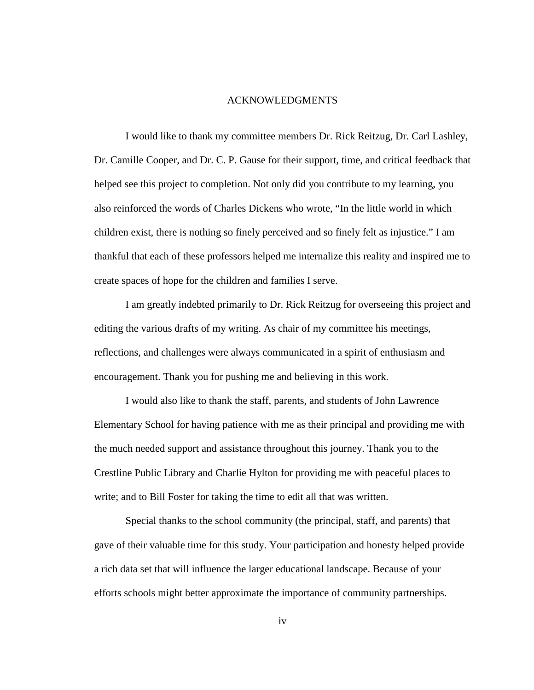### ACKNOWLEDGMENTS

I would like to thank my committee members Dr. Rick Reitzug, Dr. Carl Lashley, Dr. Camille Cooper, and Dr. C. P. Gause for their support, time, and critical feedback that helped see this project to completion. Not only did you contribute to my learning, you also reinforced the words of Charles Dickens who wrote, "In the little world in which children exist, there is nothing so finely perceived and so finely felt as injustice." I am thankful that each of these professors helped me internalize this reality and inspired me to create spaces of hope for the children and families I serve.

I am greatly indebted primarily to Dr. Rick Reitzug for overseeing this project and editing the various drafts of my writing. As chair of my committee his meetings, reflections, and challenges were always communicated in a spirit of enthusiasm and encouragement. Thank you for pushing me and believing in this work.

I would also like to thank the staff, parents, and students of John Lawrence Elementary School for having patience with me as their principal and providing me with the much needed support and assistance throughout this journey. Thank you to the Crestline Public Library and Charlie Hylton for providing me with peaceful places to write; and to Bill Foster for taking the time to edit all that was written.

Special thanks to the school community (the principal, staff, and parents) that gave of their valuable time for this study. Your participation and honesty helped provide a rich data set that will influence the larger educational landscape. Because of your efforts schools might better approximate the importance of community partnerships.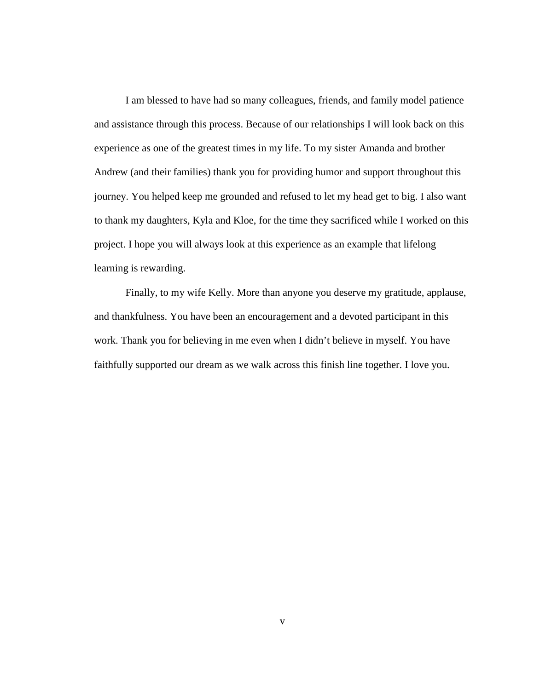I am blessed to have had so many colleagues, friends, and family model patience and assistance through this process. Because of our relationships I will look back on this experience as one of the greatest times in my life. To my sister Amanda and brother Andrew (and their families) thank you for providing humor and support throughout this journey. You helped keep me grounded and refused to let my head get to big. I also want to thank my daughters, Kyla and Kloe, for the time they sacrificed while I worked on this project. I hope you will always look at this experience as an example that lifelong learning is rewarding.

Finally, to my wife Kelly. More than anyone you deserve my gratitude, applause, and thankfulness. You have been an encouragement and a devoted participant in this work. Thank you for believing in me even when I didn't believe in myself. You have faithfully supported our dream as we walk across this finish line together. I love you.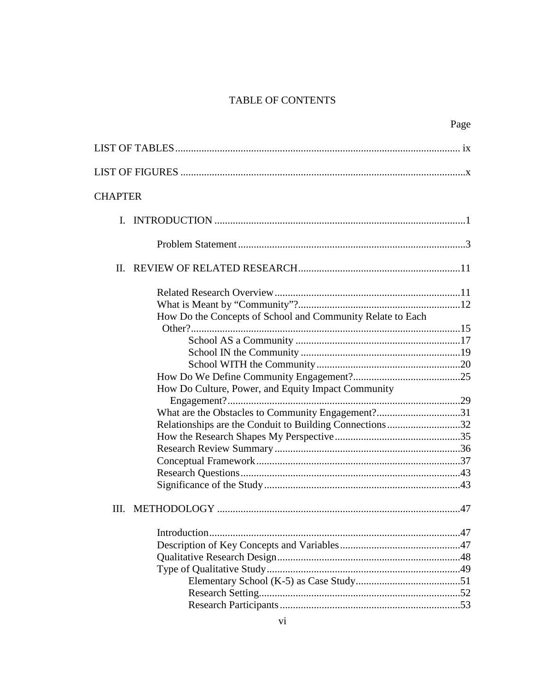# **TABLE OF CONTENTS**

|                |                                                            | Page |
|----------------|------------------------------------------------------------|------|
|                |                                                            |      |
|                |                                                            |      |
| <b>CHAPTER</b> |                                                            |      |
|                |                                                            |      |
|                |                                                            |      |
| $\Pi$ .        |                                                            |      |
|                |                                                            |      |
|                | How Do the Concepts of School and Community Relate to Each |      |
|                |                                                            |      |
|                | How Do Culture, Power, and Equity Impact Community         |      |
|                | What are the Obstacles to Community Engagement?31          |      |
|                | Relationships are the Conduit to Building Connections32    |      |
|                |                                                            |      |
|                |                                                            |      |
| III.           |                                                            | .47  |
|                |                                                            |      |
|                |                                                            |      |
|                |                                                            |      |
|                |                                                            |      |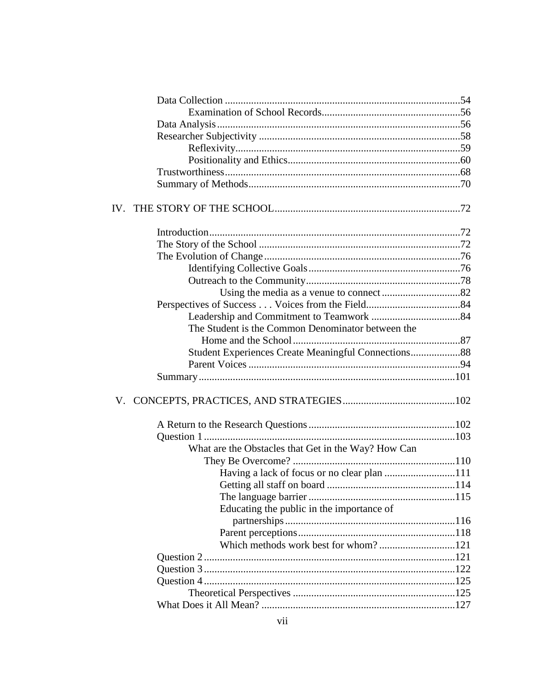| The Student is the Common Denominator between the   |  |
|-----------------------------------------------------|--|
|                                                     |  |
| Student Experiences Create Meaningful Connections88 |  |
|                                                     |  |
|                                                     |  |
|                                                     |  |
|                                                     |  |
|                                                     |  |
| What are the Obstacles that Get in the Way? How Can |  |
|                                                     |  |
| Having a lack of focus or no clear plan 111         |  |
|                                                     |  |
|                                                     |  |
| Educating the public in the importance of           |  |
|                                                     |  |
|                                                     |  |
|                                                     |  |
|                                                     |  |
|                                                     |  |
|                                                     |  |
|                                                     |  |
|                                                     |  |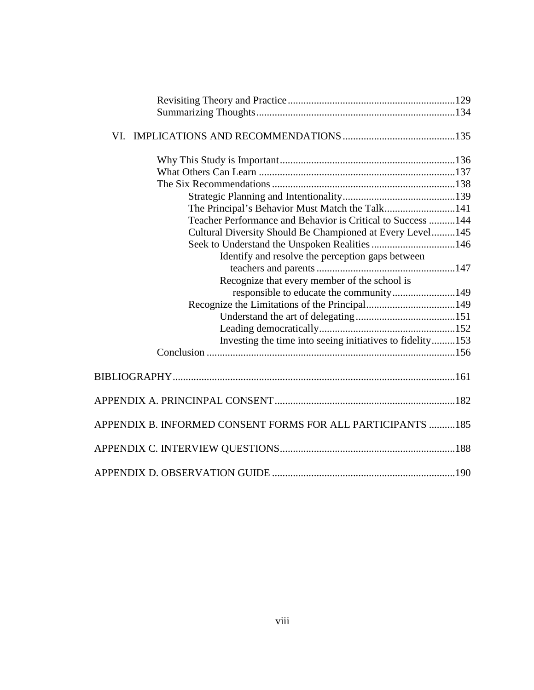| The Principal's Behavior Must Match the Talk141              |  |
|--------------------------------------------------------------|--|
| Teacher Performance and Behavior is Critical to Success  144 |  |
| Cultural Diversity Should Be Championed at Every Level145    |  |
| Seek to Understand the Unspoken Realities 146                |  |
| Identify and resolve the perception gaps between             |  |
|                                                              |  |
| Recognize that every member of the school is                 |  |
| responsible to educate the community149                      |  |
|                                                              |  |
|                                                              |  |
|                                                              |  |
| Investing the time into seeing initiatives to fidelity153    |  |
|                                                              |  |
|                                                              |  |
|                                                              |  |
| APPENDIX B. INFORMED CONSENT FORMS FOR ALL PARTICIPANTS 185  |  |
|                                                              |  |
|                                                              |  |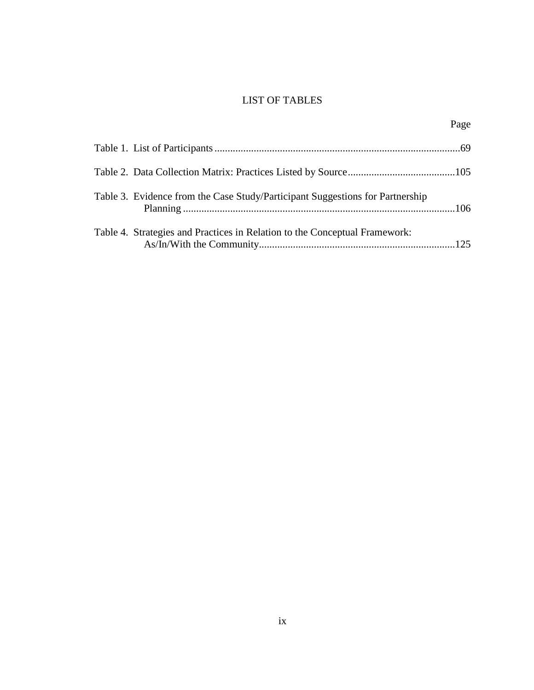# LIST OF TABLES

|                                                                               | Page |
|-------------------------------------------------------------------------------|------|
|                                                                               |      |
|                                                                               |      |
| Table 3. Evidence from the Case Study/Participant Suggestions for Partnership |      |
| Table 4. Strategies and Practices in Relation to the Conceptual Framework:    |      |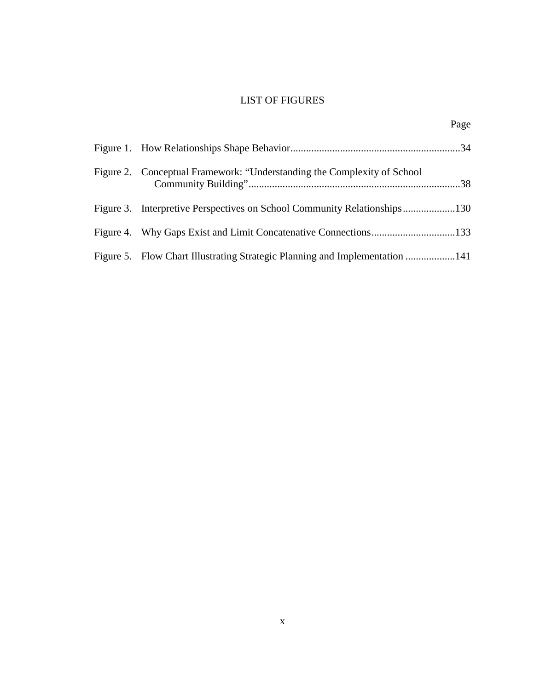# LIST OF FIGURES

Page

| Figure 2. Conceptual Framework: "Understanding the Complexity of School"    |  |
|-----------------------------------------------------------------------------|--|
|                                                                             |  |
|                                                                             |  |
| Figure 5. Flow Chart Illustrating Strategic Planning and Implementation 141 |  |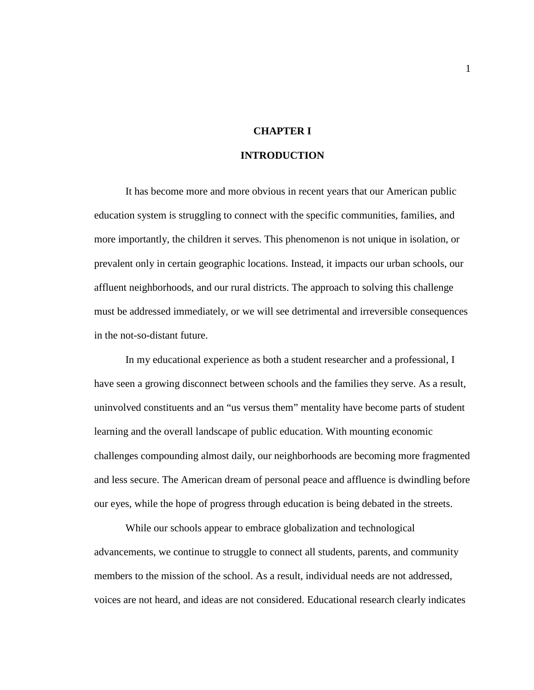### **CHAPTER I**

### **INTRODUCTION**

It has become more and more obvious in recent years that our American public education system is struggling to connect with the specific communities, families, and more importantly, the children it serves. This phenomenon is not unique in isolation, or prevalent only in certain geographic locations. Instead, it impacts our urban schools, our affluent neighborhoods, and our rural districts. The approach to solving this challenge must be addressed immediately, or we will see detrimental and irreversible consequences in the not-so-distant future.

In my educational experience as both a student researcher and a professional, I have seen a growing disconnect between schools and the families they serve. As a result, uninvolved constituents and an "us versus them" mentality have become parts of student learning and the overall landscape of public education. With mounting economic challenges compounding almost daily, our neighborhoods are becoming more fragmented and less secure. The American dream of personal peace and affluence is dwindling before our eyes, while the hope of progress through education is being debated in the streets.

While our schools appear to embrace globalization and technological advancements, we continue to struggle to connect all students, parents, and community members to the mission of the school. As a result, individual needs are not addressed, voices are not heard, and ideas are not considered. Educational research clearly indicates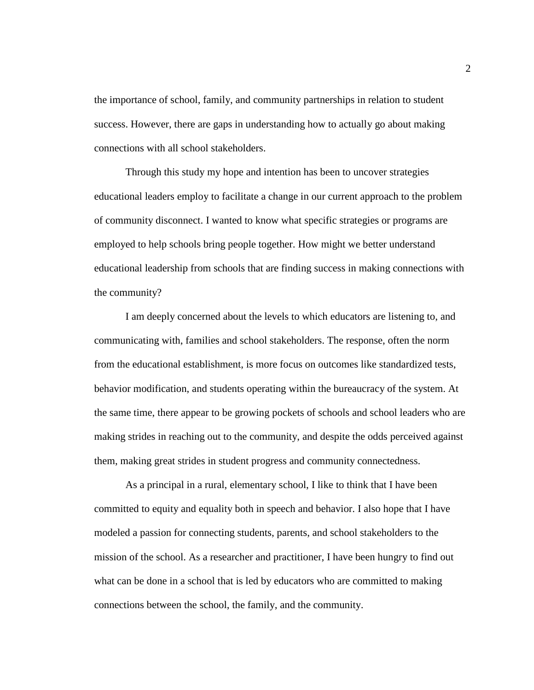the importance of school, family, and community partnerships in relation to student success. However, there are gaps in understanding how to actually go about making connections with all school stakeholders.

Through this study my hope and intention has been to uncover strategies educational leaders employ to facilitate a change in our current approach to the problem of community disconnect. I wanted to know what specific strategies or programs are employed to help schools bring people together. How might we better understand educational leadership from schools that are finding success in making connections with the community?

I am deeply concerned about the levels to which educators are listening to, and communicating with, families and school stakeholders. The response, often the norm from the educational establishment, is more focus on outcomes like standardized tests, behavior modification, and students operating within the bureaucracy of the system. At the same time, there appear to be growing pockets of schools and school leaders who are making strides in reaching out to the community, and despite the odds perceived against them, making great strides in student progress and community connectedness.

As a principal in a rural, elementary school, I like to think that I have been committed to equity and equality both in speech and behavior. I also hope that I have modeled a passion for connecting students, parents, and school stakeholders to the mission of the school. As a researcher and practitioner, I have been hungry to find out what can be done in a school that is led by educators who are committed to making connections between the school, the family, and the community.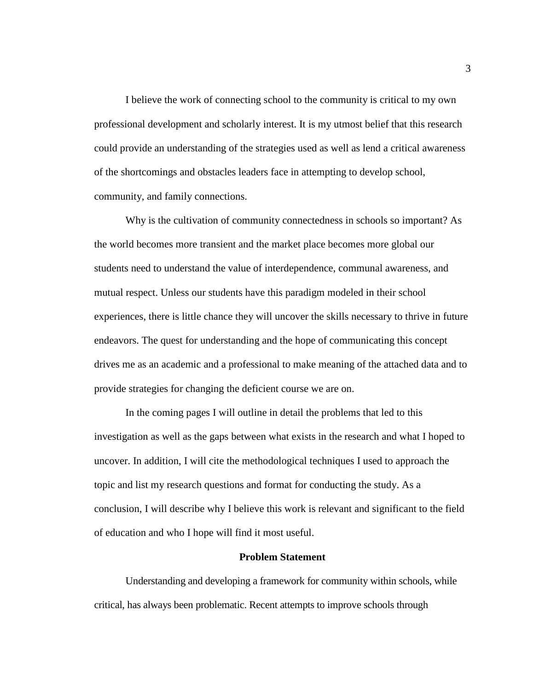I believe the work of connecting school to the community is critical to my own professional development and scholarly interest. It is my utmost belief that this research could provide an understanding of the strategies used as well as lend a critical awareness of the shortcomings and obstacles leaders face in attempting to develop school, community, and family connections.

Why is the cultivation of community connectedness in schools so important? As the world becomes more transient and the market place becomes more global our students need to understand the value of interdependence, communal awareness, and mutual respect. Unless our students have this paradigm modeled in their school experiences, there is little chance they will uncover the skills necessary to thrive in future endeavors. The quest for understanding and the hope of communicating this concept drives me as an academic and a professional to make meaning of the attached data and to provide strategies for changing the deficient course we are on.

In the coming pages I will outline in detail the problems that led to this investigation as well as the gaps between what exists in the research and what I hoped to uncover. In addition, I will cite the methodological techniques I used to approach the topic and list my research questions and format for conducting the study. As a conclusion, I will describe why I believe this work is relevant and significant to the field of education and who I hope will find it most useful.

### **Problem Statement**

Understanding and developing a framework for community within schools, while critical, has always been problematic. Recent attempts to improve schools through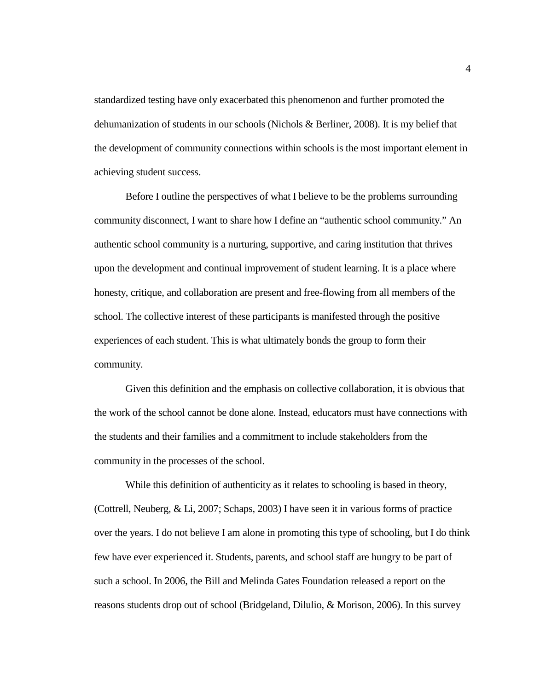standardized testing have only exacerbated this phenomenon and further promoted the dehumanization of students in our schools (Nichols & Berliner, 2008). It is my belief that the development of community connections within schools is the most important element in achieving student success.

Before I outline the perspectives of what I believe to be the problems surrounding community disconnect, I want to share how I define an "authentic school community." An authentic school community is a nurturing, supportive, and caring institution that thrives upon the development and continual improvement of student learning. It is a place where honesty, critique, and collaboration are present and free-flowing from all members of the school. The collective interest of these participants is manifested through the positive experiences of each student. This is what ultimately bonds the group to form their community.

Given this definition and the emphasis on collective collaboration, it is obvious that the work of the school cannot be done alone. Instead, educators must have connections with the students and their families and a commitment to include stakeholders from the community in the processes of the school.

While this definition of authenticity as it relates to schooling is based in theory, (Cottrell, Neuberg, & Li, 2007; Schaps, 2003) I have seen it in various forms of practice over the years. I do not believe I am alone in promoting this type of schooling, but I do think few have ever experienced it. Students, parents, and school staff are hungry to be part of such a school. In 2006, the Bill and Melinda Gates Foundation released a report on the reasons students drop out of school (Bridgeland, Dilulio, & Morison, 2006). In this survey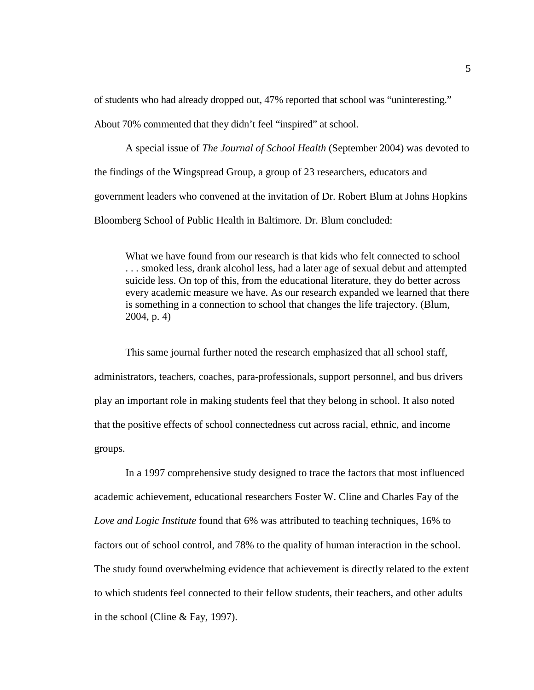of students who had already dropped out, 47% reported that school was "uninteresting."

About 70% commented that they didn't feel "inspired" at school.

A special issue of *The Journal of School Health* (September 2004) was devoted to the findings of the Wingspread Group, a group of 23 researchers, educators and government leaders who convened at the invitation of Dr. Robert Blum at Johns Hopkins Bloomberg School of Public Health in Baltimore. Dr. Blum concluded:

What we have found from our research is that kids who felt connected to school . . . smoked less, drank alcohol less, had a later age of sexual debut and attempted suicide less. On top of this, from the educational literature, they do better across every academic measure we have. As our research expanded we learned that there is something in a connection to school that changes the life trajectory. (Blum, 2004, p. 4)

This same journal further noted the research emphasized that all school staff, administrators, teachers, coaches, para-professionals, support personnel, and bus drivers play an important role in making students feel that they belong in school. It also noted that the positive effects of school connectedness cut across racial, ethnic, and income groups.

In a 1997 comprehensive study designed to trace the factors that most influenced academic achievement, educational researchers Foster W. Cline and Charles Fay of the *Love and Logic Institute* found that 6% was attributed to teaching techniques, 16% to factors out of school control, and 78% to the quality of human interaction in the school. The study found overwhelming evidence that achievement is directly related to the extent to which students feel connected to their fellow students, their teachers, and other adults in the school (Cline & Fay, 1997).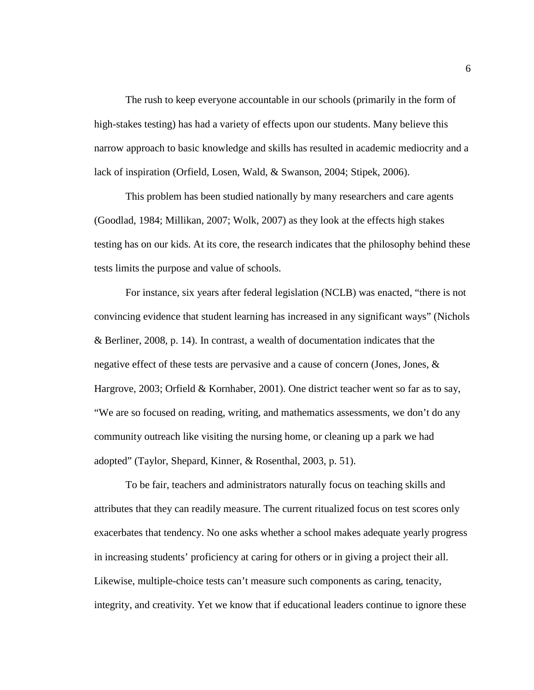The rush to keep everyone accountable in our schools (primarily in the form of high-stakes testing) has had a variety of effects upon our students. Many believe this narrow approach to basic knowledge and skills has resulted in academic mediocrity and a lack of inspiration (Orfield, Losen, Wald, & Swanson, 2004; Stipek, 2006).

This problem has been studied nationally by many researchers and care agents (Goodlad, 1984; Millikan, 2007; Wolk, 2007) as they look at the effects high stakes testing has on our kids. At its core, the research indicates that the philosophy behind these tests limits the purpose and value of schools.

For instance, six years after federal legislation (NCLB) was enacted, "there is not convincing evidence that student learning has increased in any significant ways" (Nichols & Berliner, 2008, p. 14). In contrast, a wealth of documentation indicates that the negative effect of these tests are pervasive and a cause of concern (Jones, Jones, & Hargrove, 2003; Orfield & Kornhaber, 2001). One district teacher went so far as to say, "We are so focused on reading, writing, and mathematics assessments, we don't do any community outreach like visiting the nursing home, or cleaning up a park we had adopted" (Taylor, Shepard, Kinner, & Rosenthal, 2003, p. 51).

To be fair, teachers and administrators naturally focus on teaching skills and attributes that they can readily measure. The current ritualized focus on test scores only exacerbates that tendency. No one asks whether a school makes adequate yearly progress in increasing students' proficiency at caring for others or in giving a project their all. Likewise, multiple-choice tests can't measure such components as caring, tenacity, integrity, and creativity. Yet we know that if educational leaders continue to ignore these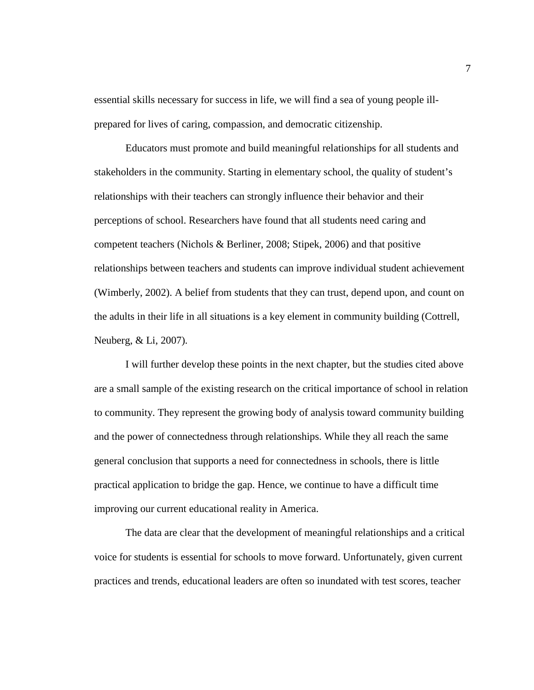essential skills necessary for success in life, we will find a sea of young people illprepared for lives of caring, compassion, and democratic citizenship.

Educators must promote and build meaningful relationships for all students and stakeholders in the community. Starting in elementary school, the quality of student's relationships with their teachers can strongly influence their behavior and their perceptions of school. Researchers have found that all students need caring and competent teachers (Nichols & Berliner, 2008; Stipek, 2006) and that positive relationships between teachers and students can improve individual student achievement (Wimberly, 2002). A belief from students that they can trust, depend upon, and count on the adults in their life in all situations is a key element in community building (Cottrell, Neuberg, & Li, 2007).

I will further develop these points in the next chapter, but the studies cited above are a small sample of the existing research on the critical importance of school in relation to community. They represent the growing body of analysis toward community building and the power of connectedness through relationships. While they all reach the same general conclusion that supports a need for connectedness in schools, there is little practical application to bridge the gap. Hence, we continue to have a difficult time improving our current educational reality in America.

The data are clear that the development of meaningful relationships and a critical voice for students is essential for schools to move forward. Unfortunately, given current practices and trends, educational leaders are often so inundated with test scores, teacher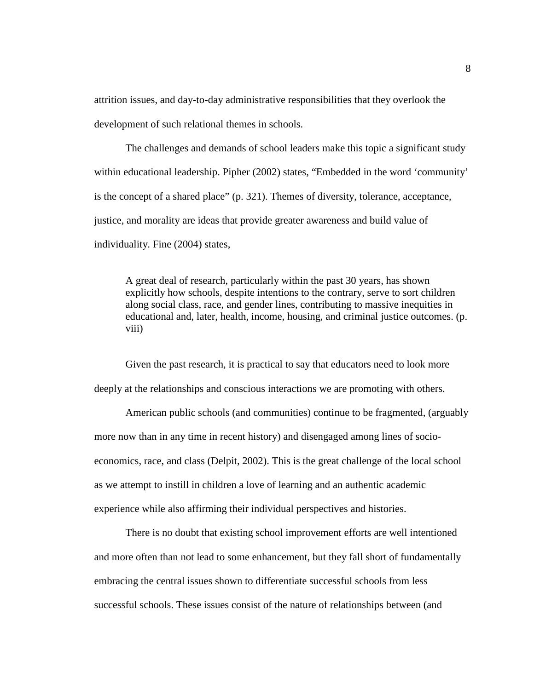attrition issues, and day-to-day administrative responsibilities that they overlook the development of such relational themes in schools.

The challenges and demands of school leaders make this topic a significant study within educational leadership. Pipher (2002) states, "Embedded in the word 'community' is the concept of a shared place" (p. 321). Themes of diversity, tolerance, acceptance, justice, and morality are ideas that provide greater awareness and build value of individuality. Fine (2004) states,

A great deal of research, particularly within the past 30 years, has shown explicitly how schools, despite intentions to the contrary, serve to sort children along social class, race, and gender lines, contributing to massive inequities in educational and, later, health, income, housing, and criminal justice outcomes. (p. viii)

Given the past research, it is practical to say that educators need to look more deeply at the relationships and conscious interactions we are promoting with others.

American public schools (and communities) continue to be fragmented, (arguably more now than in any time in recent history) and disengaged among lines of socioeconomics, race, and class (Delpit, 2002). This is the great challenge of the local school as we attempt to instill in children a love of learning and an authentic academic experience while also affirming their individual perspectives and histories.

There is no doubt that existing school improvement efforts are well intentioned and more often than not lead to some enhancement, but they fall short of fundamentally embracing the central issues shown to differentiate successful schools from less successful schools. These issues consist of the nature of relationships between (and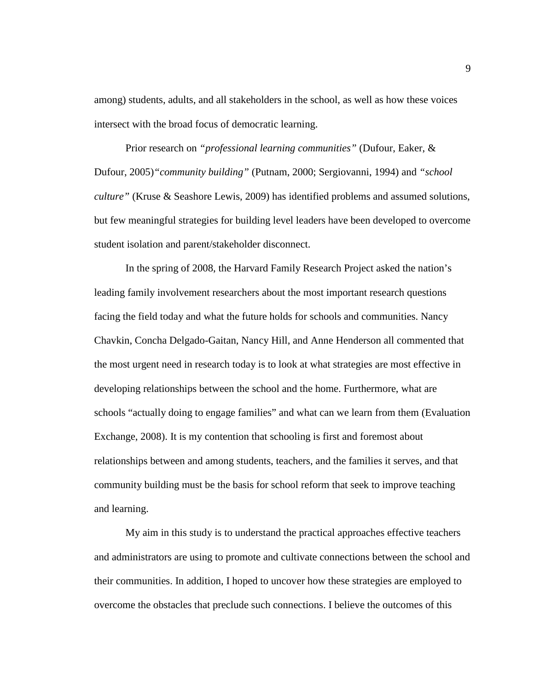among) students, adults, and all stakeholders in the school, as well as how these voices intersect with the broad focus of democratic learning.

Prior research on *"professional learning communities"* (Dufour, Eaker, & Dufour, 2005)*"community building"* (Putnam, 2000; Sergiovanni, 1994) and *"school culture"* (Kruse & Seashore Lewis, 2009) has identified problems and assumed solutions, but few meaningful strategies for building level leaders have been developed to overcome student isolation and parent/stakeholder disconnect.

In the spring of 2008, the Harvard Family Research Project asked the nation's leading family involvement researchers about the most important research questions facing the field today and what the future holds for schools and communities. Nancy Chavkin, Concha Delgado-Gaitan, Nancy Hill, and Anne Henderson all commented that the most urgent need in research today is to look at what strategies are most effective in developing relationships between the school and the home. Furthermore, what are schools "actually doing to engage families" and what can we learn from them (Evaluation Exchange, 2008). It is my contention that schooling is first and foremost about relationships between and among students, teachers, and the families it serves, and that community building must be the basis for school reform that seek to improve teaching and learning.

My aim in this study is to understand the practical approaches effective teachers and administrators are using to promote and cultivate connections between the school and their communities. In addition, I hoped to uncover how these strategies are employed to overcome the obstacles that preclude such connections. I believe the outcomes of this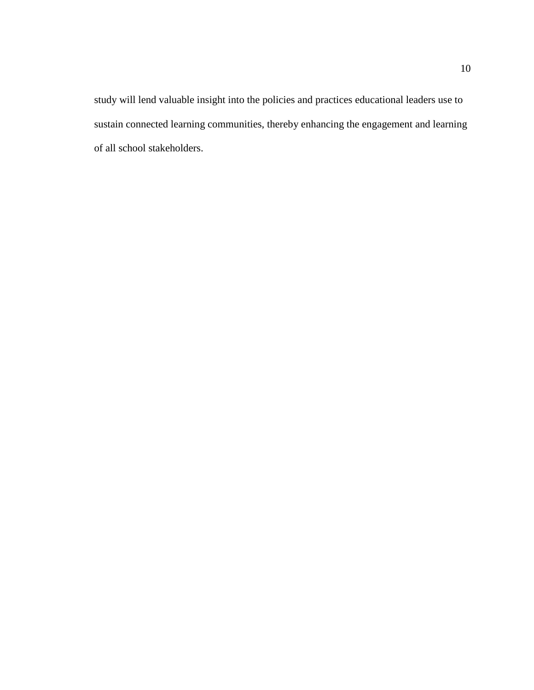study will lend valuable insight into the policies and practices educational leaders use to sustain connected learning communities, thereby enhancing the engagement and learning of all school stakeholders.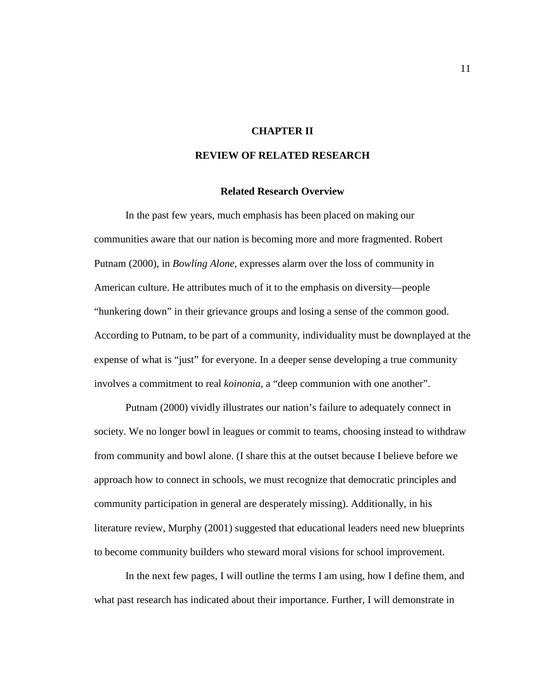### **CHAPTER II**

### **REVIEW OF RELATED RESEARCH**

### **Related Research Overview**

In the past few years, much emphasis has been placed on making our communities aware that our nation is becoming more and more fragmented. Robert Putnam (2000), in *Bowling Alone*, expresses alarm over the loss of community in American culture. He attributes much of it to the emphasis on diversity—people "hunkering down" in their grievance groups and losing a sense of the common good. According to Putnam, to be part of a community, individuality must be downplayed at the expense of what is "just" for everyone. In a deeper sense developing a true community involves a commitment to real *koinonia,* a "deep communion with one another".

Putnam (2000) vividly illustrates our nation's failure to adequately connect in society. We no longer bowl in leagues or commit to teams, choosing instead to withdraw from community and bowl alone. (I share this at the outset because I believe before we approach how to connect in schools, we must recognize that democratic principles and community participation in general are desperately missing). Additionally, in his literature review, Murphy (2001) suggested that educational leaders need new blueprints to become community builders who steward moral visions for school improvement.

In the next few pages, I will outline the terms I am using, how I define them, and what past research has indicated about their importance. Further, I will demonstrate in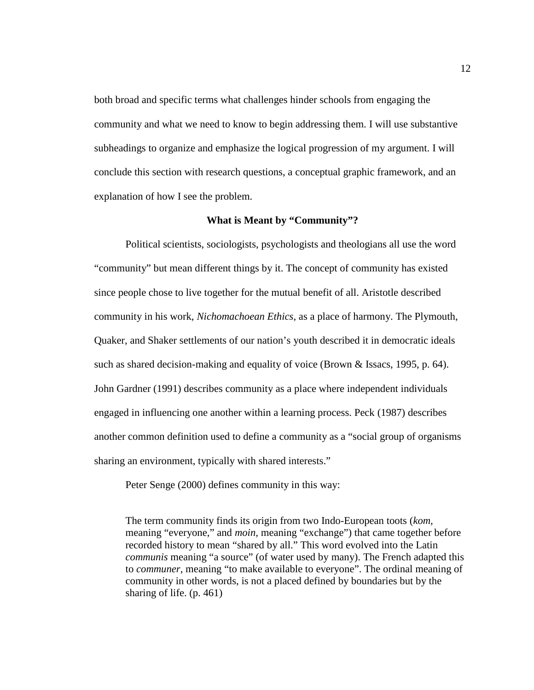both broad and specific terms what challenges hinder schools from engaging the community and what we need to know to begin addressing them. I will use substantive subheadings to organize and emphasize the logical progression of my argument. I will conclude this section with research questions, a conceptual graphic framework, and an explanation of how I see the problem.

### **What is Meant by "Community"?**

Political scientists, sociologists, psychologists and theologians all use the word "community" but mean different things by it. The concept of community has existed since people chose to live together for the mutual benefit of all. Aristotle described community in his work, *Nichomachoean Ethics*, as a place of harmony. The Plymouth, Quaker, and Shaker settlements of our nation's youth described it in democratic ideals such as shared decision-making and equality of voice (Brown & Issacs, 1995, p. 64). John Gardner (1991) describes community as a place where independent individuals engaged in influencing one another within a learning process. Peck (1987) describes another common definition used to define a community as a "social group of organisms sharing an environment, typically with shared interests."

Peter Senge (2000) defines community in this way:

The term community finds its origin from two Indo-European toots (*kom,* meaning "everyone," and *moin,* meaning "exchange") that came together before recorded history to mean "shared by all." This word evolved into the Latin *communis* meaning "a source" (of water used by many). The French adapted this to *communer*, meaning "to make available to everyone". The ordinal meaning of community in other words, is not a placed defined by boundaries but by the sharing of life. (p. 461)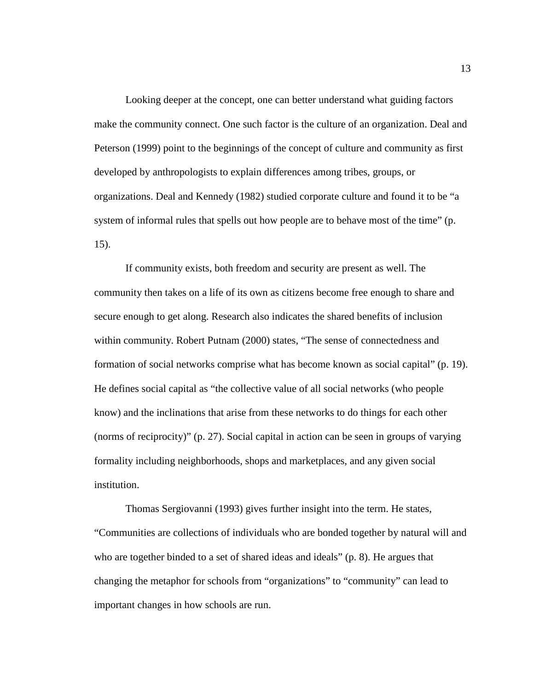Looking deeper at the concept, one can better understand what guiding factors make the community connect. One such factor is the culture of an organization. Deal and Peterson (1999) point to the beginnings of the concept of culture and community as first developed by anthropologists to explain differences among tribes, groups, or organizations. Deal and Kennedy (1982) studied corporate culture and found it to be "a system of informal rules that spells out how people are to behave most of the time" (p. 15).

If community exists, both freedom and security are present as well. The community then takes on a life of its own as citizens become free enough to share and secure enough to get along. Research also indicates the shared benefits of inclusion within community. Robert Putnam (2000) states, "The sense of connectedness and formation of social networks comprise what has become known as social capital" (p. 19). He defines social capital as "the collective value of all social networks (who people know) and the inclinations that arise from these networks to do things for each other (norms of reciprocity)" (p. 27). Social capital in action can be seen in groups of varying formality including neighborhoods, shops and marketplaces, and any given social institution.

Thomas Sergiovanni (1993) gives further insight into the term. He states, "Communities are collections of individuals who are bonded together by natural will and who are together binded to a set of shared ideas and ideals" (p. 8). He argues that changing the metaphor for schools from "organizations" to "community" can lead to important changes in how schools are run.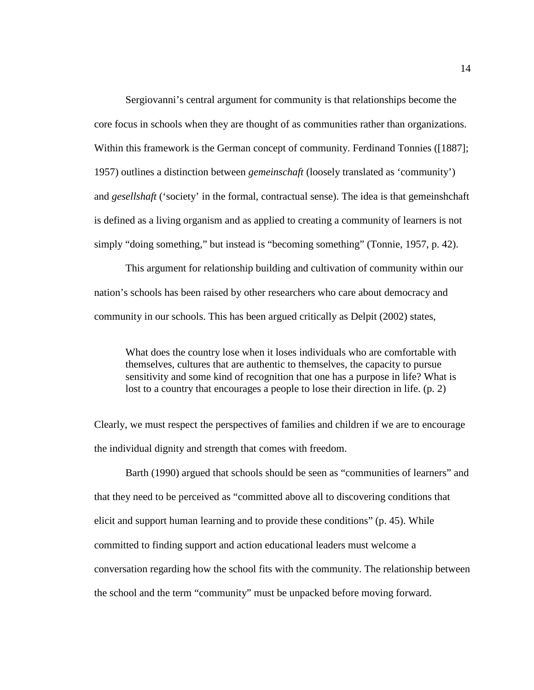Sergiovanni's central argument for community is that relationships become the core focus in schools when they are thought of as communities rather than organizations. Within this framework is the German concept of community. Ferdinand Tonnies ([1887]; 1957) outlines a distinction between *gemeinschaft* (loosely translated as 'community') and *gesellshaft* ('society' in the formal, contractual sense). The idea is that gemeinshchaft is defined as a living organism and as applied to creating a community of learners is not simply "doing something," but instead is "becoming something" (Tonnie, 1957, p. 42).

This argument for relationship building and cultivation of community within our nation's schools has been raised by other researchers who care about democracy and community in our schools. This has been argued critically as Delpit (2002) states,

What does the country lose when it loses individuals who are comfortable with themselves, cultures that are authentic to themselves, the capacity to pursue sensitivity and some kind of recognition that one has a purpose in life? What is lost to a country that encourages a people to lose their direction in life. (p. 2)

Clearly, we must respect the perspectives of families and children if we are to encourage the individual dignity and strength that comes with freedom.

Barth (1990) argued that schools should be seen as "communities of learners" and that they need to be perceived as "committed above all to discovering conditions that elicit and support human learning and to provide these conditions" (p. 45). While committed to finding support and action educational leaders must welcome a conversation regarding how the school fits with the community. The relationship between the school and the term "community" must be unpacked before moving forward.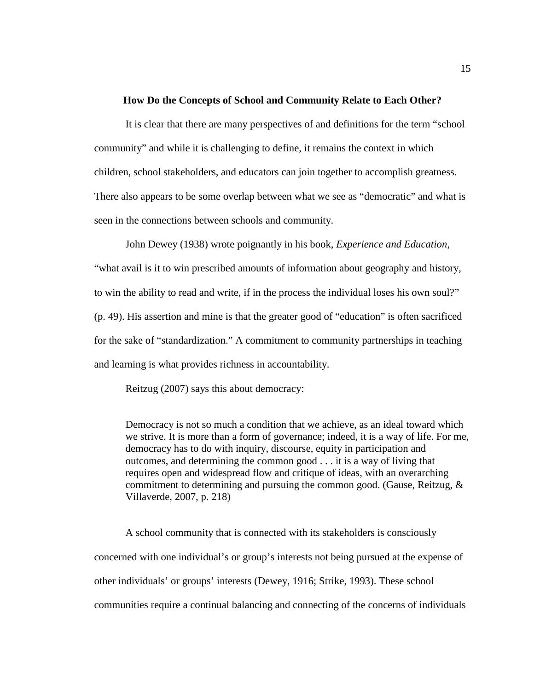### **How Do the Concepts of School and Community Relate to Each Other?**

It is clear that there are many perspectives of and definitions for the term "school community" and while it is challenging to define, it remains the context in which children, school stakeholders, and educators can join together to accomplish greatness. There also appears to be some overlap between what we see as "democratic" and what is seen in the connections between schools and community.

John Dewey (1938) wrote poignantly in his book, *Experience and Education,* "what avail is it to win prescribed amounts of information about geography and history, to win the ability to read and write, if in the process the individual loses his own soul?" (p. 49). His assertion and mine is that the greater good of "education" is often sacrificed for the sake of "standardization." A commitment to community partnerships in teaching and learning is what provides richness in accountability.

Reitzug (2007) says this about democracy:

Democracy is not so much a condition that we achieve, as an ideal toward which we strive. It is more than a form of governance; indeed, it is a way of life. For me, democracy has to do with inquiry, discourse, equity in participation and outcomes, and determining the common good . . . it is a way of living that requires open and widespread flow and critique of ideas, with an overarching commitment to determining and pursuing the common good. (Gause, Reitzug, & Villaverde, 2007, p. 218)

A school community that is connected with its stakeholders is consciously concerned with one individual's or group's interests not being pursued at the expense of other individuals' or groups' interests (Dewey, 1916; Strike, 1993). These school communities require a continual balancing and connecting of the concerns of individuals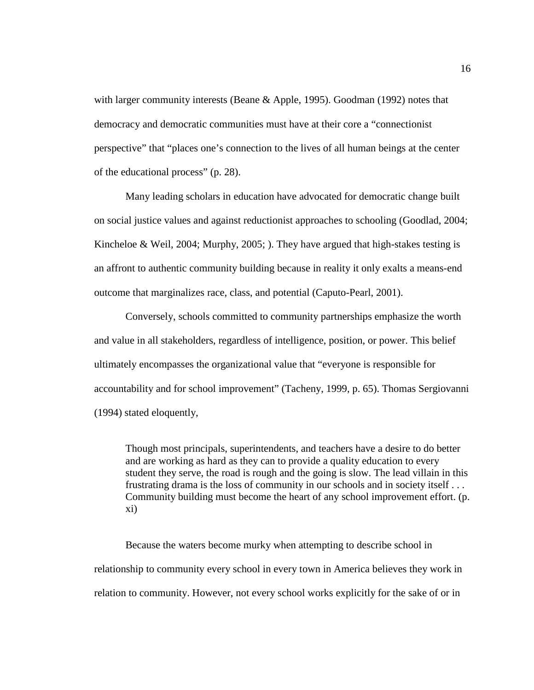with larger community interests (Beane & Apple, 1995). Goodman (1992) notes that democracy and democratic communities must have at their core a "connectionist perspective" that "places one's connection to the lives of all human beings at the center of the educational process" (p. 28).

Many leading scholars in education have advocated for democratic change built on social justice values and against reductionist approaches to schooling (Goodlad, 2004; Kincheloe & Weil, 2004; Murphy, 2005; ). They have argued that high-stakes testing is an affront to authentic community building because in reality it only exalts a means-end outcome that marginalizes race, class, and potential (Caputo-Pearl, 2001).

Conversely, schools committed to community partnerships emphasize the worth and value in all stakeholders, regardless of intelligence, position, or power. This belief ultimately encompasses the organizational value that "everyone is responsible for accountability and for school improvement" (Tacheny, 1999, p. 65). Thomas Sergiovanni (1994) stated eloquently,

Though most principals, superintendents, and teachers have a desire to do better and are working as hard as they can to provide a quality education to every student they serve, the road is rough and the going is slow. The lead villain in this frustrating drama is the loss of community in our schools and in society itself . . . Community building must become the heart of any school improvement effort. (p. xi)

Because the waters become murky when attempting to describe school in relationship to community every school in every town in America believes they work in relation to community. However, not every school works explicitly for the sake of or in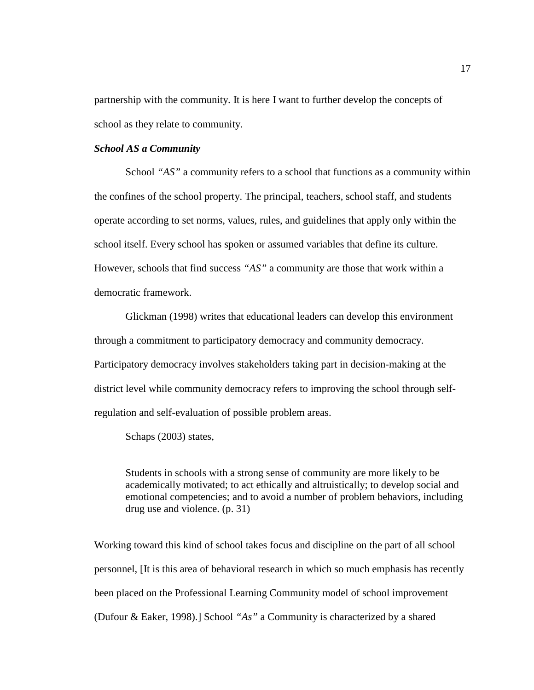partnership with the community. It is here I want to further develop the concepts of school as they relate to community.

### *School AS a Community*

School "AS" a community refers to a school that functions as a community within the confines of the school property. The principal, teachers, school staff, and students operate according to set norms, values, rules, and guidelines that apply only within the school itself. Every school has spoken or assumed variables that define its culture. However, schools that find success *"AS"* a community are those that work within a democratic framework.

Glickman (1998) writes that educational leaders can develop this environment through a commitment to participatory democracy and community democracy. Participatory democracy involves stakeholders taking part in decision-making at the district level while community democracy refers to improving the school through selfregulation and self-evaluation of possible problem areas.

Schaps (2003) states,

Students in schools with a strong sense of community are more likely to be academically motivated; to act ethically and altruistically; to develop social and emotional competencies; and to avoid a number of problem behaviors, including drug use and violence. (p. 31)

Working toward this kind of school takes focus and discipline on the part of all school personnel, [It is this area of behavioral research in which so much emphasis has recently been placed on the Professional Learning Community model of school improvement (Dufour & Eaker, 1998).] School *"As"* a Community is characterized by a shared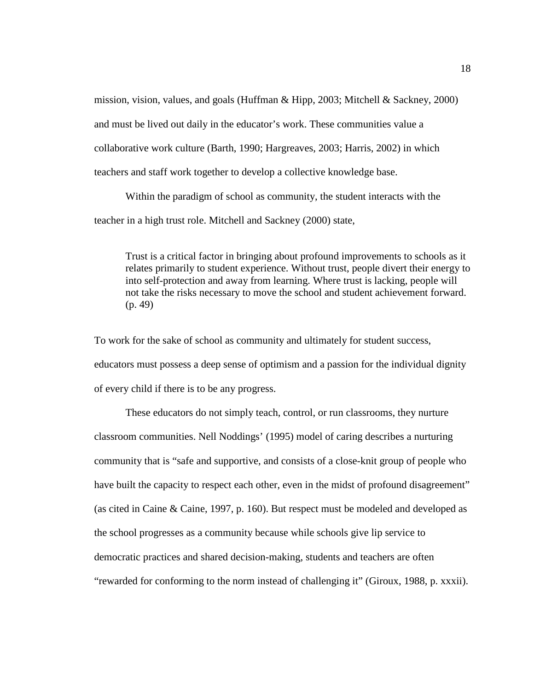mission, vision, values, and goals (Huffman & Hipp, 2003; Mitchell & Sackney, 2000) and must be lived out daily in the educator's work. These communities value a collaborative work culture (Barth, 1990; Hargreaves, 2003; Harris, 2002) in which teachers and staff work together to develop a collective knowledge base.

Within the paradigm of school as community, the student interacts with the teacher in a high trust role. Mitchell and Sackney (2000) state,

Trust is a critical factor in bringing about profound improvements to schools as it relates primarily to student experience. Without trust, people divert their energy to into self-protection and away from learning. Where trust is lacking, people will not take the risks necessary to move the school and student achievement forward. (p. 49)

To work for the sake of school as community and ultimately for student success, educators must possess a deep sense of optimism and a passion for the individual dignity of every child if there is to be any progress.

These educators do not simply teach, control, or run classrooms, they nurture classroom communities. Nell Noddings' (1995) model of caring describes a nurturing community that is "safe and supportive, and consists of a close-knit group of people who have built the capacity to respect each other, even in the midst of profound disagreement" (as cited in Caine & Caine, 1997, p. 160). But respect must be modeled and developed as the school progresses as a community because while schools give lip service to democratic practices and shared decision-making, students and teachers are often "rewarded for conforming to the norm instead of challenging it" (Giroux, 1988, p. xxxii).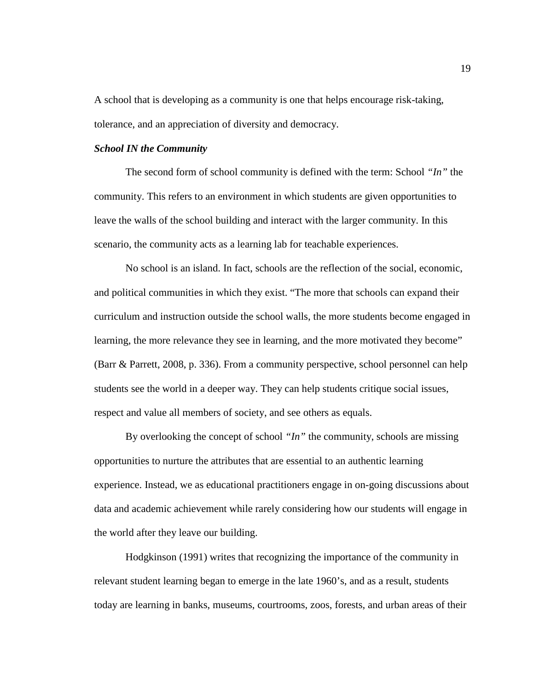A school that is developing as a community is one that helps encourage risk-taking, tolerance, and an appreciation of diversity and democracy.

### *School IN the Community*

The second form of school community is defined with the term: School *"In"* the community. This refers to an environment in which students are given opportunities to leave the walls of the school building and interact with the larger community. In this scenario, the community acts as a learning lab for teachable experiences.

No school is an island. In fact, schools are the reflection of the social, economic, and political communities in which they exist. "The more that schools can expand their curriculum and instruction outside the school walls, the more students become engaged in learning, the more relevance they see in learning, and the more motivated they become" (Barr & Parrett, 2008, p. 336). From a community perspective, school personnel can help students see the world in a deeper way. They can help students critique social issues, respect and value all members of society, and see others as equals.

By overlooking the concept of school *"In"* the community, schools are missing opportunities to nurture the attributes that are essential to an authentic learning experience. Instead, we as educational practitioners engage in on-going discussions about data and academic achievement while rarely considering how our students will engage in the world after they leave our building.

Hodgkinson (1991) writes that recognizing the importance of the community in relevant student learning began to emerge in the late 1960's, and as a result, students today are learning in banks, museums, courtrooms, zoos, forests, and urban areas of their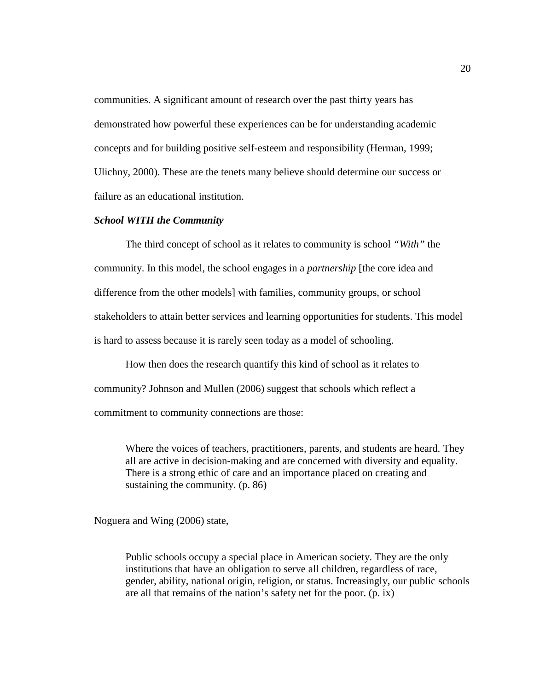communities. A significant amount of research over the past thirty years has demonstrated how powerful these experiences can be for understanding academic concepts and for building positive self-esteem and responsibility (Herman, 1999; Ulichny, 2000). These are the tenets many believe should determine our success or failure as an educational institution.

### *School WITH the Community*

The third concept of school as it relates to community is school *"With"* the community. In this model, the school engages in a *partnership* [the core idea and difference from the other models] with families, community groups, or school stakeholders to attain better services and learning opportunities for students. This model is hard to assess because it is rarely seen today as a model of schooling.

How then does the research quantify this kind of school as it relates to community? Johnson and Mullen (2006) suggest that schools which reflect a commitment to community connections are those:

Where the voices of teachers, practitioners, parents, and students are heard. They all are active in decision-making and are concerned with diversity and equality. There is a strong ethic of care and an importance placed on creating and sustaining the community. (p. 86)

Noguera and Wing (2006) state,

Public schools occupy a special place in American society. They are the only institutions that have an obligation to serve all children, regardless of race, gender, ability, national origin, religion, or status. Increasingly, our public schools are all that remains of the nation's safety net for the poor. (p. ix)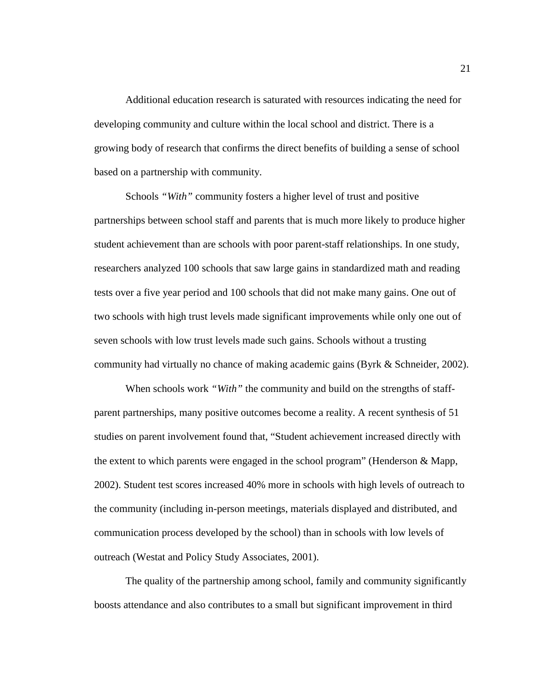Additional education research is saturated with resources indicating the need for developing community and culture within the local school and district. There is a growing body of research that confirms the direct benefits of building a sense of school based on a partnership with community.

Schools *"With"* community fosters a higher level of trust and positive partnerships between school staff and parents that is much more likely to produce higher student achievement than are schools with poor parent-staff relationships. In one study, researchers analyzed 100 schools that saw large gains in standardized math and reading tests over a five year period and 100 schools that did not make many gains. One out of two schools with high trust levels made significant improvements while only one out of seven schools with low trust levels made such gains. Schools without a trusting community had virtually no chance of making academic gains (Byrk & Schneider, 2002).

When schools work *"With"* the community and build on the strengths of staffparent partnerships, many positive outcomes become a reality. A recent synthesis of 51 studies on parent involvement found that, "Student achievement increased directly with the extent to which parents were engaged in the school program" (Henderson & Mapp, 2002). Student test scores increased 40% more in schools with high levels of outreach to the community (including in-person meetings, materials displayed and distributed, and communication process developed by the school) than in schools with low levels of outreach (Westat and Policy Study Associates, 2001).

The quality of the partnership among school, family and community significantly boosts attendance and also contributes to a small but significant improvement in third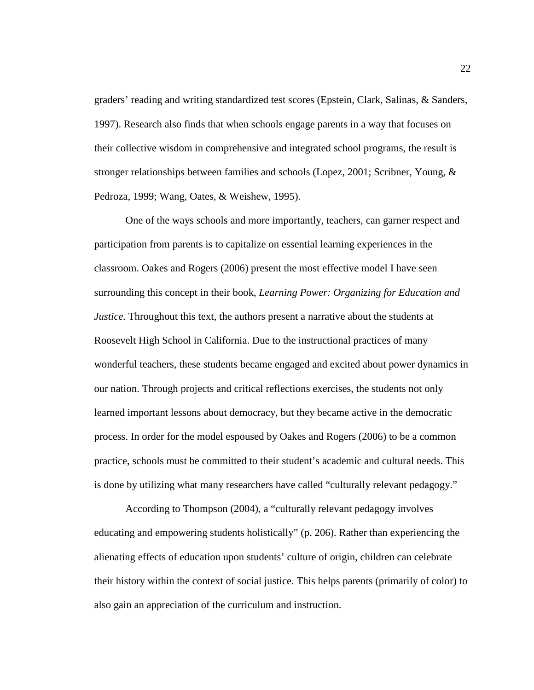graders' reading and writing standardized test scores (Epstein, Clark, Salinas, & Sanders, 1997). Research also finds that when schools engage parents in a way that focuses on their collective wisdom in comprehensive and integrated school programs, the result is stronger relationships between families and schools (Lopez, 2001; Scribner, Young, & Pedroza, 1999; Wang, Oates, & Weishew, 1995).

One of the ways schools and more importantly, teachers, can garner respect and participation from parents is to capitalize on essential learning experiences in the classroom. Oakes and Rogers (2006) present the most effective model I have seen surrounding this concept in their book, *Learning Power: Organizing for Education and Justice.* Throughout this text, the authors present a narrative about the students at Roosevelt High School in California. Due to the instructional practices of many wonderful teachers, these students became engaged and excited about power dynamics in our nation. Through projects and critical reflections exercises, the students not only learned important lessons about democracy, but they became active in the democratic process. In order for the model espoused by Oakes and Rogers (2006) to be a common practice, schools must be committed to their student's academic and cultural needs. This is done by utilizing what many researchers have called "culturally relevant pedagogy."

According to Thompson (2004), a "culturally relevant pedagogy involves educating and empowering students holistically" (p. 206). Rather than experiencing the alienating effects of education upon students' culture of origin, children can celebrate their history within the context of social justice. This helps parents (primarily of color) to also gain an appreciation of the curriculum and instruction.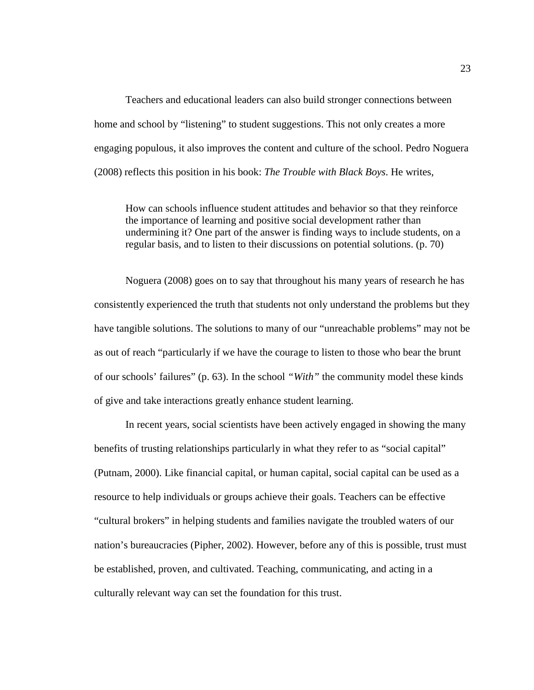Teachers and educational leaders can also build stronger connections between home and school by "listening" to student suggestions. This not only creates a more engaging populous, it also improves the content and culture of the school. Pedro Noguera (2008) reflects this position in his book: *The Trouble with Black Boys*. He writes,

How can schools influence student attitudes and behavior so that they reinforce the importance of learning and positive social development rather than undermining it? One part of the answer is finding ways to include students, on a regular basis, and to listen to their discussions on potential solutions. (p. 70)

Noguera (2008) goes on to say that throughout his many years of research he has consistently experienced the truth that students not only understand the problems but they have tangible solutions. The solutions to many of our "unreachable problems" may not be as out of reach "particularly if we have the courage to listen to those who bear the brunt of our schools' failures" (p. 63). In the school *"With"* the community model these kinds of give and take interactions greatly enhance student learning.

In recent years, social scientists have been actively engaged in showing the many benefits of trusting relationships particularly in what they refer to as "social capital" (Putnam, 2000). Like financial capital, or human capital, social capital can be used as a resource to help individuals or groups achieve their goals. Teachers can be effective "cultural brokers" in helping students and families navigate the troubled waters of our nation's bureaucracies (Pipher, 2002). However, before any of this is possible, trust must be established, proven, and cultivated. Teaching, communicating, and acting in a culturally relevant way can set the foundation for this trust.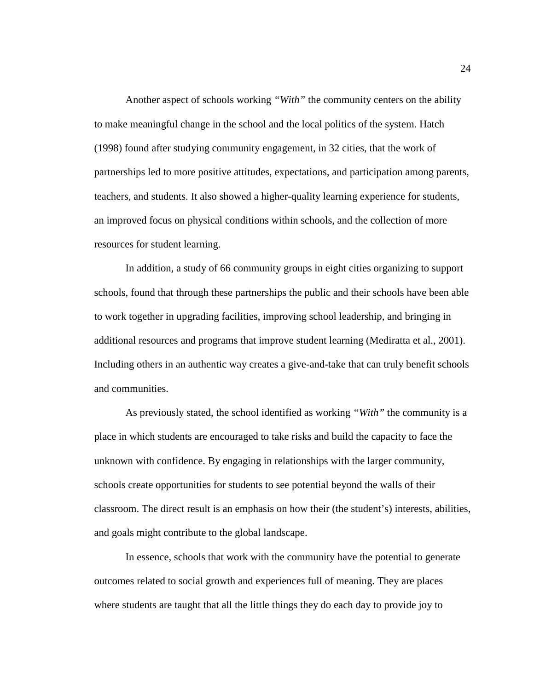Another aspect of schools working *"With"* the community centers on the ability to make meaningful change in the school and the local politics of the system. Hatch (1998) found after studying community engagement, in 32 cities, that the work of partnerships led to more positive attitudes, expectations, and participation among parents, teachers, and students. It also showed a higher-quality learning experience for students, an improved focus on physical conditions within schools, and the collection of more resources for student learning.

In addition, a study of 66 community groups in eight cities organizing to support schools, found that through these partnerships the public and their schools have been able to work together in upgrading facilities, improving school leadership, and bringing in additional resources and programs that improve student learning (Mediratta et al., 2001). Including others in an authentic way creates a give-and-take that can truly benefit schools and communities.

As previously stated, the school identified as working *"With"* the community is a place in which students are encouraged to take risks and build the capacity to face the unknown with confidence. By engaging in relationships with the larger community, schools create opportunities for students to see potential beyond the walls of their classroom. The direct result is an emphasis on how their (the student's) interests, abilities, and goals might contribute to the global landscape.

In essence, schools that work with the community have the potential to generate outcomes related to social growth and experiences full of meaning. They are places where students are taught that all the little things they do each day to provide joy to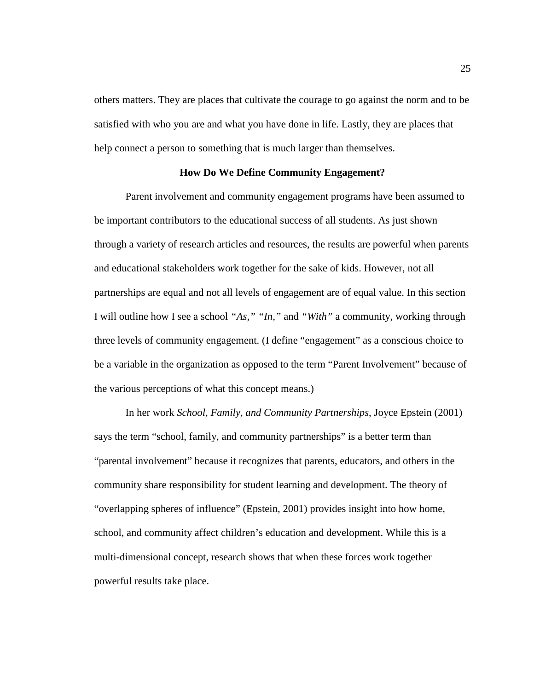others matters. They are places that cultivate the courage to go against the norm and to be satisfied with who you are and what you have done in life. Lastly, they are places that help connect a person to something that is much larger than themselves.

### **How Do We Define Community Engagement?**

Parent involvement and community engagement programs have been assumed to be important contributors to the educational success of all students. As just shown through a variety of research articles and resources, the results are powerful when parents and educational stakeholders work together for the sake of kids. However, not all partnerships are equal and not all levels of engagement are of equal value. In this section I will outline how I see a school *"As," "In,"* and *"With"* a community, working through three levels of community engagement. (I define "engagement" as a conscious choice to be a variable in the organization as opposed to the term "Parent Involvement" because of the various perceptions of what this concept means.)

In her work *School, Family, and Community Partnerships*, Joyce Epstein (2001) says the term "school, family, and community partnerships" is a better term than "parental involvement" because it recognizes that parents, educators, and others in the community share responsibility for student learning and development. The theory of "overlapping spheres of influence" (Epstein, 2001) provides insight into how home, school, and community affect children's education and development. While this is a multi-dimensional concept, research shows that when these forces work together powerful results take place.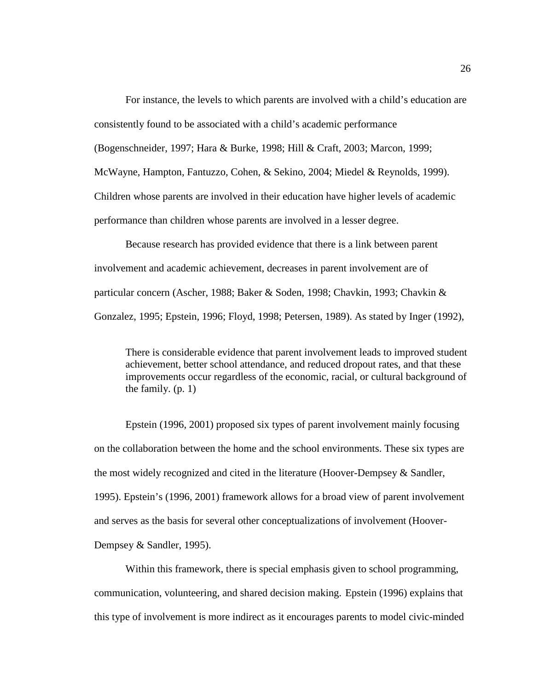For instance, the levels to which parents are involved with a child's education are consistently found to be associated with a child's academic performance

(Bogenschneider, 1997; Hara & Burke, 1998; Hill & Craft, 2003; Marcon, 1999;

McWayne, Hampton, Fantuzzo, Cohen, & Sekino, 2004; Miedel & Reynolds, 1999).

Children whose parents are involved in their education have higher levels of academic

performance than children whose parents are involved in a lesser degree.

Because research has provided evidence that there is a link between parent involvement and academic achievement, decreases in parent involvement are of particular concern (Ascher, 1988; Baker & Soden, 1998; Chavkin, 1993; Chavkin & Gonzalez, 1995; Epstein, 1996; Floyd, 1998; Petersen, 1989). As stated by Inger (1992),

There is considerable evidence that parent involvement leads to improved student achievement, better school attendance, and reduced dropout rates, and that these improvements occur regardless of the economic, racial, or cultural background of the family. (p. 1)

Epstein (1996, 2001) proposed six types of parent involvement mainly focusing on the collaboration between the home and the school environments. These six types are the most widely recognized and cited in the literature (Hoover-Dempsey & Sandler, 1995). Epstein's (1996, 2001) framework allows for a broad view of parent involvement and serves as the basis for several other conceptualizations of involvement (Hoover-Dempsey & Sandler, 1995).

Within this framework, there is special emphasis given to school programming, communication, volunteering, and shared decision making. Epstein (1996) explains that this type of involvement is more indirect as it encourages parents to model civic-minded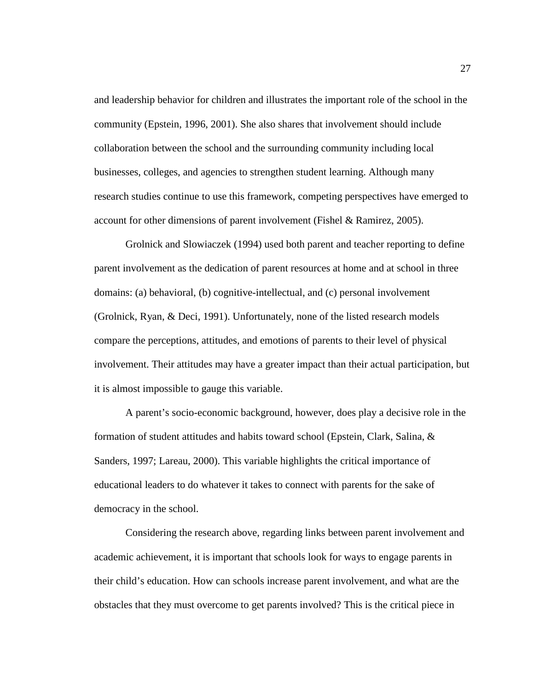and leadership behavior for children and illustrates the important role of the school in the community (Epstein, 1996, 2001). She also shares that involvement should include collaboration between the school and the surrounding community including local businesses, colleges, and agencies to strengthen student learning. Although many research studies continue to use this framework, competing perspectives have emerged to account for other dimensions of parent involvement (Fishel & Ramirez, 2005).

Grolnick and Slowiaczek (1994) used both parent and teacher reporting to define parent involvement as the dedication of parent resources at home and at school in three domains: (a) behavioral, (b) cognitive-intellectual, and (c) personal involvement (Grolnick, Ryan, & Deci, 1991). Unfortunately, none of the listed research models compare the perceptions, attitudes, and emotions of parents to their level of physical involvement. Their attitudes may have a greater impact than their actual participation, but it is almost impossible to gauge this variable.

A parent's socio-economic background, however, does play a decisive role in the formation of student attitudes and habits toward school (Epstein, Clark, Salina, & Sanders, 1997; Lareau, 2000). This variable highlights the critical importance of educational leaders to do whatever it takes to connect with parents for the sake of democracy in the school.

Considering the research above, regarding links between parent involvement and academic achievement, it is important that schools look for ways to engage parents in their child's education. How can schools increase parent involvement, and what are the obstacles that they must overcome to get parents involved? This is the critical piece in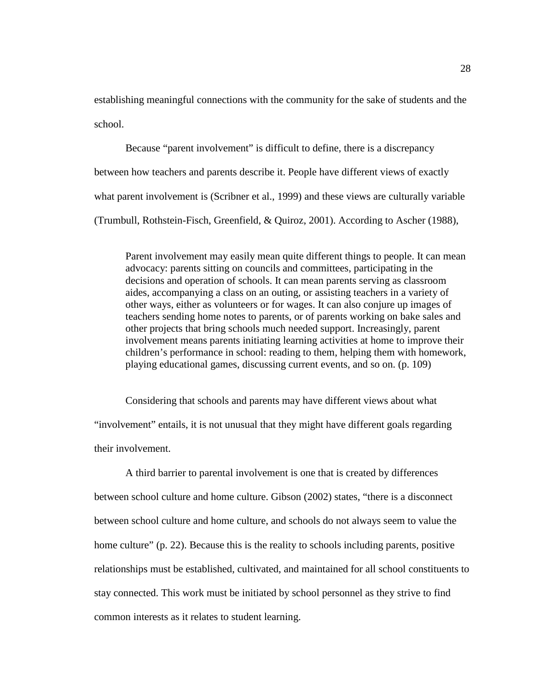establishing meaningful connections with the community for the sake of students and the school.

Because "parent involvement" is difficult to define, there is a discrepancy between how teachers and parents describe it. People have different views of exactly what parent involvement is (Scribner et al., 1999) and these views are culturally variable (Trumbull, Rothstein-Fisch, Greenfield, & Quiroz, 2001). According to Ascher (1988),

Parent involvement may easily mean quite different things to people. It can mean advocacy: parents sitting on councils and committees, participating in the decisions and operation of schools. It can mean parents serving as classroom aides, accompanying a class on an outing, or assisting teachers in a variety of other ways, either as volunteers or for wages. It can also conjure up images of teachers sending home notes to parents, or of parents working on bake sales and other projects that bring schools much needed support. Increasingly, parent involvement means parents initiating learning activities at home to improve their children's performance in school: reading to them, helping them with homework, playing educational games, discussing current events, and so on. (p. 109)

Considering that schools and parents may have different views about what "involvement" entails, it is not unusual that they might have different goals regarding their involvement.

A third barrier to parental involvement is one that is created by differences between school culture and home culture. Gibson (2002) states, "there is a disconnect between school culture and home culture, and schools do not always seem to value the home culture" (p. 22). Because this is the reality to schools including parents, positive relationships must be established, cultivated, and maintained for all school constituents to stay connected. This work must be initiated by school personnel as they strive to find common interests as it relates to student learning.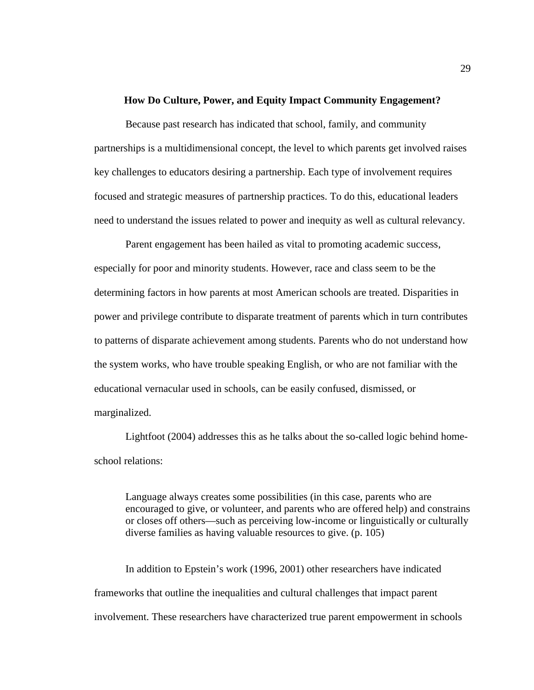#### **How Do Culture, Power, and Equity Impact Community Engagement?**

Because past research has indicated that school, family, and community partnerships is a multidimensional concept, the level to which parents get involved raises key challenges to educators desiring a partnership. Each type of involvement requires focused and strategic measures of partnership practices. To do this, educational leaders need to understand the issues related to power and inequity as well as cultural relevancy.

Parent engagement has been hailed as vital to promoting academic success, especially for poor and minority students. However, race and class seem to be the determining factors in how parents at most American schools are treated. Disparities in power and privilege contribute to disparate treatment of parents which in turn contributes to patterns of disparate achievement among students. Parents who do not understand how the system works, who have trouble speaking English, or who are not familiar with the educational vernacular used in schools, can be easily confused, dismissed, or marginalized.

Lightfoot (2004) addresses this as he talks about the so-called logic behind homeschool relations:

Language always creates some possibilities (in this case, parents who are encouraged to give, or volunteer, and parents who are offered help) and constrains or closes off others—such as perceiving low-income or linguistically or culturally diverse families as having valuable resources to give. (p. 105)

In addition to Epstein's work (1996, 2001) other researchers have indicated frameworks that outline the inequalities and cultural challenges that impact parent involvement. These researchers have characterized true parent empowerment in schools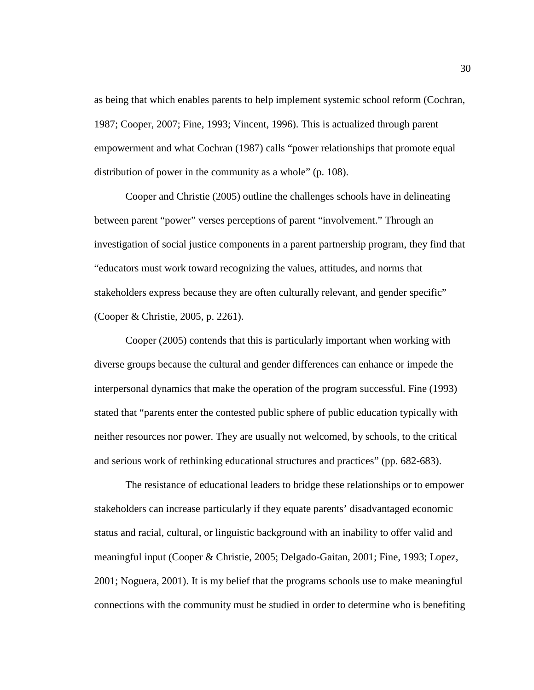as being that which enables parents to help implement systemic school reform (Cochran, 1987; Cooper, 2007; Fine, 1993; Vincent, 1996). This is actualized through parent empowerment and what Cochran (1987) calls "power relationships that promote equal distribution of power in the community as a whole" (p. 108).

Cooper and Christie (2005) outline the challenges schools have in delineating between parent "power" verses perceptions of parent "involvement." Through an investigation of social justice components in a parent partnership program, they find that "educators must work toward recognizing the values, attitudes, and norms that stakeholders express because they are often culturally relevant, and gender specific" (Cooper & Christie, 2005, p. 2261).

Cooper (2005) contends that this is particularly important when working with diverse groups because the cultural and gender differences can enhance or impede the interpersonal dynamics that make the operation of the program successful. Fine (1993) stated that "parents enter the contested public sphere of public education typically with neither resources nor power. They are usually not welcomed, by schools, to the critical and serious work of rethinking educational structures and practices" (pp. 682-683).

The resistance of educational leaders to bridge these relationships or to empower stakeholders can increase particularly if they equate parents' disadvantaged economic status and racial, cultural, or linguistic background with an inability to offer valid and meaningful input (Cooper & Christie, 2005; Delgado-Gaitan, 2001; Fine, 1993; Lopez, 2001; Noguera, 2001). It is my belief that the programs schools use to make meaningful connections with the community must be studied in order to determine who is benefiting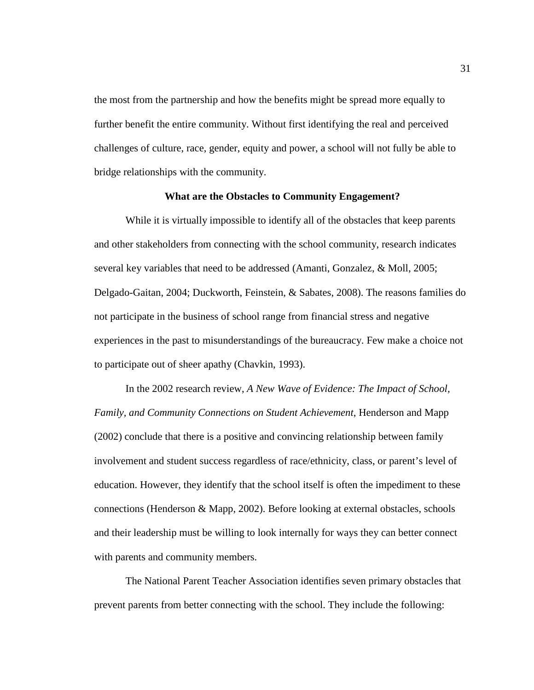the most from the partnership and how the benefits might be spread more equally to further benefit the entire community. Without first identifying the real and perceived challenges of culture, race, gender, equity and power, a school will not fully be able to bridge relationships with the community.

# **What are the Obstacles to Community Engagement?**

While it is virtually impossible to identify all of the obstacles that keep parents and other stakeholders from connecting with the school community, research indicates several key variables that need to be addressed (Amanti, Gonzalez, & Moll, 2005; Delgado-Gaitan, 2004; Duckworth, Feinstein, & Sabates, 2008). The reasons families do not participate in the business of school range from financial stress and negative experiences in the past to misunderstandings of the bureaucracy. Few make a choice not to participate out of sheer apathy (Chavkin, 1993).

In the 2002 research review, *A New Wave of Evidence: The Impact of School, Family, and Community Connections on Student Achievement*, Henderson and Mapp (2002) conclude that there is a positive and convincing relationship between family involvement and student success regardless of race/ethnicity, class, or parent's level of education. However, they identify that the school itself is often the impediment to these connections (Henderson & Mapp, 2002). Before looking at external obstacles, schools and their leadership must be willing to look internally for ways they can better connect with parents and community members.

The National Parent Teacher Association identifies seven primary obstacles that prevent parents from better connecting with the school. They include the following: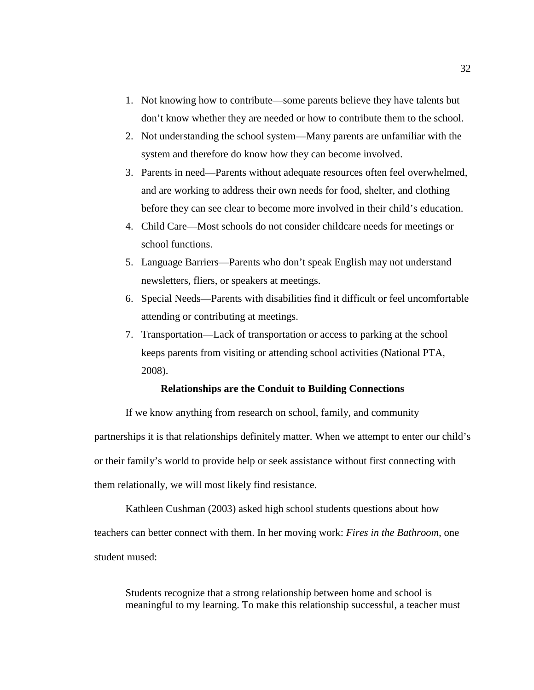- 1. Not knowing how to contribute—some parents believe they have talents but don't know whether they are needed or how to contribute them to the school.
- 2. Not understanding the school system—Many parents are unfamiliar with the system and therefore do know how they can become involved.
- 3. Parents in need—Parents without adequate resources often feel overwhelmed, and are working to address their own needs for food, shelter, and clothing before they can see clear to become more involved in their child's education.
- 4. Child Care—Most schools do not consider childcare needs for meetings or school functions.
- 5. Language Barriers—Parents who don't speak English may not understand newsletters, fliers, or speakers at meetings.
- 6. Special Needs—Parents with disabilities find it difficult or feel uncomfortable attending or contributing at meetings.
- 7. Transportation—Lack of transportation or access to parking at the school keeps parents from visiting or attending school activities (National PTA, 2008).

## **Relationships are the Conduit to Building Connections**

If we know anything from research on school, family, and community partnerships it is that relationships definitely matter. When we attempt to enter our child's or their family's world to provide help or seek assistance without first connecting with them relationally, we will most likely find resistance.

Kathleen Cushman (2003) asked high school students questions about how teachers can better connect with them. In her moving work: *Fires in the Bathroom,* one student mused:

Students recognize that a strong relationship between home and school is meaningful to my learning. To make this relationship successful, a teacher must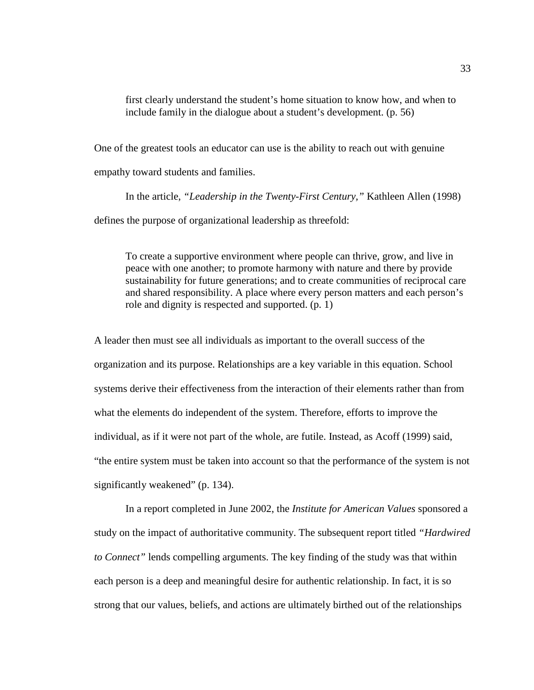first clearly understand the student's home situation to know how, and when to include family in the dialogue about a student's development. (p. 56)

One of the greatest tools an educator can use is the ability to reach out with genuine empathy toward students and families.

In the article, *"Leadership in the Twenty-First Century,"* Kathleen Allen (1998) defines the purpose of organizational leadership as threefold:

To create a supportive environment where people can thrive, grow, and live in peace with one another; to promote harmony with nature and there by provide sustainability for future generations; and to create communities of reciprocal care and shared responsibility. A place where every person matters and each person's role and dignity is respected and supported. (p. 1)

A leader then must see all individuals as important to the overall success of the organization and its purpose. Relationships are a key variable in this equation. School systems derive their effectiveness from the interaction of their elements rather than from what the elements do independent of the system. Therefore, efforts to improve the individual, as if it were not part of the whole, are futile. Instead, as Acoff (1999) said, "the entire system must be taken into account so that the performance of the system is not significantly weakened" (p. 134).

In a report completed in June 2002, the *Institute for American Values* sponsored a study on the impact of authoritative community. The subsequent report titled *"Hardwired to Connect"* lends compelling arguments. The key finding of the study was that within each person is a deep and meaningful desire for authentic relationship. In fact, it is so strong that our values, beliefs, and actions are ultimately birthed out of the relationships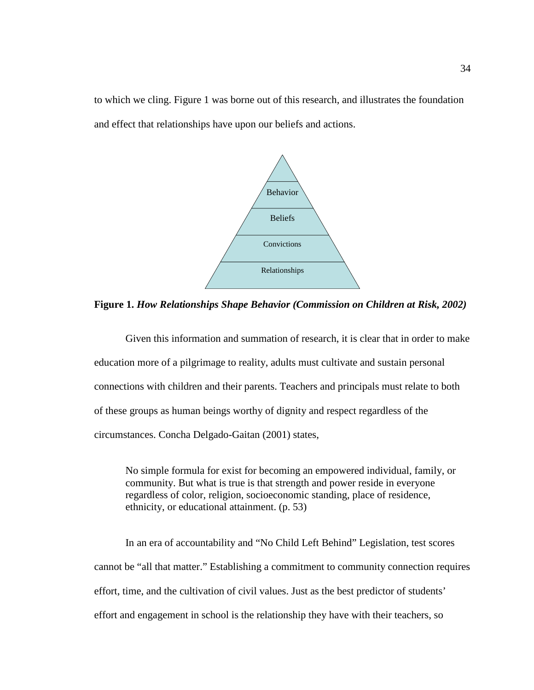to which we cling. Figure 1 was borne out of this research, and illustrates the foundation and effect that relationships have upon our beliefs and actions.



**Figure 1.** *How Relationships Shape Behavior (Commission on Children at Risk, 2002)*

Given this information and summation of research, it is clear that in order to make education more of a pilgrimage to reality, adults must cultivate and sustain personal connections with children and their parents. Teachers and principals must relate to both of these groups as human beings worthy of dignity and respect regardless of the circumstances. Concha Delgado-Gaitan (2001) states,

No simple formula for exist for becoming an empowered individual, family, or community. But what is true is that strength and power reside in everyone regardless of color, religion, socioeconomic standing, place of residence, ethnicity, or educational attainment. (p. 53)

In an era of accountability and "No Child Left Behind" Legislation, test scores cannot be "all that matter." Establishing a commitment to community connection requires effort, time, and the cultivation of civil values. Just as the best predictor of students' effort and engagement in school is the relationship they have with their teachers, so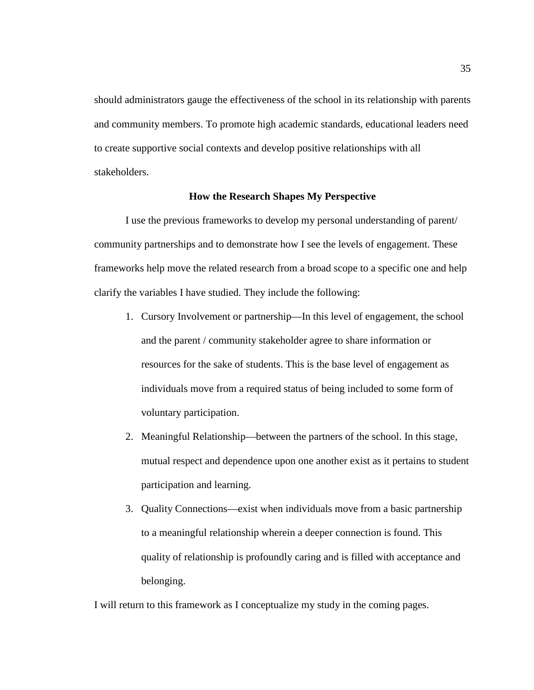should administrators gauge the effectiveness of the school in its relationship with parents and community members. To promote high academic standards, educational leaders need to create supportive social contexts and develop positive relationships with all stakeholders.

## **How the Research Shapes My Perspective**

I use the previous frameworks to develop my personal understanding of parent/ community partnerships and to demonstrate how I see the levels of engagement. These frameworks help move the related research from a broad scope to a specific one and help clarify the variables I have studied. They include the following:

- 1. Cursory Involvement or partnership—In this level of engagement, the school and the parent / community stakeholder agree to share information or resources for the sake of students. This is the base level of engagement as individuals move from a required status of being included to some form of voluntary participation.
- 2. Meaningful Relationship—between the partners of the school. In this stage, mutual respect and dependence upon one another exist as it pertains to student participation and learning.
- 3. Quality Connections—exist when individuals move from a basic partnership to a meaningful relationship wherein a deeper connection is found. This quality of relationship is profoundly caring and is filled with acceptance and belonging.

I will return to this framework as I conceptualize my study in the coming pages.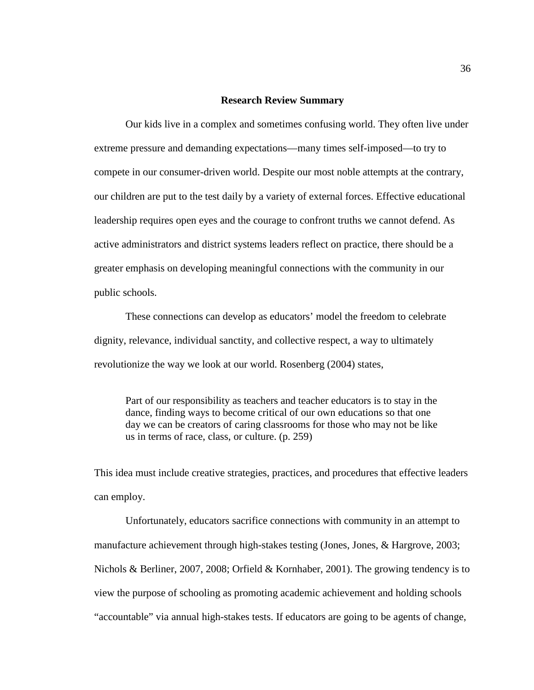#### **Research Review Summary**

Our kids live in a complex and sometimes confusing world. They often live under extreme pressure and demanding expectations—many times self-imposed—to try to compete in our consumer-driven world. Despite our most noble attempts at the contrary, our children are put to the test daily by a variety of external forces. Effective educational leadership requires open eyes and the courage to confront truths we cannot defend. As active administrators and district systems leaders reflect on practice, there should be a greater emphasis on developing meaningful connections with the community in our public schools.

These connections can develop as educators' model the freedom to celebrate dignity, relevance, individual sanctity, and collective respect, a way to ultimately revolutionize the way we look at our world. Rosenberg (2004) states,

Part of our responsibility as teachers and teacher educators is to stay in the dance, finding ways to become critical of our own educations so that one day we can be creators of caring classrooms for those who may not be like us in terms of race, class, or culture. (p. 259)

This idea must include creative strategies, practices, and procedures that effective leaders can employ.

Unfortunately, educators sacrifice connections with community in an attempt to manufacture achievement through high-stakes testing (Jones, Jones, & Hargrove, 2003; Nichols & Berliner, 2007, 2008; Orfield & Kornhaber, 2001). The growing tendency is to view the purpose of schooling as promoting academic achievement and holding schools "accountable" via annual high-stakes tests. If educators are going to be agents of change,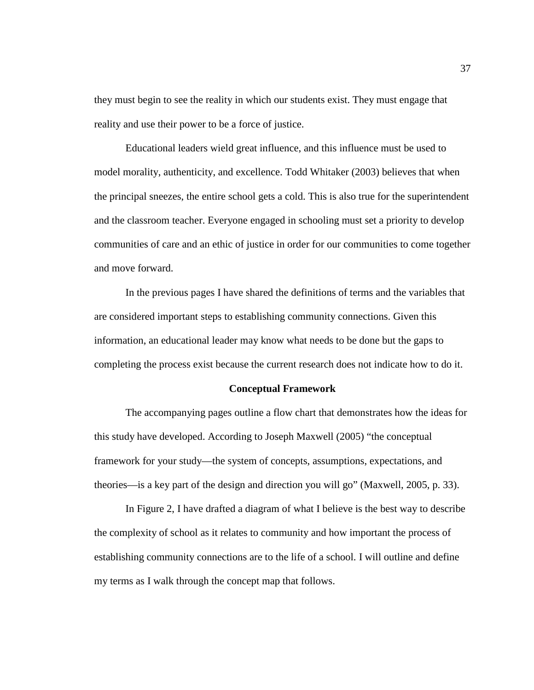they must begin to see the reality in which our students exist. They must engage that reality and use their power to be a force of justice.

Educational leaders wield great influence, and this influence must be used to model morality, authenticity, and excellence. Todd Whitaker (2003) believes that when the principal sneezes, the entire school gets a cold. This is also true for the superintendent and the classroom teacher. Everyone engaged in schooling must set a priority to develop communities of care and an ethic of justice in order for our communities to come together and move forward.

In the previous pages I have shared the definitions of terms and the variables that are considered important steps to establishing community connections. Given this information, an educational leader may know what needs to be done but the gaps to completing the process exist because the current research does not indicate how to do it.

#### **Conceptual Framework**

The accompanying pages outline a flow chart that demonstrates how the ideas for this study have developed. According to Joseph Maxwell (2005) "the conceptual framework for your study—the system of concepts, assumptions, expectations, and theories—is a key part of the design and direction you will go" (Maxwell, 2005, p. 33).

In Figure 2, I have drafted a diagram of what I believe is the best way to describe the complexity of school as it relates to community and how important the process of establishing community connections are to the life of a school. I will outline and define my terms as I walk through the concept map that follows.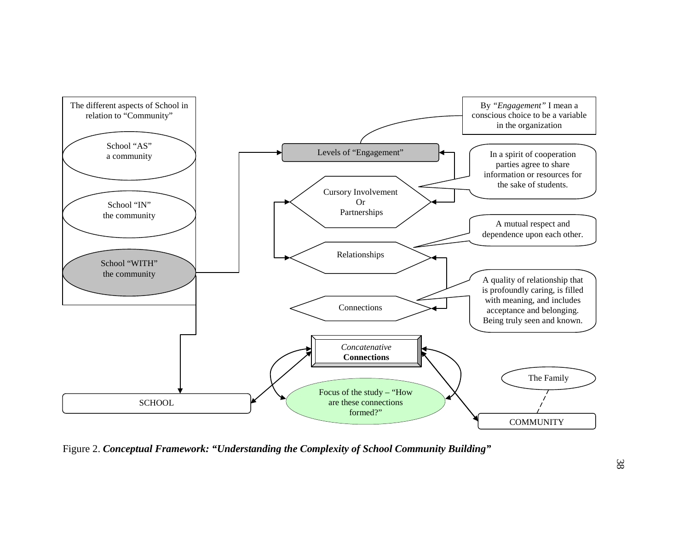

Figure 2. *Conceptual Framework: "Understanding the Complexity of School Community Building"*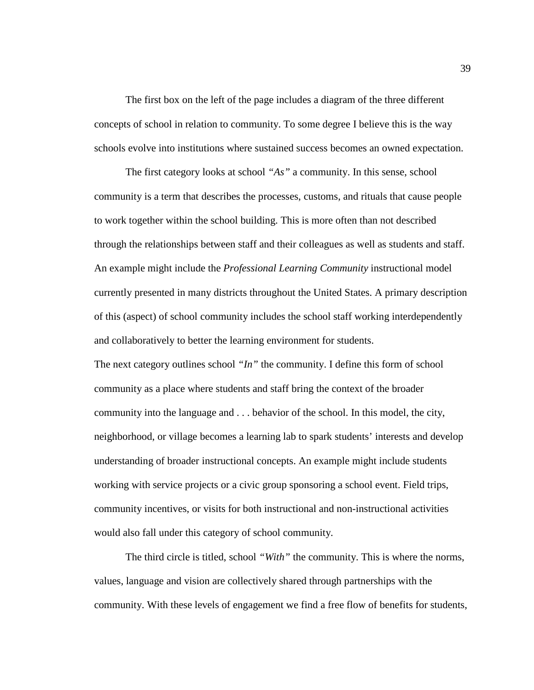The first box on the left of the page includes a diagram of the three different concepts of school in relation to community. To some degree I believe this is the way schools evolve into institutions where sustained success becomes an owned expectation.

The first category looks at school *"As"* a community. In this sense, school community is a term that describes the processes, customs, and rituals that cause people to work together within the school building. This is more often than not described through the relationships between staff and their colleagues as well as students and staff. An example might include the *Professional Learning Community* instructional model currently presented in many districts throughout the United States. A primary description of this (aspect) of school community includes the school staff working interdependently and collaboratively to better the learning environment for students.

The next category outlines school *"In"* the community. I define this form of school community as a place where students and staff bring the context of the broader community into the language and . . . behavior of the school. In this model, the city, neighborhood, or village becomes a learning lab to spark students' interests and develop understanding of broader instructional concepts. An example might include students working with service projects or a civic group sponsoring a school event. Field trips, community incentives, or visits for both instructional and non-instructional activities would also fall under this category of school community.

The third circle is titled, school *"With"* the community. This is where the norms, values, language and vision are collectively shared through partnerships with the community. With these levels of engagement we find a free flow of benefits for students,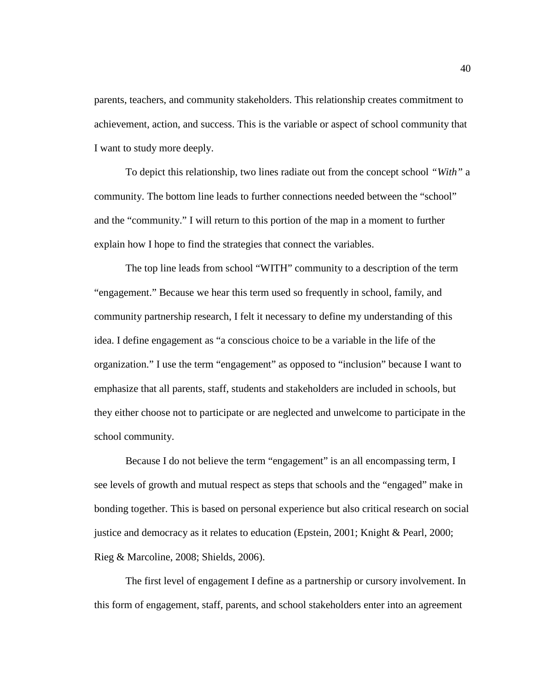parents, teachers, and community stakeholders. This relationship creates commitment to achievement, action, and success. This is the variable or aspect of school community that I want to study more deeply.

To depict this relationship, two lines radiate out from the concept school *"With"* a community. The bottom line leads to further connections needed between the "school" and the "community." I will return to this portion of the map in a moment to further explain how I hope to find the strategies that connect the variables.

The top line leads from school "WITH" community to a description of the term "engagement." Because we hear this term used so frequently in school, family, and community partnership research, I felt it necessary to define my understanding of this idea. I define engagement as "a conscious choice to be a variable in the life of the organization." I use the term "engagement" as opposed to "inclusion" because I want to emphasize that all parents, staff, students and stakeholders are included in schools, but they either choose not to participate or are neglected and unwelcome to participate in the school community.

Because I do not believe the term "engagement" is an all encompassing term, I see levels of growth and mutual respect as steps that schools and the "engaged" make in bonding together. This is based on personal experience but also critical research on social justice and democracy as it relates to education (Epstein, 2001; Knight & Pearl, 2000; Rieg & Marcoline, 2008; Shields, 2006).

The first level of engagement I define as a partnership or cursory involvement. In this form of engagement, staff, parents, and school stakeholders enter into an agreement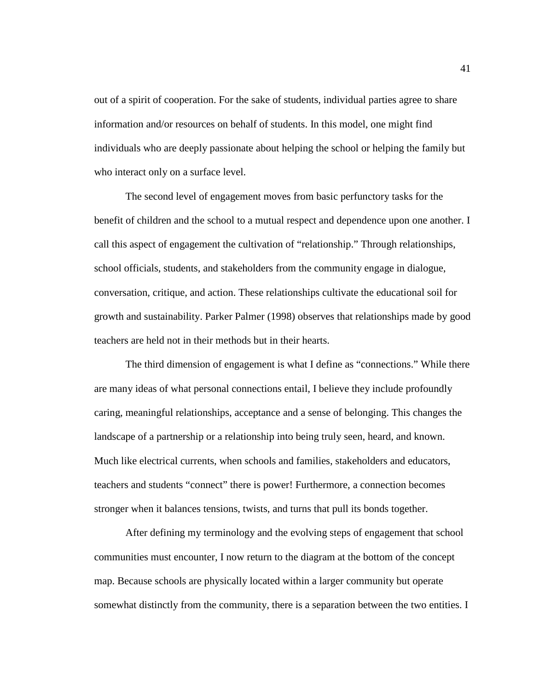out of a spirit of cooperation. For the sake of students, individual parties agree to share information and/or resources on behalf of students. In this model, one might find individuals who are deeply passionate about helping the school or helping the family but who interact only on a surface level.

The second level of engagement moves from basic perfunctory tasks for the benefit of children and the school to a mutual respect and dependence upon one another. I call this aspect of engagement the cultivation of "relationship." Through relationships, school officials, students, and stakeholders from the community engage in dialogue, conversation, critique, and action. These relationships cultivate the educational soil for growth and sustainability. Parker Palmer (1998) observes that relationships made by good teachers are held not in their methods but in their hearts.

The third dimension of engagement is what I define as "connections." While there are many ideas of what personal connections entail, I believe they include profoundly caring, meaningful relationships, acceptance and a sense of belonging. This changes the landscape of a partnership or a relationship into being truly seen, heard, and known. Much like electrical currents, when schools and families, stakeholders and educators, teachers and students "connect" there is power! Furthermore, a connection becomes stronger when it balances tensions, twists, and turns that pull its bonds together.

After defining my terminology and the evolving steps of engagement that school communities must encounter, I now return to the diagram at the bottom of the concept map. Because schools are physically located within a larger community but operate somewhat distinctly from the community, there is a separation between the two entities. I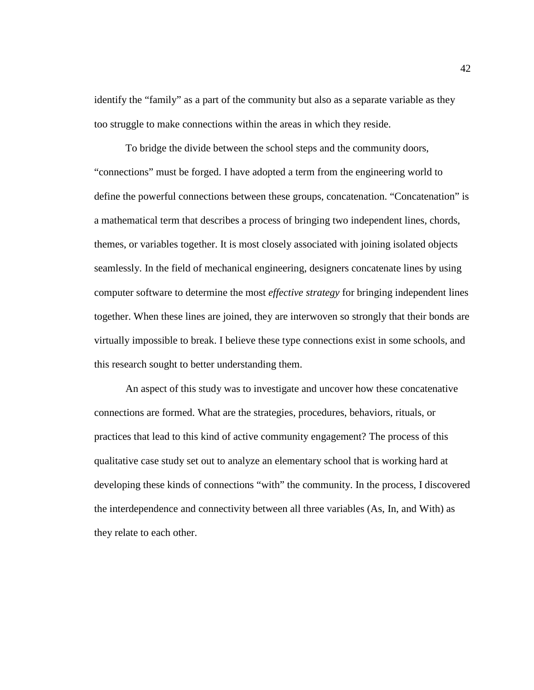identify the "family" as a part of the community but also as a separate variable as they too struggle to make connections within the areas in which they reside.

To bridge the divide between the school steps and the community doors, "connections" must be forged. I have adopted a term from the engineering world to define the powerful connections between these groups, concatenation. "Concatenation" is a mathematical term that describes a process of bringing two independent lines, chords, themes, or variables together. It is most closely associated with joining isolated objects seamlessly. In the field of mechanical engineering, designers concatenate lines by using computer software to determine the most *effective strategy* for bringing independent lines together. When these lines are joined, they are interwoven so strongly that their bonds are virtually impossible to break. I believe these type connections exist in some schools, and this research sought to better understanding them.

An aspect of this study was to investigate and uncover how these concatenative connections are formed. What are the strategies, procedures, behaviors, rituals, or practices that lead to this kind of active community engagement? The process of this qualitative case study set out to analyze an elementary school that is working hard at developing these kinds of connections "with" the community. In the process, I discovered the interdependence and connectivity between all three variables (As, In, and With) as they relate to each other.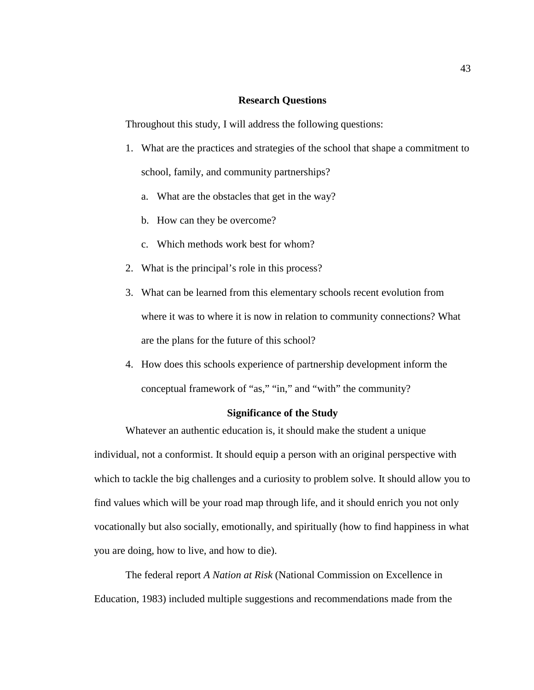#### **Research Questions**

Throughout this study, I will address the following questions:

- 1. What are the practices and strategies of the school that shape a commitment to school, family, and community partnerships?
	- a. What are the obstacles that get in the way?
	- b. How can they be overcome?
	- c. Which methods work best for whom?
- 2. What is the principal's role in this process?
- 3. What can be learned from this elementary schools recent evolution from where it was to where it is now in relation to community connections? What are the plans for the future of this school?
- 4. How does this schools experience of partnership development inform the conceptual framework of "as," "in," and "with" the community?

## **Significance of the Study**

Whatever an authentic education is, it should make the student a unique individual, not a conformist. It should equip a person with an original perspective with which to tackle the big challenges and a curiosity to problem solve. It should allow you to find values which will be your road map through life, and it should enrich you not only vocationally but also socially, emotionally, and spiritually (how to find happiness in what you are doing, how to live, and how to die).

The federal report *A Nation at Risk* (National Commission on Excellence in Education, 1983) included multiple suggestions and recommendations made from the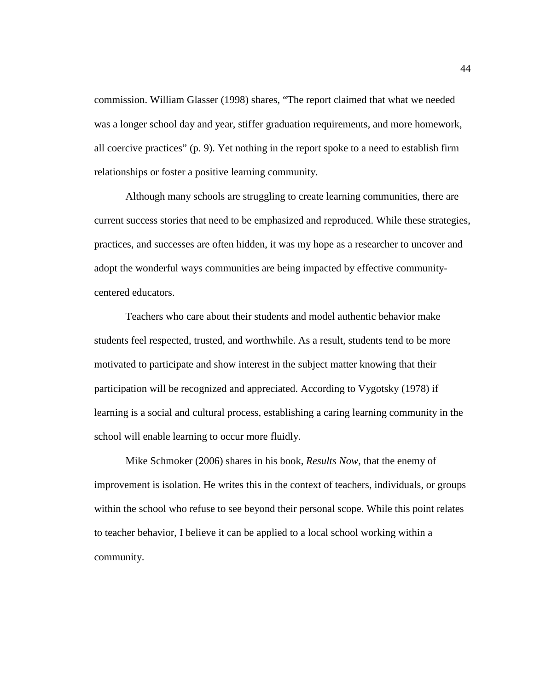commission. William Glasser (1998) shares, "The report claimed that what we needed was a longer school day and year, stiffer graduation requirements, and more homework, all coercive practices" (p. 9). Yet nothing in the report spoke to a need to establish firm relationships or foster a positive learning community.

Although many schools are struggling to create learning communities, there are current success stories that need to be emphasized and reproduced. While these strategies, practices, and successes are often hidden, it was my hope as a researcher to uncover and adopt the wonderful ways communities are being impacted by effective communitycentered educators.

Teachers who care about their students and model authentic behavior make students feel respected, trusted, and worthwhile. As a result, students tend to be more motivated to participate and show interest in the subject matter knowing that their participation will be recognized and appreciated. According to Vygotsky (1978) if learning is a social and cultural process, establishing a caring learning community in the school will enable learning to occur more fluidly.

Mike Schmoker (2006) shares in his book, *Results Now*, that the enemy of improvement is isolation. He writes this in the context of teachers, individuals, or groups within the school who refuse to see beyond their personal scope. While this point relates to teacher behavior, I believe it can be applied to a local school working within a community.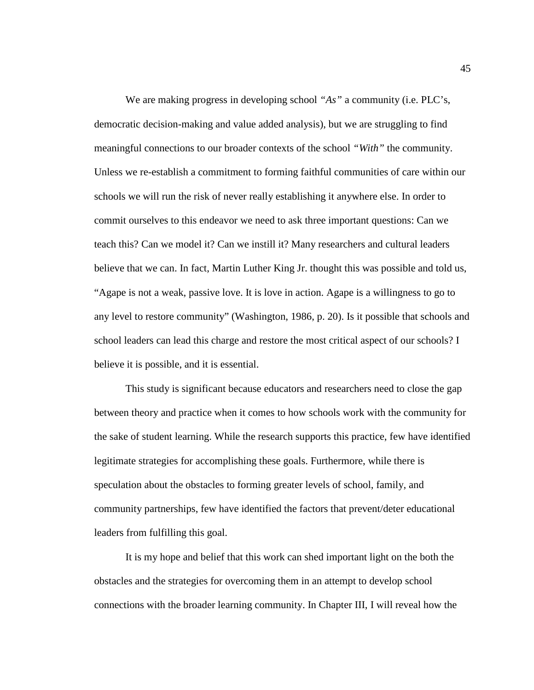We are making progress in developing school *"As"* a community (i.e. PLC's, democratic decision-making and value added analysis), but we are struggling to find meaningful connections to our broader contexts of the school *"With"* the community. Unless we re-establish a commitment to forming faithful communities of care within our schools we will run the risk of never really establishing it anywhere else. In order to commit ourselves to this endeavor we need to ask three important questions: Can we teach this? Can we model it? Can we instill it? Many researchers and cultural leaders believe that we can. In fact, Martin Luther King Jr. thought this was possible and told us, "Agape is not a weak, passive love. It is love in action. Agape is a willingness to go to any level to restore community" (Washington, 1986, p. 20). Is it possible that schools and school leaders can lead this charge and restore the most critical aspect of our schools? I believe it is possible, and it is essential.

This study is significant because educators and researchers need to close the gap between theory and practice when it comes to how schools work with the community for the sake of student learning. While the research supports this practice, few have identified legitimate strategies for accomplishing these goals. Furthermore, while there is speculation about the obstacles to forming greater levels of school, family, and community partnerships, few have identified the factors that prevent/deter educational leaders from fulfilling this goal.

It is my hope and belief that this work can shed important light on the both the obstacles and the strategies for overcoming them in an attempt to develop school connections with the broader learning community. In Chapter III, I will reveal how the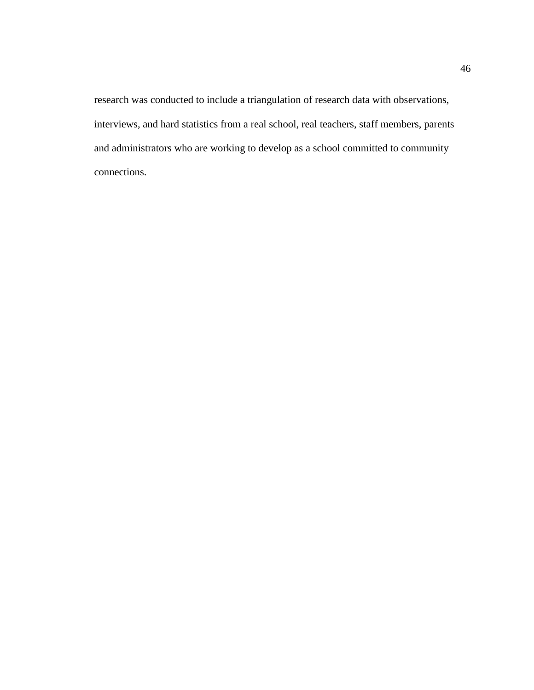research was conducted to include a triangulation of research data with observations, interviews, and hard statistics from a real school, real teachers, staff members, parents and administrators who are working to develop as a school committed to community connections.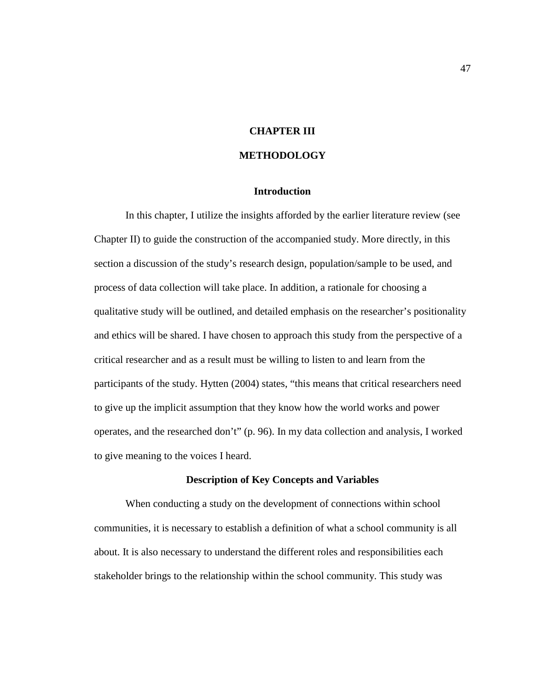# **CHAPTER III**

### **METHODOLOGY**

### **Introduction**

In this chapter, I utilize the insights afforded by the earlier literature review (see Chapter II) to guide the construction of the accompanied study. More directly, in this section a discussion of the study's research design, population/sample to be used, and process of data collection will take place. In addition, a rationale for choosing a qualitative study will be outlined, and detailed emphasis on the researcher's positionality and ethics will be shared. I have chosen to approach this study from the perspective of a critical researcher and as a result must be willing to listen to and learn from the participants of the study. Hytten (2004) states, "this means that critical researchers need to give up the implicit assumption that they know how the world works and power operates, and the researched don't" (p. 96). In my data collection and analysis, I worked to give meaning to the voices I heard.

#### **Description of Key Concepts and Variables**

When conducting a study on the development of connections within school communities, it is necessary to establish a definition of what a school community is all about. It is also necessary to understand the different roles and responsibilities each stakeholder brings to the relationship within the school community. This study was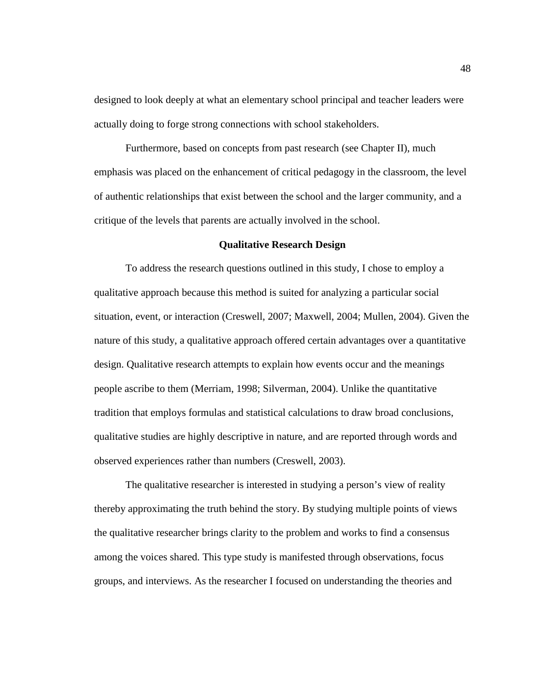designed to look deeply at what an elementary school principal and teacher leaders were actually doing to forge strong connections with school stakeholders.

Furthermore, based on concepts from past research (see Chapter II), much emphasis was placed on the enhancement of critical pedagogy in the classroom, the level of authentic relationships that exist between the school and the larger community, and a critique of the levels that parents are actually involved in the school.

### **Qualitative Research Design**

To address the research questions outlined in this study, I chose to employ a qualitative approach because this method is suited for analyzing a particular social situation, event, or interaction (Creswell, 2007; Maxwell, 2004; Mullen, 2004). Given the nature of this study, a qualitative approach offered certain advantages over a quantitative design. Qualitative research attempts to explain how events occur and the meanings people ascribe to them (Merriam, 1998; Silverman, 2004). Unlike the quantitative tradition that employs formulas and statistical calculations to draw broad conclusions, qualitative studies are highly descriptive in nature, and are reported through words and observed experiences rather than numbers (Creswell, 2003).

The qualitative researcher is interested in studying a person's view of reality thereby approximating the truth behind the story. By studying multiple points of views the qualitative researcher brings clarity to the problem and works to find a consensus among the voices shared. This type study is manifested through observations, focus groups, and interviews. As the researcher I focused on understanding the theories and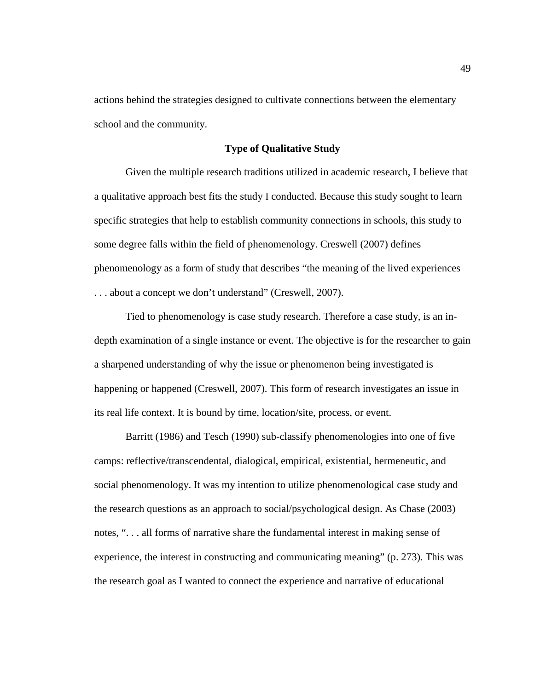actions behind the strategies designed to cultivate connections between the elementary school and the community.

### **Type of Qualitative Study**

Given the multiple research traditions utilized in academic research, I believe that a qualitative approach best fits the study I conducted. Because this study sought to learn specific strategies that help to establish community connections in schools, this study to some degree falls within the field of phenomenology. Creswell (2007) defines phenomenology as a form of study that describes "the meaning of the lived experiences . . . about a concept we don't understand" (Creswell, 2007).

Tied to phenomenology is case study research. Therefore a case study, is an indepth examination of a single instance or event. The objective is for the researcher to gain a sharpened understanding of why the issue or phenomenon being investigated is happening or happened (Creswell, 2007). This form of research investigates an issue in its real life context. It is bound by time, location/site, process, or event.

Barritt (1986) and Tesch (1990) sub-classify phenomenologies into one of five camps: reflective/transcendental, dialogical, empirical, existential, hermeneutic, and social phenomenology. It was my intention to utilize phenomenological case study and the research questions as an approach to social/psychological design. As Chase (2003) notes, ". . . all forms of narrative share the fundamental interest in making sense of experience, the interest in constructing and communicating meaning" (p. 273). This was the research goal as I wanted to connect the experience and narrative of educational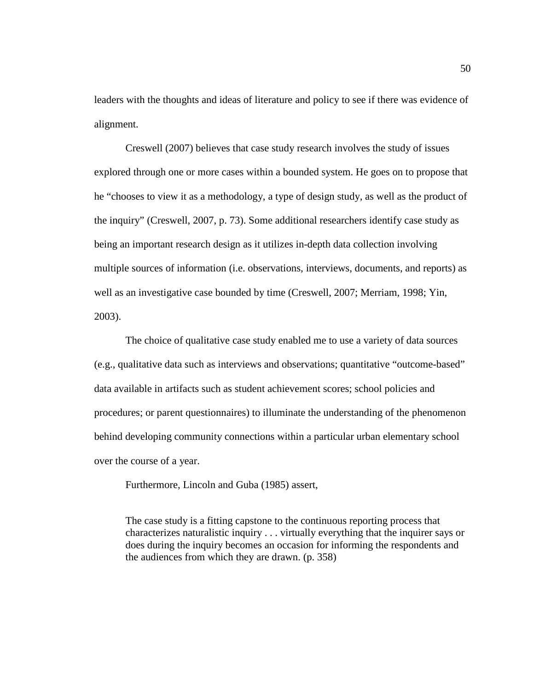leaders with the thoughts and ideas of literature and policy to see if there was evidence of alignment.

Creswell (2007) believes that case study research involves the study of issues explored through one or more cases within a bounded system. He goes on to propose that he "chooses to view it as a methodology, a type of design study, as well as the product of the inquiry" (Creswell, 2007, p. 73). Some additional researchers identify case study as being an important research design as it utilizes in-depth data collection involving multiple sources of information (i.e. observations, interviews, documents, and reports) as well as an investigative case bounded by time (Creswell, 2007; Merriam, 1998; Yin, 2003).

The choice of qualitative case study enabled me to use a variety of data sources (e.g., qualitative data such as interviews and observations; quantitative "outcome-based" data available in artifacts such as student achievement scores; school policies and procedures; or parent questionnaires) to illuminate the understanding of the phenomenon behind developing community connections within a particular urban elementary school over the course of a year.

Furthermore, Lincoln and Guba (1985) assert,

The case study is a fitting capstone to the continuous reporting process that characterizes naturalistic inquiry . . . virtually everything that the inquirer says or does during the inquiry becomes an occasion for informing the respondents and the audiences from which they are drawn. (p. 358)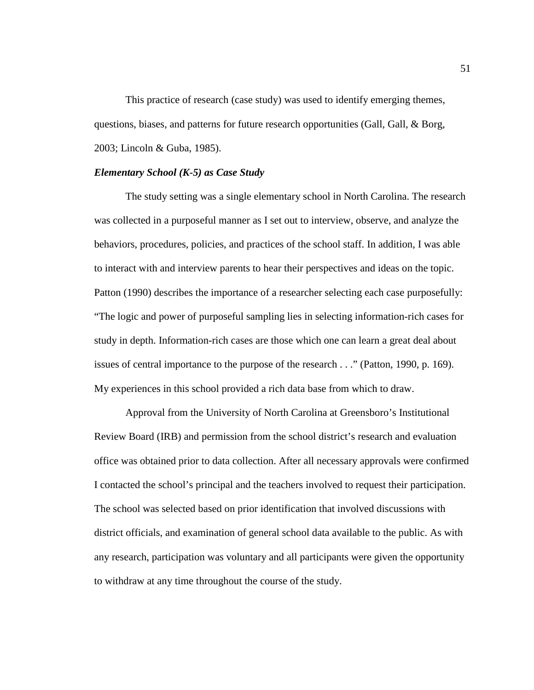This practice of research (case study) was used to identify emerging themes, questions, biases, and patterns for future research opportunities (Gall, Gall, & Borg, 2003; Lincoln & Guba, 1985).

### *Elementary School (K-5) as Case Study*

The study setting was a single elementary school in North Carolina. The research was collected in a purposeful manner as I set out to interview, observe, and analyze the behaviors, procedures, policies, and practices of the school staff. In addition, I was able to interact with and interview parents to hear their perspectives and ideas on the topic. Patton (1990) describes the importance of a researcher selecting each case purposefully: "The logic and power of purposeful sampling lies in selecting information-rich cases for study in depth. Information-rich cases are those which one can learn a great deal about issues of central importance to the purpose of the research . . ." (Patton, 1990, p. 169). My experiences in this school provided a rich data base from which to draw.

Approval from the University of North Carolina at Greensboro's Institutional Review Board (IRB) and permission from the school district's research and evaluation office was obtained prior to data collection. After all necessary approvals were confirmed I contacted the school's principal and the teachers involved to request their participation. The school was selected based on prior identification that involved discussions with district officials, and examination of general school data available to the public. As with any research, participation was voluntary and all participants were given the opportunity to withdraw at any time throughout the course of the study.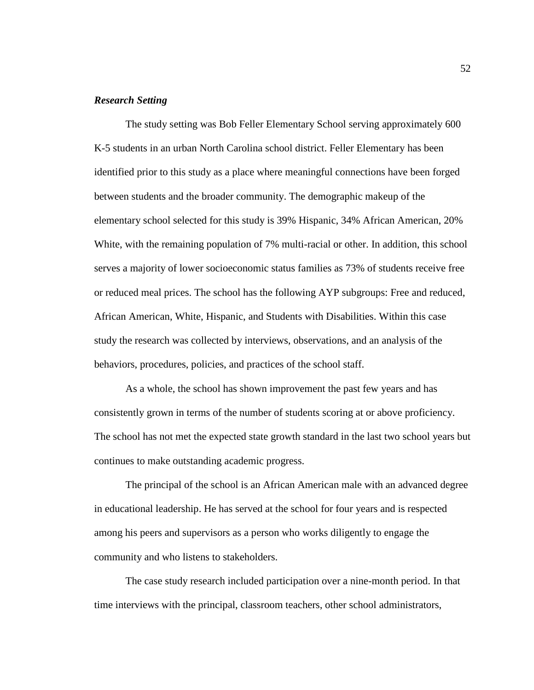#### *Research Setting*

The study setting was Bob Feller Elementary School serving approximately 600 K-5 students in an urban North Carolina school district. Feller Elementary has been identified prior to this study as a place where meaningful connections have been forged between students and the broader community. The demographic makeup of the elementary school selected for this study is 39% Hispanic, 34% African American, 20% White, with the remaining population of 7% multi-racial or other. In addition, this school serves a majority of lower socioeconomic status families as 73% of students receive free or reduced meal prices. The school has the following AYP subgroups: Free and reduced, African American, White, Hispanic, and Students with Disabilities. Within this case study the research was collected by interviews, observations, and an analysis of the behaviors, procedures, policies, and practices of the school staff.

As a whole, the school has shown improvement the past few years and has consistently grown in terms of the number of students scoring at or above proficiency. The school has not met the expected state growth standard in the last two school years but continues to make outstanding academic progress.

The principal of the school is an African American male with an advanced degree in educational leadership. He has served at the school for four years and is respected among his peers and supervisors as a person who works diligently to engage the community and who listens to stakeholders.

The case study research included participation over a nine-month period. In that time interviews with the principal, classroom teachers, other school administrators,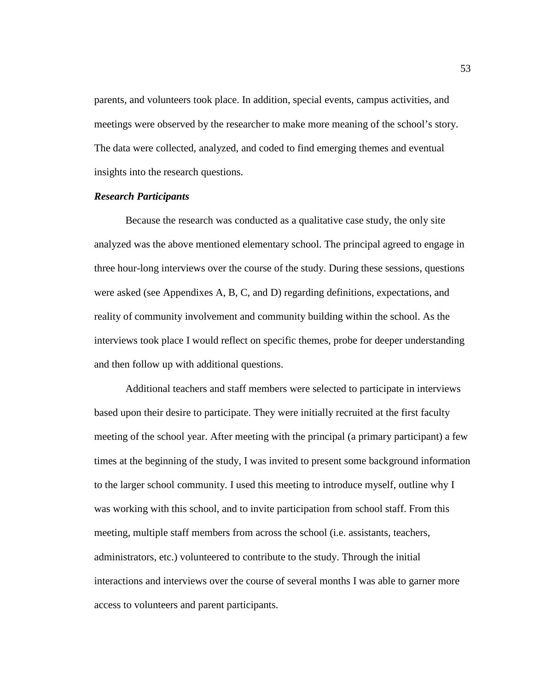parents, and volunteers took place. In addition, special events, campus activities, and meetings were observed by the researcher to make more meaning of the school's story. The data were collected, analyzed, and coded to find emerging themes and eventual insights into the research questions.

#### *Research Participants*

Because the research was conducted as a qualitative case study, the only site analyzed was the above mentioned elementary school. The principal agreed to engage in three hour-long interviews over the course of the study. During these sessions, questions were asked (see Appendixes A, B, C, and D) regarding definitions, expectations, and reality of community involvement and community building within the school. As the interviews took place I would reflect on specific themes, probe for deeper understanding and then follow up with additional questions.

Additional teachers and staff members were selected to participate in interviews based upon their desire to participate. They were initially recruited at the first faculty meeting of the school year. After meeting with the principal (a primary participant) a few times at the beginning of the study, I was invited to present some background information to the larger school community. I used this meeting to introduce myself, outline why I was working with this school, and to invite participation from school staff. From this meeting, multiple staff members from across the school (i.e. assistants, teachers, administrators, etc.) volunteered to contribute to the study. Through the initial interactions and interviews over the course of several months I was able to garner more access to volunteers and parent participants.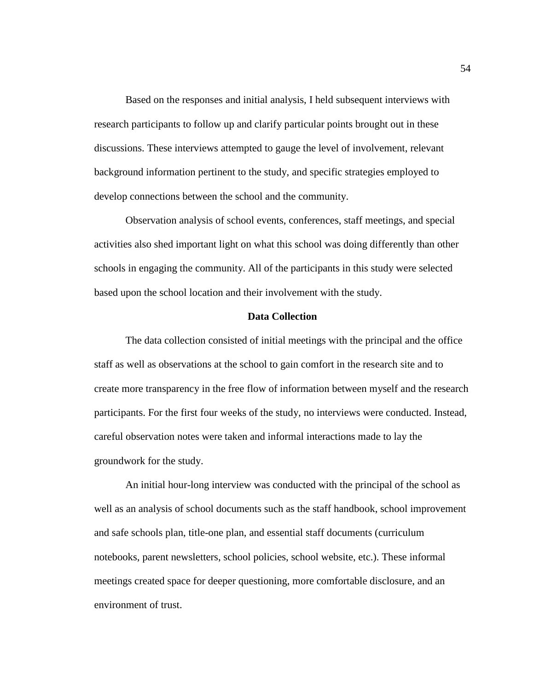Based on the responses and initial analysis, I held subsequent interviews with research participants to follow up and clarify particular points brought out in these discussions. These interviews attempted to gauge the level of involvement, relevant background information pertinent to the study, and specific strategies employed to develop connections between the school and the community.

Observation analysis of school events, conferences, staff meetings, and special activities also shed important light on what this school was doing differently than other schools in engaging the community. All of the participants in this study were selected based upon the school location and their involvement with the study.

## **Data Collection**

The data collection consisted of initial meetings with the principal and the office staff as well as observations at the school to gain comfort in the research site and to create more transparency in the free flow of information between myself and the research participants. For the first four weeks of the study, no interviews were conducted. Instead, careful observation notes were taken and informal interactions made to lay the groundwork for the study.

An initial hour-long interview was conducted with the principal of the school as well as an analysis of school documents such as the staff handbook, school improvement and safe schools plan, title-one plan, and essential staff documents (curriculum notebooks, parent newsletters, school policies, school website, etc.). These informal meetings created space for deeper questioning, more comfortable disclosure, and an environment of trust.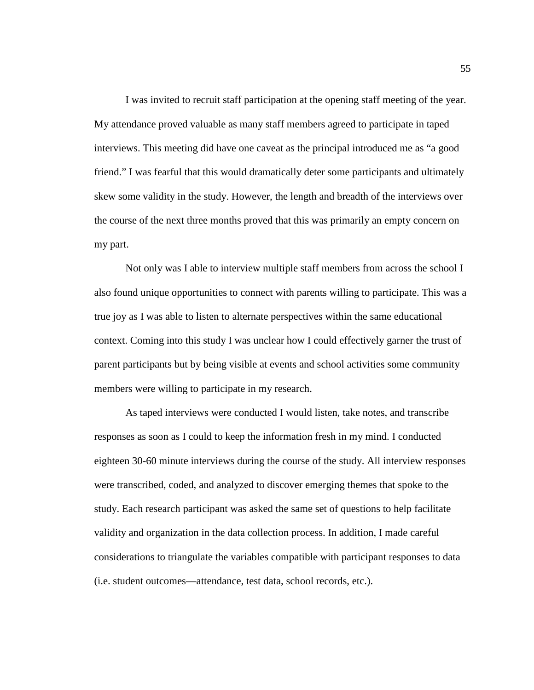I was invited to recruit staff participation at the opening staff meeting of the year. My attendance proved valuable as many staff members agreed to participate in taped interviews. This meeting did have one caveat as the principal introduced me as "a good friend." I was fearful that this would dramatically deter some participants and ultimately skew some validity in the study. However, the length and breadth of the interviews over the course of the next three months proved that this was primarily an empty concern on my part.

Not only was I able to interview multiple staff members from across the school I also found unique opportunities to connect with parents willing to participate. This was a true joy as I was able to listen to alternate perspectives within the same educational context. Coming into this study I was unclear how I could effectively garner the trust of parent participants but by being visible at events and school activities some community members were willing to participate in my research.

As taped interviews were conducted I would listen, take notes, and transcribe responses as soon as I could to keep the information fresh in my mind. I conducted eighteen 30-60 minute interviews during the course of the study. All interview responses were transcribed, coded, and analyzed to discover emerging themes that spoke to the study. Each research participant was asked the same set of questions to help facilitate validity and organization in the data collection process. In addition, I made careful considerations to triangulate the variables compatible with participant responses to data (i.e. student outcomes—attendance, test data, school records, etc.).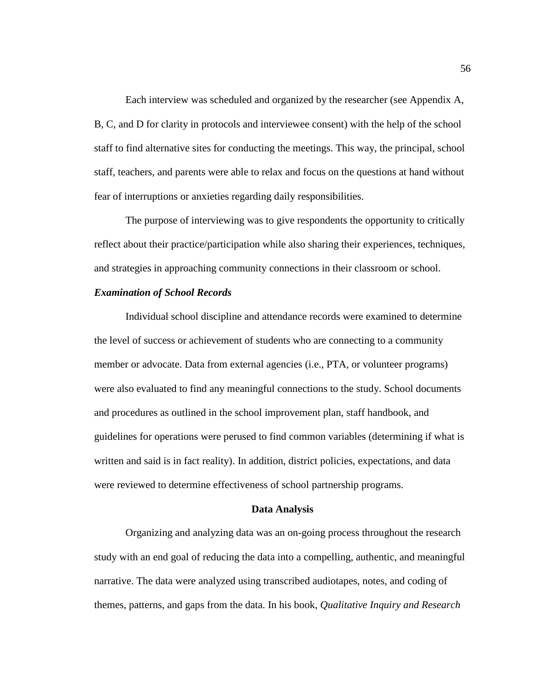Each interview was scheduled and organized by the researcher (see Appendix A, B, C, and D for clarity in protocols and interviewee consent) with the help of the school staff to find alternative sites for conducting the meetings. This way, the principal, school staff, teachers, and parents were able to relax and focus on the questions at hand without fear of interruptions or anxieties regarding daily responsibilities.

The purpose of interviewing was to give respondents the opportunity to critically reflect about their practice/participation while also sharing their experiences, techniques, and strategies in approaching community connections in their classroom or school.

### *Examination of School Records*

Individual school discipline and attendance records were examined to determine the level of success or achievement of students who are connecting to a community member or advocate. Data from external agencies (i.e., PTA, or volunteer programs) were also evaluated to find any meaningful connections to the study. School documents and procedures as outlined in the school improvement plan, staff handbook, and guidelines for operations were perused to find common variables (determining if what is written and said is in fact reality). In addition, district policies, expectations, and data were reviewed to determine effectiveness of school partnership programs.

#### **Data Analysis**

Organizing and analyzing data was an on-going process throughout the research study with an end goal of reducing the data into a compelling, authentic, and meaningful narrative. The data were analyzed using transcribed audiotapes, notes, and coding of themes, patterns, and gaps from the data. In his book, *Qualitative Inquiry and Research*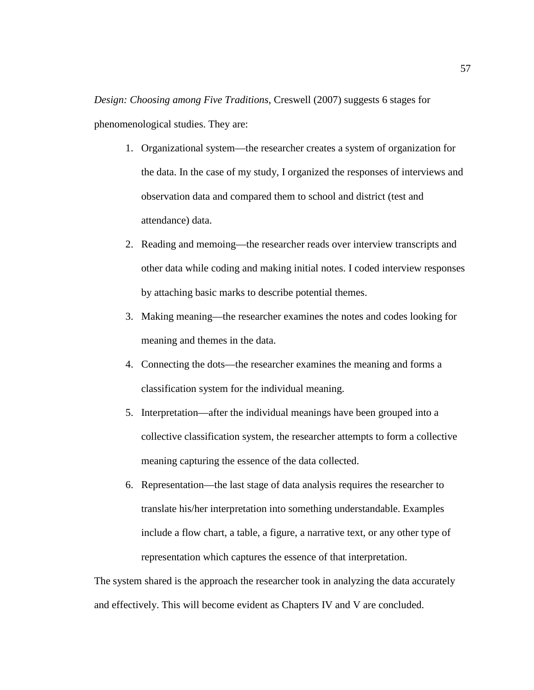*Design: Choosing among Five Traditions*, Creswell (2007) suggests 6 stages for phenomenological studies. They are:

- 1. Organizational system—the researcher creates a system of organization for the data. In the case of my study, I organized the responses of interviews and observation data and compared them to school and district (test and attendance) data.
- 2. Reading and memoing—the researcher reads over interview transcripts and other data while coding and making initial notes. I coded interview responses by attaching basic marks to describe potential themes.
- 3. Making meaning—the researcher examines the notes and codes looking for meaning and themes in the data.
- 4. Connecting the dots—the researcher examines the meaning and forms a classification system for the individual meaning.
- 5. Interpretation—after the individual meanings have been grouped into a collective classification system, the researcher attempts to form a collective meaning capturing the essence of the data collected.
- 6. Representation—the last stage of data analysis requires the researcher to translate his/her interpretation into something understandable. Examples include a flow chart, a table, a figure, a narrative text, or any other type of representation which captures the essence of that interpretation.

The system shared is the approach the researcher took in analyzing the data accurately and effectively. This will become evident as Chapters IV and V are concluded.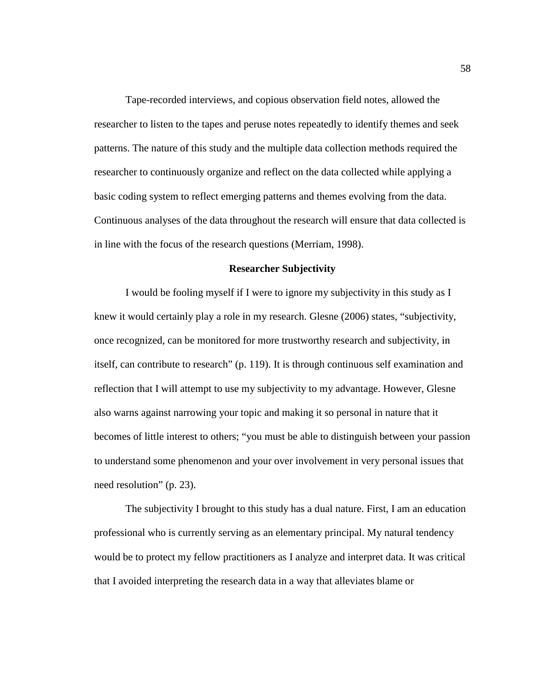Tape-recorded interviews, and copious observation field notes, allowed the researcher to listen to the tapes and peruse notes repeatedly to identify themes and seek patterns. The nature of this study and the multiple data collection methods required the researcher to continuously organize and reflect on the data collected while applying a basic coding system to reflect emerging patterns and themes evolving from the data. Continuous analyses of the data throughout the research will ensure that data collected is in line with the focus of the research questions (Merriam, 1998).

#### **Researcher Subjectivity**

I would be fooling myself if I were to ignore my subjectivity in this study as I knew it would certainly play a role in my research. Glesne (2006) states, "subjectivity, once recognized, can be monitored for more trustworthy research and subjectivity, in itself, can contribute to research" (p. 119). It is through continuous self examination and reflection that I will attempt to use my subjectivity to my advantage. However, Glesne also warns against narrowing your topic and making it so personal in nature that it becomes of little interest to others; "you must be able to distinguish between your passion to understand some phenomenon and your over involvement in very personal issues that need resolution" (p. 23).

The subjectivity I brought to this study has a dual nature. First, I am an education professional who is currently serving as an elementary principal. My natural tendency would be to protect my fellow practitioners as I analyze and interpret data. It was critical that I avoided interpreting the research data in a way that alleviates blame or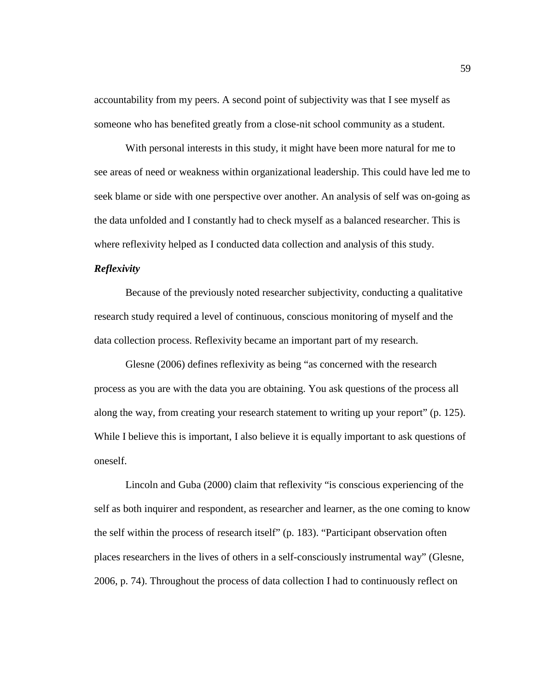accountability from my peers. A second point of subjectivity was that I see myself as someone who has benefited greatly from a close-nit school community as a student.

With personal interests in this study, it might have been more natural for me to see areas of need or weakness within organizational leadership. This could have led me to seek blame or side with one perspective over another. An analysis of self was on-going as the data unfolded and I constantly had to check myself as a balanced researcher. This is where reflexivity helped as I conducted data collection and analysis of this study.

## *Reflexivity*

Because of the previously noted researcher subjectivity, conducting a qualitative research study required a level of continuous, conscious monitoring of myself and the data collection process. Reflexivity became an important part of my research.

Glesne (2006) defines reflexivity as being "as concerned with the research process as you are with the data you are obtaining. You ask questions of the process all along the way, from creating your research statement to writing up your report" (p. 125). While I believe this is important, I also believe it is equally important to ask questions of oneself.

Lincoln and Guba (2000) claim that reflexivity "is conscious experiencing of the self as both inquirer and respondent, as researcher and learner, as the one coming to know the self within the process of research itself" (p. 183). "Participant observation often places researchers in the lives of others in a self-consciously instrumental way" (Glesne, 2006, p. 74). Throughout the process of data collection I had to continuously reflect on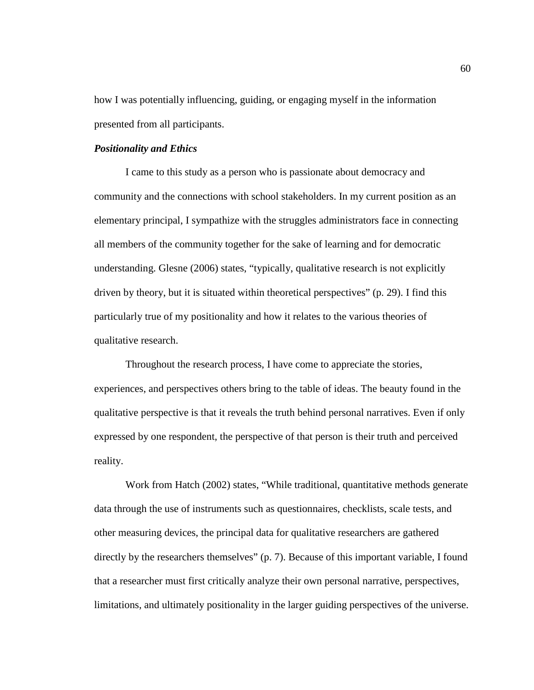how I was potentially influencing, guiding, or engaging myself in the information presented from all participants.

### *Positionality and Ethics*

I came to this study as a person who is passionate about democracy and community and the connections with school stakeholders. In my current position as an elementary principal, I sympathize with the struggles administrators face in connecting all members of the community together for the sake of learning and for democratic understanding. Glesne (2006) states, "typically, qualitative research is not explicitly driven by theory, but it is situated within theoretical perspectives" (p. 29). I find this particularly true of my positionality and how it relates to the various theories of qualitative research.

Throughout the research process, I have come to appreciate the stories, experiences, and perspectives others bring to the table of ideas. The beauty found in the qualitative perspective is that it reveals the truth behind personal narratives. Even if only expressed by one respondent, the perspective of that person is their truth and perceived reality.

Work from Hatch (2002) states, "While traditional, quantitative methods generate data through the use of instruments such as questionnaires, checklists, scale tests, and other measuring devices, the principal data for qualitative researchers are gathered directly by the researchers themselves" (p. 7). Because of this important variable, I found that a researcher must first critically analyze their own personal narrative, perspectives, limitations, and ultimately positionality in the larger guiding perspectives of the universe.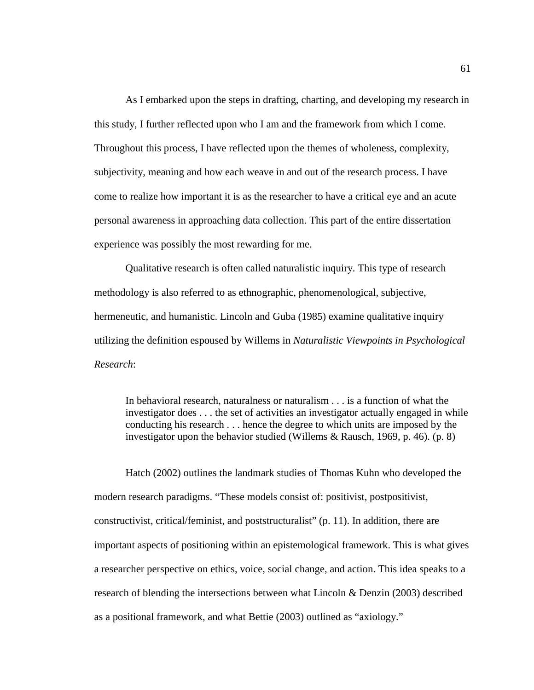As I embarked upon the steps in drafting, charting, and developing my research in this study, I further reflected upon who I am and the framework from which I come. Throughout this process, I have reflected upon the themes of wholeness, complexity, subjectivity, meaning and how each weave in and out of the research process. I have come to realize how important it is as the researcher to have a critical eye and an acute personal awareness in approaching data collection. This part of the entire dissertation experience was possibly the most rewarding for me.

Qualitative research is often called naturalistic inquiry. This type of research methodology is also referred to as ethnographic, phenomenological, subjective, hermeneutic, and humanistic. Lincoln and Guba (1985) examine qualitative inquiry utilizing the definition espoused by Willems in *Naturalistic Viewpoints in Psychological Research*:

In behavioral research, naturalness or naturalism . . . is a function of what the investigator does . . . the set of activities an investigator actually engaged in while conducting his research . . . hence the degree to which units are imposed by the investigator upon the behavior studied (Willems & Rausch, 1969, p. 46). (p. 8)

Hatch (2002) outlines the landmark studies of Thomas Kuhn who developed the modern research paradigms. "These models consist of: positivist, postpositivist, constructivist, critical/feminist, and poststructuralist" (p. 11). In addition, there are important aspects of positioning within an epistemological framework. This is what gives a researcher perspective on ethics, voice, social change, and action. This idea speaks to a research of blending the intersections between what Lincoln & Denzin (2003) described as a positional framework, and what Bettie (2003) outlined as "axiology."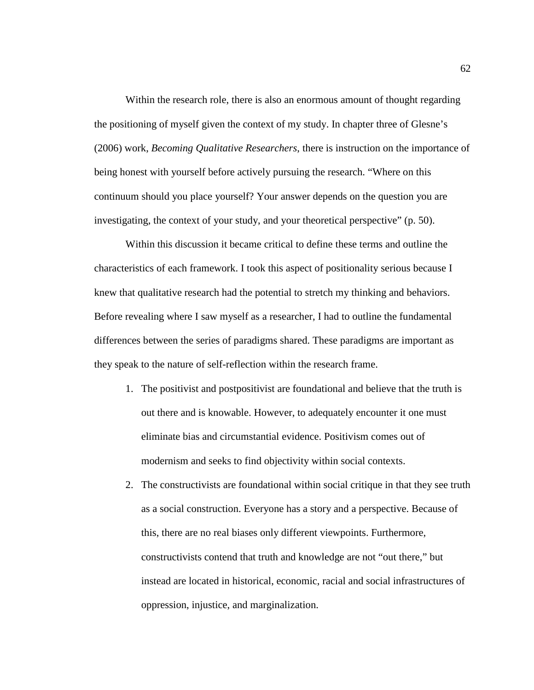Within the research role, there is also an enormous amount of thought regarding the positioning of myself given the context of my study. In chapter three of Glesne's (2006) work, *Becoming Qualitative Researchers*, there is instruction on the importance of being honest with yourself before actively pursuing the research. "Where on this continuum should you place yourself? Your answer depends on the question you are investigating, the context of your study, and your theoretical perspective" (p. 50).

Within this discussion it became critical to define these terms and outline the characteristics of each framework. I took this aspect of positionality serious because I knew that qualitative research had the potential to stretch my thinking and behaviors. Before revealing where I saw myself as a researcher, I had to outline the fundamental differences between the series of paradigms shared. These paradigms are important as they speak to the nature of self-reflection within the research frame.

- 1. The positivist and postpositivist are foundational and believe that the truth is out there and is knowable. However, to adequately encounter it one must eliminate bias and circumstantial evidence. Positivism comes out of modernism and seeks to find objectivity within social contexts.
- 2. The constructivists are foundational within social critique in that they see truth as a social construction. Everyone has a story and a perspective. Because of this, there are no real biases only different viewpoints. Furthermore, constructivists contend that truth and knowledge are not "out there," but instead are located in historical, economic, racial and social infrastructures of oppression, injustice, and marginalization.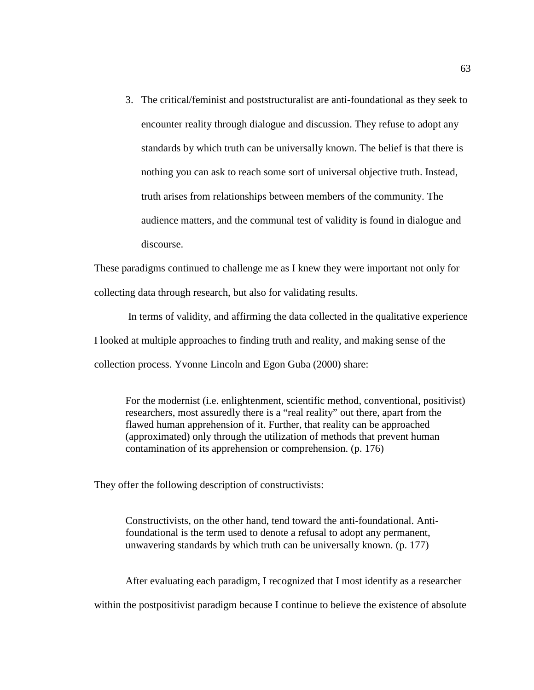3. The critical/feminist and poststructuralist are anti-foundational as they seek to encounter reality through dialogue and discussion. They refuse to adopt any standards by which truth can be universally known. The belief is that there is nothing you can ask to reach some sort of universal objective truth. Instead, truth arises from relationships between members of the community. The audience matters, and the communal test of validity is found in dialogue and discourse.

These paradigms continued to challenge me as I knew they were important not only for collecting data through research, but also for validating results.

In terms of validity, and affirming the data collected in the qualitative experience I looked at multiple approaches to finding truth and reality, and making sense of the collection process. Yvonne Lincoln and Egon Guba (2000) share:

For the modernist (i.e. enlightenment, scientific method, conventional, positivist) researchers, most assuredly there is a "real reality" out there, apart from the flawed human apprehension of it. Further, that reality can be approached (approximated) only through the utilization of methods that prevent human contamination of its apprehension or comprehension. (p. 176)

They offer the following description of constructivists:

Constructivists, on the other hand, tend toward the anti-foundational. Antifoundational is the term used to denote a refusal to adopt any permanent, unwavering standards by which truth can be universally known. (p. 177)

After evaluating each paradigm, I recognized that I most identify as a researcher

within the postpositivist paradigm because I continue to believe the existence of absolute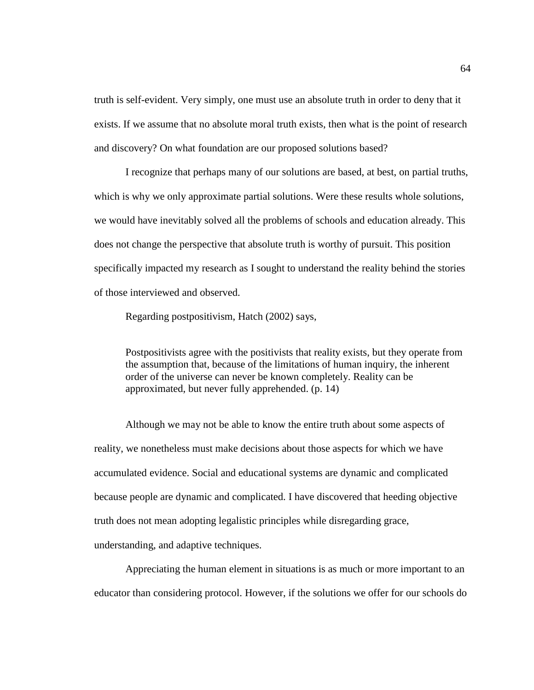truth is self-evident. Very simply, one must use an absolute truth in order to deny that it exists. If we assume that no absolute moral truth exists, then what is the point of research and discovery? On what foundation are our proposed solutions based?

I recognize that perhaps many of our solutions are based, at best, on partial truths, which is why we only approximate partial solutions. Were these results whole solutions, we would have inevitably solved all the problems of schools and education already. This does not change the perspective that absolute truth is worthy of pursuit. This position specifically impacted my research as I sought to understand the reality behind the stories of those interviewed and observed.

Regarding postpositivism, Hatch (2002) says,

Postpositivists agree with the positivists that reality exists, but they operate from the assumption that, because of the limitations of human inquiry, the inherent order of the universe can never be known completely. Reality can be approximated, but never fully apprehended. (p. 14)

Although we may not be able to know the entire truth about some aspects of reality, we nonetheless must make decisions about those aspects for which we have accumulated evidence. Social and educational systems are dynamic and complicated because people are dynamic and complicated. I have discovered that heeding objective truth does not mean adopting legalistic principles while disregarding grace,

understanding, and adaptive techniques.

Appreciating the human element in situations is as much or more important to an educator than considering protocol. However, if the solutions we offer for our schools do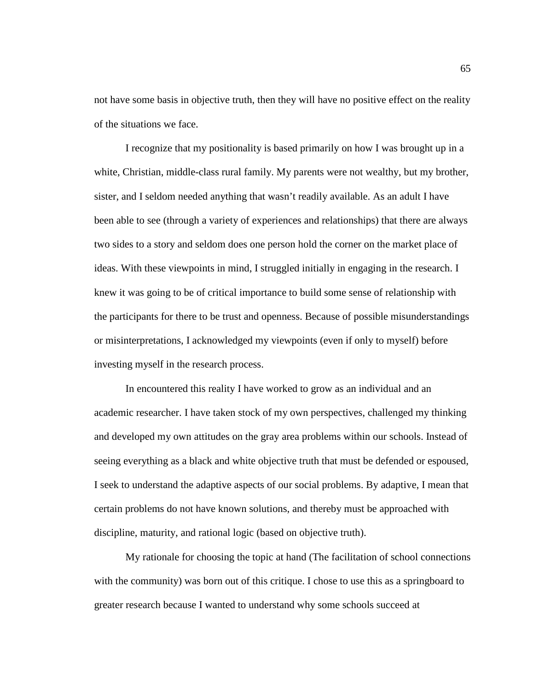not have some basis in objective truth, then they will have no positive effect on the reality of the situations we face.

I recognize that my positionality is based primarily on how I was brought up in a white, Christian, middle-class rural family. My parents were not wealthy, but my brother, sister, and I seldom needed anything that wasn't readily available. As an adult I have been able to see (through a variety of experiences and relationships) that there are always two sides to a story and seldom does one person hold the corner on the market place of ideas. With these viewpoints in mind, I struggled initially in engaging in the research. I knew it was going to be of critical importance to build some sense of relationship with the participants for there to be trust and openness. Because of possible misunderstandings or misinterpretations, I acknowledged my viewpoints (even if only to myself) before investing myself in the research process.

In encountered this reality I have worked to grow as an individual and an academic researcher. I have taken stock of my own perspectives, challenged my thinking and developed my own attitudes on the gray area problems within our schools. Instead of seeing everything as a black and white objective truth that must be defended or espoused, I seek to understand the adaptive aspects of our social problems. By adaptive, I mean that certain problems do not have known solutions, and thereby must be approached with discipline, maturity, and rational logic (based on objective truth).

My rationale for choosing the topic at hand (The facilitation of school connections with the community) was born out of this critique. I chose to use this as a springboard to greater research because I wanted to understand why some schools succeed at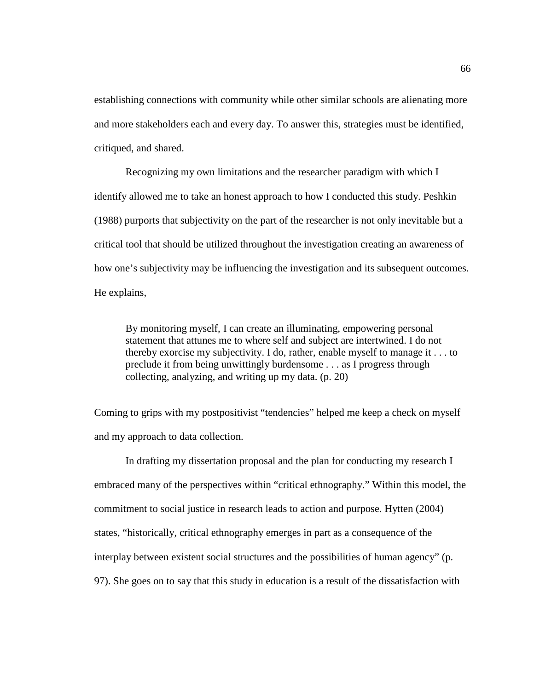establishing connections with community while other similar schools are alienating more and more stakeholders each and every day. To answer this, strategies must be identified, critiqued, and shared.

Recognizing my own limitations and the researcher paradigm with which I identify allowed me to take an honest approach to how I conducted this study. Peshkin (1988) purports that subjectivity on the part of the researcher is not only inevitable but a critical tool that should be utilized throughout the investigation creating an awareness of how one's subjectivity may be influencing the investigation and its subsequent outcomes. He explains,

By monitoring myself, I can create an illuminating, empowering personal statement that attunes me to where self and subject are intertwined. I do not thereby exorcise my subjectivity. I do, rather, enable myself to manage it . . . to preclude it from being unwittingly burdensome . . . as I progress through collecting, analyzing, and writing up my data. (p. 20)

Coming to grips with my postpositivist "tendencies" helped me keep a check on myself and my approach to data collection.

In drafting my dissertation proposal and the plan for conducting my research I embraced many of the perspectives within "critical ethnography." Within this model, the commitment to social justice in research leads to action and purpose. Hytten (2004) states, "historically, critical ethnography emerges in part as a consequence of the interplay between existent social structures and the possibilities of human agency" (p. 97). She goes on to say that this study in education is a result of the dissatisfaction with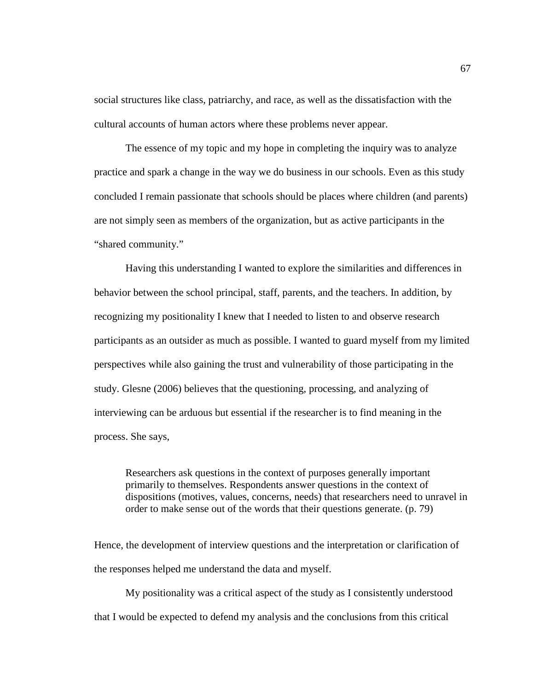social structures like class, patriarchy, and race, as well as the dissatisfaction with the cultural accounts of human actors where these problems never appear.

The essence of my topic and my hope in completing the inquiry was to analyze practice and spark a change in the way we do business in our schools. Even as this study concluded I remain passionate that schools should be places where children (and parents) are not simply seen as members of the organization, but as active participants in the "shared community."

Having this understanding I wanted to explore the similarities and differences in behavior between the school principal, staff, parents, and the teachers. In addition, by recognizing my positionality I knew that I needed to listen to and observe research participants as an outsider as much as possible. I wanted to guard myself from my limited perspectives while also gaining the trust and vulnerability of those participating in the study. Glesne (2006) believes that the questioning, processing, and analyzing of interviewing can be arduous but essential if the researcher is to find meaning in the process. She says,

Researchers ask questions in the context of purposes generally important primarily to themselves. Respondents answer questions in the context of dispositions (motives, values, concerns, needs) that researchers need to unravel in order to make sense out of the words that their questions generate. (p. 79)

Hence, the development of interview questions and the interpretation or clarification of the responses helped me understand the data and myself.

My positionality was a critical aspect of the study as I consistently understood that I would be expected to defend my analysis and the conclusions from this critical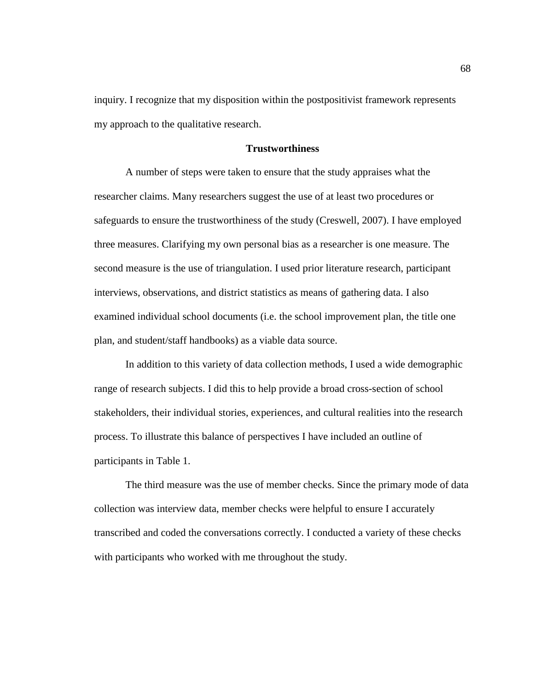inquiry. I recognize that my disposition within the postpositivist framework represents my approach to the qualitative research.

### **Trustworthiness**

A number of steps were taken to ensure that the study appraises what the researcher claims. Many researchers suggest the use of at least two procedures or safeguards to ensure the trustworthiness of the study (Creswell, 2007). I have employed three measures. Clarifying my own personal bias as a researcher is one measure. The second measure is the use of triangulation. I used prior literature research, participant interviews, observations, and district statistics as means of gathering data. I also examined individual school documents (i.e. the school improvement plan, the title one plan, and student/staff handbooks) as a viable data source.

In addition to this variety of data collection methods, I used a wide demographic range of research subjects. I did this to help provide a broad cross-section of school stakeholders, their individual stories, experiences, and cultural realities into the research process. To illustrate this balance of perspectives I have included an outline of participants in Table 1.

The third measure was the use of member checks. Since the primary mode of data collection was interview data, member checks were helpful to ensure I accurately transcribed and coded the conversations correctly. I conducted a variety of these checks with participants who worked with me throughout the study.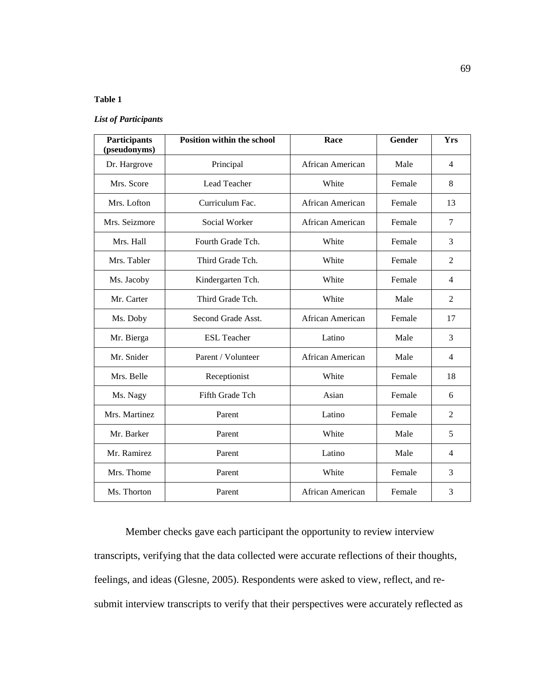### **Table 1**

#### *List of Participants*

| Participants<br>(pseudonyms) | <b>Position within the school</b> | Race             | Gender | <b>Yrs</b>     |
|------------------------------|-----------------------------------|------------------|--------|----------------|
| Dr. Hargrove                 | Principal                         | African American | Male   | $\overline{4}$ |
| Mrs. Score                   | Lead Teacher                      | White            | Female | 8              |
| Mrs. Lofton                  | Curriculum Fac.                   | African American | Female | 13             |
| Mrs. Seizmore                | Social Worker                     | African American | Female | $\overline{7}$ |
| Mrs. Hall                    | Fourth Grade Tch.                 | White            | Female | 3              |
| Mrs. Tabler                  | Third Grade Tch.                  | White            | Female | $\overline{2}$ |
| Ms. Jacoby                   | Kindergarten Tch.                 | White            | Female | $\overline{4}$ |
| Mr. Carter                   | Third Grade Tch.                  | White            | Male   | $\overline{2}$ |
| Ms. Doby                     | Second Grade Asst.                | African American | Female | 17             |
| Mr. Bierga                   | <b>ESL</b> Teacher                | Latino           | Male   | 3              |
| Mr. Snider                   | Parent / Volunteer                | African American | Male   | $\overline{4}$ |
| Mrs. Belle                   | Receptionist                      | White            | Female | 18             |
| Ms. Nagy                     | Fifth Grade Tch                   | Asian            | Female | 6              |
| Mrs. Martinez                | Parent                            | Latino           | Female | $\overline{2}$ |
| Mr. Barker                   | Parent                            | White            | Male   | 5              |
| Mr. Ramirez                  | Parent                            | Latino           | Male   | $\overline{4}$ |
| Mrs. Thome                   | Parent                            | White            | Female | 3              |
| Ms. Thorton                  | Parent                            | African American | Female | 3              |

Member checks gave each participant the opportunity to review interview transcripts, verifying that the data collected were accurate reflections of their thoughts, feelings, and ideas (Glesne, 2005). Respondents were asked to view, reflect, and resubmit interview transcripts to verify that their perspectives were accurately reflected as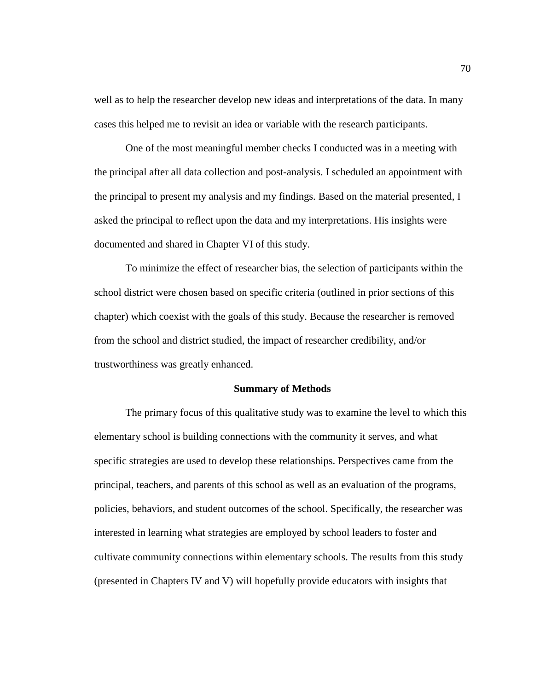well as to help the researcher develop new ideas and interpretations of the data. In many cases this helped me to revisit an idea or variable with the research participants.

One of the most meaningful member checks I conducted was in a meeting with the principal after all data collection and post-analysis. I scheduled an appointment with the principal to present my analysis and my findings. Based on the material presented, I asked the principal to reflect upon the data and my interpretations. His insights were documented and shared in Chapter VI of this study.

To minimize the effect of researcher bias, the selection of participants within the school district were chosen based on specific criteria (outlined in prior sections of this chapter) which coexist with the goals of this study. Because the researcher is removed from the school and district studied, the impact of researcher credibility, and/or trustworthiness was greatly enhanced.

#### **Summary of Methods**

The primary focus of this qualitative study was to examine the level to which this elementary school is building connections with the community it serves, and what specific strategies are used to develop these relationships. Perspectives came from the principal, teachers, and parents of this school as well as an evaluation of the programs, policies, behaviors, and student outcomes of the school. Specifically, the researcher was interested in learning what strategies are employed by school leaders to foster and cultivate community connections within elementary schools. The results from this study (presented in Chapters IV and V) will hopefully provide educators with insights that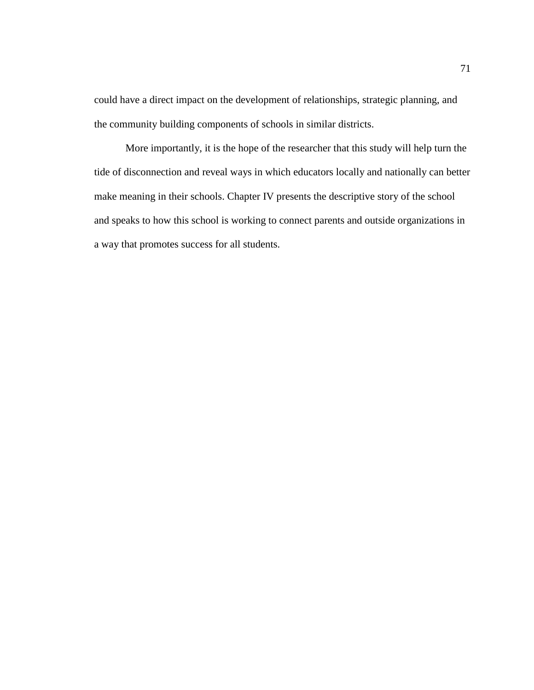could have a direct impact on the development of relationships, strategic planning, and the community building components of schools in similar districts.

More importantly, it is the hope of the researcher that this study will help turn the tide of disconnection and reveal ways in which educators locally and nationally can better make meaning in their schools. Chapter IV presents the descriptive story of the school and speaks to how this school is working to connect parents and outside organizations in a way that promotes success for all students.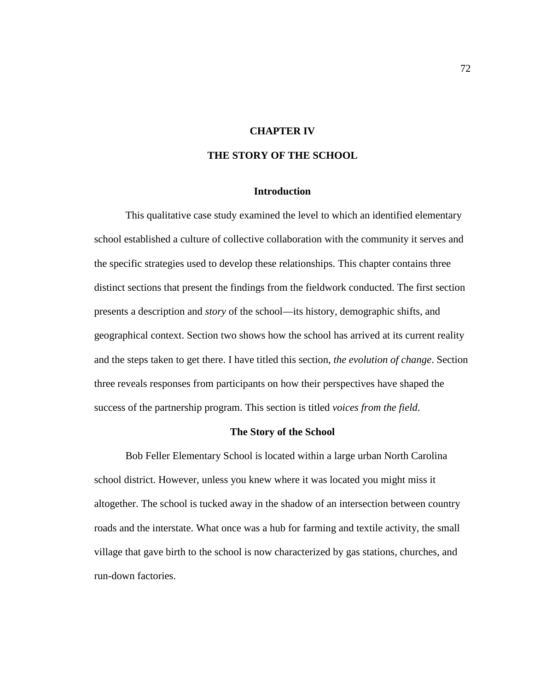# **CHAPTER IV**

# **THE STORY OF THE SCHOOL**

# **Introduction**

This qualitative case study examined the level to which an identified elementary school established a culture of collective collaboration with the community it serves and the specific strategies used to develop these relationships. This chapter contains three distinct sections that present the findings from the fieldwork conducted. The first section presents a description and *story* of the school—its history, demographic shifts, and geographical context. Section two shows how the school has arrived at its current reality and the steps taken to get there. I have titled this section, *the evolution of change*. Section three reveals responses from participants on how their perspectives have shaped the success of the partnership program. This section is titled *voices from the field*.

#### **The Story of the School**

Bob Feller Elementary School is located within a large urban North Carolina school district. However, unless you knew where it was located you might miss it altogether. The school is tucked away in the shadow of an intersection between country roads and the interstate. What once was a hub for farming and textile activity, the small village that gave birth to the school is now characterized by gas stations, churches, and run-down factories.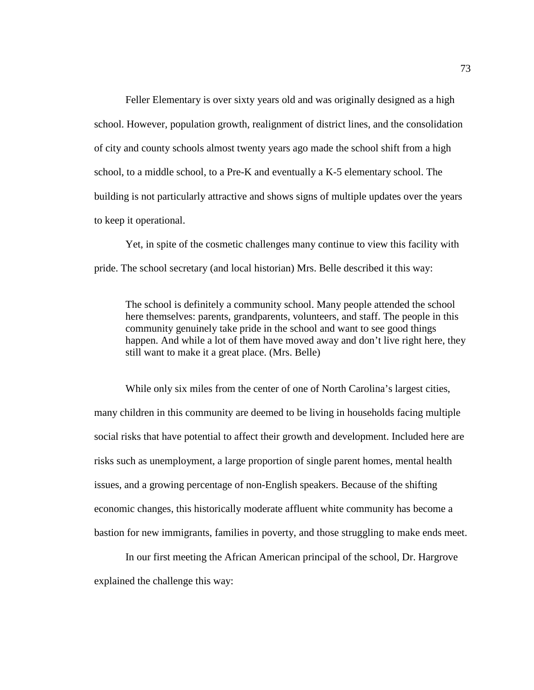Feller Elementary is over sixty years old and was originally designed as a high school. However, population growth, realignment of district lines, and the consolidation of city and county schools almost twenty years ago made the school shift from a high school, to a middle school, to a Pre-K and eventually a K-5 elementary school. The building is not particularly attractive and shows signs of multiple updates over the years to keep it operational.

Yet, in spite of the cosmetic challenges many continue to view this facility with pride. The school secretary (and local historian) Mrs. Belle described it this way:

The school is definitely a community school. Many people attended the school here themselves: parents, grandparents, volunteers, and staff. The people in this community genuinely take pride in the school and want to see good things happen. And while a lot of them have moved away and don't live right here, they still want to make it a great place. (Mrs. Belle)

While only six miles from the center of one of North Carolina's largest cities, many children in this community are deemed to be living in households facing multiple social risks that have potential to affect their growth and development. Included here are risks such as unemployment, a large proportion of single parent homes, mental health issues, and a growing percentage of non-English speakers. Because of the shifting economic changes, this historically moderate affluent white community has become a bastion for new immigrants, families in poverty, and those struggling to make ends meet.

In our first meeting the African American principal of the school, Dr. Hargrove explained the challenge this way: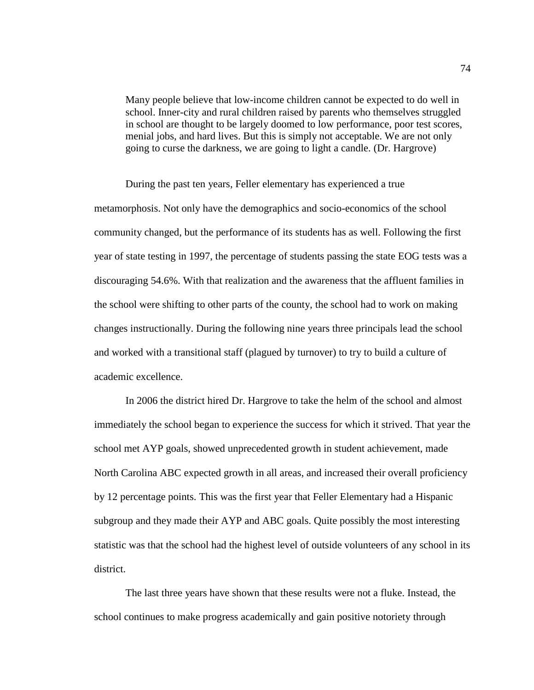Many people believe that low-income children cannot be expected to do well in school. Inner-city and rural children raised by parents who themselves struggled in school are thought to be largely doomed to low performance, poor test scores, menial jobs, and hard lives. But this is simply not acceptable. We are not only going to curse the darkness, we are going to light a candle. (Dr. Hargrove)

During the past ten years, Feller elementary has experienced a true metamorphosis. Not only have the demographics and socio-economics of the school community changed, but the performance of its students has as well. Following the first year of state testing in 1997, the percentage of students passing the state EOG tests was a discouraging 54.6%. With that realization and the awareness that the affluent families in the school were shifting to other parts of the county, the school had to work on making changes instructionally. During the following nine years three principals lead the school and worked with a transitional staff (plagued by turnover) to try to build a culture of academic excellence.

In 2006 the district hired Dr. Hargrove to take the helm of the school and almost immediately the school began to experience the success for which it strived. That year the school met AYP goals, showed unprecedented growth in student achievement, made North Carolina ABC expected growth in all areas, and increased their overall proficiency by 12 percentage points. This was the first year that Feller Elementary had a Hispanic subgroup and they made their AYP and ABC goals. Quite possibly the most interesting statistic was that the school had the highest level of outside volunteers of any school in its district.

The last three years have shown that these results were not a fluke. Instead, the school continues to make progress academically and gain positive notoriety through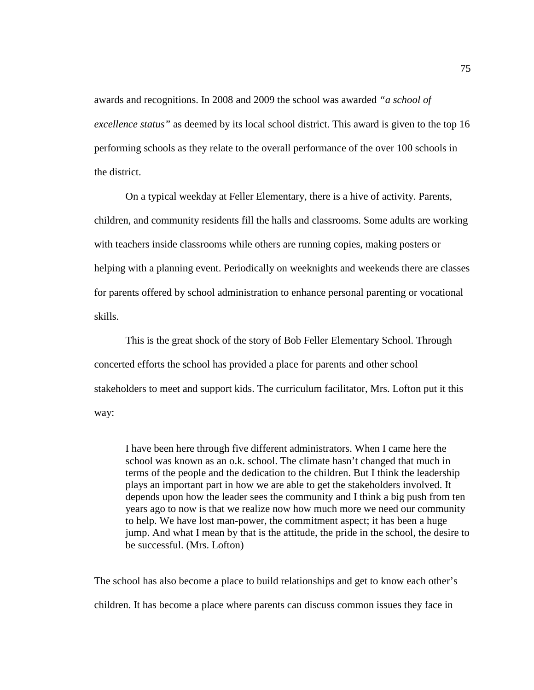awards and recognitions. In 2008 and 2009 the school was awarded *"a school of excellence status"* as deemed by its local school district. This award is given to the top 16 performing schools as they relate to the overall performance of the over 100 schools in the district.

On a typical weekday at Feller Elementary, there is a hive of activity. Parents, children, and community residents fill the halls and classrooms. Some adults are working with teachers inside classrooms while others are running copies, making posters or helping with a planning event. Periodically on weeknights and weekends there are classes for parents offered by school administration to enhance personal parenting or vocational skills.

This is the great shock of the story of Bob Feller Elementary School. Through concerted efforts the school has provided a place for parents and other school stakeholders to meet and support kids. The curriculum facilitator, Mrs. Lofton put it this way:

I have been here through five different administrators. When I came here the school was known as an o.k. school. The climate hasn't changed that much in terms of the people and the dedication to the children. But I think the leadership plays an important part in how we are able to get the stakeholders involved. It depends upon how the leader sees the community and I think a big push from ten years ago to now is that we realize now how much more we need our community to help. We have lost man-power, the commitment aspect; it has been a huge jump. And what I mean by that is the attitude, the pride in the school, the desire to be successful. (Mrs. Lofton)

The school has also become a place to build relationships and get to know each other's children. It has become a place where parents can discuss common issues they face in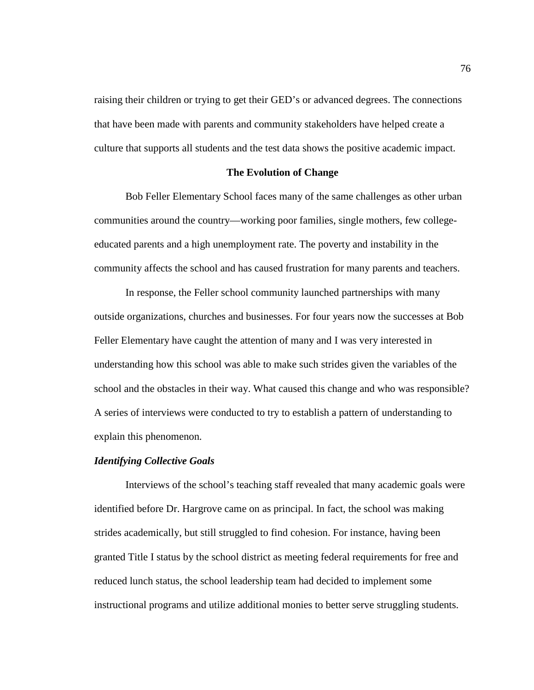raising their children or trying to get their GED's or advanced degrees. The connections that have been made with parents and community stakeholders have helped create a culture that supports all students and the test data shows the positive academic impact.

## **The Evolution of Change**

Bob Feller Elementary School faces many of the same challenges as other urban communities around the country—working poor families, single mothers, few collegeeducated parents and a high unemployment rate. The poverty and instability in the community affects the school and has caused frustration for many parents and teachers.

In response, the Feller school community launched partnerships with many outside organizations, churches and businesses. For four years now the successes at Bob Feller Elementary have caught the attention of many and I was very interested in understanding how this school was able to make such strides given the variables of the school and the obstacles in their way. What caused this change and who was responsible? A series of interviews were conducted to try to establish a pattern of understanding to explain this phenomenon.

## *Identifying Collective Goals*

Interviews of the school's teaching staff revealed that many academic goals were identified before Dr. Hargrove came on as principal. In fact, the school was making strides academically, but still struggled to find cohesion. For instance, having been granted Title I status by the school district as meeting federal requirements for free and reduced lunch status, the school leadership team had decided to implement some instructional programs and utilize additional monies to better serve struggling students.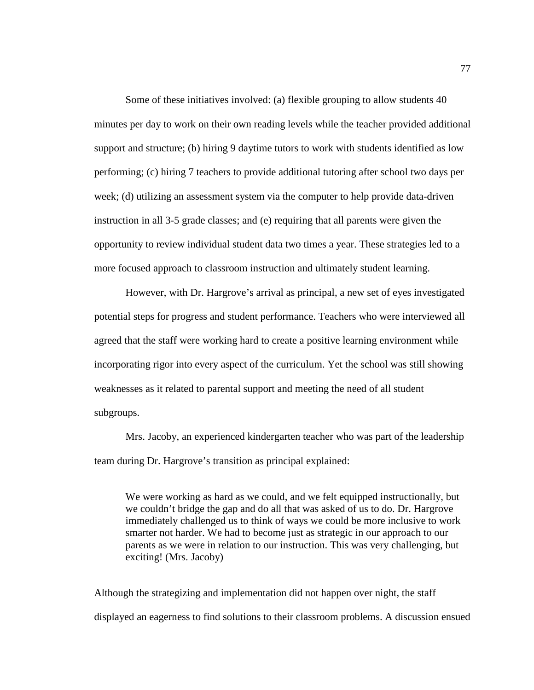Some of these initiatives involved: (a) flexible grouping to allow students 40 minutes per day to work on their own reading levels while the teacher provided additional support and structure; (b) hiring 9 daytime tutors to work with students identified as low performing; (c) hiring 7 teachers to provide additional tutoring after school two days per week; (d) utilizing an assessment system via the computer to help provide data-driven instruction in all 3-5 grade classes; and (e) requiring that all parents were given the opportunity to review individual student data two times a year. These strategies led to a more focused approach to classroom instruction and ultimately student learning.

However, with Dr. Hargrove's arrival as principal, a new set of eyes investigated potential steps for progress and student performance. Teachers who were interviewed all agreed that the staff were working hard to create a positive learning environment while incorporating rigor into every aspect of the curriculum. Yet the school was still showing weaknesses as it related to parental support and meeting the need of all student subgroups.

Mrs. Jacoby, an experienced kindergarten teacher who was part of the leadership team during Dr. Hargrove's transition as principal explained:

We were working as hard as we could, and we felt equipped instructionally, but we couldn't bridge the gap and do all that was asked of us to do. Dr. Hargrove immediately challenged us to think of ways we could be more inclusive to work smarter not harder. We had to become just as strategic in our approach to our parents as we were in relation to our instruction. This was very challenging, but exciting! (Mrs. Jacoby)

Although the strategizing and implementation did not happen over night, the staff displayed an eagerness to find solutions to their classroom problems. A discussion ensued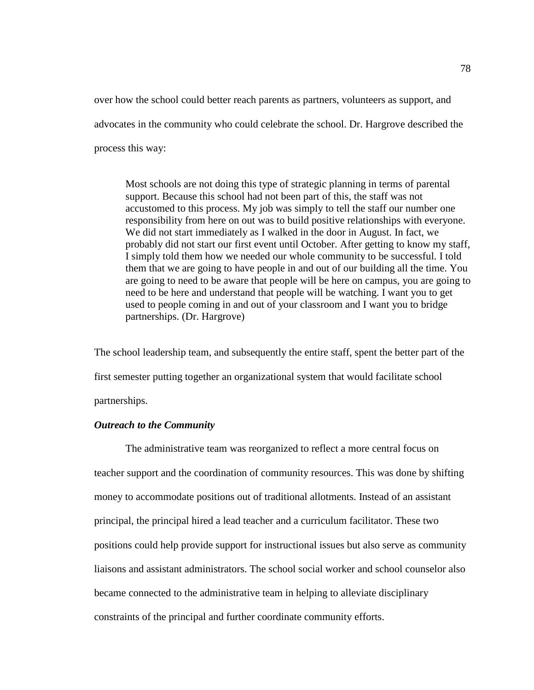over how the school could better reach parents as partners, volunteers as support, and advocates in the community who could celebrate the school. Dr. Hargrove described the process this way:

Most schools are not doing this type of strategic planning in terms of parental support. Because this school had not been part of this, the staff was not accustomed to this process. My job was simply to tell the staff our number one responsibility from here on out was to build positive relationships with everyone. We did not start immediately as I walked in the door in August. In fact, we probably did not start our first event until October. After getting to know my staff, I simply told them how we needed our whole community to be successful. I told them that we are going to have people in and out of our building all the time. You are going to need to be aware that people will be here on campus, you are going to need to be here and understand that people will be watching. I want you to get used to people coming in and out of your classroom and I want you to bridge partnerships. (Dr. Hargrove)

The school leadership team, and subsequently the entire staff, spent the better part of the first semester putting together an organizational system that would facilitate school partnerships.

# *Outreach to the Community*

The administrative team was reorganized to reflect a more central focus on teacher support and the coordination of community resources. This was done by shifting money to accommodate positions out of traditional allotments. Instead of an assistant principal, the principal hired a lead teacher and a curriculum facilitator. These two positions could help provide support for instructional issues but also serve as community liaisons and assistant administrators. The school social worker and school counselor also became connected to the administrative team in helping to alleviate disciplinary constraints of the principal and further coordinate community efforts.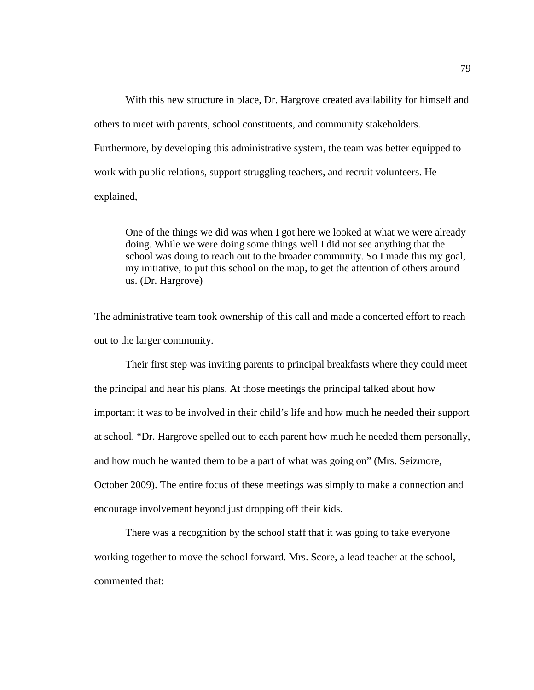With this new structure in place, Dr. Hargrove created availability for himself and others to meet with parents, school constituents, and community stakeholders. Furthermore, by developing this administrative system, the team was better equipped to work with public relations, support struggling teachers, and recruit volunteers. He explained,

One of the things we did was when I got here we looked at what we were already doing. While we were doing some things well I did not see anything that the school was doing to reach out to the broader community. So I made this my goal, my initiative, to put this school on the map, to get the attention of others around us. (Dr. Hargrove)

The administrative team took ownership of this call and made a concerted effort to reach out to the larger community.

Their first step was inviting parents to principal breakfasts where they could meet the principal and hear his plans. At those meetings the principal talked about how important it was to be involved in their child's life and how much he needed their support at school. "Dr. Hargrove spelled out to each parent how much he needed them personally, and how much he wanted them to be a part of what was going on" (Mrs. Seizmore, October 2009). The entire focus of these meetings was simply to make a connection and encourage involvement beyond just dropping off their kids.

There was a recognition by the school staff that it was going to take everyone working together to move the school forward. Mrs. Score, a lead teacher at the school, commented that: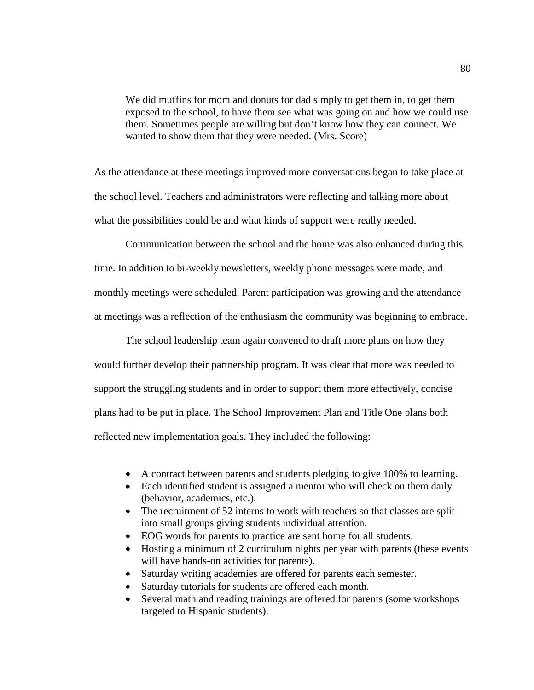We did muffins for mom and donuts for dad simply to get them in, to get them exposed to the school, to have them see what was going on and how we could use them. Sometimes people are willing but don't know how they can connect. We wanted to show them that they were needed. (Mrs. Score)

As the attendance at these meetings improved more conversations began to take place at the school level. Teachers and administrators were reflecting and talking more about what the possibilities could be and what kinds of support were really needed.

Communication between the school and the home was also enhanced during this time. In addition to bi-weekly newsletters, weekly phone messages were made, and monthly meetings were scheduled. Parent participation was growing and the attendance at meetings was a reflection of the enthusiasm the community was beginning to embrace.

The school leadership team again convened to draft more plans on how they would further develop their partnership program. It was clear that more was needed to support the struggling students and in order to support them more effectively, concise plans had to be put in place. The School Improvement Plan and Title One plans both reflected new implementation goals. They included the following:

- A contract between parents and students pledging to give 100% to learning.
- Each identified student is assigned a mentor who will check on them daily (behavior, academics, etc.).
- The recruitment of 52 interns to work with teachers so that classes are split into small groups giving students individual attention.
- EOG words for parents to practice are sent home for all students.
- Hosting a minimum of 2 curriculum nights per year with parents (these events will have hands-on activities for parents).
- Saturday writing academies are offered for parents each semester.
- Saturday tutorials for students are offered each month.
- Several math and reading trainings are offered for parents (some workshops targeted to Hispanic students).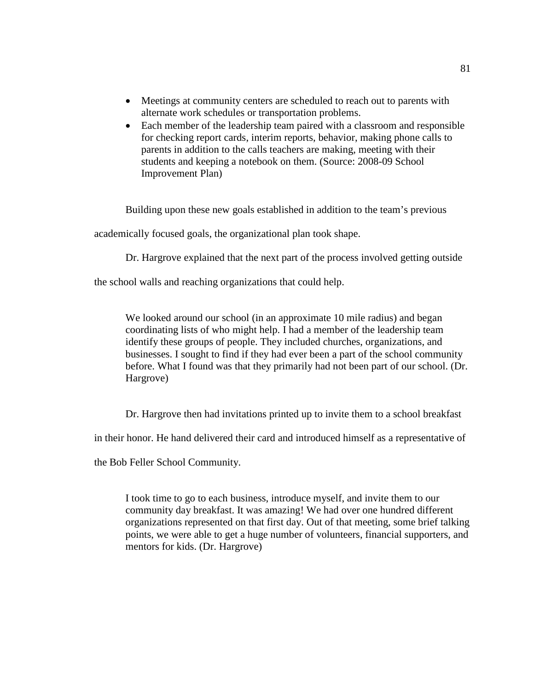- Meetings at community centers are scheduled to reach out to parents with alternate work schedules or transportation problems.
- Each member of the leadership team paired with a classroom and responsible for checking report cards, interim reports, behavior, making phone calls to parents in addition to the calls teachers are making, meeting with their students and keeping a notebook on them. (Source: 2008-09 School Improvement Plan)

Building upon these new goals established in addition to the team's previous

academically focused goals, the organizational plan took shape.

Dr. Hargrove explained that the next part of the process involved getting outside

the school walls and reaching organizations that could help.

We looked around our school (in an approximate 10 mile radius) and began coordinating lists of who might help. I had a member of the leadership team identify these groups of people. They included churches, organizations, and businesses. I sought to find if they had ever been a part of the school community before. What I found was that they primarily had not been part of our school. (Dr. Hargrove)

Dr. Hargrove then had invitations printed up to invite them to a school breakfast

in their honor. He hand delivered their card and introduced himself as a representative of

the Bob Feller School Community.

I took time to go to each business, introduce myself, and invite them to our community day breakfast. It was amazing! We had over one hundred different organizations represented on that first day. Out of that meeting, some brief talking points, we were able to get a huge number of volunteers, financial supporters, and mentors for kids. (Dr. Hargrove)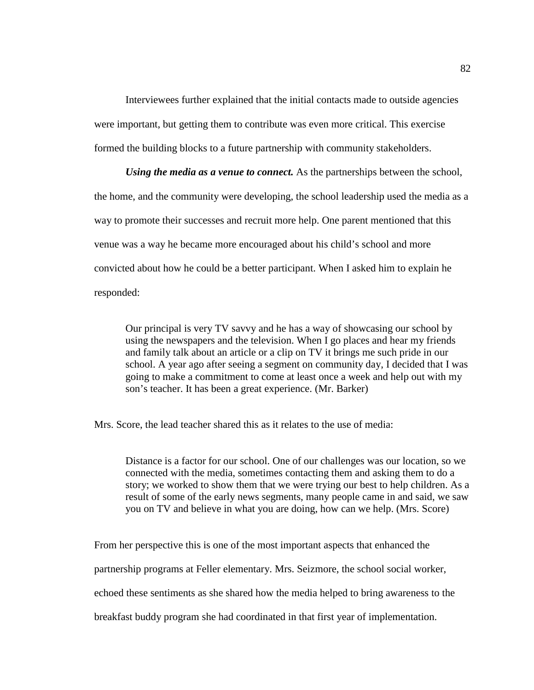Interviewees further explained that the initial contacts made to outside agencies were important, but getting them to contribute was even more critical. This exercise formed the building blocks to a future partnership with community stakeholders.

*Using the media as a venue to connect.* As the partnerships between the school, the home, and the community were developing, the school leadership used the media as a way to promote their successes and recruit more help. One parent mentioned that this venue was a way he became more encouraged about his child's school and more convicted about how he could be a better participant. When I asked him to explain he responded:

Our principal is very TV savvy and he has a way of showcasing our school by using the newspapers and the television. When I go places and hear my friends and family talk about an article or a clip on TV it brings me such pride in our school. A year ago after seeing a segment on community day, I decided that I was going to make a commitment to come at least once a week and help out with my son's teacher. It has been a great experience. (Mr. Barker)

Mrs. Score, the lead teacher shared this as it relates to the use of media:

Distance is a factor for our school. One of our challenges was our location, so we connected with the media, sometimes contacting them and asking them to do a story; we worked to show them that we were trying our best to help children. As a result of some of the early news segments, many people came in and said, we saw you on TV and believe in what you are doing, how can we help. (Mrs. Score)

From her perspective this is one of the most important aspects that enhanced the partnership programs at Feller elementary. Mrs. Seizmore, the school social worker, echoed these sentiments as she shared how the media helped to bring awareness to the breakfast buddy program she had coordinated in that first year of implementation.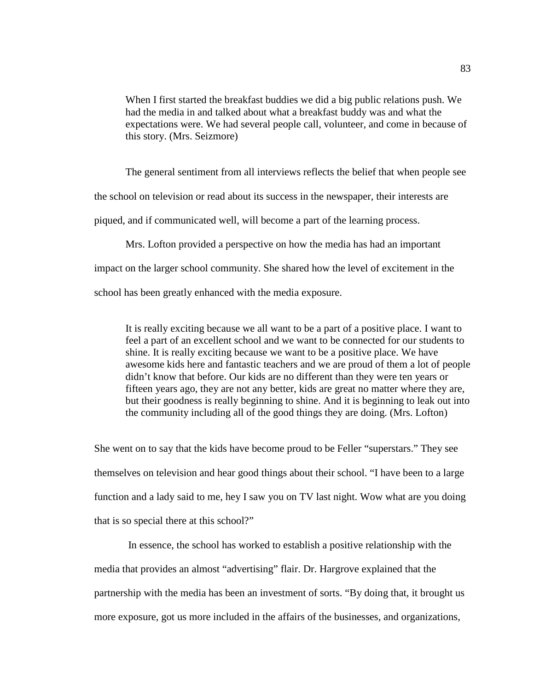When I first started the breakfast buddies we did a big public relations push. We had the media in and talked about what a breakfast buddy was and what the expectations were. We had several people call, volunteer, and come in because of this story. (Mrs. Seizmore)

The general sentiment from all interviews reflects the belief that when people see the school on television or read about its success in the newspaper, their interests are piqued, and if communicated well, will become a part of the learning process.

Mrs. Lofton provided a perspective on how the media has had an important

impact on the larger school community. She shared how the level of excitement in the

school has been greatly enhanced with the media exposure.

It is really exciting because we all want to be a part of a positive place. I want to feel a part of an excellent school and we want to be connected for our students to shine. It is really exciting because we want to be a positive place. We have awesome kids here and fantastic teachers and we are proud of them a lot of people didn't know that before. Our kids are no different than they were ten years or fifteen years ago, they are not any better, kids are great no matter where they are, but their goodness is really beginning to shine. And it is beginning to leak out into the community including all of the good things they are doing. (Mrs. Lofton)

She went on to say that the kids have become proud to be Feller "superstars." They see themselves on television and hear good things about their school. "I have been to a large function and a lady said to me, hey I saw you on TV last night. Wow what are you doing that is so special there at this school?"

In essence, the school has worked to establish a positive relationship with the media that provides an almost "advertising" flair. Dr. Hargrove explained that the partnership with the media has been an investment of sorts. "By doing that, it brought us more exposure, got us more included in the affairs of the businesses, and organizations,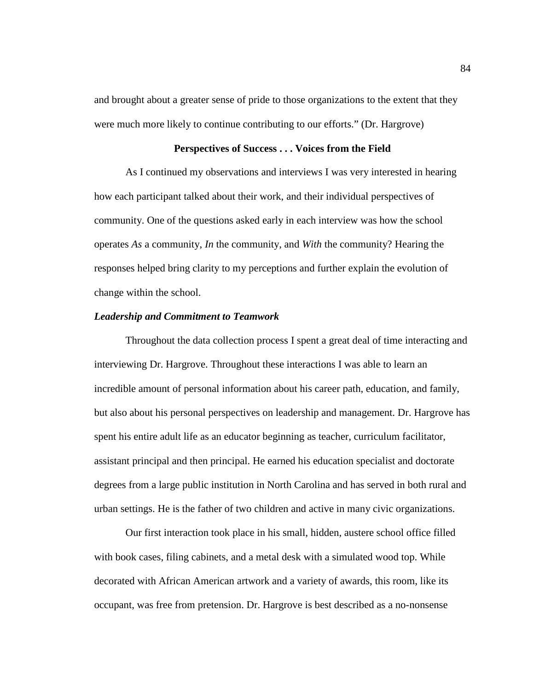and brought about a greater sense of pride to those organizations to the extent that they were much more likely to continue contributing to our efforts." (Dr. Hargrove)

## **Perspectives of Success . . . Voices from the Field**

As I continued my observations and interviews I was very interested in hearing how each participant talked about their work, and their individual perspectives of community. One of the questions asked early in each interview was how the school operates *As* a community, *In* the community, and *With* the community? Hearing the responses helped bring clarity to my perceptions and further explain the evolution of change within the school.

### *Leadership and Commitment to Teamwork*

Throughout the data collection process I spent a great deal of time interacting and interviewing Dr. Hargrove. Throughout these interactions I was able to learn an incredible amount of personal information about his career path, education, and family, but also about his personal perspectives on leadership and management. Dr. Hargrove has spent his entire adult life as an educator beginning as teacher, curriculum facilitator, assistant principal and then principal. He earned his education specialist and doctorate degrees from a large public institution in North Carolina and has served in both rural and urban settings. He is the father of two children and active in many civic organizations.

Our first interaction took place in his small, hidden, austere school office filled with book cases, filing cabinets, and a metal desk with a simulated wood top. While decorated with African American artwork and a variety of awards, this room, like its occupant, was free from pretension. Dr. Hargrove is best described as a no-nonsense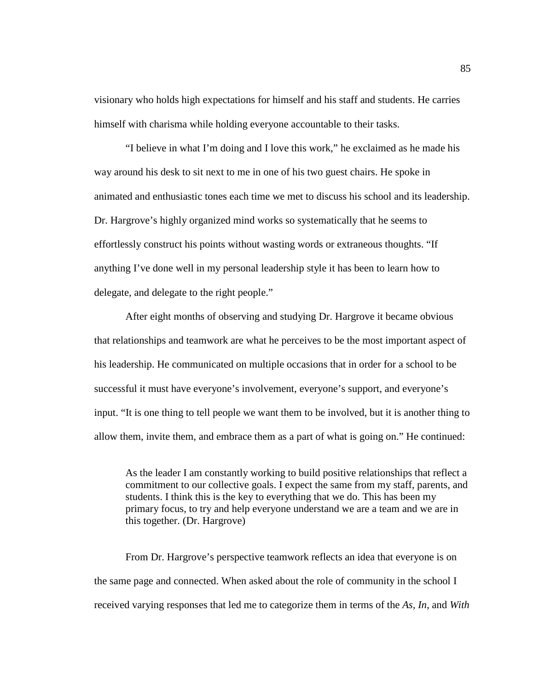visionary who holds high expectations for himself and his staff and students. He carries himself with charisma while holding everyone accountable to their tasks.

"I believe in what I'm doing and I love this work," he exclaimed as he made his way around his desk to sit next to me in one of his two guest chairs. He spoke in animated and enthusiastic tones each time we met to discuss his school and its leadership. Dr. Hargrove's highly organized mind works so systematically that he seems to effortlessly construct his points without wasting words or extraneous thoughts. "If anything I've done well in my personal leadership style it has been to learn how to delegate, and delegate to the right people."

After eight months of observing and studying Dr. Hargrove it became obvious that relationships and teamwork are what he perceives to be the most important aspect of his leadership. He communicated on multiple occasions that in order for a school to be successful it must have everyone's involvement, everyone's support, and everyone's input. "It is one thing to tell people we want them to be involved, but it is another thing to allow them, invite them, and embrace them as a part of what is going on." He continued:

As the leader I am constantly working to build positive relationships that reflect a commitment to our collective goals. I expect the same from my staff, parents, and students. I think this is the key to everything that we do. This has been my primary focus, to try and help everyone understand we are a team and we are in this together. (Dr. Hargrove)

From Dr. Hargrove's perspective teamwork reflects an idea that everyone is on the same page and connected. When asked about the role of community in the school I received varying responses that led me to categorize them in terms of the *As, In*, and *With*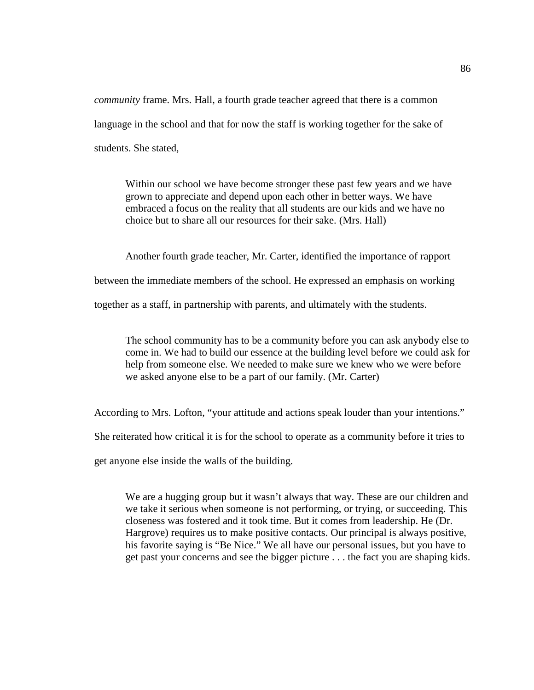*community* frame. Mrs. Hall, a fourth grade teacher agreed that there is a common language in the school and that for now the staff is working together for the sake of students. She stated,

Within our school we have become stronger these past few years and we have grown to appreciate and depend upon each other in better ways. We have embraced a focus on the reality that all students are our kids and we have no choice but to share all our resources for their sake. (Mrs. Hall)

Another fourth grade teacher, Mr. Carter, identified the importance of rapport

between the immediate members of the school. He expressed an emphasis on working

together as a staff, in partnership with parents, and ultimately with the students.

The school community has to be a community before you can ask anybody else to come in. We had to build our essence at the building level before we could ask for help from someone else. We needed to make sure we knew who we were before we asked anyone else to be a part of our family. (Mr. Carter)

According to Mrs. Lofton, "your attitude and actions speak louder than your intentions."

She reiterated how critical it is for the school to operate as a community before it tries to

get anyone else inside the walls of the building.

We are a hugging group but it wasn't always that way. These are our children and we take it serious when someone is not performing, or trying, or succeeding. This closeness was fostered and it took time. But it comes from leadership. He (Dr. Hargrove) requires us to make positive contacts. Our principal is always positive, his favorite saying is "Be Nice." We all have our personal issues, but you have to get past your concerns and see the bigger picture . . . the fact you are shaping kids.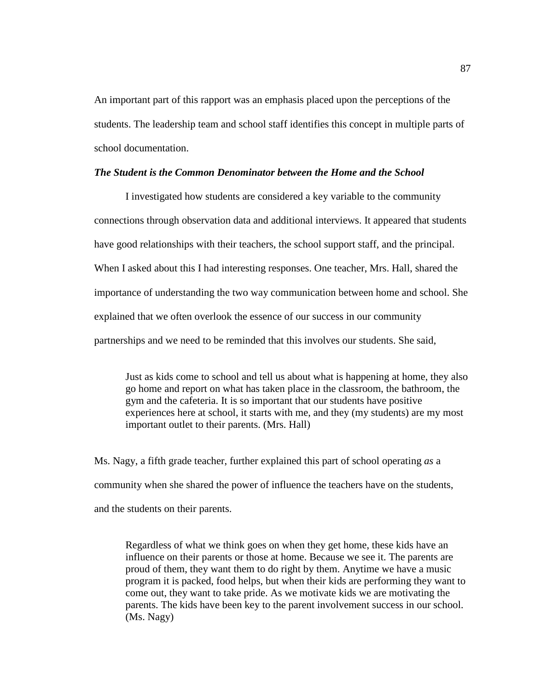An important part of this rapport was an emphasis placed upon the perceptions of the students. The leadership team and school staff identifies this concept in multiple parts of school documentation.

#### *The Student is the Common Denominator between the Home and the School*

I investigated how students are considered a key variable to the community connections through observation data and additional interviews. It appeared that students have good relationships with their teachers, the school support staff, and the principal. When I asked about this I had interesting responses. One teacher, Mrs. Hall, shared the importance of understanding the two way communication between home and school. She explained that we often overlook the essence of our success in our community partnerships and we need to be reminded that this involves our students. She said,

Just as kids come to school and tell us about what is happening at home, they also go home and report on what has taken place in the classroom, the bathroom, the gym and the cafeteria. It is so important that our students have positive experiences here at school, it starts with me, and they (my students) are my most important outlet to their parents. (Mrs. Hall)

Ms. Nagy, a fifth grade teacher, further explained this part of school operating *as* a community when she shared the power of influence the teachers have on the students, and the students on their parents.

Regardless of what we think goes on when they get home, these kids have an influence on their parents or those at home. Because we see it. The parents are proud of them, they want them to do right by them. Anytime we have a music program it is packed, food helps, but when their kids are performing they want to come out, they want to take pride. As we motivate kids we are motivating the parents. The kids have been key to the parent involvement success in our school. (Ms. Nagy)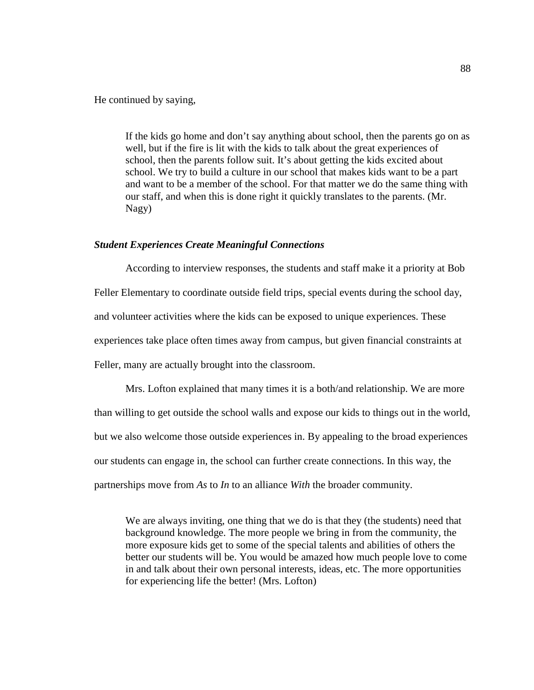He continued by saying,

If the kids go home and don't say anything about school, then the parents go on as well, but if the fire is lit with the kids to talk about the great experiences of school, then the parents follow suit. It's about getting the kids excited about school. We try to build a culture in our school that makes kids want to be a part and want to be a member of the school. For that matter we do the same thing with our staff, and when this is done right it quickly translates to the parents. (Mr. Nagy)

## *Student Experiences Create Meaningful Connections*

According to interview responses, the students and staff make it a priority at Bob Feller Elementary to coordinate outside field trips, special events during the school day, and volunteer activities where the kids can be exposed to unique experiences. These experiences take place often times away from campus, but given financial constraints at Feller, many are actually brought into the classroom.

Mrs. Lofton explained that many times it is a both/and relationship. We are more than willing to get outside the school walls and expose our kids to things out in the world, but we also welcome those outside experiences in. By appealing to the broad experiences our students can engage in, the school can further create connections. In this way, the partnerships move from *As* to *In* to an alliance *With* the broader community.

We are always inviting, one thing that we do is that they (the students) need that background knowledge. The more people we bring in from the community, the more exposure kids get to some of the special talents and abilities of others the better our students will be. You would be amazed how much people love to come in and talk about their own personal interests, ideas, etc. The more opportunities for experiencing life the better! (Mrs. Lofton)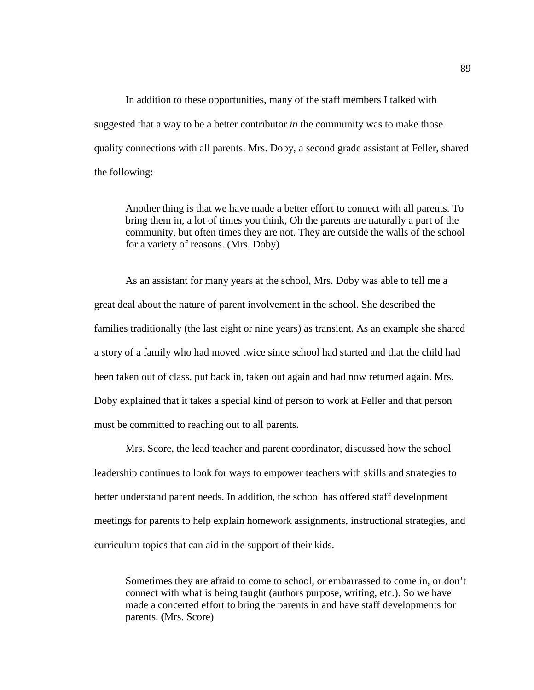In addition to these opportunities, many of the staff members I talked with suggested that a way to be a better contributor *in* the community was to make those quality connections with all parents. Mrs. Doby, a second grade assistant at Feller, shared the following:

Another thing is that we have made a better effort to connect with all parents. To bring them in, a lot of times you think, Oh the parents are naturally a part of the community, but often times they are not. They are outside the walls of the school for a variety of reasons. (Mrs. Doby)

As an assistant for many years at the school, Mrs. Doby was able to tell me a great deal about the nature of parent involvement in the school. She described the families traditionally (the last eight or nine years) as transient. As an example she shared a story of a family who had moved twice since school had started and that the child had been taken out of class, put back in, taken out again and had now returned again. Mrs. Doby explained that it takes a special kind of person to work at Feller and that person must be committed to reaching out to all parents.

Mrs. Score, the lead teacher and parent coordinator, discussed how the school leadership continues to look for ways to empower teachers with skills and strategies to better understand parent needs. In addition, the school has offered staff development meetings for parents to help explain homework assignments, instructional strategies, and curriculum topics that can aid in the support of their kids.

Sometimes they are afraid to come to school, or embarrassed to come in, or don't connect with what is being taught (authors purpose, writing, etc.). So we have made a concerted effort to bring the parents in and have staff developments for parents. (Mrs. Score)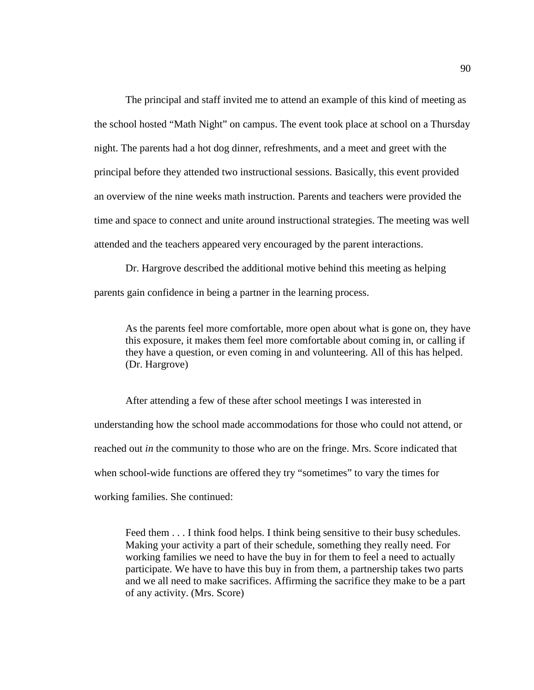The principal and staff invited me to attend an example of this kind of meeting as the school hosted "Math Night" on campus. The event took place at school on a Thursday night. The parents had a hot dog dinner, refreshments, and a meet and greet with the principal before they attended two instructional sessions. Basically, this event provided an overview of the nine weeks math instruction. Parents and teachers were provided the time and space to connect and unite around instructional strategies. The meeting was well attended and the teachers appeared very encouraged by the parent interactions.

Dr. Hargrove described the additional motive behind this meeting as helping parents gain confidence in being a partner in the learning process.

As the parents feel more comfortable, more open about what is gone on, they have this exposure, it makes them feel more comfortable about coming in, or calling if they have a question, or even coming in and volunteering. All of this has helped. (Dr. Hargrove)

After attending a few of these after school meetings I was interested in understanding how the school made accommodations for those who could not attend, or reached out *in* the community to those who are on the fringe. Mrs. Score indicated that when school-wide functions are offered they try "sometimes" to vary the times for working families. She continued:

Feed them . . . I think food helps. I think being sensitive to their busy schedules. Making your activity a part of their schedule, something they really need. For working families we need to have the buy in for them to feel a need to actually participate. We have to have this buy in from them, a partnership takes two parts and we all need to make sacrifices. Affirming the sacrifice they make to be a part of any activity. (Mrs. Score)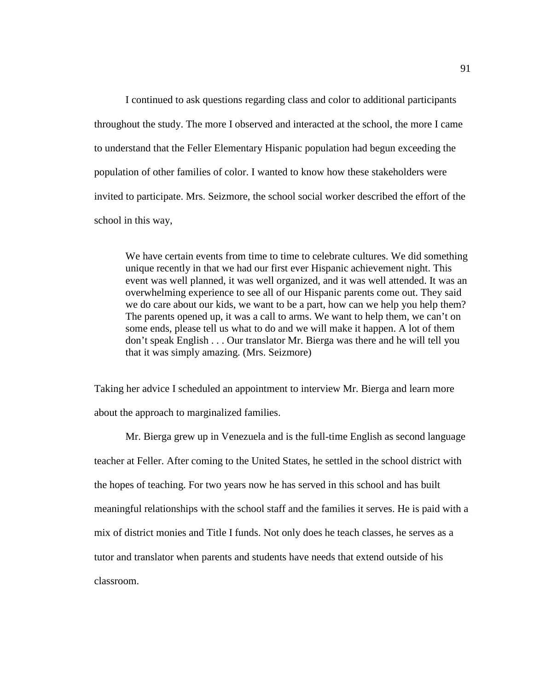I continued to ask questions regarding class and color to additional participants throughout the study. The more I observed and interacted at the school, the more I came to understand that the Feller Elementary Hispanic population had begun exceeding the population of other families of color. I wanted to know how these stakeholders were invited to participate. Mrs. Seizmore, the school social worker described the effort of the school in this way,

We have certain events from time to time to celebrate cultures. We did something unique recently in that we had our first ever Hispanic achievement night. This event was well planned, it was well organized, and it was well attended. It was an overwhelming experience to see all of our Hispanic parents come out. They said we do care about our kids, we want to be a part, how can we help you help them? The parents opened up, it was a call to arms. We want to help them, we can't on some ends, please tell us what to do and we will make it happen. A lot of them don't speak English . . . Our translator Mr. Bierga was there and he will tell you that it was simply amazing. (Mrs. Seizmore)

Taking her advice I scheduled an appointment to interview Mr. Bierga and learn more about the approach to marginalized families.

Mr. Bierga grew up in Venezuela and is the full-time English as second language teacher at Feller. After coming to the United States, he settled in the school district with the hopes of teaching. For two years now he has served in this school and has built meaningful relationships with the school staff and the families it serves. He is paid with a mix of district monies and Title I funds. Not only does he teach classes, he serves as a tutor and translator when parents and students have needs that extend outside of his classroom.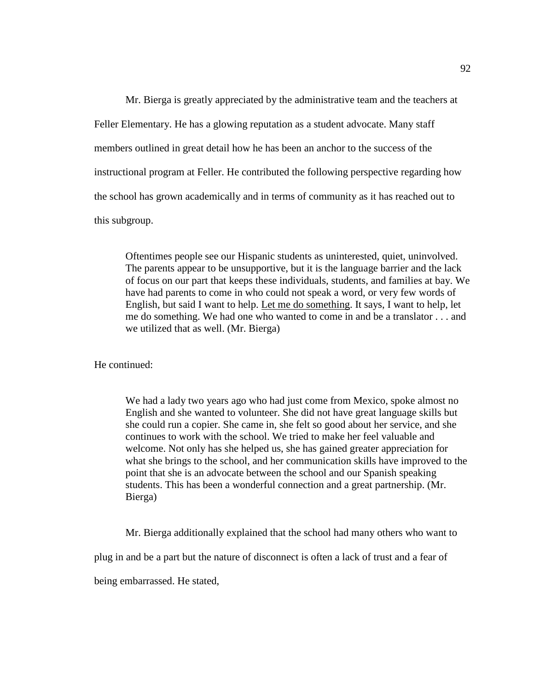Mr. Bierga is greatly appreciated by the administrative team and the teachers at Feller Elementary. He has a glowing reputation as a student advocate. Many staff members outlined in great detail how he has been an anchor to the success of the instructional program at Feller. He contributed the following perspective regarding how the school has grown academically and in terms of community as it has reached out to this subgroup.

Oftentimes people see our Hispanic students as uninterested, quiet, uninvolved. The parents appear to be unsupportive, but it is the language barrier and the lack of focus on our part that keeps these individuals, students, and families at bay. We have had parents to come in who could not speak a word, or very few words of English, but said I want to help. Let me do something. It says, I want to help, let me do something. We had one who wanted to come in and be a translator . . . and we utilized that as well. (Mr. Bierga)

He continued:

We had a lady two years ago who had just come from Mexico, spoke almost no English and she wanted to volunteer. She did not have great language skills but she could run a copier. She came in, she felt so good about her service, and she continues to work with the school. We tried to make her feel valuable and welcome. Not only has she helped us, she has gained greater appreciation for what she brings to the school, and her communication skills have improved to the point that she is an advocate between the school and our Spanish speaking students. This has been a wonderful connection and a great partnership. (Mr. Bierga)

Mr. Bierga additionally explained that the school had many others who want to

plug in and be a part but the nature of disconnect is often a lack of trust and a fear of

being embarrassed. He stated,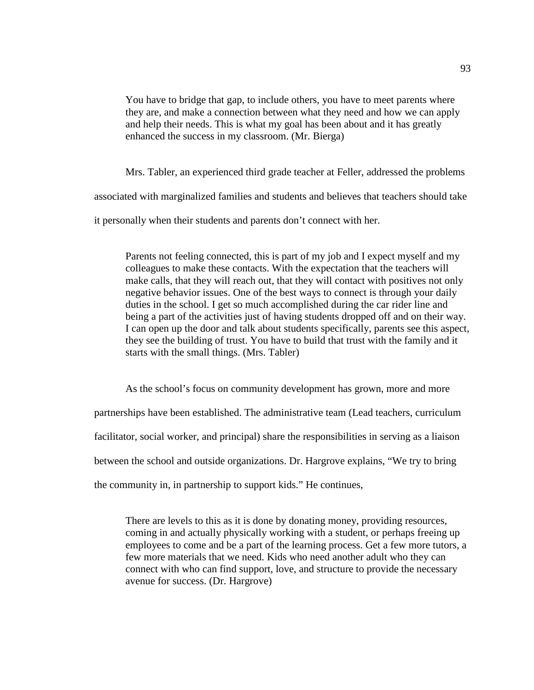You have to bridge that gap, to include others, you have to meet parents where they are, and make a connection between what they need and how we can apply and help their needs. This is what my goal has been about and it has greatly enhanced the success in my classroom. (Mr. Bierga)

Mrs. Tabler, an experienced third grade teacher at Feller, addressed the problems associated with marginalized families and students and believes that teachers should take it personally when their students and parents don't connect with her.

Parents not feeling connected, this is part of my job and I expect myself and my colleagues to make these contacts. With the expectation that the teachers will make calls, that they will reach out, that they will contact with positives not only negative behavior issues. One of the best ways to connect is through your daily duties in the school. I get so much accomplished during the car rider line and being a part of the activities just of having students dropped off and on their way. I can open up the door and talk about students specifically, parents see this aspect, they see the building of trust. You have to build that trust with the family and it starts with the small things. (Mrs. Tabler)

As the school's focus on community development has grown, more and more partnerships have been established. The administrative team (Lead teachers, curriculum facilitator, social worker, and principal) share the responsibilities in serving as a liaison

between the school and outside organizations. Dr. Hargrove explains, "We try to bring

the community in, in partnership to support kids." He continues,

There are levels to this as it is done by donating money, providing resources, coming in and actually physically working with a student, or perhaps freeing up employees to come and be a part of the learning process. Get a few more tutors, a few more materials that we need. Kids who need another adult who they can connect with who can find support, love, and structure to provide the necessary avenue for success. (Dr. Hargrove)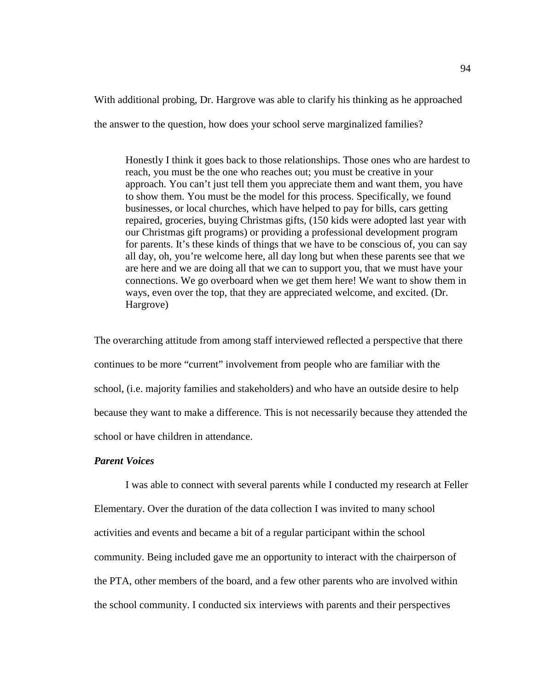With additional probing, Dr. Hargrove was able to clarify his thinking as he approached

the answer to the question, how does your school serve marginalized families?

Honestly I think it goes back to those relationships. Those ones who are hardest to reach, you must be the one who reaches out; you must be creative in your approach. You can't just tell them you appreciate them and want them, you have to show them. You must be the model for this process. Specifically, we found businesses, or local churches, which have helped to pay for bills, cars getting repaired, groceries, buying Christmas gifts, (150 kids were adopted last year with our Christmas gift programs) or providing a professional development program for parents. It's these kinds of things that we have to be conscious of, you can say all day, oh, you're welcome here, all day long but when these parents see that we are here and we are doing all that we can to support you, that we must have your connections. We go overboard when we get them here! We want to show them in ways, even over the top, that they are appreciated welcome, and excited. (Dr. Hargrove)

The overarching attitude from among staff interviewed reflected a perspective that there continues to be more "current" involvement from people who are familiar with the school, (i.e. majority families and stakeholders) and who have an outside desire to help because they want to make a difference. This is not necessarily because they attended the school or have children in attendance.

# *Parent Voices*

I was able to connect with several parents while I conducted my research at Feller Elementary. Over the duration of the data collection I was invited to many school activities and events and became a bit of a regular participant within the school community. Being included gave me an opportunity to interact with the chairperson of the PTA, other members of the board, and a few other parents who are involved within the school community. I conducted six interviews with parents and their perspectives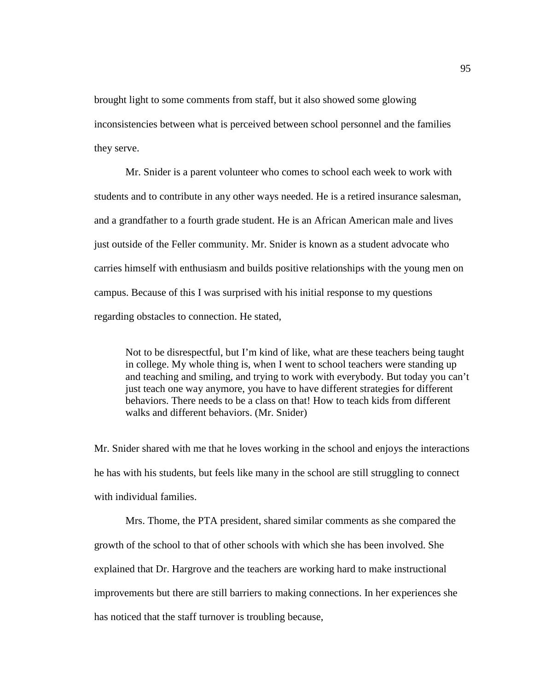brought light to some comments from staff, but it also showed some glowing inconsistencies between what is perceived between school personnel and the families they serve.

Mr. Snider is a parent volunteer who comes to school each week to work with students and to contribute in any other ways needed. He is a retired insurance salesman, and a grandfather to a fourth grade student. He is an African American male and lives just outside of the Feller community. Mr. Snider is known as a student advocate who carries himself with enthusiasm and builds positive relationships with the young men on campus. Because of this I was surprised with his initial response to my questions regarding obstacles to connection. He stated,

Not to be disrespectful, but I'm kind of like, what are these teachers being taught in college. My whole thing is, when I went to school teachers were standing up and teaching and smiling, and trying to work with everybody. But today you can't just teach one way anymore, you have to have different strategies for different behaviors. There needs to be a class on that! How to teach kids from different walks and different behaviors. (Mr. Snider)

Mr. Snider shared with me that he loves working in the school and enjoys the interactions he has with his students, but feels like many in the school are still struggling to connect with individual families.

Mrs. Thome, the PTA president, shared similar comments as she compared the growth of the school to that of other schools with which she has been involved. She explained that Dr. Hargrove and the teachers are working hard to make instructional improvements but there are still barriers to making connections. In her experiences she has noticed that the staff turnover is troubling because,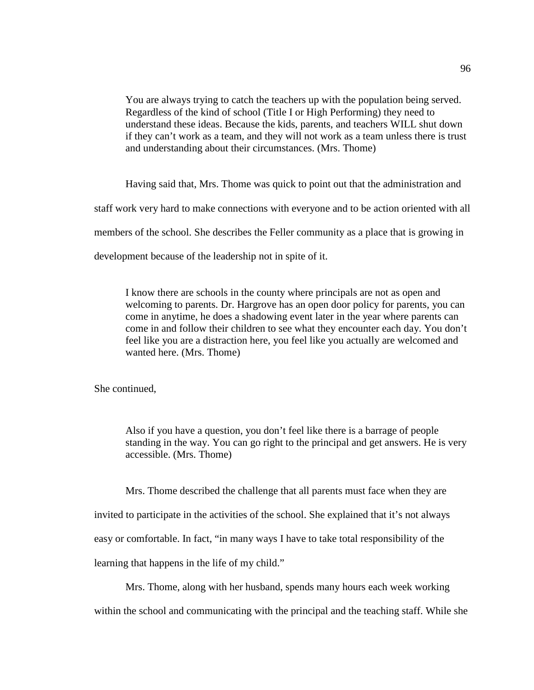You are always trying to catch the teachers up with the population being served. Regardless of the kind of school (Title I or High Performing) they need to understand these ideas. Because the kids, parents, and teachers WILL shut down if they can't work as a team, and they will not work as a team unless there is trust and understanding about their circumstances. (Mrs. Thome)

Having said that, Mrs. Thome was quick to point out that the administration and staff work very hard to make connections with everyone and to be action oriented with all members of the school. She describes the Feller community as a place that is growing in development because of the leadership not in spite of it.

I know there are schools in the county where principals are not as open and welcoming to parents. Dr. Hargrove has an open door policy for parents, you can come in anytime, he does a shadowing event later in the year where parents can come in and follow their children to see what they encounter each day. You don't feel like you are a distraction here, you feel like you actually are welcomed and wanted here. (Mrs. Thome)

She continued,

Also if you have a question, you don't feel like there is a barrage of people standing in the way. You can go right to the principal and get answers. He is very accessible. (Mrs. Thome)

Mrs. Thome described the challenge that all parents must face when they are

invited to participate in the activities of the school. She explained that it's not always

easy or comfortable. In fact, "in many ways I have to take total responsibility of the

learning that happens in the life of my child."

Mrs. Thome, along with her husband, spends many hours each week working

within the school and communicating with the principal and the teaching staff. While she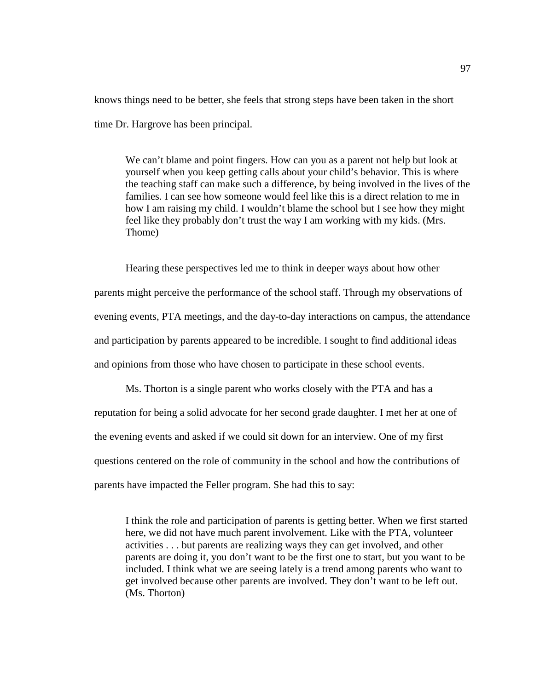knows things need to be better, she feels that strong steps have been taken in the short time Dr. Hargrove has been principal.

We can't blame and point fingers. How can you as a parent not help but look at yourself when you keep getting calls about your child's behavior. This is where the teaching staff can make such a difference, by being involved in the lives of the families. I can see how someone would feel like this is a direct relation to me in how I am raising my child. I wouldn't blame the school but I see how they might feel like they probably don't trust the way I am working with my kids. (Mrs. Thome)

Hearing these perspectives led me to think in deeper ways about how other parents might perceive the performance of the school staff. Through my observations of evening events, PTA meetings, and the day-to-day interactions on campus, the attendance and participation by parents appeared to be incredible. I sought to find additional ideas and opinions from those who have chosen to participate in these school events.

Ms. Thorton is a single parent who works closely with the PTA and has a reputation for being a solid advocate for her second grade daughter. I met her at one of the evening events and asked if we could sit down for an interview. One of my first questions centered on the role of community in the school and how the contributions of parents have impacted the Feller program. She had this to say:

I think the role and participation of parents is getting better. When we first started here, we did not have much parent involvement. Like with the PTA, volunteer activities . . . but parents are realizing ways they can get involved, and other parents are doing it, you don't want to be the first one to start, but you want to be included. I think what we are seeing lately is a trend among parents who want to get involved because other parents are involved. They don't want to be left out. (Ms. Thorton)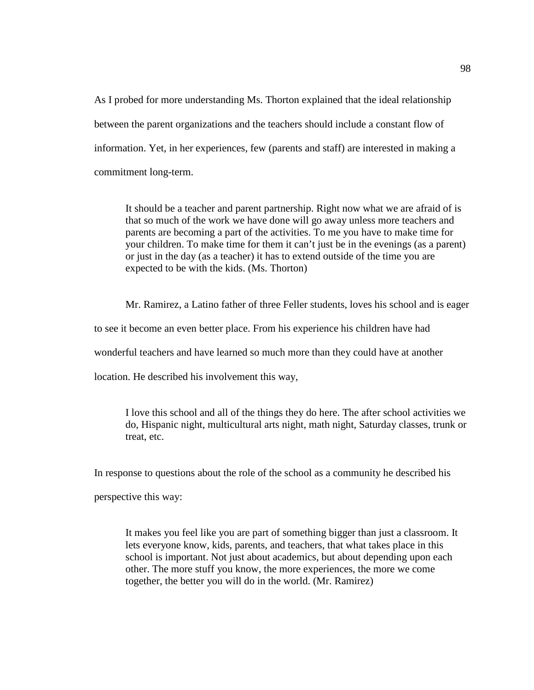As I probed for more understanding Ms. Thorton explained that the ideal relationship between the parent organizations and the teachers should include a constant flow of information. Yet, in her experiences, few (parents and staff) are interested in making a commitment long-term.

It should be a teacher and parent partnership. Right now what we are afraid of is that so much of the work we have done will go away unless more teachers and parents are becoming a part of the activities. To me you have to make time for your children. To make time for them it can't just be in the evenings (as a parent) or just in the day (as a teacher) it has to extend outside of the time you are expected to be with the kids. (Ms. Thorton)

Mr. Ramirez, a Latino father of three Feller students, loves his school and is eager

to see it become an even better place. From his experience his children have had

wonderful teachers and have learned so much more than they could have at another

location. He described his involvement this way,

I love this school and all of the things they do here. The after school activities we do, Hispanic night, multicultural arts night, math night, Saturday classes, trunk or treat, etc.

In response to questions about the role of the school as a community he described his

perspective this way:

It makes you feel like you are part of something bigger than just a classroom. It lets everyone know, kids, parents, and teachers, that what takes place in this school is important. Not just about academics, but about depending upon each other. The more stuff you know, the more experiences, the more we come together, the better you will do in the world. (Mr. Ramirez)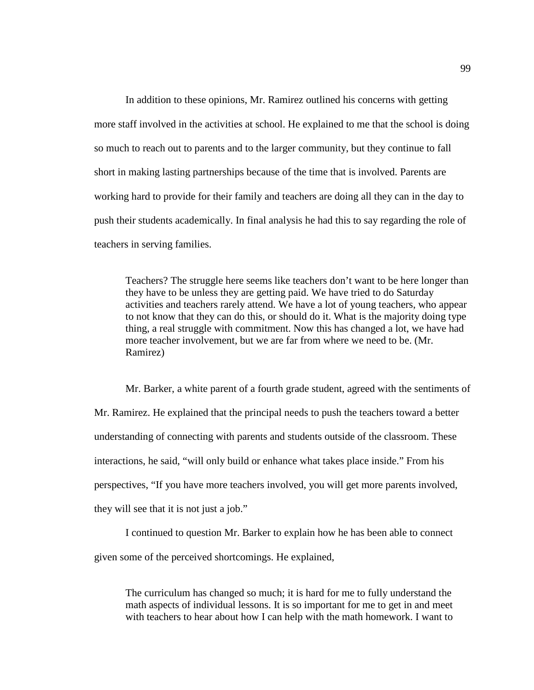In addition to these opinions, Mr. Ramirez outlined his concerns with getting more staff involved in the activities at school. He explained to me that the school is doing so much to reach out to parents and to the larger community, but they continue to fall short in making lasting partnerships because of the time that is involved. Parents are working hard to provide for their family and teachers are doing all they can in the day to push their students academically. In final analysis he had this to say regarding the role of teachers in serving families.

Teachers? The struggle here seems like teachers don't want to be here longer than they have to be unless they are getting paid. We have tried to do Saturday activities and teachers rarely attend. We have a lot of young teachers, who appear to not know that they can do this, or should do it. What is the majority doing type thing, a real struggle with commitment. Now this has changed a lot, we have had more teacher involvement, but we are far from where we need to be. (Mr. Ramirez)

Mr. Barker, a white parent of a fourth grade student, agreed with the sentiments of Mr. Ramirez. He explained that the principal needs to push the teachers toward a better understanding of connecting with parents and students outside of the classroom. These interactions, he said, "will only build or enhance what takes place inside." From his perspectives, "If you have more teachers involved, you will get more parents involved, they will see that it is not just a job."

I continued to question Mr. Barker to explain how he has been able to connect given some of the perceived shortcomings. He explained,

The curriculum has changed so much; it is hard for me to fully understand the math aspects of individual lessons. It is so important for me to get in and meet with teachers to hear about how I can help with the math homework. I want to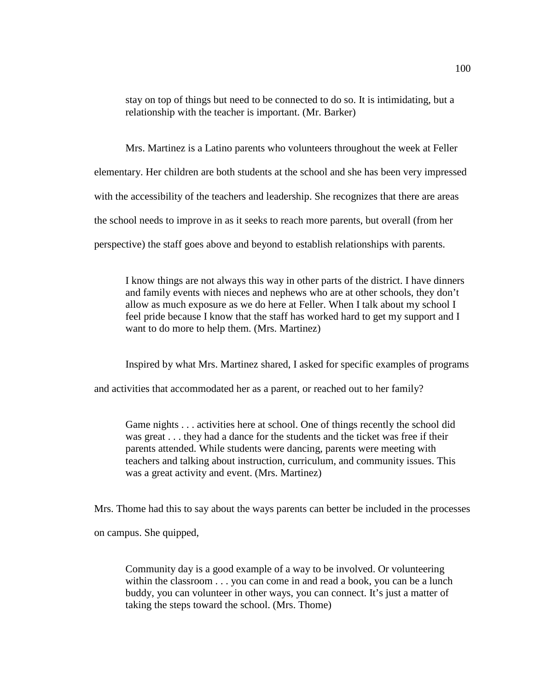stay on top of things but need to be connected to do so. It is intimidating, but a relationship with the teacher is important. (Mr. Barker)

Mrs. Martinez is a Latino parents who volunteers throughout the week at Feller elementary. Her children are both students at the school and she has been very impressed with the accessibility of the teachers and leadership. She recognizes that there are areas the school needs to improve in as it seeks to reach more parents, but overall (from her perspective) the staff goes above and beyond to establish relationships with parents.

I know things are not always this way in other parts of the district. I have dinners and family events with nieces and nephews who are at other schools, they don't allow as much exposure as we do here at Feller. When I talk about my school I feel pride because I know that the staff has worked hard to get my support and I want to do more to help them. (Mrs. Martinez)

Inspired by what Mrs. Martinez shared, I asked for specific examples of programs

and activities that accommodated her as a parent, or reached out to her family?

Game nights . . . activities here at school. One of things recently the school did was great . . . they had a dance for the students and the ticket was free if their parents attended. While students were dancing, parents were meeting with teachers and talking about instruction, curriculum, and community issues. This was a great activity and event. (Mrs. Martinez)

Mrs. Thome had this to say about the ways parents can better be included in the processes

on campus. She quipped,

Community day is a good example of a way to be involved. Or volunteering within the classroom . . . you can come in and read a book, you can be a lunch buddy, you can volunteer in other ways, you can connect. It's just a matter of taking the steps toward the school. (Mrs. Thome)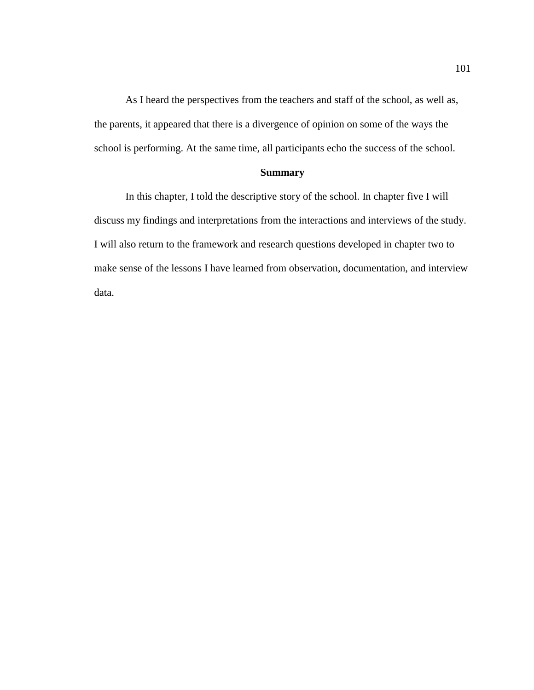As I heard the perspectives from the teachers and staff of the school, as well as, the parents, it appeared that there is a divergence of opinion on some of the ways the school is performing. At the same time, all participants echo the success of the school.

# **Summary**

In this chapter, I told the descriptive story of the school. In chapter five I will discuss my findings and interpretations from the interactions and interviews of the study. I will also return to the framework and research questions developed in chapter two to make sense of the lessons I have learned from observation, documentation, and interview data.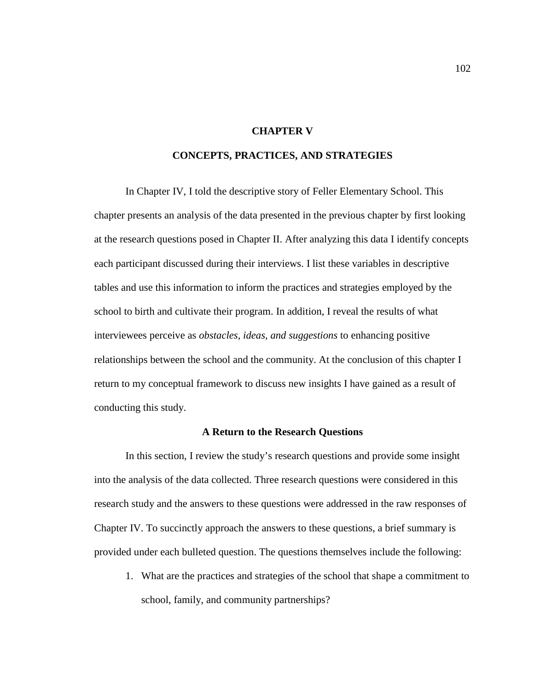#### **CHAPTER V**

### **CONCEPTS, PRACTICES, AND STRATEGIES**

In Chapter IV, I told the descriptive story of Feller Elementary School. This chapter presents an analysis of the data presented in the previous chapter by first looking at the research questions posed in Chapter II. After analyzing this data I identify concepts each participant discussed during their interviews. I list these variables in descriptive tables and use this information to inform the practices and strategies employed by the school to birth and cultivate their program. In addition, I reveal the results of what interviewees perceive as *obstacles, ideas, and suggestions* to enhancing positive relationships between the school and the community. At the conclusion of this chapter I return to my conceptual framework to discuss new insights I have gained as a result of conducting this study.

#### **A Return to the Research Questions**

In this section, I review the study's research questions and provide some insight into the analysis of the data collected. Three research questions were considered in this research study and the answers to these questions were addressed in the raw responses of Chapter IV. To succinctly approach the answers to these questions, a brief summary is provided under each bulleted question. The questions themselves include the following:

1. What are the practices and strategies of the school that shape a commitment to school, family, and community partnerships?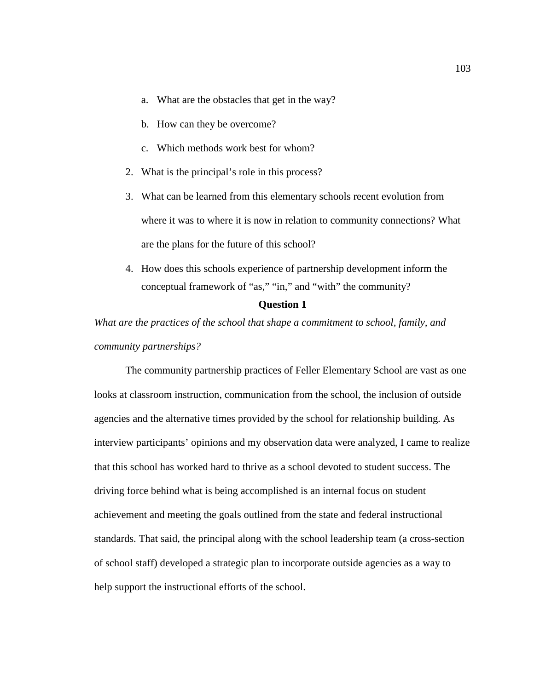- a. What are the obstacles that get in the way?
- b. How can they be overcome?
- c. Which methods work best for whom?
- 2. What is the principal's role in this process?
- 3. What can be learned from this elementary schools recent evolution from where it was to where it is now in relation to community connections? What are the plans for the future of this school?
- 4. How does this schools experience of partnership development inform the conceptual framework of "as," "in," and "with" the community?

#### **Question 1**

*What are the practices of the school that shape a commitment to school, family, and community partnerships?*

The community partnership practices of Feller Elementary School are vast as one looks at classroom instruction, communication from the school, the inclusion of outside agencies and the alternative times provided by the school for relationship building. As interview participants' opinions and my observation data were analyzed, I came to realize that this school has worked hard to thrive as a school devoted to student success. The driving force behind what is being accomplished is an internal focus on student achievement and meeting the goals outlined from the state and federal instructional standards. That said, the principal along with the school leadership team (a cross-section of school staff) developed a strategic plan to incorporate outside agencies as a way to help support the instructional efforts of the school.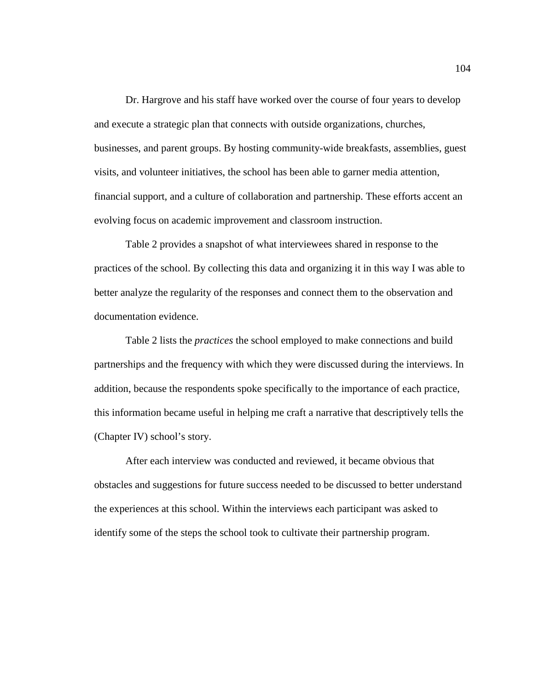Dr. Hargrove and his staff have worked over the course of four years to develop and execute a strategic plan that connects with outside organizations, churches, businesses, and parent groups. By hosting community-wide breakfasts, assemblies, guest visits, and volunteer initiatives, the school has been able to garner media attention, financial support, and a culture of collaboration and partnership. These efforts accent an evolving focus on academic improvement and classroom instruction.

Table 2 provides a snapshot of what interviewees shared in response to the practices of the school. By collecting this data and organizing it in this way I was able to better analyze the regularity of the responses and connect them to the observation and documentation evidence.

Table 2 lists the *practices* the school employed to make connections and build partnerships and the frequency with which they were discussed during the interviews. In addition, because the respondents spoke specifically to the importance of each practice, this information became useful in helping me craft a narrative that descriptively tells the (Chapter IV) school's story.

After each interview was conducted and reviewed, it became obvious that obstacles and suggestions for future success needed to be discussed to better understand the experiences at this school. Within the interviews each participant was asked to identify some of the steps the school took to cultivate their partnership program.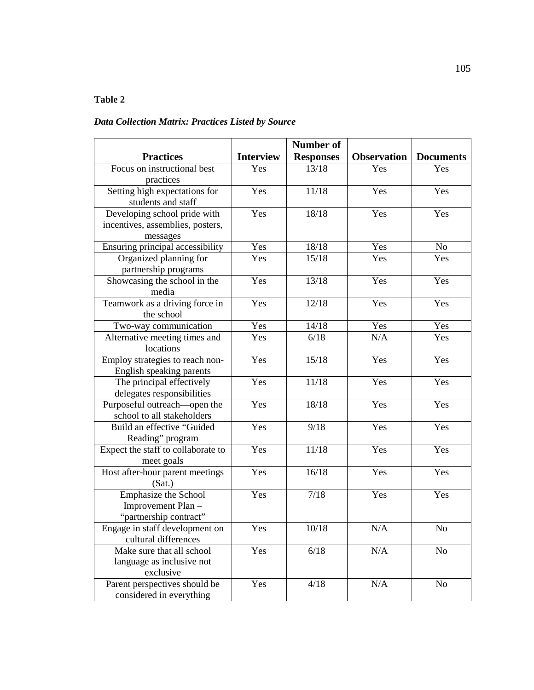# **Table 2**

# *Data Collection Matrix: Practices Listed by Source*

|                                       |                  | <b>Number of</b> |                    |                  |
|---------------------------------------|------------------|------------------|--------------------|------------------|
| <b>Practices</b>                      | <b>Interview</b> | <b>Responses</b> | <b>Observation</b> | <b>Documents</b> |
| Focus on instructional best           | Yes              | 13/18            | Yes                | Yes              |
| practices                             |                  |                  |                    |                  |
| Setting high expectations for         | Yes              | 11/18            | Yes                | Yes              |
| students and staff                    |                  |                  |                    |                  |
| Developing school pride with          | Yes              | 18/18            | Yes                | Yes              |
| incentives, assemblies, posters,      |                  |                  |                    |                  |
| messages                              |                  |                  |                    |                  |
| Ensuring principal accessibility      | Yes              | 18/18            | Yes                | N <sub>o</sub>   |
| Organized planning for                | Yes              | 15/18            | Yes                | Yes              |
| partnership programs                  |                  |                  |                    |                  |
| Showcasing the school in the<br>media | Yes              | 13/18            | Yes                | Yes              |
| Teamwork as a driving force in        | Yes              | 12/18            | Yes                | Yes              |
| the school                            |                  |                  |                    |                  |
| Two-way communication                 | Yes              | 14/18            | Yes                | Yes              |
| Alternative meeting times and         | Yes              | 6/18             | N/A                | Yes              |
| locations                             |                  |                  |                    |                  |
| Employ strategies to reach non-       | Yes              | 15/18            | Yes                | Yes              |
| English speaking parents              |                  |                  |                    |                  |
| The principal effectively             | Yes              | 11/18            | Yes                | Yes              |
| delegates responsibilities            |                  |                  |                    |                  |
| Purposeful outreach—open the          | Yes              | 18/18            | Yes                | Yes              |
| school to all stakeholders            |                  |                  |                    |                  |
| Build an effective "Guided            | Yes              | 9/18             | Yes                | Yes              |
| Reading" program                      |                  |                  |                    |                  |
| Expect the staff to collaborate to    | Yes              | 11/18            | Yes                | Yes              |
| meet goals                            |                  |                  |                    |                  |
| Host after-hour parent meetings       | Yes              | 16/18            | Yes                | Yes              |
| (Sat.)                                |                  |                  |                    |                  |
| Emphasize the School                  | Yes              | 7/18             | Yes                | Yes              |
| Improvement Plan-                     |                  |                  |                    |                  |
| "partnership contract"                |                  |                  |                    |                  |
| Engage in staff development on        | Yes              | 10/18            | N/A                | $\rm No$         |
| cultural differences                  |                  |                  |                    |                  |
| Make sure that all school             | Yes              | 6/18             | N/A                | N <sub>0</sub>   |
| language as inclusive not             |                  |                  |                    |                  |
| exclusive                             |                  |                  |                    |                  |
| Parent perspectives should be         | Yes              | 4/18             | N/A                | N <sub>o</sub>   |
| considered in everything              |                  |                  |                    |                  |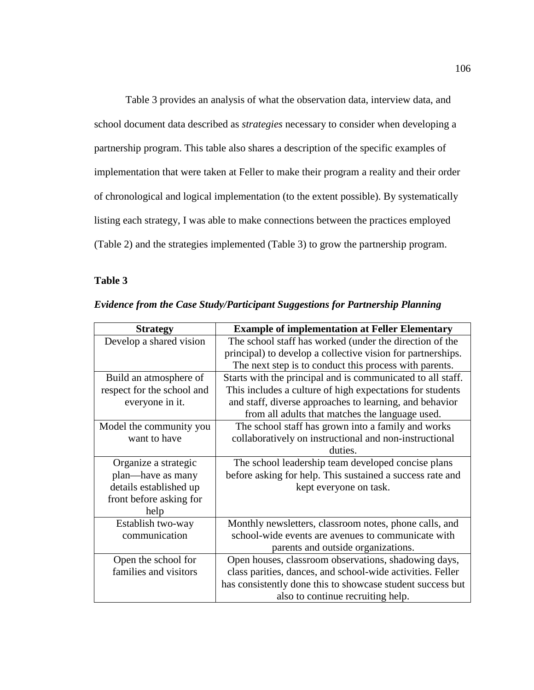Table 3 provides an analysis of what the observation data, interview data, and school document data described as *strategies* necessary to consider when developing a partnership program. This table also shares a description of the specific examples of implementation that were taken at Feller to make their program a reality and their order of chronological and logical implementation (to the extent possible). By systematically listing each strategy, I was able to make connections between the practices employed (Table 2) and the strategies implemented (Table 3) to grow the partnership program.

# **Table 3**

| <b>Strategy</b>            | <b>Example of implementation at Feller Elementary</b>       |
|----------------------------|-------------------------------------------------------------|
| Develop a shared vision    | The school staff has worked (under the direction of the     |
|                            | principal) to develop a collective vision for partnerships. |
|                            | The next step is to conduct this process with parents.      |
| Build an atmosphere of     | Starts with the principal and is communicated to all staff. |
| respect for the school and | This includes a culture of high expectations for students   |
| everyone in it.            | and staff, diverse approaches to learning, and behavior     |
|                            | from all adults that matches the language used.             |
| Model the community you    | The school staff has grown into a family and works          |
| want to have               | collaboratively on instructional and non-instructional      |
|                            | duties.                                                     |
| Organize a strategic       | The school leadership team developed concise plans          |
| plan—have as many          | before asking for help. This sustained a success rate and   |
| details established up     | kept everyone on task.                                      |
| front before asking for    |                                                             |
| help                       |                                                             |
| Establish two-way          | Monthly newsletters, classroom notes, phone calls, and      |
| communication              | school-wide events are avenues to communicate with          |
|                            | parents and outside organizations.                          |
| Open the school for        | Open houses, classroom observations, shadowing days,        |
| families and visitors      | class parities, dances, and school-wide activities. Feller  |
|                            | has consistently done this to showcase student success but  |
|                            | also to continue recruiting help.                           |

*Evidence from the Case Study/Participant Suggestions for Partnership Planning*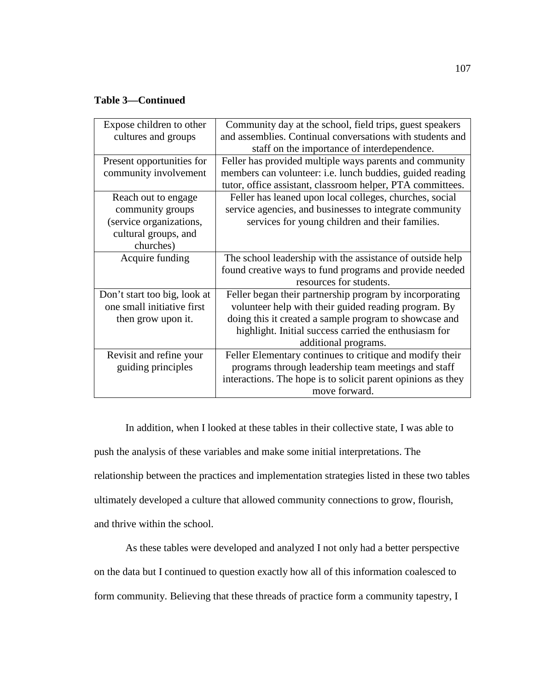# **Table 3—Continued**

| Expose children to other     | Community day at the school, field trips, guest speakers     |
|------------------------------|--------------------------------------------------------------|
| cultures and groups          | and assemblies. Continual conversations with students and    |
|                              | staff on the importance of interdependence.                  |
| Present opportunities for    | Feller has provided multiple ways parents and community      |
| community involvement        | members can volunteer: i.e. lunch buddies, guided reading    |
|                              | tutor, office assistant, classroom helper, PTA committees.   |
| Reach out to engage          | Feller has leaned upon local colleges, churches, social      |
| community groups             | service agencies, and businesses to integrate community      |
| (service organizations,      | services for young children and their families.              |
| cultural groups, and         |                                                              |
| churches)                    |                                                              |
| Acquire funding              | The school leadership with the assistance of outside help    |
|                              | found creative ways to fund programs and provide needed      |
|                              | resources for students.                                      |
| Don't start too big, look at | Feller began their partnership program by incorporating      |
| one small initiative first   | volunteer help with their guided reading program. By         |
| then grow upon it.           | doing this it created a sample program to showcase and       |
|                              | highlight. Initial success carried the enthusiasm for        |
|                              | additional programs.                                         |
| Revisit and refine your      | Feller Elementary continues to critique and modify their     |
| guiding principles           | programs through leadership team meetings and staff          |
|                              | interactions. The hope is to solicit parent opinions as they |
|                              | move forward.                                                |
|                              |                                                              |

In addition, when I looked at these tables in their collective state, I was able to push the analysis of these variables and make some initial interpretations. The relationship between the practices and implementation strategies listed in these two tables ultimately developed a culture that allowed community connections to grow, flourish, and thrive within the school.

As these tables were developed and analyzed I not only had a better perspective on the data but I continued to question exactly how all of this information coalesced to form community. Believing that these threads of practice form a community tapestry, I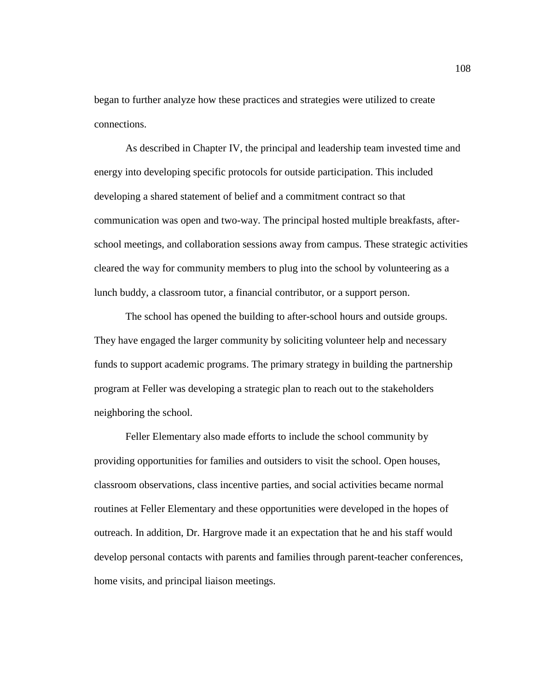began to further analyze how these practices and strategies were utilized to create connections.

As described in Chapter IV, the principal and leadership team invested time and energy into developing specific protocols for outside participation. This included developing a shared statement of belief and a commitment contract so that communication was open and two-way. The principal hosted multiple breakfasts, afterschool meetings, and collaboration sessions away from campus. These strategic activities cleared the way for community members to plug into the school by volunteering as a lunch buddy, a classroom tutor, a financial contributor, or a support person.

The school has opened the building to after-school hours and outside groups. They have engaged the larger community by soliciting volunteer help and necessary funds to support academic programs. The primary strategy in building the partnership program at Feller was developing a strategic plan to reach out to the stakeholders neighboring the school.

Feller Elementary also made efforts to include the school community by providing opportunities for families and outsiders to visit the school. Open houses, classroom observations, class incentive parties, and social activities became normal routines at Feller Elementary and these opportunities were developed in the hopes of outreach. In addition, Dr. Hargrove made it an expectation that he and his staff would develop personal contacts with parents and families through parent-teacher conferences, home visits, and principal liaison meetings.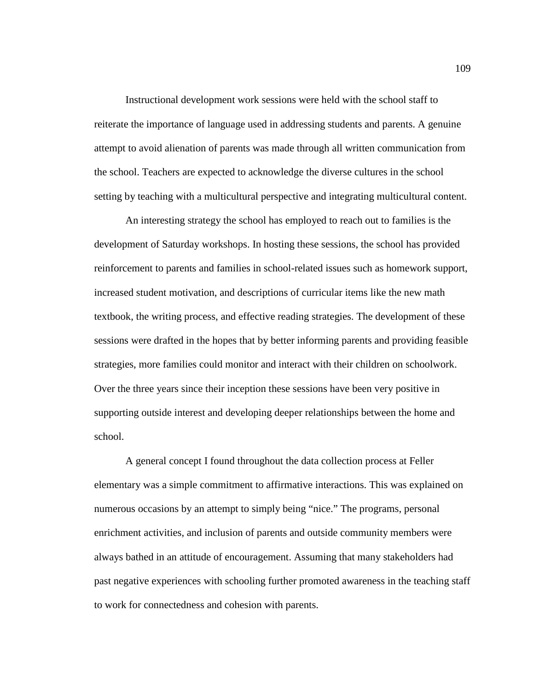Instructional development work sessions were held with the school staff to reiterate the importance of language used in addressing students and parents. A genuine attempt to avoid alienation of parents was made through all written communication from the school. Teachers are expected to acknowledge the diverse cultures in the school setting by teaching with a multicultural perspective and integrating multicultural content.

An interesting strategy the school has employed to reach out to families is the development of Saturday workshops. In hosting these sessions, the school has provided reinforcement to parents and families in school-related issues such as homework support, increased student motivation, and descriptions of curricular items like the new math textbook, the writing process, and effective reading strategies. The development of these sessions were drafted in the hopes that by better informing parents and providing feasible strategies, more families could monitor and interact with their children on schoolwork. Over the three years since their inception these sessions have been very positive in supporting outside interest and developing deeper relationships between the home and school.

A general concept I found throughout the data collection process at Feller elementary was a simple commitment to affirmative interactions. This was explained on numerous occasions by an attempt to simply being "nice." The programs, personal enrichment activities, and inclusion of parents and outside community members were always bathed in an attitude of encouragement. Assuming that many stakeholders had past negative experiences with schooling further promoted awareness in the teaching staff to work for connectedness and cohesion with parents.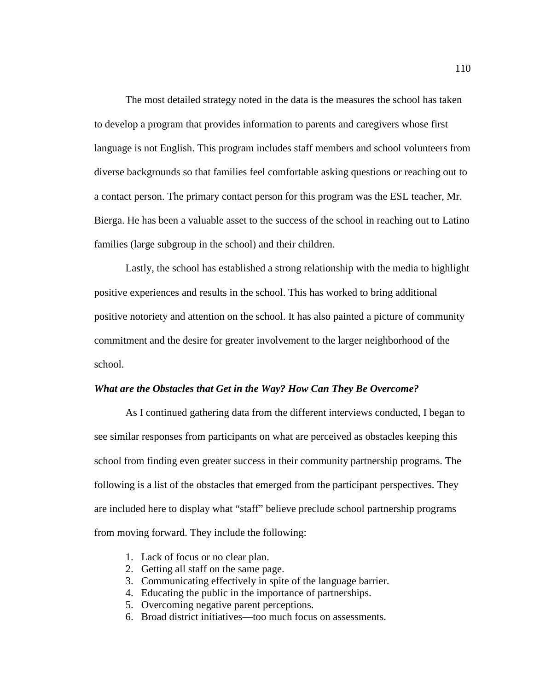The most detailed strategy noted in the data is the measures the school has taken to develop a program that provides information to parents and caregivers whose first language is not English. This program includes staff members and school volunteers from diverse backgrounds so that families feel comfortable asking questions or reaching out to a contact person. The primary contact person for this program was the ESL teacher, Mr. Bierga. He has been a valuable asset to the success of the school in reaching out to Latino families (large subgroup in the school) and their children.

Lastly, the school has established a strong relationship with the media to highlight positive experiences and results in the school. This has worked to bring additional positive notoriety and attention on the school. It has also painted a picture of community commitment and the desire for greater involvement to the larger neighborhood of the school.

#### *What are the Obstacles that Get in the Way? How Can They Be Overcome?*

As I continued gathering data from the different interviews conducted, I began to see similar responses from participants on what are perceived as obstacles keeping this school from finding even greater success in their community partnership programs. The following is a list of the obstacles that emerged from the participant perspectives. They are included here to display what "staff" believe preclude school partnership programs from moving forward. They include the following:

- 1. Lack of focus or no clear plan.
- 2. Getting all staff on the same page.
- 3. Communicating effectively in spite of the language barrier.
- 4. Educating the public in the importance of partnerships.
- 5. Overcoming negative parent perceptions.
- 6. Broad district initiatives—too much focus on assessments.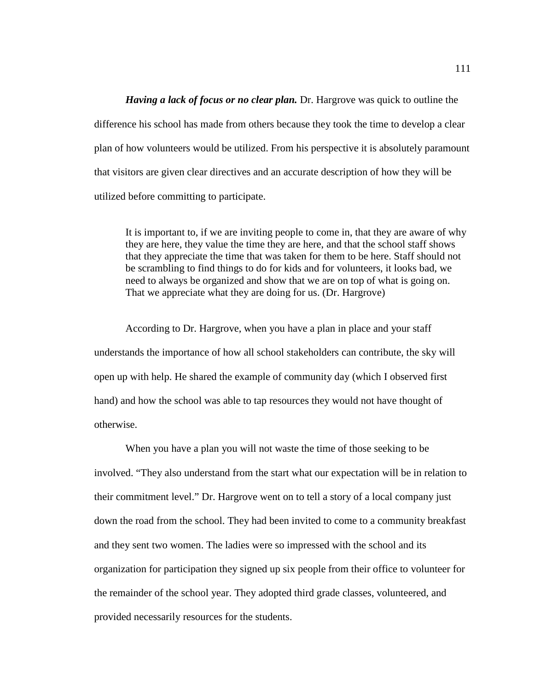*Having a lack of focus or no clear plan.* Dr. Hargrove was quick to outline the difference his school has made from others because they took the time to develop a clear plan of how volunteers would be utilized. From his perspective it is absolutely paramount that visitors are given clear directives and an accurate description of how they will be utilized before committing to participate.

It is important to, if we are inviting people to come in, that they are aware of why they are here, they value the time they are here, and that the school staff shows that they appreciate the time that was taken for them to be here. Staff should not be scrambling to find things to do for kids and for volunteers, it looks bad, we need to always be organized and show that we are on top of what is going on. That we appreciate what they are doing for us. (Dr. Hargrove)

According to Dr. Hargrove, when you have a plan in place and your staff understands the importance of how all school stakeholders can contribute, the sky will open up with help. He shared the example of community day (which I observed first hand) and how the school was able to tap resources they would not have thought of otherwise.

When you have a plan you will not waste the time of those seeking to be involved. "They also understand from the start what our expectation will be in relation to their commitment level." Dr. Hargrove went on to tell a story of a local company just down the road from the school. They had been invited to come to a community breakfast and they sent two women. The ladies were so impressed with the school and its organization for participation they signed up six people from their office to volunteer for the remainder of the school year. They adopted third grade classes, volunteered, and provided necessarily resources for the students.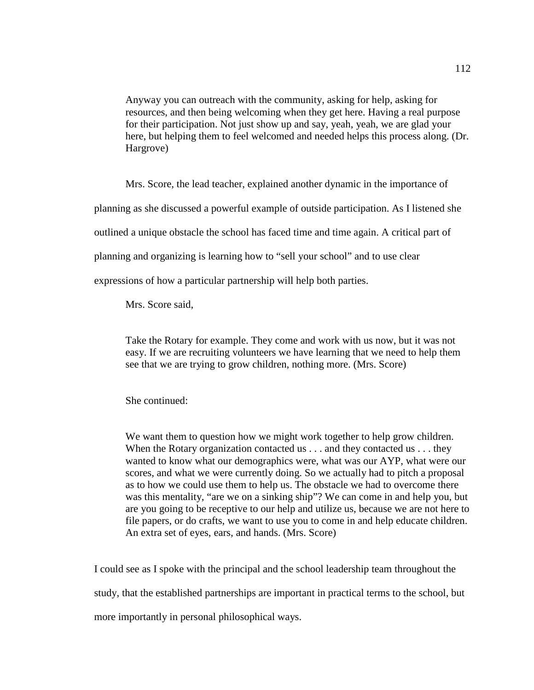Anyway you can outreach with the community, asking for help, asking for resources, and then being welcoming when they get here. Having a real purpose for their participation. Not just show up and say, yeah, yeah, we are glad your here, but helping them to feel welcomed and needed helps this process along. (Dr. Hargrove)

Mrs. Score, the lead teacher, explained another dynamic in the importance of planning as she discussed a powerful example of outside participation. As I listened she outlined a unique obstacle the school has faced time and time again. A critical part of planning and organizing is learning how to "sell your school" and to use clear

expressions of how a particular partnership will help both parties.

Mrs. Score said,

Take the Rotary for example. They come and work with us now, but it was not easy. If we are recruiting volunteers we have learning that we need to help them see that we are trying to grow children, nothing more. (Mrs. Score)

She continued:

We want them to question how we might work together to help grow children. When the Rotary organization contacted us . . . and they contacted us . . . they wanted to know what our demographics were, what was our AYP, what were our scores, and what we were currently doing. So we actually had to pitch a proposal as to how we could use them to help us. The obstacle we had to overcome there was this mentality, "are we on a sinking ship"? We can come in and help you, but are you going to be receptive to our help and utilize us, because we are not here to file papers, or do crafts, we want to use you to come in and help educate children. An extra set of eyes, ears, and hands. (Mrs. Score)

I could see as I spoke with the principal and the school leadership team throughout the

study, that the established partnerships are important in practical terms to the school, but

more importantly in personal philosophical ways.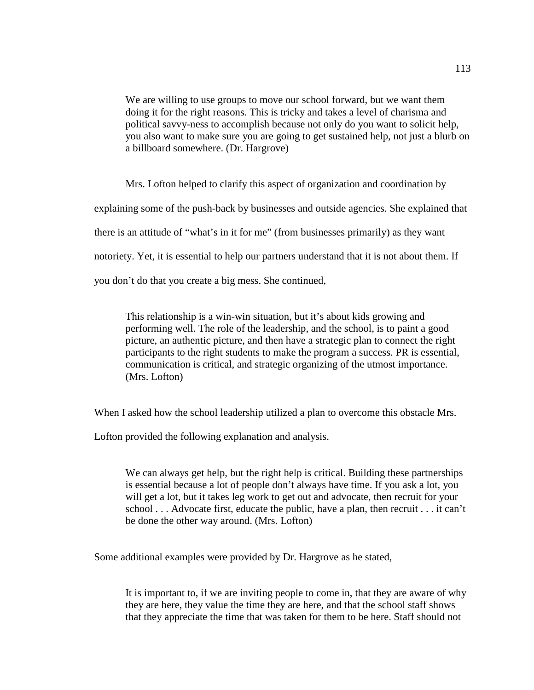We are willing to use groups to move our school forward, but we want them doing it for the right reasons. This is tricky and takes a level of charisma and political savvy-ness to accomplish because not only do you want to solicit help, you also want to make sure you are going to get sustained help, not just a blurb on a billboard somewhere. (Dr. Hargrove)

Mrs. Lofton helped to clarify this aspect of organization and coordination by explaining some of the push-back by businesses and outside agencies. She explained that there is an attitude of "what's in it for me" (from businesses primarily) as they want notoriety. Yet, it is essential to help our partners understand that it is not about them. If you don't do that you create a big mess. She continued,

This relationship is a win-win situation, but it's about kids growing and performing well. The role of the leadership, and the school, is to paint a good picture, an authentic picture, and then have a strategic plan to connect the right participants to the right students to make the program a success. PR is essential, communication is critical, and strategic organizing of the utmost importance. (Mrs. Lofton)

When I asked how the school leadership utilized a plan to overcome this obstacle Mrs.

Lofton provided the following explanation and analysis.

We can always get help, but the right help is critical. Building these partnerships is essential because a lot of people don't always have time. If you ask a lot, you will get a lot, but it takes leg work to get out and advocate, then recruit for your school . . . Advocate first, educate the public, have a plan, then recruit . . . it can't be done the other way around. (Mrs. Lofton)

Some additional examples were provided by Dr. Hargrove as he stated,

It is important to, if we are inviting people to come in, that they are aware of why they are here, they value the time they are here, and that the school staff shows that they appreciate the time that was taken for them to be here. Staff should not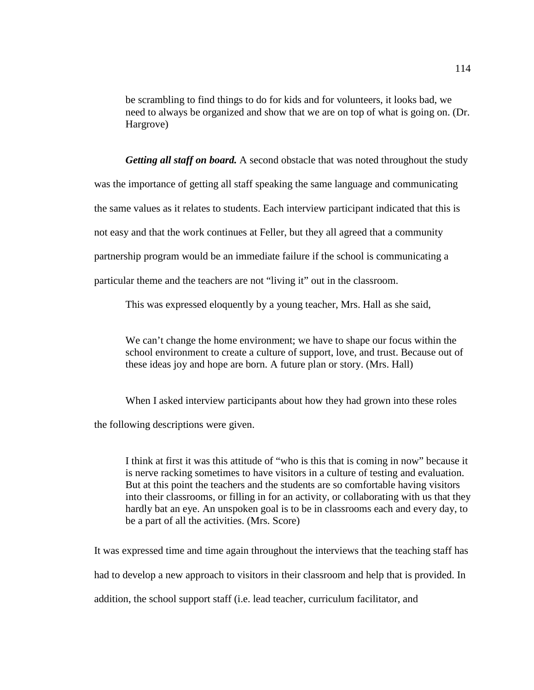be scrambling to find things to do for kids and for volunteers, it looks bad, we need to always be organized and show that we are on top of what is going on. (Dr. Hargrove)

*Getting all staff on board.* A second obstacle that was noted throughout the study was the importance of getting all staff speaking the same language and communicating the same values as it relates to students. Each interview participant indicated that this is not easy and that the work continues at Feller, but they all agreed that a community partnership program would be an immediate failure if the school is communicating a particular theme and the teachers are not "living it" out in the classroom.

This was expressed eloquently by a young teacher, Mrs. Hall as she said,

We can't change the home environment; we have to shape our focus within the school environment to create a culture of support, love, and trust. Because out of these ideas joy and hope are born. A future plan or story. (Mrs. Hall)

When I asked interview participants about how they had grown into these roles

the following descriptions were given.

I think at first it was this attitude of "who is this that is coming in now" because it is nerve racking sometimes to have visitors in a culture of testing and evaluation. But at this point the teachers and the students are so comfortable having visitors into their classrooms, or filling in for an activity, or collaborating with us that they hardly bat an eye. An unspoken goal is to be in classrooms each and every day, to be a part of all the activities. (Mrs. Score)

It was expressed time and time again throughout the interviews that the teaching staff has had to develop a new approach to visitors in their classroom and help that is provided. In addition, the school support staff (i.e. lead teacher, curriculum facilitator, and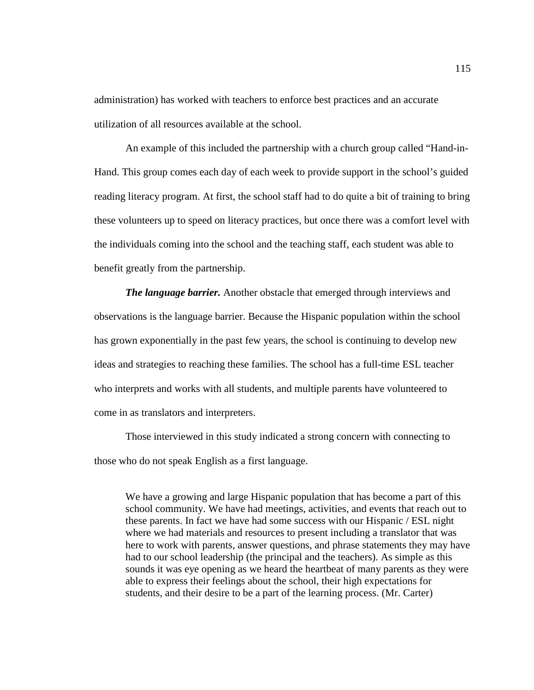administration) has worked with teachers to enforce best practices and an accurate utilization of all resources available at the school.

An example of this included the partnership with a church group called "Hand-in-Hand. This group comes each day of each week to provide support in the school's guided reading literacy program. At first, the school staff had to do quite a bit of training to bring these volunteers up to speed on literacy practices, but once there was a comfort level with the individuals coming into the school and the teaching staff, each student was able to benefit greatly from the partnership.

*The language barrier.* Another obstacle that emerged through interviews and observations is the language barrier. Because the Hispanic population within the school has grown exponentially in the past few years, the school is continuing to develop new ideas and strategies to reaching these families. The school has a full-time ESL teacher who interprets and works with all students, and multiple parents have volunteered to come in as translators and interpreters.

Those interviewed in this study indicated a strong concern with connecting to those who do not speak English as a first language.

We have a growing and large Hispanic population that has become a part of this school community. We have had meetings, activities, and events that reach out to these parents. In fact we have had some success with our Hispanic / ESL night where we had materials and resources to present including a translator that was here to work with parents, answer questions, and phrase statements they may have had to our school leadership (the principal and the teachers). As simple as this sounds it was eye opening as we heard the heartbeat of many parents as they were able to express their feelings about the school, their high expectations for students, and their desire to be a part of the learning process. (Mr. Carter)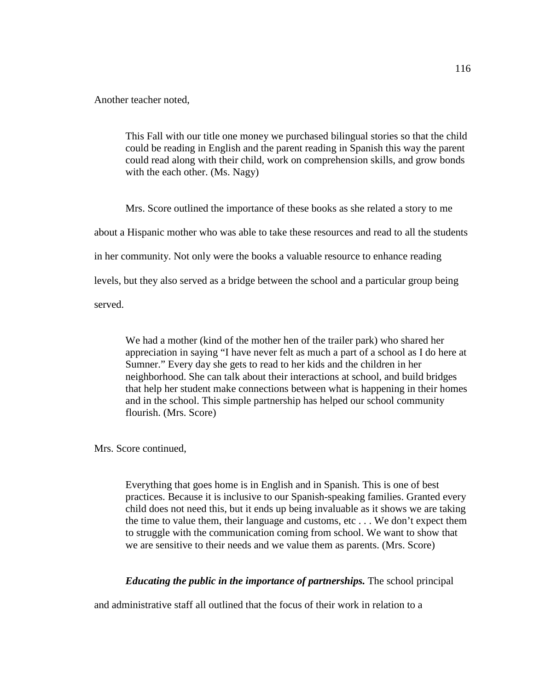Another teacher noted,

This Fall with our title one money we purchased bilingual stories so that the child could be reading in English and the parent reading in Spanish this way the parent could read along with their child, work on comprehension skills, and grow bonds with the each other. (Ms. Nagy)

Mrs. Score outlined the importance of these books as she related a story to me about a Hispanic mother who was able to take these resources and read to all the students in her community. Not only were the books a valuable resource to enhance reading levels, but they also served as a bridge between the school and a particular group being served.

We had a mother (kind of the mother hen of the trailer park) who shared her appreciation in saying "I have never felt as much a part of a school as I do here at Sumner." Every day she gets to read to her kids and the children in her neighborhood. She can talk about their interactions at school, and build bridges that help her student make connections between what is happening in their homes and in the school. This simple partnership has helped our school community flourish. (Mrs. Score)

Mrs. Score continued,

Everything that goes home is in English and in Spanish. This is one of best practices. Because it is inclusive to our Spanish-speaking families. Granted every child does not need this, but it ends up being invaluable as it shows we are taking the time to value them, their language and customs, etc . . . We don't expect them to struggle with the communication coming from school. We want to show that we are sensitive to their needs and we value them as parents. (Mrs. Score)

*Educating the public in the importance of partnerships.* The school principal

and administrative staff all outlined that the focus of their work in relation to a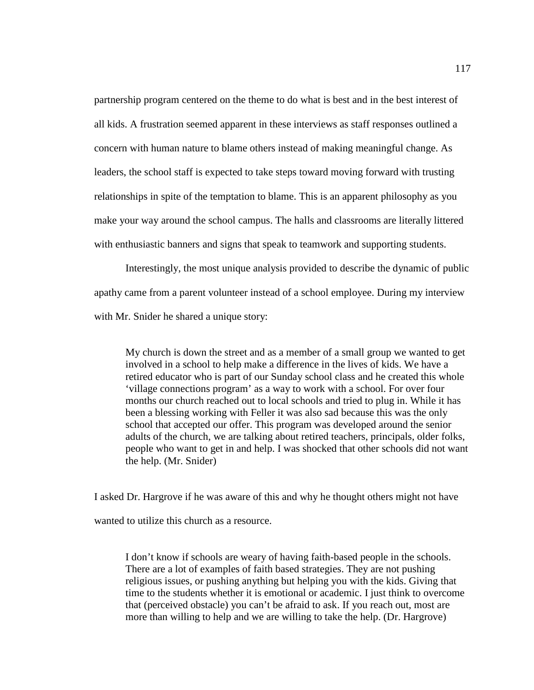partnership program centered on the theme to do what is best and in the best interest of all kids. A frustration seemed apparent in these interviews as staff responses outlined a concern with human nature to blame others instead of making meaningful change. As leaders, the school staff is expected to take steps toward moving forward with trusting relationships in spite of the temptation to blame. This is an apparent philosophy as you make your way around the school campus. The halls and classrooms are literally littered with enthusiastic banners and signs that speak to teamwork and supporting students.

Interestingly, the most unique analysis provided to describe the dynamic of public apathy came from a parent volunteer instead of a school employee. During my interview with Mr. Snider he shared a unique story:

My church is down the street and as a member of a small group we wanted to get involved in a school to help make a difference in the lives of kids. We have a retired educator who is part of our Sunday school class and he created this whole 'village connections program' as a way to work with a school. For over four months our church reached out to local schools and tried to plug in. While it has been a blessing working with Feller it was also sad because this was the only school that accepted our offer. This program was developed around the senior adults of the church, we are talking about retired teachers, principals, older folks, people who want to get in and help. I was shocked that other schools did not want the help. (Mr. Snider)

I asked Dr. Hargrove if he was aware of this and why he thought others might not have wanted to utilize this church as a resource.

I don't know if schools are weary of having faith-based people in the schools. There are a lot of examples of faith based strategies. They are not pushing religious issues, or pushing anything but helping you with the kids. Giving that time to the students whether it is emotional or academic. I just think to overcome that (perceived obstacle) you can't be afraid to ask. If you reach out, most are more than willing to help and we are willing to take the help. (Dr. Hargrove)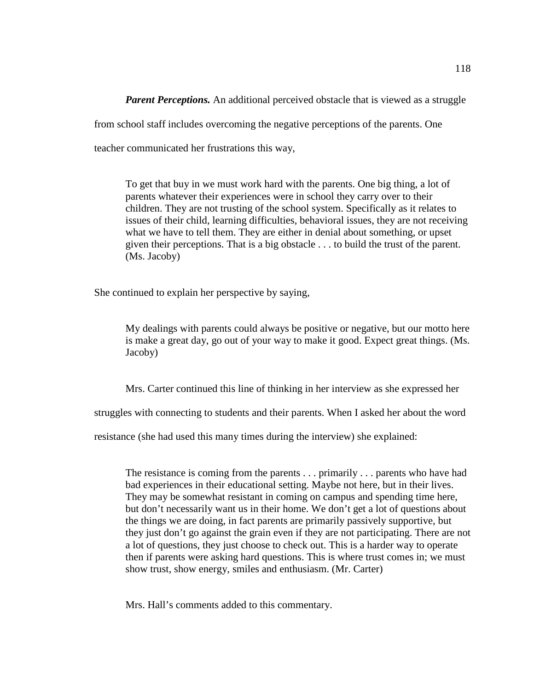*Parent Perceptions.* An additional perceived obstacle that is viewed as a struggle from school staff includes overcoming the negative perceptions of the parents. One teacher communicated her frustrations this way,

To get that buy in we must work hard with the parents. One big thing, a lot of parents whatever their experiences were in school they carry over to their children. They are not trusting of the school system. Specifically as it relates to issues of their child, learning difficulties, behavioral issues, they are not receiving what we have to tell them. They are either in denial about something, or upset given their perceptions. That is a big obstacle . . . to build the trust of the parent. (Ms. Jacoby)

She continued to explain her perspective by saying,

My dealings with parents could always be positive or negative, but our motto here is make a great day, go out of your way to make it good. Expect great things. (Ms. Jacoby)

Mrs. Carter continued this line of thinking in her interview as she expressed her

struggles with connecting to students and their parents. When I asked her about the word

resistance (she had used this many times during the interview) she explained:

The resistance is coming from the parents . . . primarily . . . parents who have had bad experiences in their educational setting. Maybe not here, but in their lives. They may be somewhat resistant in coming on campus and spending time here, but don't necessarily want us in their home. We don't get a lot of questions about the things we are doing, in fact parents are primarily passively supportive, but they just don't go against the grain even if they are not participating. There are not a lot of questions, they just choose to check out. This is a harder way to operate then if parents were asking hard questions. This is where trust comes in; we must show trust, show energy, smiles and enthusiasm. (Mr. Carter)

Mrs. Hall's comments added to this commentary.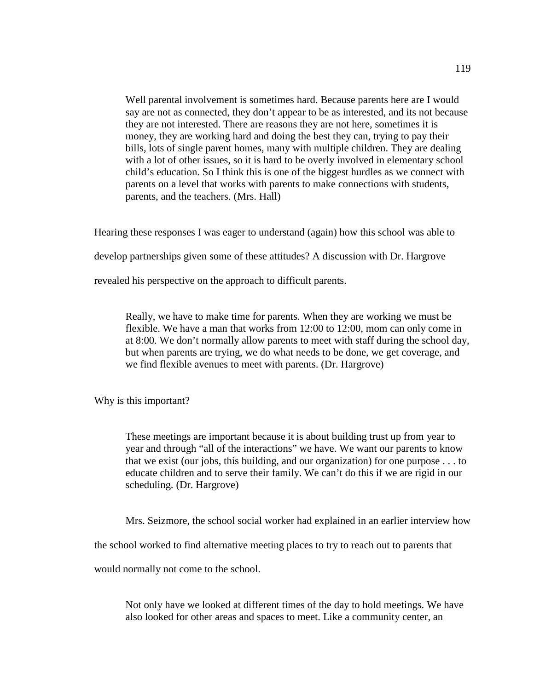Well parental involvement is sometimes hard. Because parents here are I would say are not as connected, they don't appear to be as interested, and its not because they are not interested. There are reasons they are not here, sometimes it is money, they are working hard and doing the best they can, trying to pay their bills, lots of single parent homes, many with multiple children. They are dealing with a lot of other issues, so it is hard to be overly involved in elementary school child's education. So I think this is one of the biggest hurdles as we connect with parents on a level that works with parents to make connections with students, parents, and the teachers. (Mrs. Hall)

Hearing these responses I was eager to understand (again) how this school was able to

develop partnerships given some of these attitudes? A discussion with Dr. Hargrove

revealed his perspective on the approach to difficult parents.

Really, we have to make time for parents. When they are working we must be flexible. We have a man that works from 12:00 to 12:00, mom can only come in at 8:00. We don't normally allow parents to meet with staff during the school day, but when parents are trying, we do what needs to be done, we get coverage, and we find flexible avenues to meet with parents. (Dr. Hargrove)

Why is this important?

These meetings are important because it is about building trust up from year to year and through "all of the interactions" we have. We want our parents to know that we exist (our jobs, this building, and our organization) for one purpose . . . to educate children and to serve their family. We can't do this if we are rigid in our scheduling. (Dr. Hargrove)

Mrs. Seizmore, the school social worker had explained in an earlier interview how

the school worked to find alternative meeting places to try to reach out to parents that

would normally not come to the school.

Not only have we looked at different times of the day to hold meetings. We have also looked for other areas and spaces to meet. Like a community center, an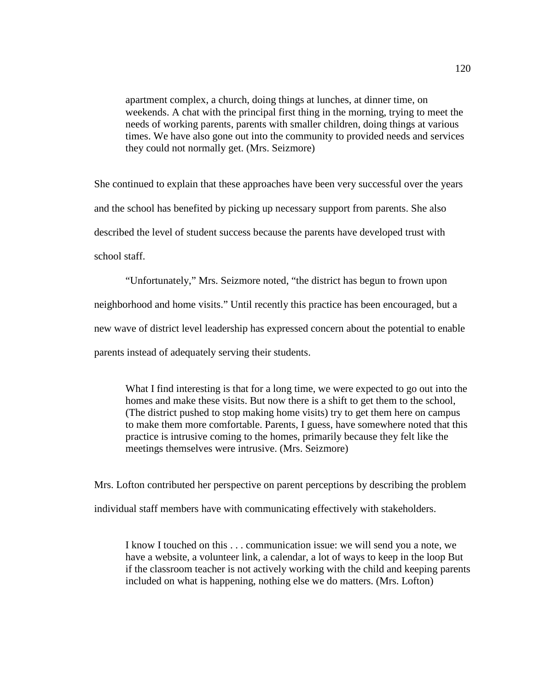apartment complex, a church, doing things at lunches, at dinner time, on weekends. A chat with the principal first thing in the morning, trying to meet the needs of working parents, parents with smaller children, doing things at various times. We have also gone out into the community to provided needs and services they could not normally get. (Mrs. Seizmore)

She continued to explain that these approaches have been very successful over the years and the school has benefited by picking up necessary support from parents. She also described the level of student success because the parents have developed trust with school staff.

"Unfortunately," Mrs. Seizmore noted, "the district has begun to frown upon neighborhood and home visits." Until recently this practice has been encouraged, but a new wave of district level leadership has expressed concern about the potential to enable parents instead of adequately serving their students.

What I find interesting is that for a long time, we were expected to go out into the homes and make these visits. But now there is a shift to get them to the school, (The district pushed to stop making home visits) try to get them here on campus to make them more comfortable. Parents, I guess, have somewhere noted that this practice is intrusive coming to the homes, primarily because they felt like the meetings themselves were intrusive. (Mrs. Seizmore)

Mrs. Lofton contributed her perspective on parent perceptions by describing the problem individual staff members have with communicating effectively with stakeholders.

I know I touched on this . . . communication issue: we will send you a note, we have a website, a volunteer link, a calendar, a lot of ways to keep in the loop But if the classroom teacher is not actively working with the child and keeping parents included on what is happening, nothing else we do matters. (Mrs. Lofton)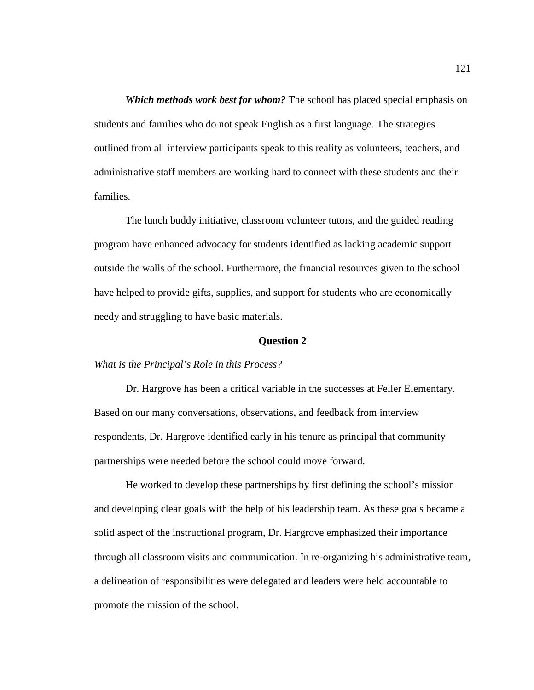*Which methods work best for whom?* The school has placed special emphasis on students and families who do not speak English as a first language. The strategies outlined from all interview participants speak to this reality as volunteers, teachers, and administrative staff members are working hard to connect with these students and their families.

The lunch buddy initiative, classroom volunteer tutors, and the guided reading program have enhanced advocacy for students identified as lacking academic support outside the walls of the school. Furthermore, the financial resources given to the school have helped to provide gifts, supplies, and support for students who are economically needy and struggling to have basic materials.

### **Question 2**

#### *What is the Principal's Role in this Process?*

Dr. Hargrove has been a critical variable in the successes at Feller Elementary. Based on our many conversations, observations, and feedback from interview respondents, Dr. Hargrove identified early in his tenure as principal that community partnerships were needed before the school could move forward.

He worked to develop these partnerships by first defining the school's mission and developing clear goals with the help of his leadership team. As these goals became a solid aspect of the instructional program, Dr. Hargrove emphasized their importance through all classroom visits and communication. In re-organizing his administrative team, a delineation of responsibilities were delegated and leaders were held accountable to promote the mission of the school.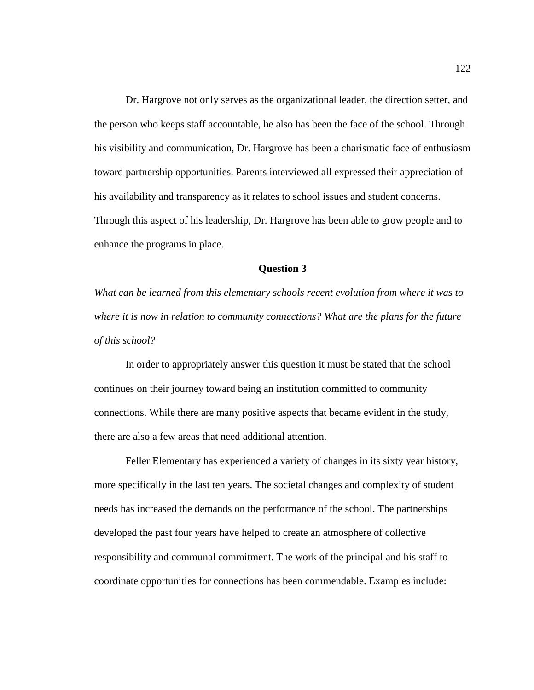Dr. Hargrove not only serves as the organizational leader, the direction setter, and the person who keeps staff accountable, he also has been the face of the school. Through his visibility and communication, Dr. Hargrove has been a charismatic face of enthusiasm toward partnership opportunities. Parents interviewed all expressed their appreciation of his availability and transparency as it relates to school issues and student concerns. Through this aspect of his leadership, Dr. Hargrove has been able to grow people and to enhance the programs in place.

#### **Question 3**

*What can be learned from this elementary schools recent evolution from where it was to where it is now in relation to community connections? What are the plans for the future of this school?* 

In order to appropriately answer this question it must be stated that the school continues on their journey toward being an institution committed to community connections. While there are many positive aspects that became evident in the study, there are also a few areas that need additional attention.

Feller Elementary has experienced a variety of changes in its sixty year history, more specifically in the last ten years. The societal changes and complexity of student needs has increased the demands on the performance of the school. The partnerships developed the past four years have helped to create an atmosphere of collective responsibility and communal commitment. The work of the principal and his staff to coordinate opportunities for connections has been commendable. Examples include: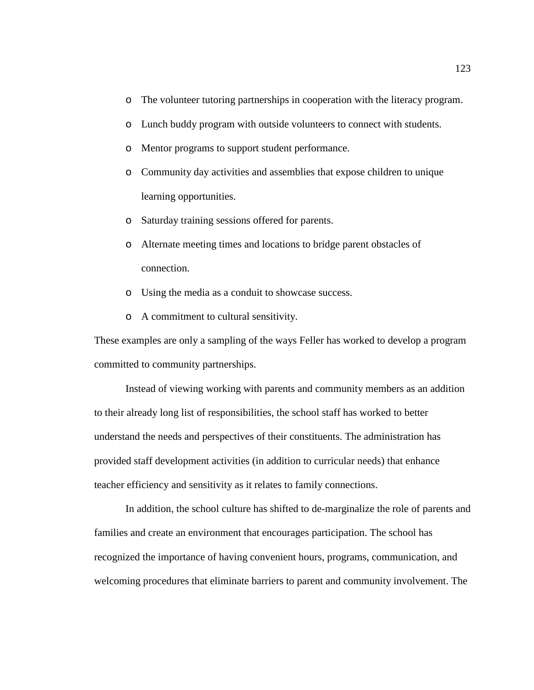- o The volunteer tutoring partnerships in cooperation with the literacy program.
- o Lunch buddy program with outside volunteers to connect with students.
- o Mentor programs to support student performance.
- o Community day activities and assemblies that expose children to unique learning opportunities.
- o Saturday training sessions offered for parents.
- o Alternate meeting times and locations to bridge parent obstacles of connection.
- o Using the media as a conduit to showcase success.
- o A commitment to cultural sensitivity.

These examples are only a sampling of the ways Feller has worked to develop a program committed to community partnerships.

Instead of viewing working with parents and community members as an addition to their already long list of responsibilities, the school staff has worked to better understand the needs and perspectives of their constituents. The administration has provided staff development activities (in addition to curricular needs) that enhance teacher efficiency and sensitivity as it relates to family connections.

In addition, the school culture has shifted to de-marginalize the role of parents and families and create an environment that encourages participation. The school has recognized the importance of having convenient hours, programs, communication, and welcoming procedures that eliminate barriers to parent and community involvement. The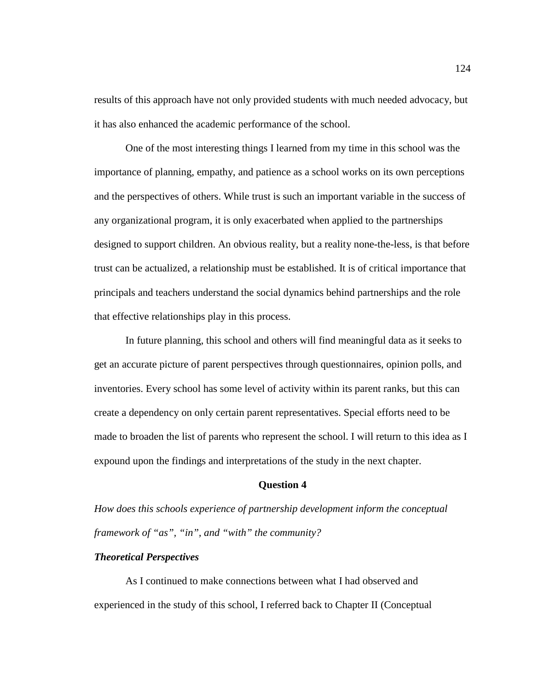results of this approach have not only provided students with much needed advocacy, but it has also enhanced the academic performance of the school.

One of the most interesting things I learned from my time in this school was the importance of planning, empathy, and patience as a school works on its own perceptions and the perspectives of others. While trust is such an important variable in the success of any organizational program, it is only exacerbated when applied to the partnerships designed to support children. An obvious reality, but a reality none-the-less, is that before trust can be actualized, a relationship must be established. It is of critical importance that principals and teachers understand the social dynamics behind partnerships and the role that effective relationships play in this process.

In future planning, this school and others will find meaningful data as it seeks to get an accurate picture of parent perspectives through questionnaires, opinion polls, and inventories. Every school has some level of activity within its parent ranks, but this can create a dependency on only certain parent representatives. Special efforts need to be made to broaden the list of parents who represent the school. I will return to this idea as I expound upon the findings and interpretations of the study in the next chapter.

#### **Question 4**

*How does this schools experience of partnership development inform the conceptual framework of "as", "in", and "with" the community?* 

### *Theoretical Perspectives*

As I continued to make connections between what I had observed and experienced in the study of this school, I referred back to Chapter II (Conceptual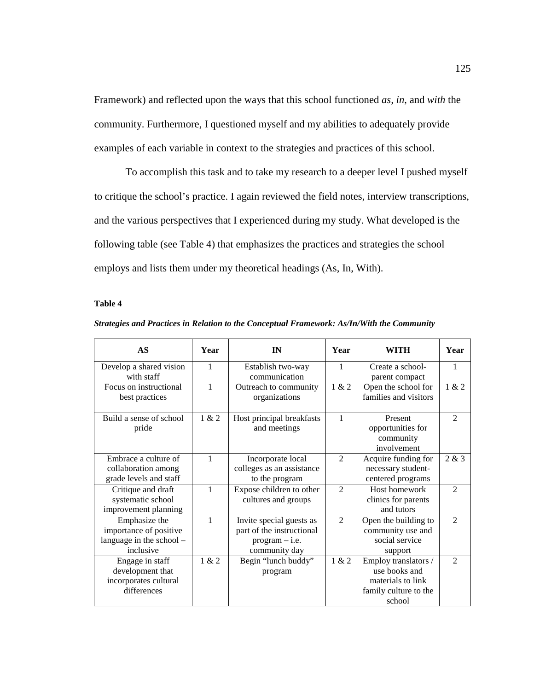Framework) and reflected upon the ways that this school functioned *as, in*, and *with* the community. Furthermore, I questioned myself and my abilities to adequately provide examples of each variable in context to the strategies and practices of this school.

To accomplish this task and to take my research to a deeper level I pushed myself to critique the school's practice. I again reviewed the field notes, interview transcriptions, and the various perspectives that I experienced during my study. What developed is the following table (see Table 4) that emphasizes the practices and strategies the school employs and lists them under my theoretical headings (As, In, With).

#### **Table 4**

|  | Strategies and Practices in Relation to the Conceptual Framework: As/In/With the Community |
|--|--------------------------------------------------------------------------------------------|
|  |                                                                                            |

| AS                                                                               | Year         | IN                                                                                         | Year           | WITH                                                                                          | Year           |
|----------------------------------------------------------------------------------|--------------|--------------------------------------------------------------------------------------------|----------------|-----------------------------------------------------------------------------------------------|----------------|
| Develop a shared vision<br>with staff                                            | 1            | Establish two-way<br>communication                                                         | 1              | Create a school-<br>parent compact                                                            | 1              |
| Focus on instructional<br>best practices                                         | 1            | Outreach to community<br>organizations                                                     | 1 & 2          | Open the school for<br>families and visitors                                                  | 1 & 2          |
| Build a sense of school<br>pride                                                 | 1 & 2        | Host principal breakfasts<br>and meetings                                                  | 1              | Present<br>opportunities for<br>community<br>involvement                                      | $\mathfrak{D}$ |
| Embrace a culture of<br>collaboration among<br>grade levels and staff            | $\mathbf{1}$ | Incorporate local<br>colleges as an assistance<br>to the program                           | $\mathfrak{D}$ | Acquire funding for<br>necessary student-<br>centered programs                                | 2 & 3          |
| Critique and draft<br>systematic school<br>improvement planning                  | 1            | Expose children to other<br>cultures and groups                                            | $\overline{2}$ | Host homework<br>clinics for parents<br>and tutors                                            | $\mathfrak{D}$ |
| Emphasize the<br>importance of positive<br>language in the school -<br>inclusive | $\mathbf{1}$ | Invite special guests as<br>part of the instructional<br>$program - i.e.$<br>community day | $\mathfrak{D}$ | Open the building to<br>community use and<br>social service<br>support                        | $\mathfrak{D}$ |
| Engage in staff<br>development that<br>incorporates cultural<br>differences      | 1 & 2        | Begin "lunch buddy"<br>program                                                             | 1 & 2          | Employ translators /<br>use books and<br>materials to link<br>family culture to the<br>school | $\mathfrak{D}$ |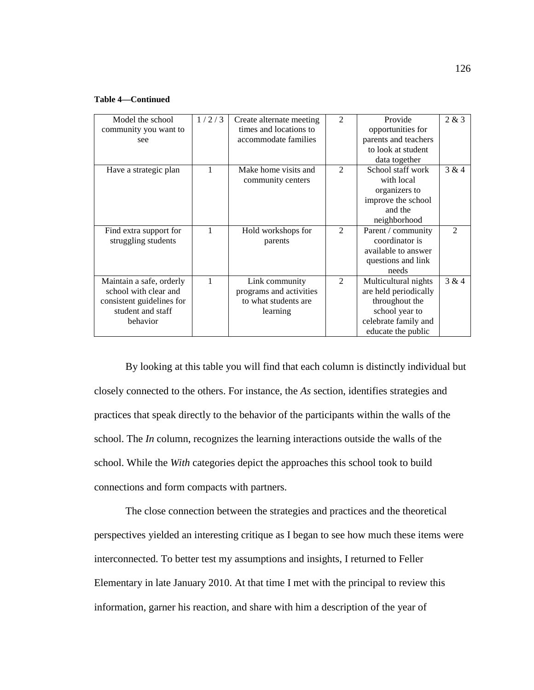#### **Table 4—Continued**

| Model the school<br>community you want to<br>see                                                                | 1/2/3 | Create alternate meeting<br>times and locations to<br>accommodate families    | $\mathfrak{D}$ | Provide<br>opportunities for<br>parents and teachers                                                                            | 2 & 3          |
|-----------------------------------------------------------------------------------------------------------------|-------|-------------------------------------------------------------------------------|----------------|---------------------------------------------------------------------------------------------------------------------------------|----------------|
|                                                                                                                 |       |                                                                               |                | to look at student<br>data together                                                                                             |                |
| Have a strategic plan                                                                                           | 1     | Make home visits and<br>community centers                                     | $\mathfrak{D}$ | School staff work<br>with local<br>organizers to<br>improve the school<br>and the<br>neighborhood                               | 3 & 4          |
| Find extra support for<br>struggling students                                                                   |       | Hold workshops for<br>parents                                                 | $\mathfrak{D}$ | Parent / community<br>coordinator is<br>available to answer<br>questions and link<br>needs                                      | $\mathfrak{D}$ |
| Maintain a safe, orderly<br>school with clear and<br>consistent guidelines for<br>student and staff<br>behavior |       | Link community<br>programs and activities<br>to what students are<br>learning | $\mathfrak{D}$ | Multicultural nights<br>are held periodically<br>throughout the<br>school year to<br>celebrate family and<br>educate the public | 3 & 4          |

By looking at this table you will find that each column is distinctly individual but closely connected to the others. For instance, the *As* section, identifies strategies and practices that speak directly to the behavior of the participants within the walls of the school. The *In* column, recognizes the learning interactions outside the walls of the school. While the *With* categories depict the approaches this school took to build connections and form compacts with partners.

The close connection between the strategies and practices and the theoretical perspectives yielded an interesting critique as I began to see how much these items were interconnected. To better test my assumptions and insights, I returned to Feller Elementary in late January 2010. At that time I met with the principal to review this information, garner his reaction, and share with him a description of the year of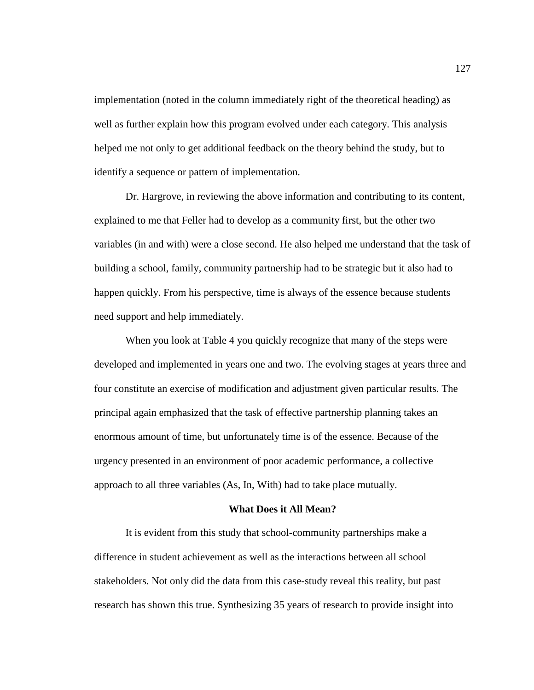implementation (noted in the column immediately right of the theoretical heading) as well as further explain how this program evolved under each category. This analysis helped me not only to get additional feedback on the theory behind the study, but to identify a sequence or pattern of implementation.

Dr. Hargrove, in reviewing the above information and contributing to its content, explained to me that Feller had to develop as a community first, but the other two variables (in and with) were a close second. He also helped me understand that the task of building a school, family, community partnership had to be strategic but it also had to happen quickly. From his perspective, time is always of the essence because students need support and help immediately.

When you look at Table 4 you quickly recognize that many of the steps were developed and implemented in years one and two. The evolving stages at years three and four constitute an exercise of modification and adjustment given particular results. The principal again emphasized that the task of effective partnership planning takes an enormous amount of time, but unfortunately time is of the essence. Because of the urgency presented in an environment of poor academic performance, a collective approach to all three variables (As, In, With) had to take place mutually.

#### **What Does it All Mean?**

It is evident from this study that school-community partnerships make a difference in student achievement as well as the interactions between all school stakeholders. Not only did the data from this case-study reveal this reality, but past research has shown this true. Synthesizing 35 years of research to provide insight into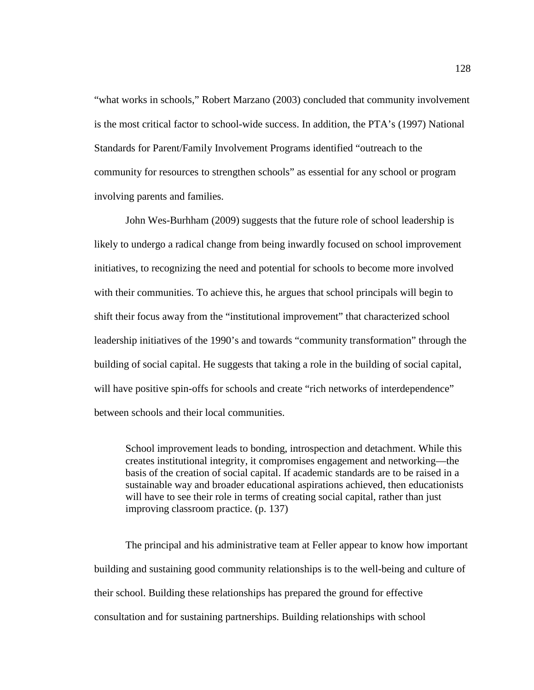"what works in schools," Robert Marzano (2003) concluded that community involvement is the most critical factor to school-wide success. In addition, the PTA's (1997) National Standards for Parent/Family Involvement Programs identified "outreach to the community for resources to strengthen schools" as essential for any school or program involving parents and families.

John Wes-Burhham (2009) suggests that the future role of school leadership is likely to undergo a radical change from being inwardly focused on school improvement initiatives, to recognizing the need and potential for schools to become more involved with their communities. To achieve this, he argues that school principals will begin to shift their focus away from the "institutional improvement" that characterized school leadership initiatives of the 1990's and towards "community transformation" through the building of social capital. He suggests that taking a role in the building of social capital, will have positive spin-offs for schools and create "rich networks of interdependence" between schools and their local communities.

School improvement leads to bonding, introspection and detachment. While this creates institutional integrity, it compromises engagement and networking—the basis of the creation of social capital. If academic standards are to be raised in a sustainable way and broader educational aspirations achieved, then educationists will have to see their role in terms of creating social capital, rather than just improving classroom practice. (p. 137)

The principal and his administrative team at Feller appear to know how important building and sustaining good community relationships is to the well-being and culture of their school. Building these relationships has prepared the ground for effective consultation and for sustaining partnerships. Building relationships with school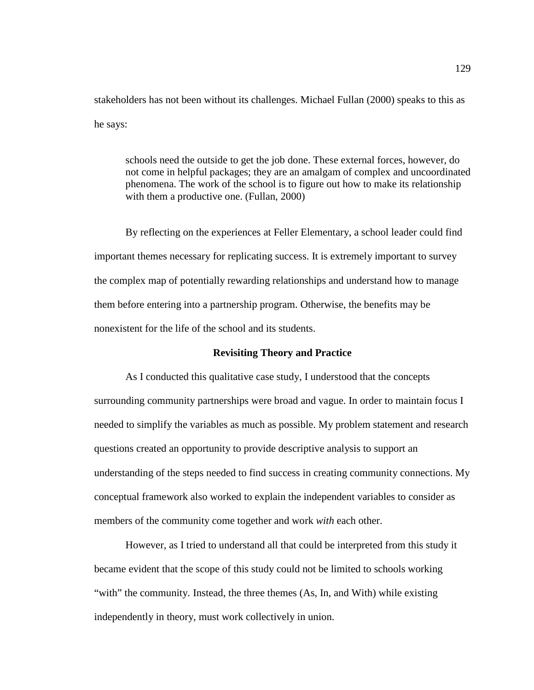stakeholders has not been without its challenges. Michael Fullan (2000) speaks to this as he says:

schools need the outside to get the job done. These external forces, however, do not come in helpful packages; they are an amalgam of complex and uncoordinated phenomena. The work of the school is to figure out how to make its relationship with them a productive one. (Fullan, 2000)

By reflecting on the experiences at Feller Elementary, a school leader could find important themes necessary for replicating success. It is extremely important to survey the complex map of potentially rewarding relationships and understand how to manage them before entering into a partnership program. Otherwise, the benefits may be nonexistent for the life of the school and its students.

### **Revisiting Theory and Practice**

As I conducted this qualitative case study, I understood that the concepts surrounding community partnerships were broad and vague. In order to maintain focus I needed to simplify the variables as much as possible. My problem statement and research questions created an opportunity to provide descriptive analysis to support an understanding of the steps needed to find success in creating community connections. My conceptual framework also worked to explain the independent variables to consider as members of the community come together and work *with* each other.

However, as I tried to understand all that could be interpreted from this study it became evident that the scope of this study could not be limited to schools working "with" the community. Instead, the three themes (As, In, and With) while existing independently in theory, must work collectively in union.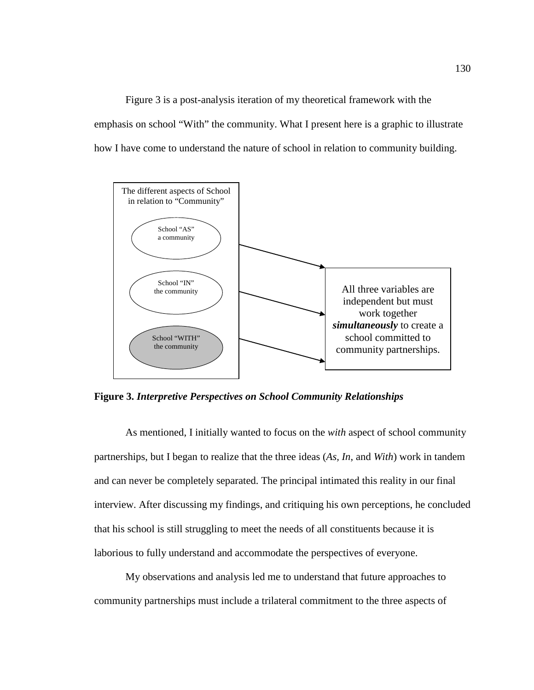Figure 3 is a post-analysis iteration of my theoretical framework with the emphasis on school "With" the community. What I present here is a graphic to illustrate how I have come to understand the nature of school in relation to community building.



**Figure 3.** *Interpretive Perspectives on School Community Relationships*

As mentioned, I initially wanted to focus on the *with* aspect of school community partnerships, but I began to realize that the three ideas (*As, In*, and *With*) work in tandem and can never be completely separated. The principal intimated this reality in our final interview. After discussing my findings, and critiquing his own perceptions, he concluded that his school is still struggling to meet the needs of all constituents because it is laborious to fully understand and accommodate the perspectives of everyone.

My observations and analysis led me to understand that future approaches to community partnerships must include a trilateral commitment to the three aspects of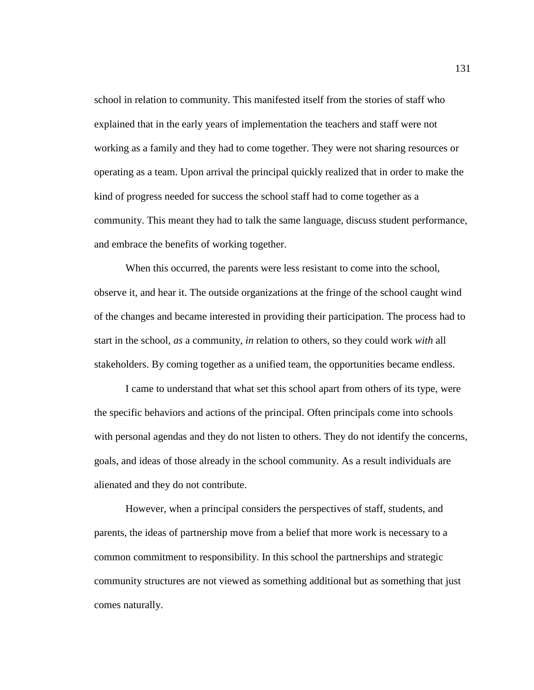school in relation to community. This manifested itself from the stories of staff who explained that in the early years of implementation the teachers and staff were not working as a family and they had to come together. They were not sharing resources or operating as a team. Upon arrival the principal quickly realized that in order to make the kind of progress needed for success the school staff had to come together as a community. This meant they had to talk the same language, discuss student performance, and embrace the benefits of working together.

When this occurred, the parents were less resistant to come into the school, observe it, and hear it. The outside organizations at the fringe of the school caught wind of the changes and became interested in providing their participation. The process had to start in the school, *as* a community, *in* relation to others, so they could work *with* all stakeholders. By coming together as a unified team, the opportunities became endless.

I came to understand that what set this school apart from others of its type, were the specific behaviors and actions of the principal. Often principals come into schools with personal agendas and they do not listen to others. They do not identify the concerns, goals, and ideas of those already in the school community. As a result individuals are alienated and they do not contribute.

However, when a principal considers the perspectives of staff, students, and parents, the ideas of partnership move from a belief that more work is necessary to a common commitment to responsibility. In this school the partnerships and strategic community structures are not viewed as something additional but as something that just comes naturally.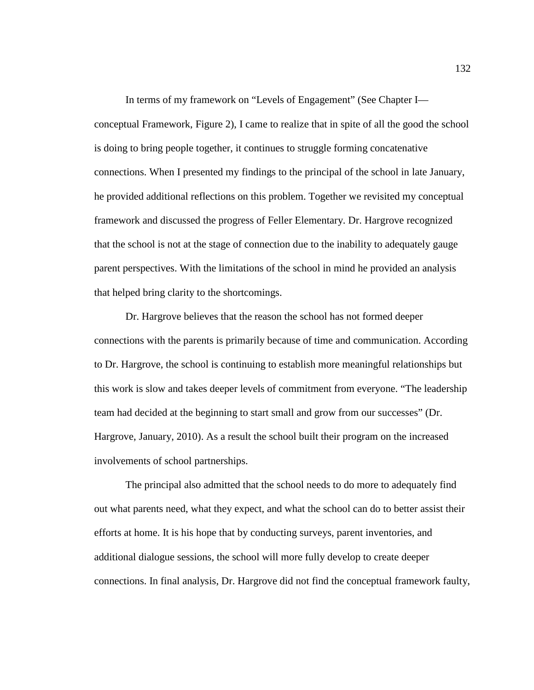In terms of my framework on "Levels of Engagement" (See Chapter I conceptual Framework, Figure 2), I came to realize that in spite of all the good the school is doing to bring people together, it continues to struggle forming concatenative connections. When I presented my findings to the principal of the school in late January, he provided additional reflections on this problem. Together we revisited my conceptual framework and discussed the progress of Feller Elementary. Dr. Hargrove recognized that the school is not at the stage of connection due to the inability to adequately gauge parent perspectives. With the limitations of the school in mind he provided an analysis that helped bring clarity to the shortcomings.

Dr. Hargrove believes that the reason the school has not formed deeper connections with the parents is primarily because of time and communication. According to Dr. Hargrove, the school is continuing to establish more meaningful relationships but this work is slow and takes deeper levels of commitment from everyone. "The leadership team had decided at the beginning to start small and grow from our successes" (Dr. Hargrove, January, 2010). As a result the school built their program on the increased involvements of school partnerships.

The principal also admitted that the school needs to do more to adequately find out what parents need, what they expect, and what the school can do to better assist their efforts at home. It is his hope that by conducting surveys, parent inventories, and additional dialogue sessions, the school will more fully develop to create deeper connections. In final analysis, Dr. Hargrove did not find the conceptual framework faulty,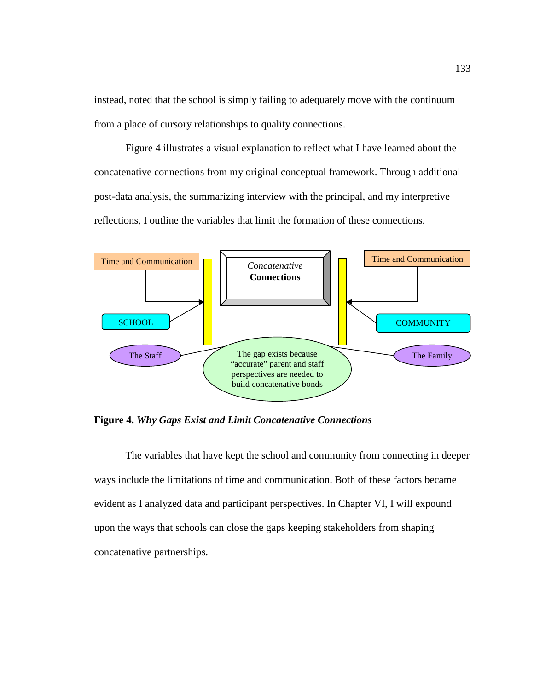instead, noted that the school is simply failing to adequately move with the continuum from a place of cursory relationships to quality connections.

Figure 4 illustrates a visual explanation to reflect what I have learned about the concatenative connections from my original conceptual framework. Through additional post-data analysis, the summarizing interview with the principal, and my interpretive reflections, I outline the variables that limit the formation of these connections.



**Figure 4.** *Why Gaps Exist and Limit Concatenative Connections*

The variables that have kept the school and community from connecting in deeper ways include the limitations of time and communication. Both of these factors became evident as I analyzed data and participant perspectives. In Chapter VI, I will expound upon the ways that schools can close the gaps keeping stakeholders from shaping concatenative partnerships.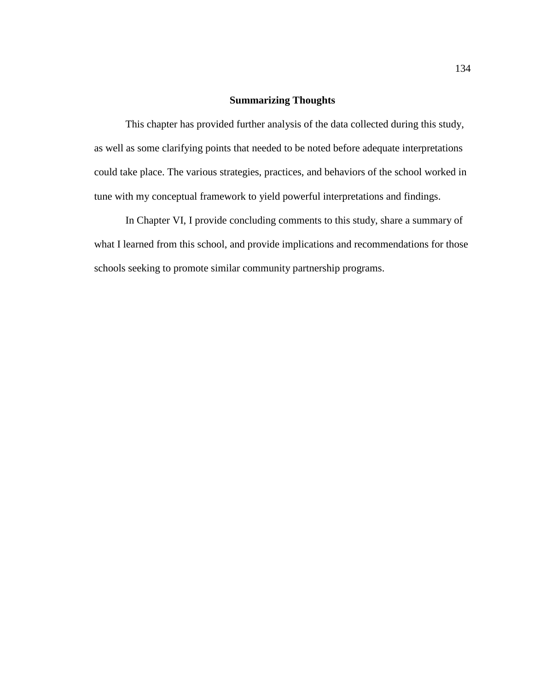# **Summarizing Thoughts**

This chapter has provided further analysis of the data collected during this study, as well as some clarifying points that needed to be noted before adequate interpretations could take place. The various strategies, practices, and behaviors of the school worked in tune with my conceptual framework to yield powerful interpretations and findings.

In Chapter VI, I provide concluding comments to this study, share a summary of what I learned from this school, and provide implications and recommendations for those schools seeking to promote similar community partnership programs.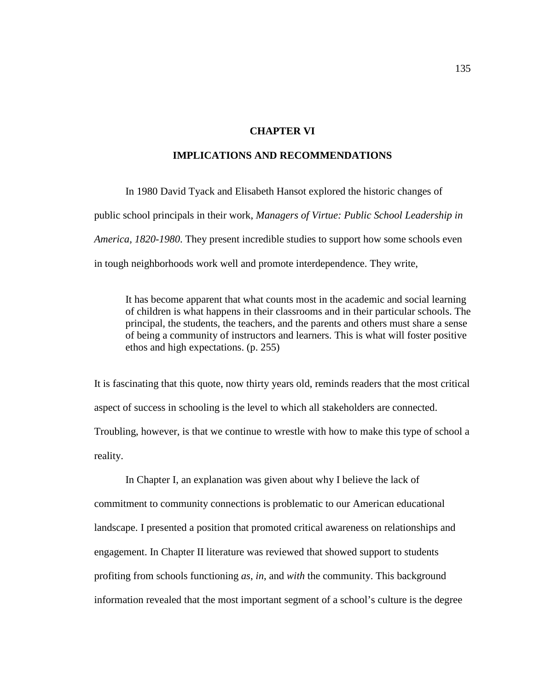## **CHAPTER VI**

# **IMPLICATIONS AND RECOMMENDATIONS**

In 1980 David Tyack and Elisabeth Hansot explored the historic changes of public school principals in their work, *Managers of Virtue: Public School Leadership in America, 1820-1980*. They present incredible studies to support how some schools even in tough neighborhoods work well and promote interdependence. They write,

It has become apparent that what counts most in the academic and social learning of children is what happens in their classrooms and in their particular schools. The principal, the students, the teachers, and the parents and others must share a sense of being a community of instructors and learners. This is what will foster positive ethos and high expectations. (p. 255)

It is fascinating that this quote, now thirty years old, reminds readers that the most critical aspect of success in schooling is the level to which all stakeholders are connected. Troubling, however, is that we continue to wrestle with how to make this type of school a reality.

In Chapter I, an explanation was given about why I believe the lack of commitment to community connections is problematic to our American educational landscape. I presented a position that promoted critical awareness on relationships and engagement. In Chapter II literature was reviewed that showed support to students profiting from schools functioning *as*, *in*, and *with* the community. This background information revealed that the most important segment of a school's culture is the degree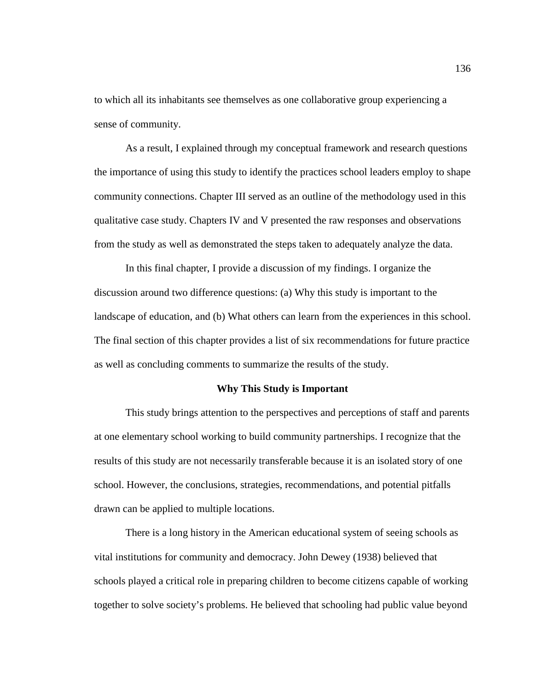to which all its inhabitants see themselves as one collaborative group experiencing a sense of community.

As a result, I explained through my conceptual framework and research questions the importance of using this study to identify the practices school leaders employ to shape community connections. Chapter III served as an outline of the methodology used in this qualitative case study. Chapters IV and V presented the raw responses and observations from the study as well as demonstrated the steps taken to adequately analyze the data.

In this final chapter, I provide a discussion of my findings. I organize the discussion around two difference questions: (a) Why this study is important to the landscape of education, and (b) What others can learn from the experiences in this school. The final section of this chapter provides a list of six recommendations for future practice as well as concluding comments to summarize the results of the study.

#### **Why This Study is Important**

This study brings attention to the perspectives and perceptions of staff and parents at one elementary school working to build community partnerships. I recognize that the results of this study are not necessarily transferable because it is an isolated story of one school. However, the conclusions, strategies, recommendations, and potential pitfalls drawn can be applied to multiple locations.

There is a long history in the American educational system of seeing schools as vital institutions for community and democracy. John Dewey (1938) believed that schools played a critical role in preparing children to become citizens capable of working together to solve society's problems. He believed that schooling had public value beyond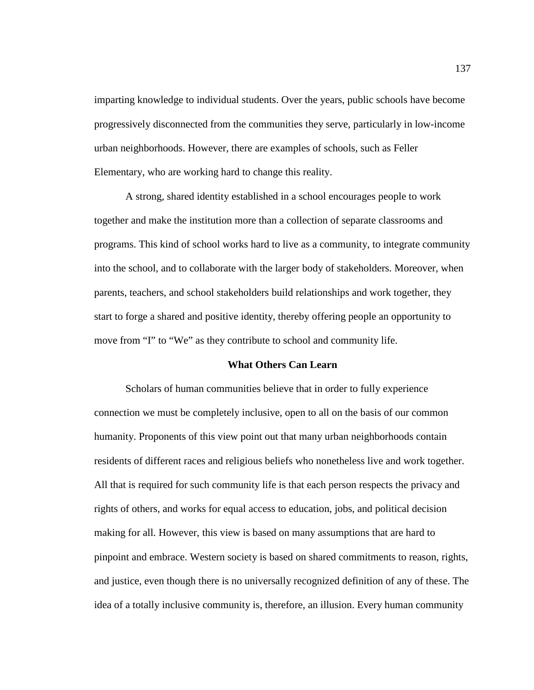imparting knowledge to individual students. Over the years, public schools have become progressively disconnected from the communities they serve, particularly in low-income urban neighborhoods. However, there are examples of schools, such as Feller Elementary, who are working hard to change this reality.

A strong, shared identity established in a school encourages people to work together and make the institution more than a collection of separate classrooms and programs. This kind of school works hard to live as a community, to integrate community into the school, and to collaborate with the larger body of stakeholders. Moreover, when parents, teachers, and school stakeholders build relationships and work together, they start to forge a shared and positive identity, thereby offering people an opportunity to move from "I" to "We" as they contribute to school and community life.

#### **What Others Can Learn**

Scholars of human communities believe that in order to fully experience connection we must be completely inclusive, open to all on the basis of our common humanity. Proponents of this view point out that many urban neighborhoods contain residents of different races and religious beliefs who nonetheless live and work together. All that is required for such community life is that each person respects the privacy and rights of others, and works for equal access to education, jobs, and political decision making for all. However, this view is based on many assumptions that are hard to pinpoint and embrace. Western society is based on shared commitments to reason, rights, and justice, even though there is no universally recognized definition of any of these. The idea of a totally inclusive community is, therefore, an illusion. Every human community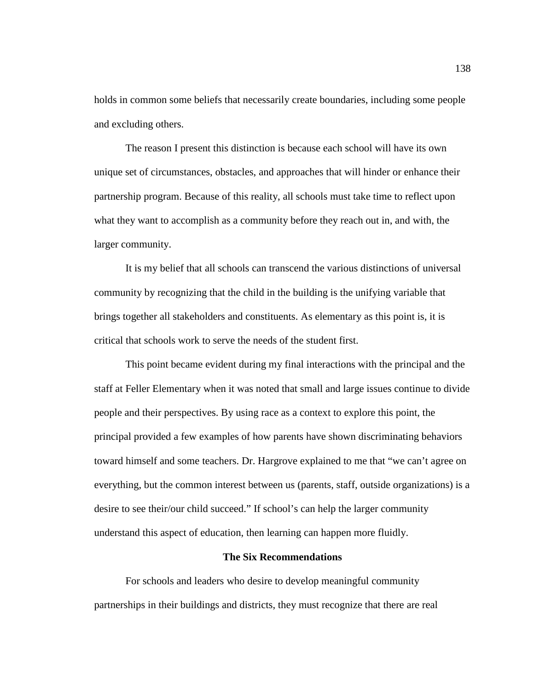holds in common some beliefs that necessarily create boundaries, including some people and excluding others.

The reason I present this distinction is because each school will have its own unique set of circumstances, obstacles, and approaches that will hinder or enhance their partnership program. Because of this reality, all schools must take time to reflect upon what they want to accomplish as a community before they reach out in, and with, the larger community.

It is my belief that all schools can transcend the various distinctions of universal community by recognizing that the child in the building is the unifying variable that brings together all stakeholders and constituents. As elementary as this point is, it is critical that schools work to serve the needs of the student first.

This point became evident during my final interactions with the principal and the staff at Feller Elementary when it was noted that small and large issues continue to divide people and their perspectives. By using race as a context to explore this point, the principal provided a few examples of how parents have shown discriminating behaviors toward himself and some teachers. Dr. Hargrove explained to me that "we can't agree on everything, but the common interest between us (parents, staff, outside organizations) is a desire to see their/our child succeed." If school's can help the larger community understand this aspect of education, then learning can happen more fluidly.

## **The Six Recommendations**

For schools and leaders who desire to develop meaningful community partnerships in their buildings and districts, they must recognize that there are real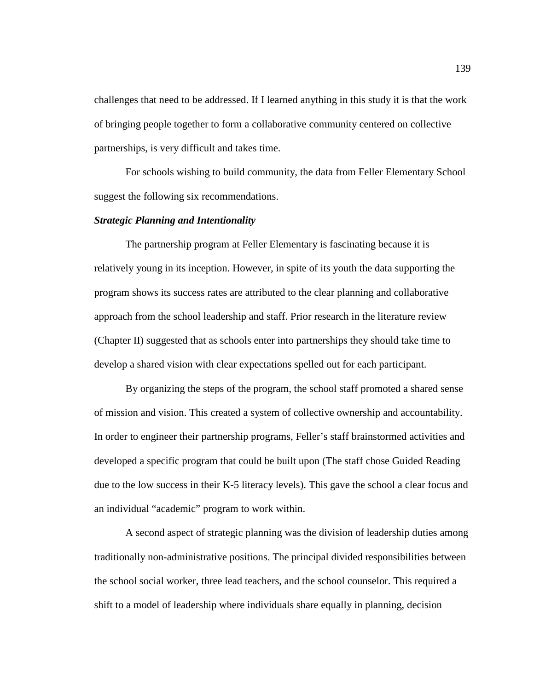challenges that need to be addressed. If I learned anything in this study it is that the work of bringing people together to form a collaborative community centered on collective partnerships, is very difficult and takes time.

For schools wishing to build community, the data from Feller Elementary School suggest the following six recommendations.

## *Strategic Planning and Intentionality*

The partnership program at Feller Elementary is fascinating because it is relatively young in its inception. However, in spite of its youth the data supporting the program shows its success rates are attributed to the clear planning and collaborative approach from the school leadership and staff. Prior research in the literature review (Chapter II) suggested that as schools enter into partnerships they should take time to develop a shared vision with clear expectations spelled out for each participant.

By organizing the steps of the program, the school staff promoted a shared sense of mission and vision. This created a system of collective ownership and accountability. In order to engineer their partnership programs, Feller's staff brainstormed activities and developed a specific program that could be built upon (The staff chose Guided Reading due to the low success in their K-5 literacy levels). This gave the school a clear focus and an individual "academic" program to work within.

A second aspect of strategic planning was the division of leadership duties among traditionally non-administrative positions. The principal divided responsibilities between the school social worker, three lead teachers, and the school counselor. This required a shift to a model of leadership where individuals share equally in planning, decision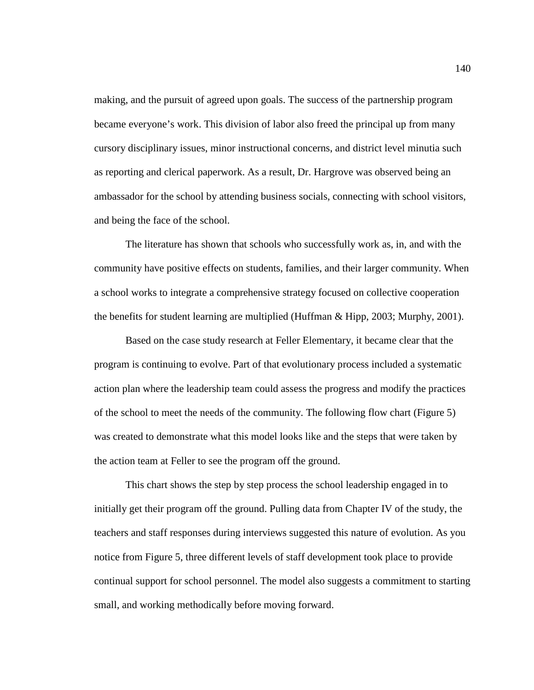making, and the pursuit of agreed upon goals. The success of the partnership program became everyone's work. This division of labor also freed the principal up from many cursory disciplinary issues, minor instructional concerns, and district level minutia such as reporting and clerical paperwork. As a result, Dr. Hargrove was observed being an ambassador for the school by attending business socials, connecting with school visitors, and being the face of the school.

The literature has shown that schools who successfully work as, in, and with the community have positive effects on students, families, and their larger community. When a school works to integrate a comprehensive strategy focused on collective cooperation the benefits for student learning are multiplied (Huffman & Hipp, 2003; Murphy, 2001).

Based on the case study research at Feller Elementary, it became clear that the program is continuing to evolve. Part of that evolutionary process included a systematic action plan where the leadership team could assess the progress and modify the practices of the school to meet the needs of the community. The following flow chart (Figure 5) was created to demonstrate what this model looks like and the steps that were taken by the action team at Feller to see the program off the ground.

This chart shows the step by step process the school leadership engaged in to initially get their program off the ground. Pulling data from Chapter IV of the study, the teachers and staff responses during interviews suggested this nature of evolution. As you notice from Figure 5, three different levels of staff development took place to provide continual support for school personnel. The model also suggests a commitment to starting small, and working methodically before moving forward.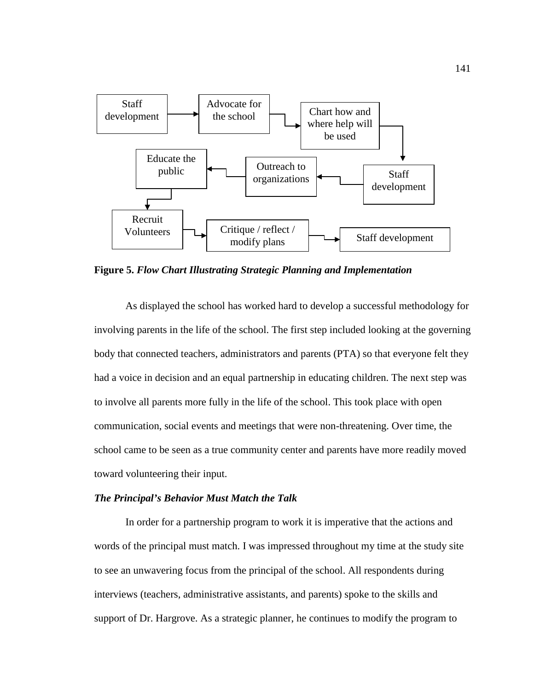

**Figure 5.** *Flow Chart Illustrating Strategic Planning and Implementation*

As displayed the school has worked hard to develop a successful methodology for involving parents in the life of the school. The first step included looking at the governing body that connected teachers, administrators and parents (PTA) so that everyone felt they had a voice in decision and an equal partnership in educating children. The next step was to involve all parents more fully in the life of the school. This took place with open communication, social events and meetings that were non-threatening. Over time, the school came to be seen as a true community center and parents have more readily moved toward volunteering their input.

# *The Principal's Behavior Must Match the Talk*

In order for a partnership program to work it is imperative that the actions and words of the principal must match. I was impressed throughout my time at the study site to see an unwavering focus from the principal of the school. All respondents during interviews (teachers, administrative assistants, and parents) spoke to the skills and support of Dr. Hargrove. As a strategic planner, he continues to modify the program to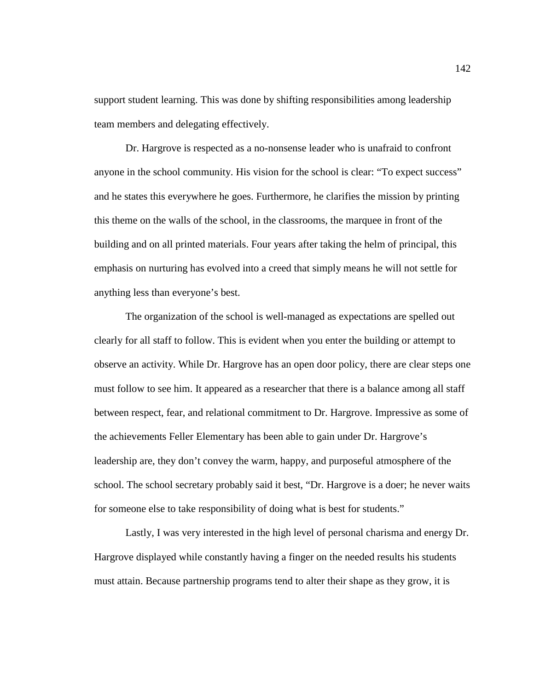support student learning. This was done by shifting responsibilities among leadership team members and delegating effectively.

Dr. Hargrove is respected as a no-nonsense leader who is unafraid to confront anyone in the school community. His vision for the school is clear: "To expect success" and he states this everywhere he goes. Furthermore, he clarifies the mission by printing this theme on the walls of the school, in the classrooms, the marquee in front of the building and on all printed materials. Four years after taking the helm of principal, this emphasis on nurturing has evolved into a creed that simply means he will not settle for anything less than everyone's best.

The organization of the school is well-managed as expectations are spelled out clearly for all staff to follow. This is evident when you enter the building or attempt to observe an activity. While Dr. Hargrove has an open door policy, there are clear steps one must follow to see him. It appeared as a researcher that there is a balance among all staff between respect, fear, and relational commitment to Dr. Hargrove. Impressive as some of the achievements Feller Elementary has been able to gain under Dr. Hargrove's leadership are, they don't convey the warm, happy, and purposeful atmosphere of the school. The school secretary probably said it best, "Dr. Hargrove is a doer; he never waits for someone else to take responsibility of doing what is best for students."

Lastly, I was very interested in the high level of personal charisma and energy Dr. Hargrove displayed while constantly having a finger on the needed results his students must attain. Because partnership programs tend to alter their shape as they grow, it is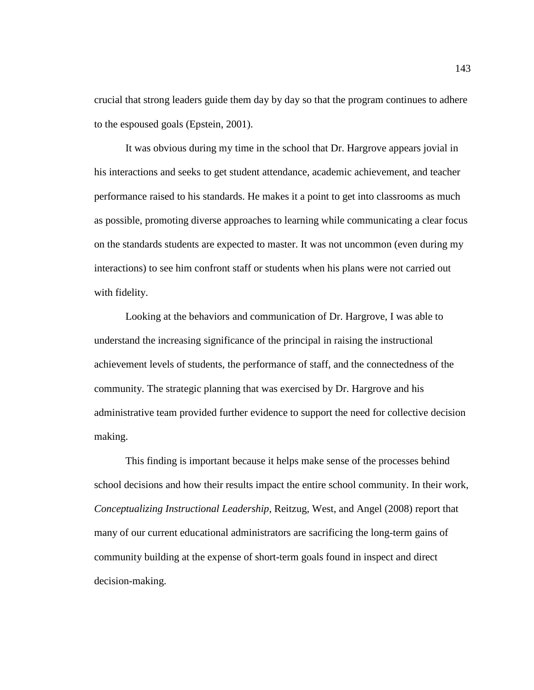crucial that strong leaders guide them day by day so that the program continues to adhere to the espoused goals (Epstein, 2001).

It was obvious during my time in the school that Dr. Hargrove appears jovial in his interactions and seeks to get student attendance, academic achievement, and teacher performance raised to his standards. He makes it a point to get into classrooms as much as possible, promoting diverse approaches to learning while communicating a clear focus on the standards students are expected to master. It was not uncommon (even during my interactions) to see him confront staff or students when his plans were not carried out with fidelity.

Looking at the behaviors and communication of Dr. Hargrove, I was able to understand the increasing significance of the principal in raising the instructional achievement levels of students, the performance of staff, and the connectedness of the community. The strategic planning that was exercised by Dr. Hargrove and his administrative team provided further evidence to support the need for collective decision making.

This finding is important because it helps make sense of the processes behind school decisions and how their results impact the entire school community. In their work, *Conceptualizing Instructional Leadership*, Reitzug, West, and Angel (2008) report that many of our current educational administrators are sacrificing the long-term gains of community building at the expense of short-term goals found in inspect and direct decision-making.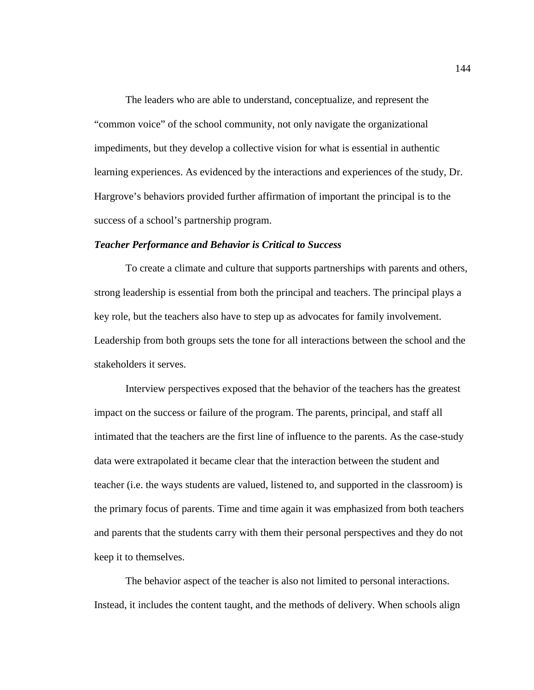The leaders who are able to understand, conceptualize, and represent the "common voice" of the school community, not only navigate the organizational impediments, but they develop a collective vision for what is essential in authentic learning experiences. As evidenced by the interactions and experiences of the study, Dr. Hargrove's behaviors provided further affirmation of important the principal is to the success of a school's partnership program.

# *Teacher Performance and Behavior is Critical to Success*

To create a climate and culture that supports partnerships with parents and others, strong leadership is essential from both the principal and teachers. The principal plays a key role, but the teachers also have to step up as advocates for family involvement. Leadership from both groups sets the tone for all interactions between the school and the stakeholders it serves.

Interview perspectives exposed that the behavior of the teachers has the greatest impact on the success or failure of the program. The parents, principal, and staff all intimated that the teachers are the first line of influence to the parents. As the case-study data were extrapolated it became clear that the interaction between the student and teacher (i.e. the ways students are valued, listened to, and supported in the classroom) is the primary focus of parents. Time and time again it was emphasized from both teachers and parents that the students carry with them their personal perspectives and they do not keep it to themselves.

The behavior aspect of the teacher is also not limited to personal interactions. Instead, it includes the content taught, and the methods of delivery. When schools align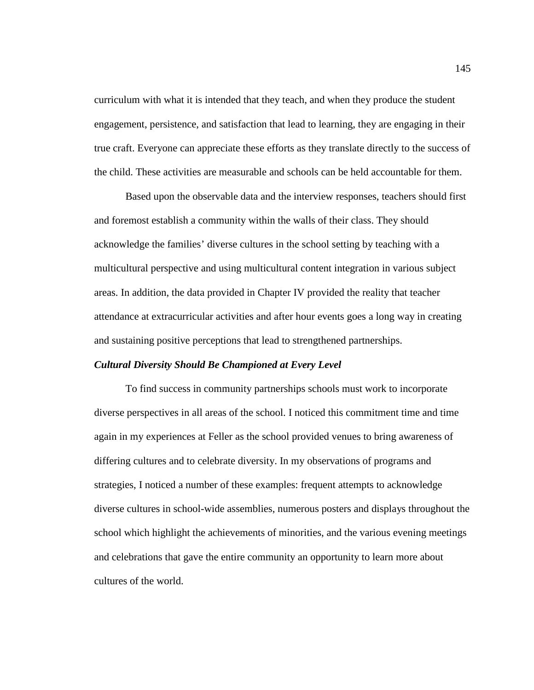curriculum with what it is intended that they teach, and when they produce the student engagement, persistence, and satisfaction that lead to learning, they are engaging in their true craft. Everyone can appreciate these efforts as they translate directly to the success of the child. These activities are measurable and schools can be held accountable for them.

Based upon the observable data and the interview responses, teachers should first and foremost establish a community within the walls of their class. They should acknowledge the families' diverse cultures in the school setting by teaching with a multicultural perspective and using multicultural content integration in various subject areas. In addition, the data provided in Chapter IV provided the reality that teacher attendance at extracurricular activities and after hour events goes a long way in creating and sustaining positive perceptions that lead to strengthened partnerships.

## *Cultural Diversity Should Be Championed at Every Level*

To find success in community partnerships schools must work to incorporate diverse perspectives in all areas of the school. I noticed this commitment time and time again in my experiences at Feller as the school provided venues to bring awareness of differing cultures and to celebrate diversity. In my observations of programs and strategies, I noticed a number of these examples: frequent attempts to acknowledge diverse cultures in school-wide assemblies, numerous posters and displays throughout the school which highlight the achievements of minorities, and the various evening meetings and celebrations that gave the entire community an opportunity to learn more about cultures of the world.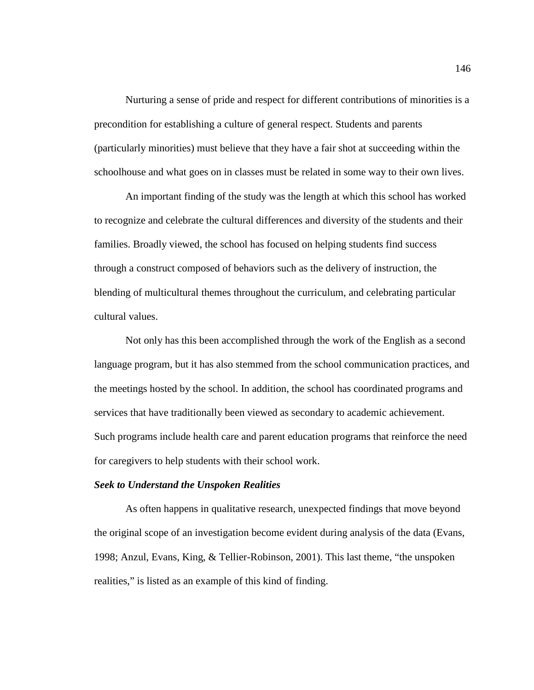Nurturing a sense of pride and respect for different contributions of minorities is a precondition for establishing a culture of general respect. Students and parents (particularly minorities) must believe that they have a fair shot at succeeding within the schoolhouse and what goes on in classes must be related in some way to their own lives.

An important finding of the study was the length at which this school has worked to recognize and celebrate the cultural differences and diversity of the students and their families. Broadly viewed, the school has focused on helping students find success through a construct composed of behaviors such as the delivery of instruction, the blending of multicultural themes throughout the curriculum, and celebrating particular cultural values.

Not only has this been accomplished through the work of the English as a second language program, but it has also stemmed from the school communication practices, and the meetings hosted by the school. In addition, the school has coordinated programs and services that have traditionally been viewed as secondary to academic achievement. Such programs include health care and parent education programs that reinforce the need for caregivers to help students with their school work.

#### *Seek to Understand the Unspoken Realities*

As often happens in qualitative research, unexpected findings that move beyond the original scope of an investigation become evident during analysis of the data (Evans, 1998; Anzul, Evans, King, & Tellier-Robinson, 2001). This last theme, "the unspoken realities," is listed as an example of this kind of finding.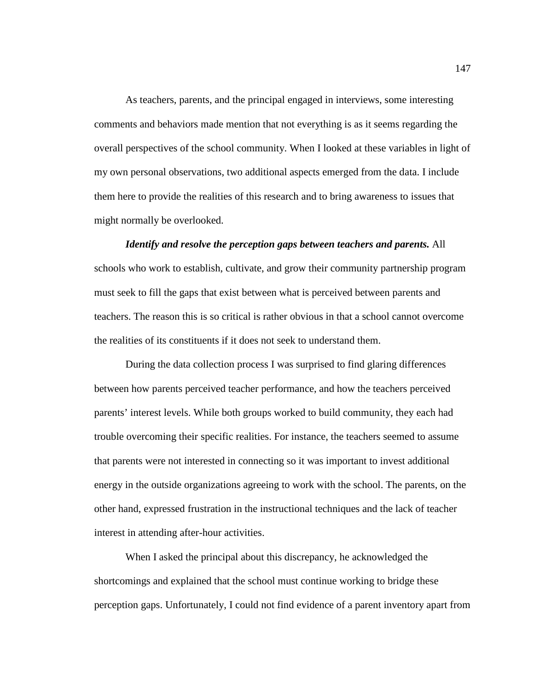As teachers, parents, and the principal engaged in interviews, some interesting comments and behaviors made mention that not everything is as it seems regarding the overall perspectives of the school community. When I looked at these variables in light of my own personal observations, two additional aspects emerged from the data. I include them here to provide the realities of this research and to bring awareness to issues that might normally be overlooked.

*Identify and resolve the perception gaps between teachers and parents.* All schools who work to establish, cultivate, and grow their community partnership program must seek to fill the gaps that exist between what is perceived between parents and teachers. The reason this is so critical is rather obvious in that a school cannot overcome the realities of its constituents if it does not seek to understand them.

During the data collection process I was surprised to find glaring differences between how parents perceived teacher performance, and how the teachers perceived parents' interest levels. While both groups worked to build community, they each had trouble overcoming their specific realities. For instance, the teachers seemed to assume that parents were not interested in connecting so it was important to invest additional energy in the outside organizations agreeing to work with the school. The parents, on the other hand, expressed frustration in the instructional techniques and the lack of teacher interest in attending after-hour activities.

When I asked the principal about this discrepancy, he acknowledged the shortcomings and explained that the school must continue working to bridge these perception gaps. Unfortunately, I could not find evidence of a parent inventory apart from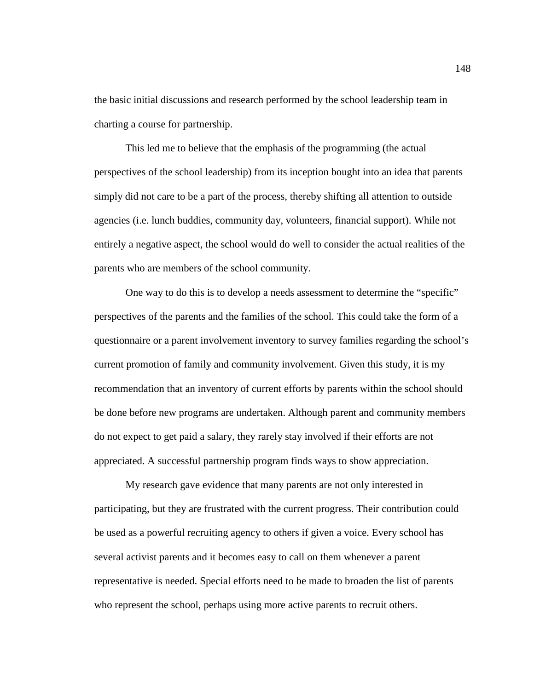the basic initial discussions and research performed by the school leadership team in charting a course for partnership.

This led me to believe that the emphasis of the programming (the actual perspectives of the school leadership) from its inception bought into an idea that parents simply did not care to be a part of the process, thereby shifting all attention to outside agencies (i.e. lunch buddies, community day, volunteers, financial support). While not entirely a negative aspect, the school would do well to consider the actual realities of the parents who are members of the school community.

One way to do this is to develop a needs assessment to determine the "specific" perspectives of the parents and the families of the school. This could take the form of a questionnaire or a parent involvement inventory to survey families regarding the school's current promotion of family and community involvement. Given this study, it is my recommendation that an inventory of current efforts by parents within the school should be done before new programs are undertaken. Although parent and community members do not expect to get paid a salary, they rarely stay involved if their efforts are not appreciated. A successful partnership program finds ways to show appreciation.

My research gave evidence that many parents are not only interested in participating, but they are frustrated with the current progress. Their contribution could be used as a powerful recruiting agency to others if given a voice. Every school has several activist parents and it becomes easy to call on them whenever a parent representative is needed. Special efforts need to be made to broaden the list of parents who represent the school, perhaps using more active parents to recruit others.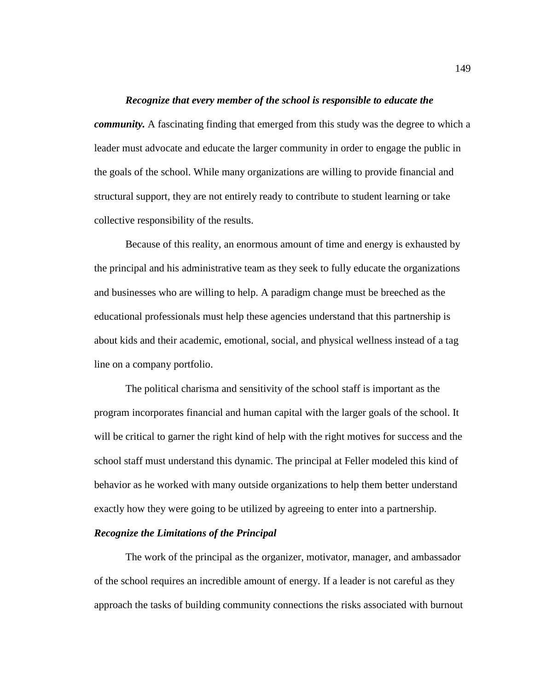### *Recognize that every member of the school is responsible to educate the*

*community*. A fascinating finding that emerged from this study was the degree to which a leader must advocate and educate the larger community in order to engage the public in the goals of the school. While many organizations are willing to provide financial and structural support, they are not entirely ready to contribute to student learning or take collective responsibility of the results.

Because of this reality, an enormous amount of time and energy is exhausted by the principal and his administrative team as they seek to fully educate the organizations and businesses who are willing to help. A paradigm change must be breeched as the educational professionals must help these agencies understand that this partnership is about kids and their academic, emotional, social, and physical wellness instead of a tag line on a company portfolio.

The political charisma and sensitivity of the school staff is important as the program incorporates financial and human capital with the larger goals of the school. It will be critical to garner the right kind of help with the right motives for success and the school staff must understand this dynamic. The principal at Feller modeled this kind of behavior as he worked with many outside organizations to help them better understand exactly how they were going to be utilized by agreeing to enter into a partnership.

# *Recognize the Limitations of the Principal*

The work of the principal as the organizer, motivator, manager, and ambassador of the school requires an incredible amount of energy. If a leader is not careful as they approach the tasks of building community connections the risks associated with burnout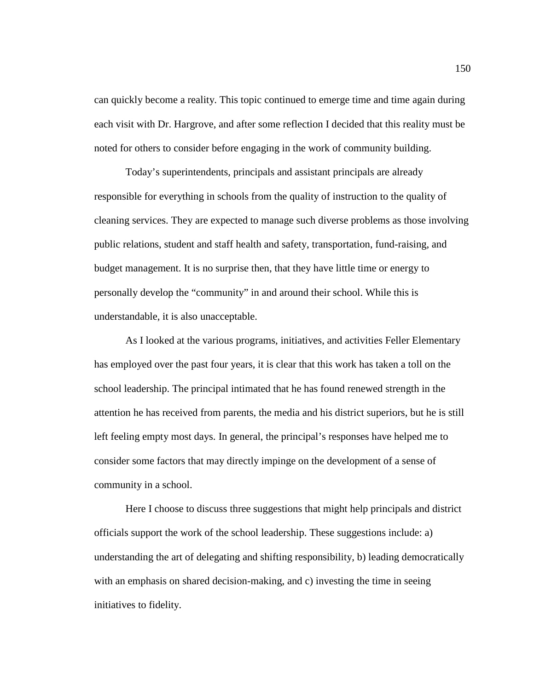can quickly become a reality. This topic continued to emerge time and time again during each visit with Dr. Hargrove, and after some reflection I decided that this reality must be noted for others to consider before engaging in the work of community building.

Today's superintendents, principals and assistant principals are already responsible for everything in schools from the quality of instruction to the quality of cleaning services. They are expected to manage such diverse problems as those involving public relations, student and staff health and safety, transportation, fund-raising, and budget management. It is no surprise then, that they have little time or energy to personally develop the "community" in and around their school. While this is understandable, it is also unacceptable.

As I looked at the various programs, initiatives, and activities Feller Elementary has employed over the past four years, it is clear that this work has taken a toll on the school leadership. The principal intimated that he has found renewed strength in the attention he has received from parents, the media and his district superiors, but he is still left feeling empty most days. In general, the principal's responses have helped me to consider some factors that may directly impinge on the development of a sense of community in a school.

Here I choose to discuss three suggestions that might help principals and district officials support the work of the school leadership. These suggestions include: a) understanding the art of delegating and shifting responsibility, b) leading democratically with an emphasis on shared decision-making, and c) investing the time in seeing initiatives to fidelity.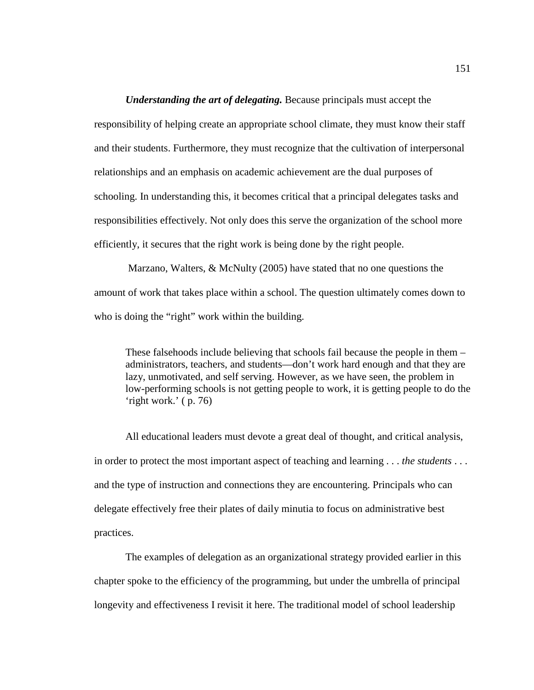*Understanding the art of delegating.* Because principals must accept the responsibility of helping create an appropriate school climate, they must know their staff and their students. Furthermore, they must recognize that the cultivation of interpersonal relationships and an emphasis on academic achievement are the dual purposes of schooling. In understanding this, it becomes critical that a principal delegates tasks and responsibilities effectively. Not only does this serve the organization of the school more efficiently, it secures that the right work is being done by the right people.

Marzano, Walters, & McNulty (2005) have stated that no one questions the amount of work that takes place within a school. The question ultimately comes down to who is doing the "right" work within the building.

These falsehoods include believing that schools fail because the people in them – administrators, teachers, and students—don't work hard enough and that they are lazy, unmotivated, and self serving. However, as we have seen, the problem in low-performing schools is not getting people to work, it is getting people to do the 'right work.' ( p. 76)

All educational leaders must devote a great deal of thought, and critical analysis, in order to protect the most important aspect of teaching and learning . . . *the students* . . . and the type of instruction and connections they are encountering. Principals who can delegate effectively free their plates of daily minutia to focus on administrative best practices.

The examples of delegation as an organizational strategy provided earlier in this chapter spoke to the efficiency of the programming, but under the umbrella of principal longevity and effectiveness I revisit it here. The traditional model of school leadership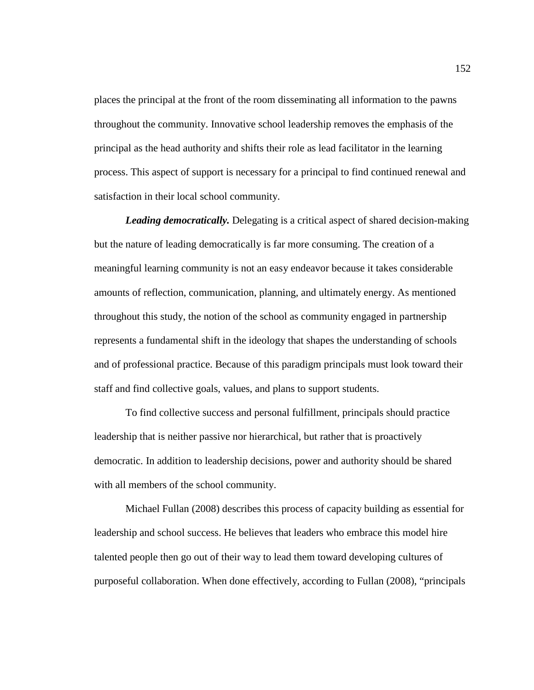places the principal at the front of the room disseminating all information to the pawns throughout the community. Innovative school leadership removes the emphasis of the principal as the head authority and shifts their role as lead facilitator in the learning process. This aspect of support is necessary for a principal to find continued renewal and satisfaction in their local school community.

*Leading democratically.* Delegating is a critical aspect of shared decision-making but the nature of leading democratically is far more consuming. The creation of a meaningful learning community is not an easy endeavor because it takes considerable amounts of reflection, communication, planning, and ultimately energy. As mentioned throughout this study, the notion of the school as community engaged in partnership represents a fundamental shift in the ideology that shapes the understanding of schools and of professional practice. Because of this paradigm principals must look toward their staff and find collective goals, values, and plans to support students.

To find collective success and personal fulfillment, principals should practice leadership that is neither passive nor hierarchical, but rather that is proactively democratic. In addition to leadership decisions, power and authority should be shared with all members of the school community.

Michael Fullan (2008) describes this process of capacity building as essential for leadership and school success. He believes that leaders who embrace this model hire talented people then go out of their way to lead them toward developing cultures of purposeful collaboration. When done effectively, according to Fullan (2008), "principals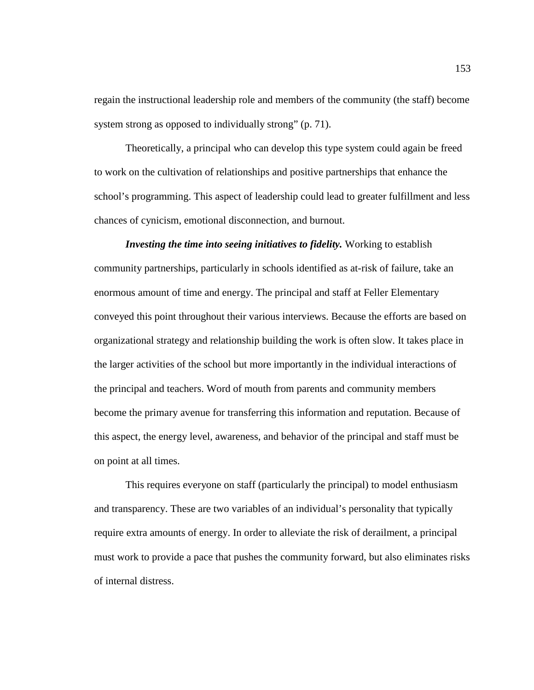regain the instructional leadership role and members of the community (the staff) become system strong as opposed to individually strong" (p. 71).

Theoretically, a principal who can develop this type system could again be freed to work on the cultivation of relationships and positive partnerships that enhance the school's programming. This aspect of leadership could lead to greater fulfillment and less chances of cynicism, emotional disconnection, and burnout.

*Investing the time into seeing initiatives to fidelity.* Working to establish community partnerships, particularly in schools identified as at-risk of failure, take an enormous amount of time and energy. The principal and staff at Feller Elementary conveyed this point throughout their various interviews. Because the efforts are based on organizational strategy and relationship building the work is often slow. It takes place in the larger activities of the school but more importantly in the individual interactions of the principal and teachers. Word of mouth from parents and community members become the primary avenue for transferring this information and reputation. Because of this aspect, the energy level, awareness, and behavior of the principal and staff must be on point at all times.

This requires everyone on staff (particularly the principal) to model enthusiasm and transparency. These are two variables of an individual's personality that typically require extra amounts of energy. In order to alleviate the risk of derailment, a principal must work to provide a pace that pushes the community forward, but also eliminates risks of internal distress.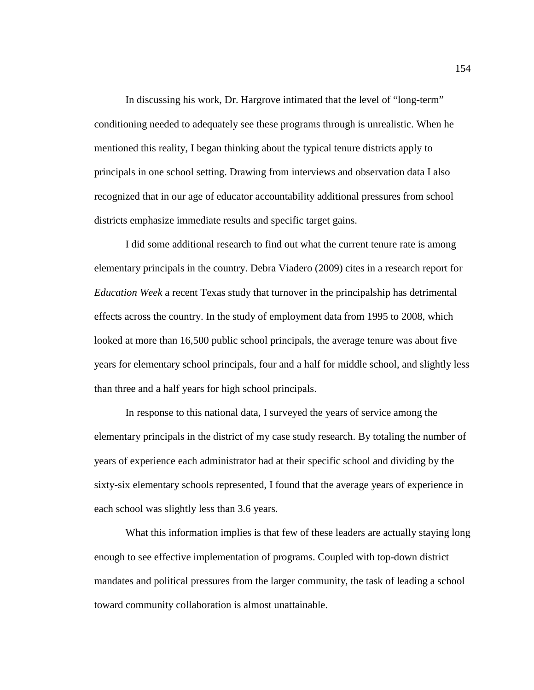In discussing his work, Dr. Hargrove intimated that the level of "long-term" conditioning needed to adequately see these programs through is unrealistic. When he mentioned this reality, I began thinking about the typical tenure districts apply to principals in one school setting. Drawing from interviews and observation data I also recognized that in our age of educator accountability additional pressures from school districts emphasize immediate results and specific target gains.

I did some additional research to find out what the current tenure rate is among elementary principals in the country. Debra Viadero (2009) cites in a research report for *Education Week* a recent Texas study that turnover in the principalship has detrimental effects across the country. In the study of employment data from 1995 to 2008, which looked at more than 16,500 public school principals, the average tenure was about five years for elementary school principals, four and a half for middle school, and slightly less than three and a half years for high school principals.

In response to this national data, I surveyed the years of service among the elementary principals in the district of my case study research. By totaling the number of years of experience each administrator had at their specific school and dividing by the sixty-six elementary schools represented, I found that the average years of experience in each school was slightly less than 3.6 years.

What this information implies is that few of these leaders are actually staying long enough to see effective implementation of programs. Coupled with top-down district mandates and political pressures from the larger community, the task of leading a school toward community collaboration is almost unattainable.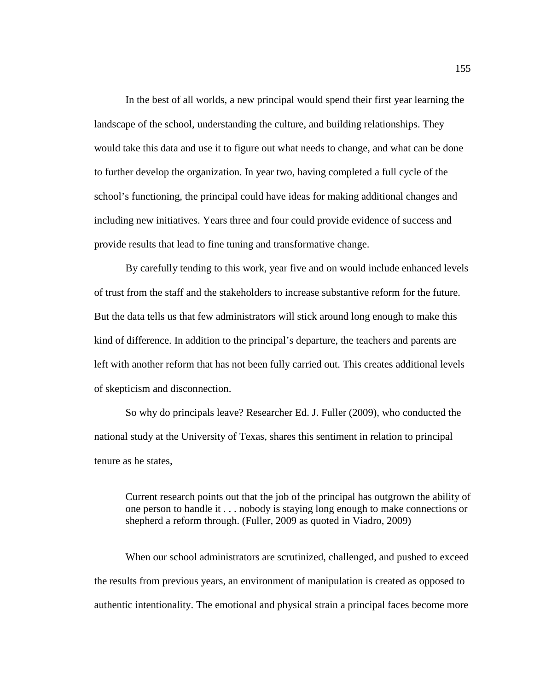In the best of all worlds, a new principal would spend their first year learning the landscape of the school, understanding the culture, and building relationships. They would take this data and use it to figure out what needs to change, and what can be done to further develop the organization. In year two, having completed a full cycle of the school's functioning, the principal could have ideas for making additional changes and including new initiatives. Years three and four could provide evidence of success and provide results that lead to fine tuning and transformative change.

By carefully tending to this work, year five and on would include enhanced levels of trust from the staff and the stakeholders to increase substantive reform for the future. But the data tells us that few administrators will stick around long enough to make this kind of difference. In addition to the principal's departure, the teachers and parents are left with another reform that has not been fully carried out. This creates additional levels of skepticism and disconnection.

So why do principals leave? Researcher Ed. J. Fuller (2009), who conducted the national study at the University of Texas, shares this sentiment in relation to principal tenure as he states,

Current research points out that the job of the principal has outgrown the ability of one person to handle it . . . nobody is staying long enough to make connections or shepherd a reform through. (Fuller, 2009 as quoted in Viadro, 2009)

When our school administrators are scrutinized, challenged, and pushed to exceed the results from previous years, an environment of manipulation is created as opposed to authentic intentionality. The emotional and physical strain a principal faces become more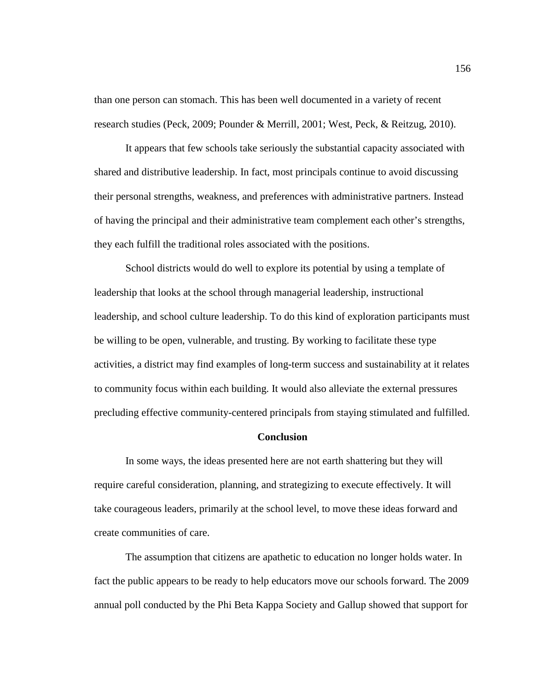than one person can stomach. This has been well documented in a variety of recent research studies (Peck, 2009; Pounder & Merrill, 2001; West, Peck, & Reitzug, 2010).

It appears that few schools take seriously the substantial capacity associated with shared and distributive leadership. In fact, most principals continue to avoid discussing their personal strengths, weakness, and preferences with administrative partners. Instead of having the principal and their administrative team complement each other's strengths, they each fulfill the traditional roles associated with the positions.

School districts would do well to explore its potential by using a template of leadership that looks at the school through managerial leadership, instructional leadership, and school culture leadership. To do this kind of exploration participants must be willing to be open, vulnerable, and trusting. By working to facilitate these type activities, a district may find examples of long-term success and sustainability at it relates to community focus within each building. It would also alleviate the external pressures precluding effective community-centered principals from staying stimulated and fulfilled.

#### **Conclusion**

In some ways, the ideas presented here are not earth shattering but they will require careful consideration, planning, and strategizing to execute effectively. It will take courageous leaders, primarily at the school level, to move these ideas forward and create communities of care.

The assumption that citizens are apathetic to education no longer holds water. In fact the public appears to be ready to help educators move our schools forward. The 2009 annual poll conducted by the Phi Beta Kappa Society and Gallup showed that support for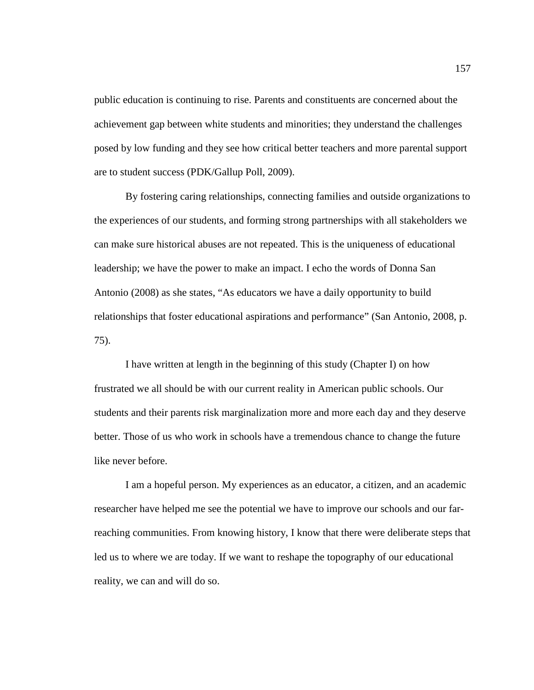public education is continuing to rise. Parents and constituents are concerned about the achievement gap between white students and minorities; they understand the challenges posed by low funding and they see how critical better teachers and more parental support are to student success (PDK/Gallup Poll, 2009).

By fostering caring relationships, connecting families and outside organizations to the experiences of our students, and forming strong partnerships with all stakeholders we can make sure historical abuses are not repeated. This is the uniqueness of educational leadership; we have the power to make an impact. I echo the words of Donna San Antonio (2008) as she states, "As educators we have a daily opportunity to build relationships that foster educational aspirations and performance" (San Antonio, 2008, p. 75).

I have written at length in the beginning of this study (Chapter I) on how frustrated we all should be with our current reality in American public schools. Our students and their parents risk marginalization more and more each day and they deserve better. Those of us who work in schools have a tremendous chance to change the future like never before.

I am a hopeful person. My experiences as an educator, a citizen, and an academic researcher have helped me see the potential we have to improve our schools and our farreaching communities. From knowing history, I know that there were deliberate steps that led us to where we are today. If we want to reshape the topography of our educational reality, we can and will do so.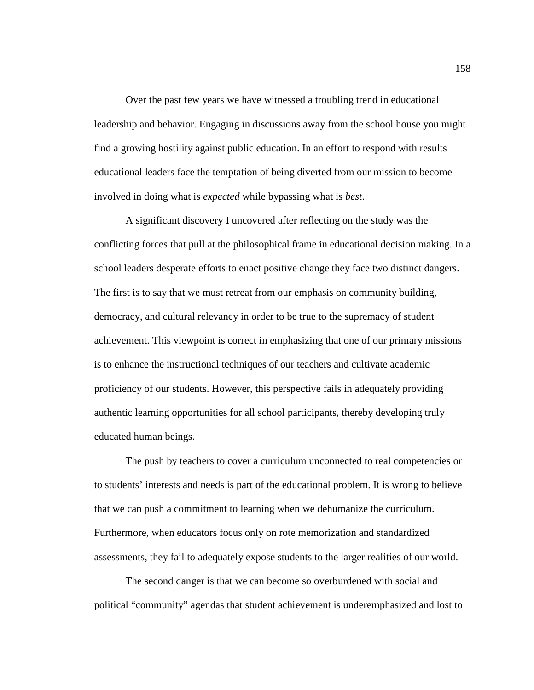Over the past few years we have witnessed a troubling trend in educational leadership and behavior. Engaging in discussions away from the school house you might find a growing hostility against public education. In an effort to respond with results educational leaders face the temptation of being diverted from our mission to become involved in doing what is *expected* while bypassing what is *best*.

A significant discovery I uncovered after reflecting on the study was the conflicting forces that pull at the philosophical frame in educational decision making. In a school leaders desperate efforts to enact positive change they face two distinct dangers. The first is to say that we must retreat from our emphasis on community building, democracy, and cultural relevancy in order to be true to the supremacy of student achievement. This viewpoint is correct in emphasizing that one of our primary missions is to enhance the instructional techniques of our teachers and cultivate academic proficiency of our students. However, this perspective fails in adequately providing authentic learning opportunities for all school participants, thereby developing truly educated human beings.

The push by teachers to cover a curriculum unconnected to real competencies or to students' interests and needs is part of the educational problem. It is wrong to believe that we can push a commitment to learning when we dehumanize the curriculum. Furthermore, when educators focus only on rote memorization and standardized assessments, they fail to adequately expose students to the larger realities of our world.

The second danger is that we can become so overburdened with social and political "community" agendas that student achievement is underemphasized and lost to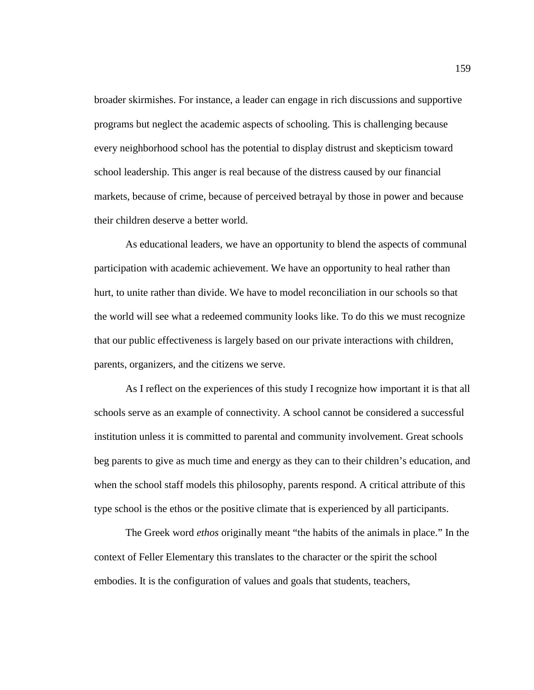broader skirmishes. For instance, a leader can engage in rich discussions and supportive programs but neglect the academic aspects of schooling. This is challenging because every neighborhood school has the potential to display distrust and skepticism toward school leadership. This anger is real because of the distress caused by our financial markets, because of crime, because of perceived betrayal by those in power and because their children deserve a better world.

As educational leaders, we have an opportunity to blend the aspects of communal participation with academic achievement. We have an opportunity to heal rather than hurt, to unite rather than divide. We have to model reconciliation in our schools so that the world will see what a redeemed community looks like. To do this we must recognize that our public effectiveness is largely based on our private interactions with children, parents, organizers, and the citizens we serve.

As I reflect on the experiences of this study I recognize how important it is that all schools serve as an example of connectivity. A school cannot be considered a successful institution unless it is committed to parental and community involvement. Great schools beg parents to give as much time and energy as they can to their children's education, and when the school staff models this philosophy, parents respond. A critical attribute of this type school is the ethos or the positive climate that is experienced by all participants.

The Greek word *ethos* originally meant "the habits of the animals in place." In the context of Feller Elementary this translates to the character or the spirit the school embodies. It is the configuration of values and goals that students, teachers,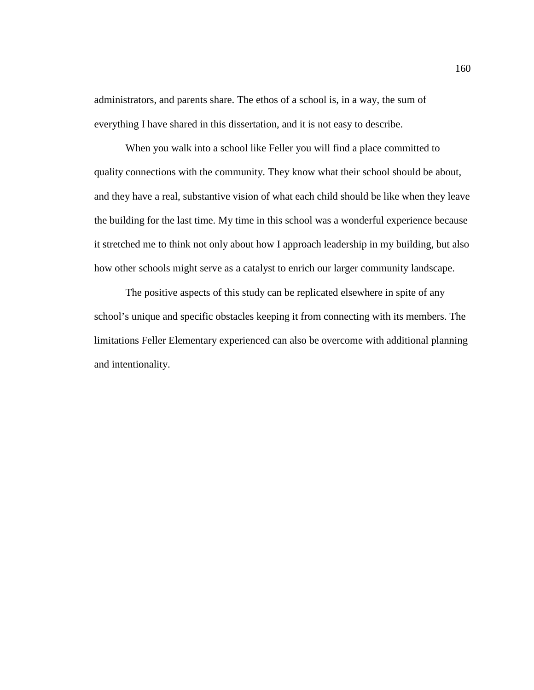administrators, and parents share. The ethos of a school is, in a way, the sum of everything I have shared in this dissertation, and it is not easy to describe.

When you walk into a school like Feller you will find a place committed to quality connections with the community. They know what their school should be about, and they have a real, substantive vision of what each child should be like when they leave the building for the last time. My time in this school was a wonderful experience because it stretched me to think not only about how I approach leadership in my building, but also how other schools might serve as a catalyst to enrich our larger community landscape.

The positive aspects of this study can be replicated elsewhere in spite of any school's unique and specific obstacles keeping it from connecting with its members. The limitations Feller Elementary experienced can also be overcome with additional planning and intentionality.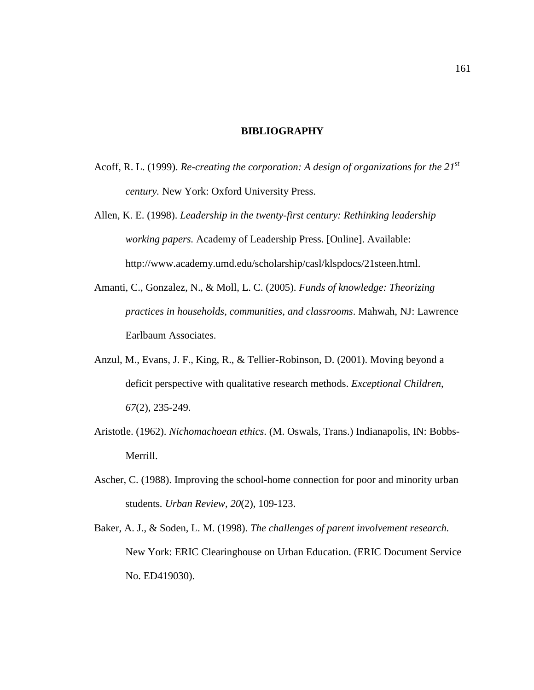# **BIBLIOGRAPHY**

- Acoff, R. L. (1999). *Re-creating the corporation: A design of organizations for the 21st century.* New York: Oxford University Press.
- Allen, K. E. (1998). *Leadership in the twenty-first century: Rethinking leadership working papers.* Academy of Leadership Press. [Online]. Available: http://www.academy.umd.edu/scholarship/casl/klspdocs/21steen.html.
- Amanti, C., Gonzalez, N., & Moll, L. C. (2005). *Funds of knowledge: Theorizing practices in households, communities, and classrooms*. Mahwah, NJ: Lawrence Earlbaum Associates.
- Anzul, M., Evans, J. F., King, R., & Tellier-Robinson, D. (2001). Moving beyond a deficit perspective with qualitative research methods. *Exceptional Children*, *67*(2), 235-249.
- Aristotle. (1962). *Nichomachoean ethics*. (M. Oswals, Trans.) Indianapolis, IN: Bobbs-Merrill.
- Ascher, C. (1988). Improving the school-home connection for poor and minority urban students*. Urban Review, 20*(2), 109-123.
- Baker, A. J., & Soden, L. M. (1998). *The challenges of parent involvement research.*  New York: ERIC Clearinghouse on Urban Education. (ERIC Document Service No. ED419030).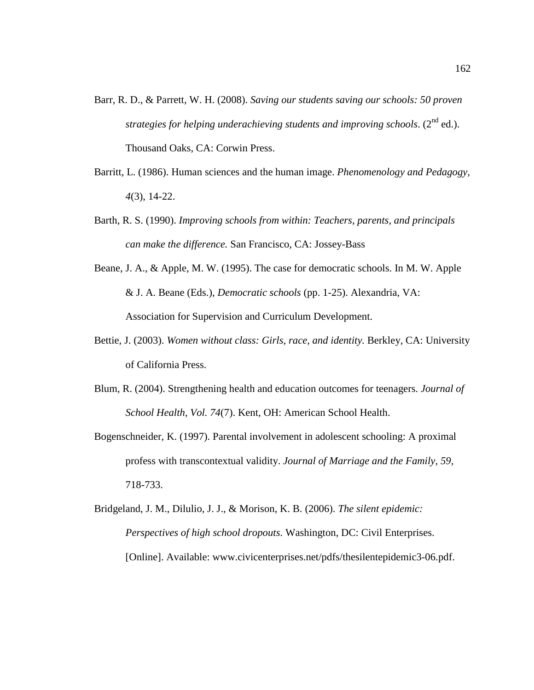- Barr, R. D., & Parrett, W. H. (2008). *Saving our students saving our schools: 50 proven strategies for helping underachieving students and improving schools.* (2<sup>nd</sup> ed.). Thousand Oaks, CA: Corwin Press.
- Barritt, L. (1986). Human sciences and the human image. *Phenomenology and Pedagogy, 4*(3), 14-22.
- Barth, R. S. (1990). *Improving schools from within: Teachers, parents, and principals can make the difference.* San Francisco, CA: Jossey-Bass
- Beane, J. A., & Apple, M. W. (1995). The case for democratic schools. In M. W. Apple & J. A. Beane (Eds.), *Democratic schools* (pp. 1-25). Alexandria, VA: Association for Supervision and Curriculum Development.
- Bettie, J. (2003). *Women without class: Girls, race, and identity.* Berkley, CA: University of California Press.
- Blum, R. (2004). Strengthening health and education outcomes for teenagers. *Journal of School Health, Vol. 74*(7). Kent, OH: American School Health.
- Bogenschneider, K. (1997). Parental involvement in adolescent schooling: A proximal profess with transcontextual validity. *Journal of Marriage and the Family, 59,* 718-733.
- Bridgeland, J. M., Dilulio, J. J., & Morison, K. B. (2006). *The silent epidemic: Perspectives of high school dropouts*. Washington, DC: Civil Enterprises. [Online]. Available: www.civicenterprises.net/pdfs/thesilentepidemic3-06.pdf.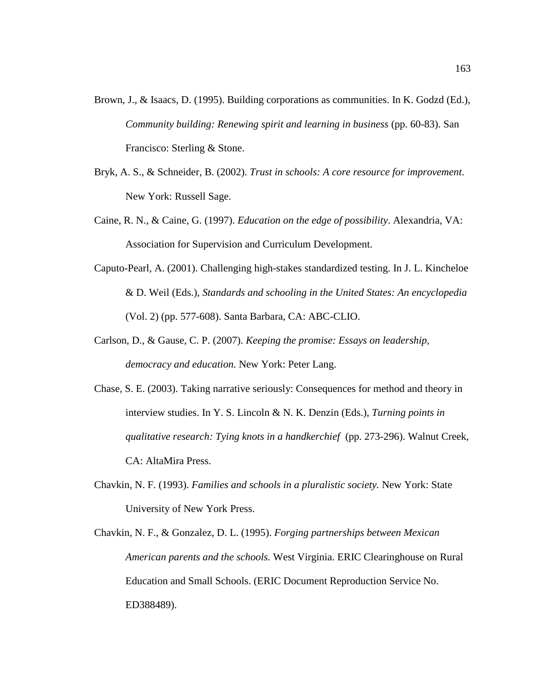- Brown, J., & Isaacs, D. (1995). Building corporations as communities. In K. Godzd (Ed.), *Community building: Renewing spirit and learning in business* (pp. 60-83). San Francisco: Sterling & Stone.
- Bryk, A. S., & Schneider, B. (2002). *Trust in schools: A core resource for improvement*. New York: Russell Sage.
- Caine, R. N., & Caine, G. (1997). *Education on the edge of possibility*. Alexandria, VA: Association for Supervision and Curriculum Development.
- Caputo-Pearl, A. (2001). Challenging high-stakes standardized testing. In J. L. Kincheloe & D. Weil (Eds.), *Standards and schooling in the United States: An encyclopedia* (Vol. 2) (pp. 577-608). Santa Barbara, CA: ABC-CLIO.
- Carlson, D., & Gause, C. P. (2007). *Keeping the promise: Essays on leadership, democracy and education.* New York: Peter Lang.
- Chase, S. E. (2003). Taking narrative seriously: Consequences for method and theory in interview studies. In Y. S. Lincoln & N. K. Denzin (Eds.), *Turning points in qualitative research: Tying knots in a handkerchief* (pp. 273-296). Walnut Creek, CA: AltaMira Press.
- Chavkin, N. F. (1993). *Families and schools in a pluralistic society.* New York: State University of New York Press.
- Chavkin, N. F., & Gonzalez, D. L. (1995). *Forging partnerships between Mexican American parents and the schools.* West Virginia. ERIC Clearinghouse on Rural Education and Small Schools. (ERIC Document Reproduction Service No. ED388489).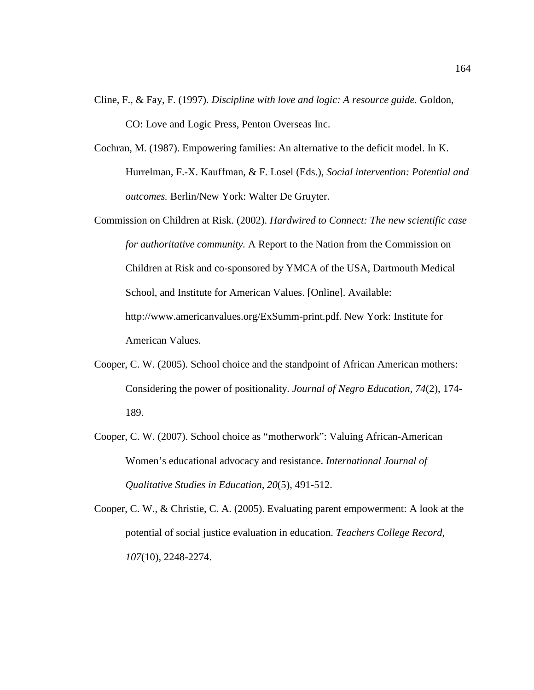- Cline, F., & Fay, F. (1997). *Discipline with love and logic: A resource guide.* Goldon, CO: Love and Logic Press, Penton Overseas Inc.
- Cochran, M. (1987). Empowering families: An alternative to the deficit model. In K. Hurrelman, F.-X. Kauffman, & F. Losel (Eds.), *Social intervention: Potential and outcomes.* Berlin/New York: Walter De Gruyter.
- Commission on Children at Risk. (2002). *Hardwired to Connect: The new scientific case for authoritative community.* A Report to the Nation from the Commission on Children at Risk and co-sponsored by YMCA of the USA, Dartmouth Medical School, and Institute for American Values. [Online]. Available: http://www.americanvalues.org/ExSumm-print.pdf. New York: Institute for American Values.
- Cooper, C. W. (2005). School choice and the standpoint of African American mothers: Considering the power of positionality. *Journal of Negro Education, 74*(2), 174- 189.
- Cooper, C. W. (2007). School choice as "motherwork": Valuing African-American Women's educational advocacy and resistance. *International Journal of Qualitative Studies in Education, 20*(5), 491-512.
- Cooper, C. W., & Christie, C. A. (2005). Evaluating parent empowerment: A look at the potential of social justice evaluation in education. *Teachers College Record*, *107*(10), 2248-2274.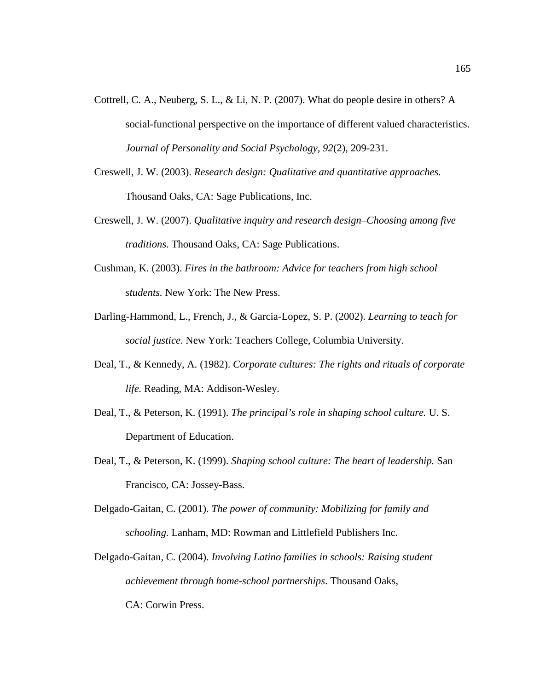- Cottrell, C. A., Neuberg, S. L., & Li, N. P. (2007). What do people desire in others? A social-functional perspective on the importance of different valued characteristics. *Journal of Personality and Social Psychology, 92*(2), 209-231.
- Creswell, J. W. (2003). *Research design: Qualitative and quantitative approaches.* Thousand Oaks, CA: Sage Publications, Inc.
- Creswell, J. W. (2007). *Qualitative inquiry and research design–Choosing among five traditions*. Thousand Oaks, CA: Sage Publications.
- Cushman, K. (2003). *Fires in the bathroom: Advice for teachers from high school students.* New York: The New Press.
- Darling-Hammond, L., French, J., & Garcia-Lopez, S. P. (2002). *Learning to teach for social justice*. New York: Teachers College, Columbia University.
- Deal, T., & Kennedy, A. (1982). *Corporate cultures: The rights and rituals of corporate life.* Reading, MA: Addison-Wesley.
- Deal, T., & Peterson, K. (1991). *The principal's role in shaping school culture.* U. S. Department of Education.
- Deal, T., & Peterson, K. (1999). *Shaping school culture: The heart of leadership.* San Francisco, CA: Jossey-Bass.
- Delgado-Gaitan, C. (2001). *The power of community: Mobilizing for family and schooling.* Lanham, MD: Rowman and Littlefield Publishers Inc.
- Delgado-Gaitan, C. (2004). *Involving Latino families in schools: Raising student achievement through home-school partnerships*. Thousand Oaks, CA: Corwin Press.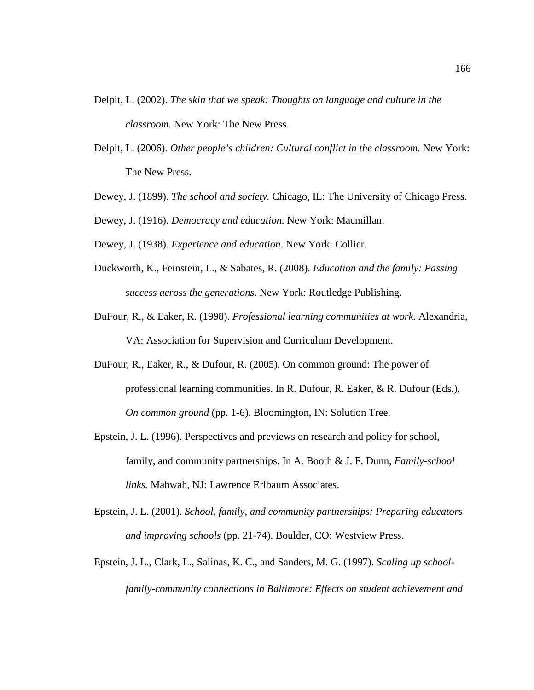- Delpit, L. (2002). *The skin that we speak: Thoughts on language and culture in the classroom.* New York: The New Press.
- Delpit, L. (2006). *Other people's children: Cultural conflict in the classroom.* New York: The New Press.
- Dewey, J. (1899). *The school and society.* Chicago, IL: The University of Chicago Press.
- Dewey, J. (1916). *Democracy and education.* New York: Macmillan.
- Dewey, J. (1938). *Experience and education*. New York: Collier.
- Duckworth, K., Feinstein, L., & Sabates, R. (2008). *Education and the family: Passing success across the generations*. New York: Routledge Publishing.
- DuFour, R., & Eaker, R. (1998). *Professional learning communities at work*. Alexandria, VA: Association for Supervision and Curriculum Development.
- DuFour, R., Eaker, R., & Dufour, R. (2005). On common ground: The power of professional learning communities. In R. Dufour, R. Eaker, & R. Dufour (Eds.), *On common ground* (pp. 1-6). Bloomington, IN: Solution Tree.
- Epstein, J. L. (1996). Perspectives and previews on research and policy for school, family, and community partnerships. In A. Booth & J. F. Dunn, *Family-school links.* Mahwah, NJ: Lawrence Erlbaum Associates.
- Epstein, J. L. (2001). *School, family, and community partnerships: Preparing educators and improving schools* (pp. 21-74). Boulder, CO: Westview Press.
- Epstein, J. L., Clark, L., Salinas, K. C., and Sanders, M. G. (1997). *Scaling up schoolfamily-community connections in Baltimore: Effects on student achievement and*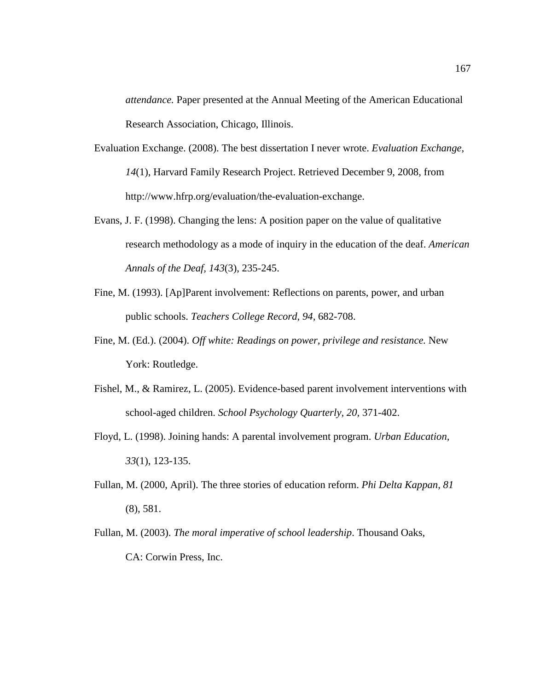*attendance.* Paper presented at the Annual Meeting of the American Educational Research Association, Chicago, Illinois.

- Evaluation Exchange. (2008). The best dissertation I never wrote. *Evaluation Exchange, 14*(1), Harvard Family Research Project. Retrieved December 9, 2008, from http://www.hfrp.org/evaluation/the-evaluation-exchange.
- Evans, J. F. (1998). Changing the lens: A position paper on the value of qualitative research methodology as a mode of inquiry in the education of the deaf. *American Annals of the Deaf, 143*(3), 235-245.
- Fine, M. (1993). [Ap]Parent involvement: Reflections on parents, power, and urban public schools. *Teachers College Record, 94,* 682-708.
- Fine, M. (Ed.). (2004). *Off white: Readings on power, privilege and resistance.* New York: Routledge.
- Fishel, M., & Ramirez, L. (2005). Evidence-based parent involvement interventions with school-aged children. *School Psychology Quarterly, 20,* 371-402.
- Floyd, L. (1998). Joining hands: A parental involvement program. *Urban Education, 33*(1), 123-135.
- Fullan, M. (2000, April). The three stories of education reform. *Phi Delta Kappan, 81* (8), 581.
- Fullan, M. (2003). *The moral imperative of school leadership*. Thousand Oaks, CA: Corwin Press, Inc.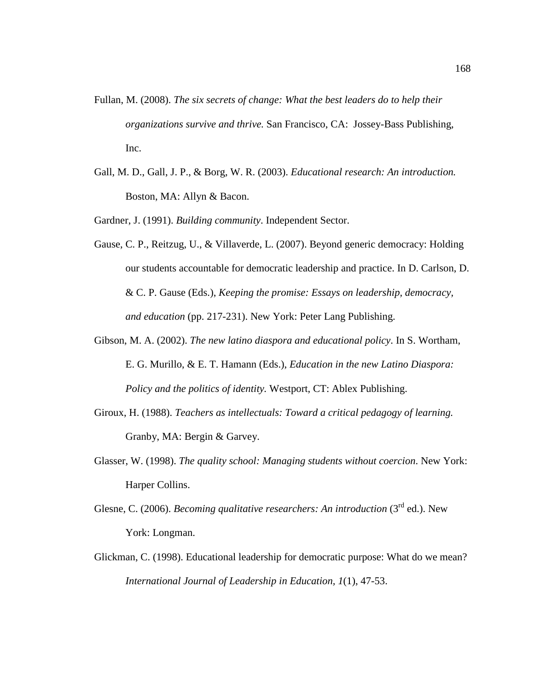- Fullan, M. (2008). *The six secrets of change: What the best leaders do to help their organizations survive and thrive.* San Francisco, CA: Jossey-Bass Publishing, Inc.
- Gall, M. D., Gall, J. P., & Borg, W. R. (2003). *Educational research: An introduction.* Boston, MA: Allyn & Bacon.

Gardner, J. (1991). *Building community*. Independent Sector.

- Gause, C. P., Reitzug, U., & Villaverde, L. (2007). Beyond generic democracy: Holding our students accountable for democratic leadership and practice. In D. Carlson, D. & C. P. Gause (Eds.), *Keeping the promise: Essays on leadership, democracy, and education* (pp. 217-231). New York: Peter Lang Publishing.
- Gibson, M. A. (2002). *The new latino diaspora and educational policy*. In S. Wortham, E. G. Murillo, & E. T. Hamann (Eds.), *Education in the new Latino Diaspora: Policy and the politics of identity.* Westport, CT: Ablex Publishing.
- Giroux, H. (1988). *Teachers as intellectuals: Toward a critical pedagogy of learning.* Granby, MA: Bergin & Garvey.
- Glasser, W. (1998). *The quality school: Managing students without coercion*. New York: Harper Collins.
- Glesne, C. (2006). *Becoming qualitative researchers: An introduction* (3<sup>rd</sup> ed.). New York: Longman.
- Glickman, C. (1998). Educational leadership for democratic purpose: What do we mean? *International Journal of Leadership in Education, 1*(1), 47-53.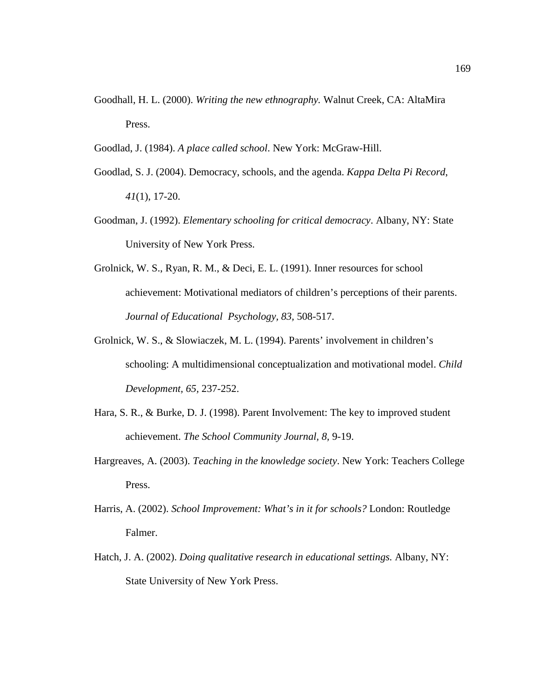Goodhall, H. L. (2000). *Writing the new ethnography.* Walnut Creek, CA: AltaMira Press.

Goodlad, J. (1984). *A place called school*. New York: McGraw-Hill.

- Goodlad, S. J. (2004). Democracy, schools, and the agenda. *Kappa Delta Pi Record*, *41*(1), 17-20.
- Goodman, J. (1992). *Elementary schooling for critical democracy*. Albany, NY: State University of New York Press.
- Grolnick, W. S., Ryan, R. M., & Deci, E. L. (1991). Inner resources for school achievement: Motivational mediators of children's perceptions of their parents. *Journal of Educational Psychology, 83,* 508-517.
- Grolnick, W. S., & Slowiaczek, M. L. (1994). Parents' involvement in children's schooling: A multidimensional conceptualization and motivational model. *Child Development, 65,* 237-252.
- Hara, S. R., & Burke, D. J. (1998). Parent Involvement: The key to improved student achievement. *The School Community Journal, 8,* 9-19.
- Hargreaves, A. (2003). *Teaching in the knowledge society*. New York: Teachers College Press.
- Harris, A. (2002). *School Improvement: What's in it for schools?* London: Routledge Falmer.
- Hatch, J. A. (2002). *Doing qualitative research in educational settings.* Albany, NY: State University of New York Press.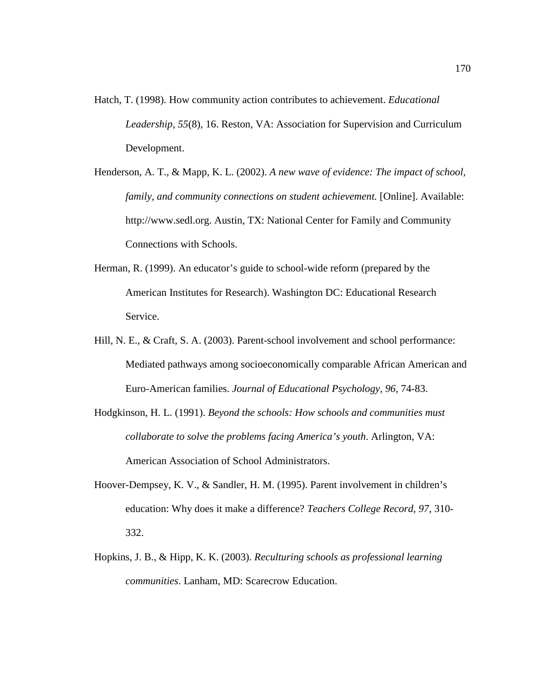- Hatch, T. (1998). How community action contributes to achievement. *Educational Leadership, 55*(8), 16. Reston, VA: Association for Supervision and Curriculum Development.
- Henderson, A. T., & Mapp, K. L. (2002). *A new wave of evidence: The impact of school, family, and community connections on student achievement.* [Online]. Available: http://www.sedl.org. Austin, TX: National Center for Family and Community Connections with Schools.
- Herman, R. (1999). An educator's guide to school-wide reform (prepared by the American Institutes for Research). Washington DC: Educational Research Service.
- Hill, N. E., & Craft, S. A. (2003). Parent-school involvement and school performance: Mediated pathways among socioeconomically comparable African American and Euro-American families. *Journal of Educational Psychology, 96,* 74-83.
- Hodgkinson, H. L. (1991). *Beyond the schools: How schools and communities must collaborate to solve the problems facing America's youth*. Arlington, VA: American Association of School Administrators.
- Hoover-Dempsey, K. V., & Sandler, H. M. (1995). Parent involvement in children's education: Why does it make a difference? *Teachers College Record, 97,* 310- 332.
- Hopkins, J. B., & Hipp, K. K. (2003). *Reculturing schools as professional learning communities*. Lanham, MD: Scarecrow Education.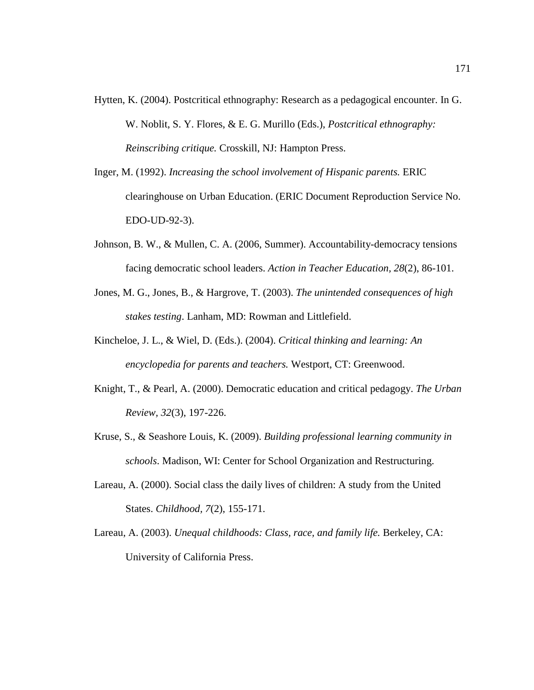- Hytten, K. (2004). Postcritical ethnography: Research as a pedagogical encounter. In G. W. Noblit, S. Y. Flores, & E. G. Murillo (Eds.), *Postcritical ethnography: Reinscribing critique.* Crosskill, NJ: Hampton Press.
- Inger, M. (1992). *Increasing the school involvement of Hispanic parents.* ERIC clearinghouse on Urban Education. (ERIC Document Reproduction Service No. EDO-UD-92-3).
- Johnson, B. W., & Mullen, C. A. (2006, Summer). Accountability-democracy tensions facing democratic school leaders. *Action in Teacher Education, 28*(2), 86-101.
- Jones, M. G., Jones, B., & Hargrove, T. (2003). *The unintended consequences of high stakes testing*. Lanham, MD: Rowman and Littlefield.
- Kincheloe, J. L., & Wiel, D. (Eds.). (2004). *Critical thinking and learning: An encyclopedia for parents and teachers.* Westport, CT: Greenwood.
- Knight, T., & Pearl, A. (2000). Democratic education and critical pedagogy. *The Urban Review, 32*(3), 197-226.
- Kruse, S., & Seashore Louis, K. (2009). *Building professional learning community in schools*. Madison, WI: Center for School Organization and Restructuring.
- Lareau, A. (2000). Social class the daily lives of children: A study from the United States. *Childhood, 7*(2), 155-171.
- Lareau, A. (2003). *Unequal childhoods: Class, race, and family life.* Berkeley, CA: University of California Press.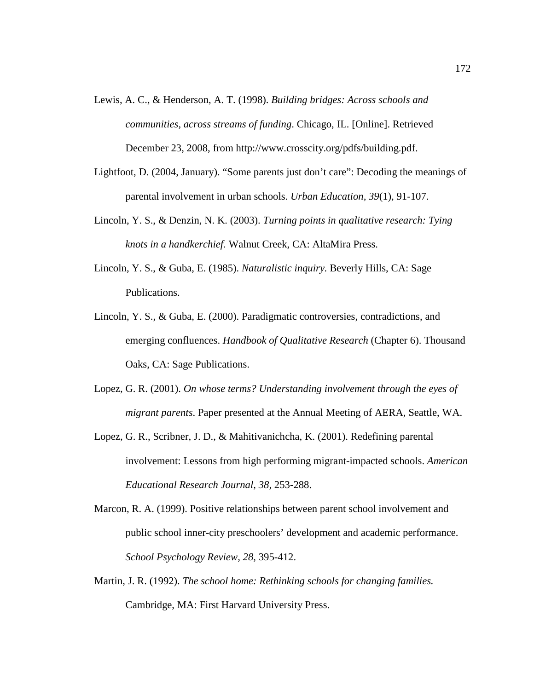- Lewis, A. C., & Henderson, A. T. (1998). *Building bridges: Across schools and communities, across streams of funding*. Chicago, IL. [Online]. Retrieved December 23, 2008, from http://www.crosscity.org/pdfs/building.pdf.
- Lightfoot, D. (2004, January). "Some parents just don't care": Decoding the meanings of parental involvement in urban schools. *Urban Education, 39*(1), 91-107.
- Lincoln, Y. S., & Denzin, N. K. (2003). *Turning points in qualitative research: Tying knots in a handkerchief.* Walnut Creek, CA: AltaMira Press.
- Lincoln, Y. S., & Guba, E. (1985). *Naturalistic inquiry.* Beverly Hills, CA: Sage Publications.
- Lincoln, Y. S., & Guba, E. (2000). Paradigmatic controversies, contradictions, and emerging confluences. *Handbook of Qualitative Research* (Chapter 6). Thousand Oaks, CA: Sage Publications.
- Lopez, G. R. (2001). *On whose terms? Understanding involvement through the eyes of migrant parents*. Paper presented at the Annual Meeting of AERA, Seattle, WA.
- Lopez, G. R., Scribner, J. D., & Mahitivanichcha, K. (2001). Redefining parental involvement: Lessons from high performing migrant-impacted schools. *American Educational Research Journal, 38,* 253-288.
- Marcon, R. A. (1999). Positive relationships between parent school involvement and public school inner-city preschoolers' development and academic performance. *School Psychology Review, 28,* 395-412.
- Martin, J. R. (1992). *The school home: Rethinking schools for changing families.* Cambridge, MA: First Harvard University Press.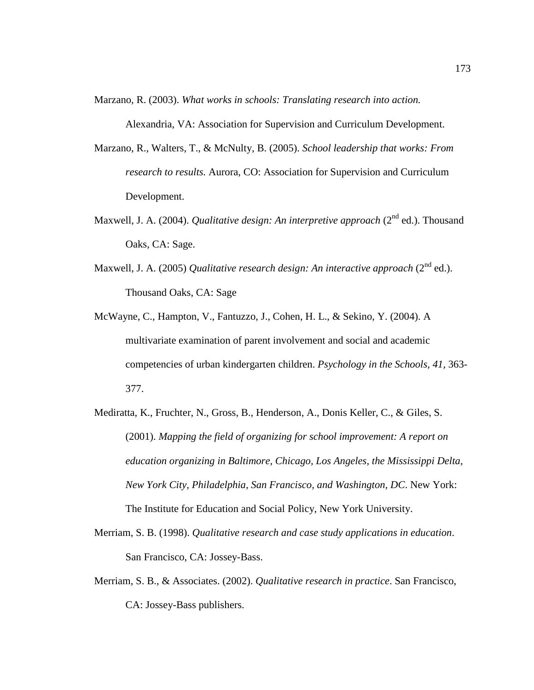Marzano, R. (2003). *What works in schools: Translating research into action.*

Alexandria, VA: Association for Supervision and Curriculum Development.

- Marzano, R., Walters, T., & McNulty, B. (2005). *School leadership that works: From research to results.* Aurora, CO: Association for Supervision and Curriculum Development.
- Maxwell, J. A. (2004). *Qualitative design: An interpretive approach* (2<sup>nd</sup> ed.). Thousand Oaks, CA: Sage.
- Maxwell, J. A. (2005) *Qualitative research design: An interactive approach* (2<sup>nd</sup> ed.). Thousand Oaks, CA: Sage
- McWayne, C., Hampton, V., Fantuzzo, J., Cohen, H. L., & Sekino, Y. (2004). A multivariate examination of parent involvement and social and academic competencies of urban kindergarten children. *Psychology in the Schools, 41,* 363- 377.
- Mediratta, K., Fruchter, N., Gross, B., Henderson, A., Donis Keller, C., & Giles, S. (2001). *Mapping the field of organizing for school improvement: A report on education organizing in Baltimore, Chicago, Los Angeles, the Mississippi Delta, New York City, Philadelphia, San Francisco, and Washington, DC*. New York: The Institute for Education and Social Policy, New York University.
- Merriam, S. B. (1998). *Qualitative research and case study applications in education*. San Francisco, CA: Jossey-Bass.
- Merriam, S. B., & Associates. (2002). *Qualitative research in practice*. San Francisco, CA: Jossey-Bass publishers.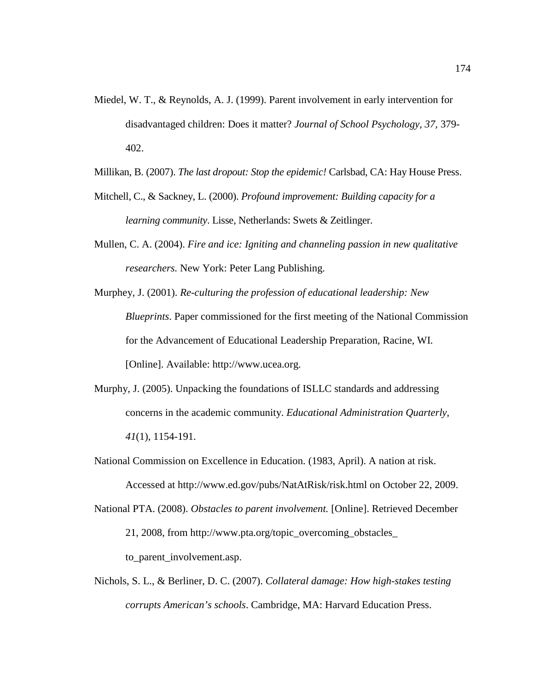- Miedel, W. T., & Reynolds, A. J. (1999). Parent involvement in early intervention for disadvantaged children: Does it matter? *Journal of School Psychology, 37,* 379- 402.
- Millikan, B. (2007). *The last dropout: Stop the epidemic!* Carlsbad, CA: Hay House Press.
- Mitchell, C., & Sackney, L. (2000). *Profound improvement: Building capacity for a learning community*. Lisse, Netherlands: Swets & Zeitlinger.
- Mullen, C. A. (2004). *Fire and ice: Igniting and channeling passion in new qualitative researchers.* New York: Peter Lang Publishing.
- Murphey, J. (2001). *Re-culturing the profession of educational leadership: New Blueprints*. Paper commissioned for the first meeting of the National Commission for the Advancement of Educational Leadership Preparation, Racine, WI. [Online]. Available: http://www.ucea.org.
- Murphy, J. (2005). Unpacking the foundations of ISLLC standards and addressing concerns in the academic community. *Educational Administration Quarterly*, *41*(1), 1154-191.
- National Commission on Excellence in Education. (1983, April). A nation at risk.

Accessed at http://www.ed.gov/pubs/NatAtRisk/risk.html on October 22, 2009.

National PTA. (2008). *Obstacles to parent involvement.* [Online]. Retrieved December 21, 2008, from http://www.pta.org/topic\_overcoming\_obstacles\_

to\_parent\_involvement.asp.

Nichols, S. L., & Berliner, D. C. (2007). *Collateral damage: How high-stakes testing corrupts American's schools*. Cambridge, MA: Harvard Education Press.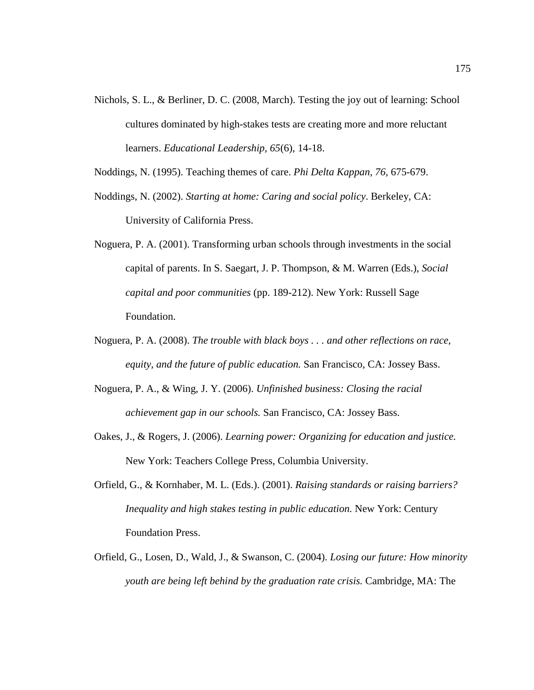- Nichols, S. L., & Berliner, D. C. (2008, March). Testing the joy out of learning: School cultures dominated by high-stakes tests are creating more and more reluctant learners. *Educational Leadership, 65*(6), 14-18.
- Noddings, N. (1995). Teaching themes of care. *Phi Delta Kappan, 76,* 675-679.
- Noddings, N. (2002). *Starting at home: Caring and social policy*. Berkeley, CA: University of California Press.
- Noguera, P. A. (2001). Transforming urban schools through investments in the social capital of parents. In S. Saegart, J. P. Thompson, & M. Warren (Eds.), *Social capital and poor communities* (pp. 189-212). New York: Russell Sage Foundation.
- Noguera, P. A. (2008). *The trouble with black boys . . . and other reflections on race, equity, and the future of public education.* San Francisco, CA: Jossey Bass.
- Noguera, P. A., & Wing, J. Y. (2006). *Unfinished business: Closing the racial achievement gap in our schools.* San Francisco, CA: Jossey Bass.
- Oakes, J., & Rogers, J. (2006). *Learning power: Organizing for education and justice.* New York: Teachers College Press, Columbia University.
- Orfield, G., & Kornhaber, M. L. (Eds.). (2001). *Raising standards or raising barriers? Inequality and high stakes testing in public education.* New York: Century Foundation Press.
- Orfield, G., Losen, D., Wald, J., & Swanson, C. (2004). *Losing our future: How minority youth are being left behind by the graduation rate crisis.* Cambridge, MA: The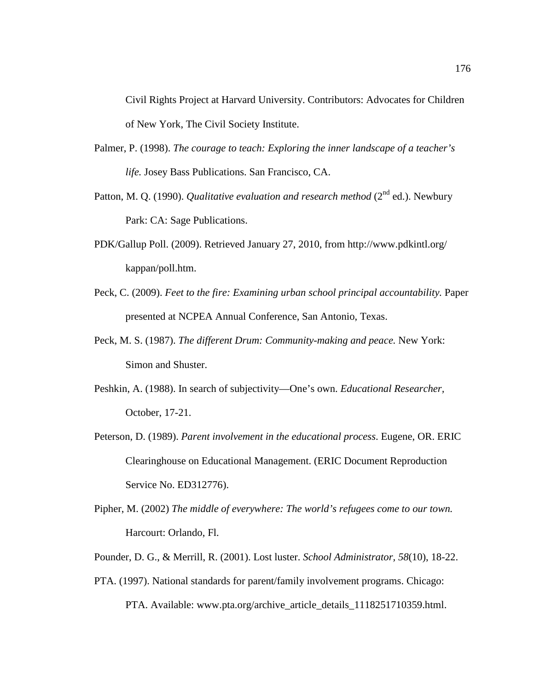Civil Rights Project at Harvard University. Contributors: Advocates for Children of New York, The Civil Society Institute.

- Palmer, P. (1998). *The courage to teach: Exploring the inner landscape of a teacher's life.* Josey Bass Publications. San Francisco, CA.
- Patton, M. Q. (1990). *Qualitative evaluation and research method* (2<sup>nd</sup> ed.). Newbury Park: CA: Sage Publications.
- PDK/Gallup Poll. (2009). Retrieved January 27, 2010, from http://www.pdkintl.org/ kappan/poll.htm.
- Peck, C. (2009). *Feet to the fire: Examining urban school principal accountability.* Paper presented at NCPEA Annual Conference, San Antonio, Texas.
- Peck, M. S. (1987). *The different Drum: Community-making and peace.* New York: Simon and Shuster.
- Peshkin, A. (1988). In search of subjectivity—One's own. *Educational Researcher,* October, 17-21.
- Peterson, D. (1989). *Parent involvement in the educational process*. Eugene, OR. ERIC Clearinghouse on Educational Management. (ERIC Document Reproduction Service No. ED312776).
- Pipher, M. (2002) *The middle of everywhere: The world's refugees come to our town.* Harcourt: Orlando, Fl.
- Pounder, D. G., & Merrill, R. (2001). Lost luster. *School Administrator, 58*(10), 18-22.
- PTA. (1997). National standards for parent/family involvement programs. Chicago: PTA. Available: www.pta.org/archive\_article\_details\_1118251710359.html.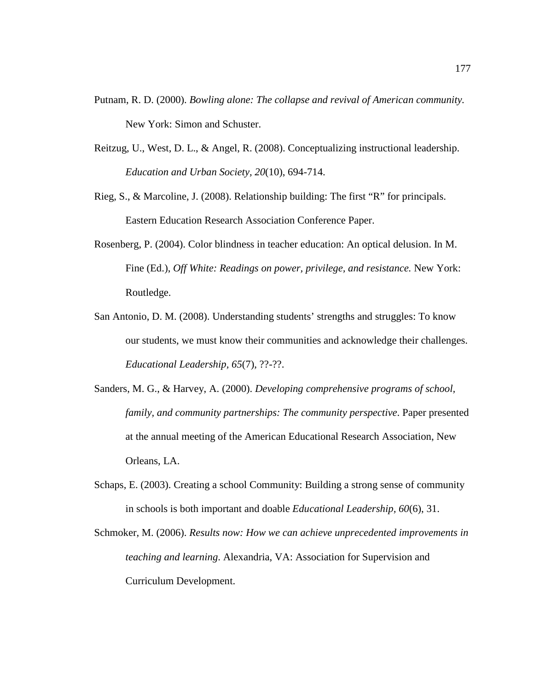- Putnam, R. D. (2000). *Bowling alone: The collapse and revival of American community.* New York: Simon and Schuster.
- Reitzug, U., West, D. L., & Angel, R. (2008). Conceptualizing instructional leadership. *Education and Urban Society, 20*(10), 694-714.
- Rieg, S., & Marcoline, J. (2008). Relationship building: The first "R" for principals. Eastern Education Research Association Conference Paper.
- Rosenberg, P. (2004). Color blindness in teacher education: An optical delusion. In M. Fine (Ed.), *Off White: Readings on power, privilege, and resistance.* New York: Routledge.
- San Antonio, D. M. (2008). Understanding students' strengths and struggles: To know our students, we must know their communities and acknowledge their challenges. *Educational Leadership, 65*(7), ??-??.
- Sanders, M. G., & Harvey, A. (2000). *Developing comprehensive programs of school, family, and community partnerships: The community perspective*. Paper presented at the annual meeting of the American Educational Research Association, New Orleans, LA.
- Schaps, E. (2003). Creating a school Community: Building a strong sense of community in schools is both important and doable *Educational Leadership, 60*(6), 31.
- Schmoker, M. (2006). *Results now: How we can achieve unprecedented improvements in teaching and learning*. Alexandria, VA: Association for Supervision and Curriculum Development.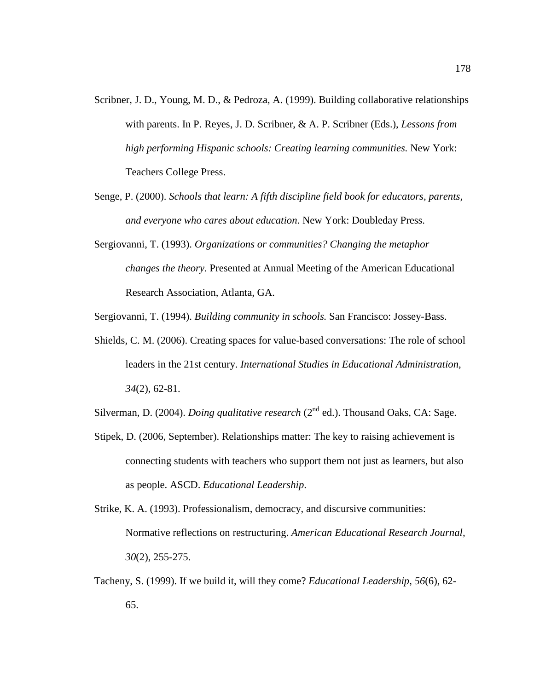- Scribner, J. D., Young, M. D., & Pedroza, A. (1999). Building collaborative relationships with parents. In P. Reyes, J. D. Scribner, & A. P. Scribner (Eds.), *Lessons from high performing Hispanic schools: Creating learning communities.* New York: Teachers College Press.
- Senge, P. (2000). *Schools that learn: A fifth discipline field book for educators, parents, and everyone who cares about education*. New York: Doubleday Press.
- Sergiovanni, T. (1993). *Organizations or communities? Changing the metaphor changes the theory.* Presented at Annual Meeting of the American Educational Research Association, Atlanta, GA.

Sergiovanni, T. (1994). *Building community in schools.* San Francisco: Jossey-Bass.

Shields, C. M. (2006). Creating spaces for value-based conversations: The role of school leaders in the 21st century. *International Studies in Educational Administration, 34*(2), 62-81.

Silverman, D. (2004). *Doing qualitative research* (2<sup>nd</sup> ed.). Thousand Oaks, CA: Sage.

Stipek, D. (2006, September). Relationships matter: The key to raising achievement is connecting students with teachers who support them not just as learners, but also as people. ASCD. *Educational Leadership*.

Strike, K. A. (1993). Professionalism, democracy, and discursive communities: Normative reflections on restructuring. *American Educational Research Journal, 30*(2), 255-275.

Tacheny, S. (1999). If we build it, will they come? *Educational Leadership, 56*(6), 62- 65.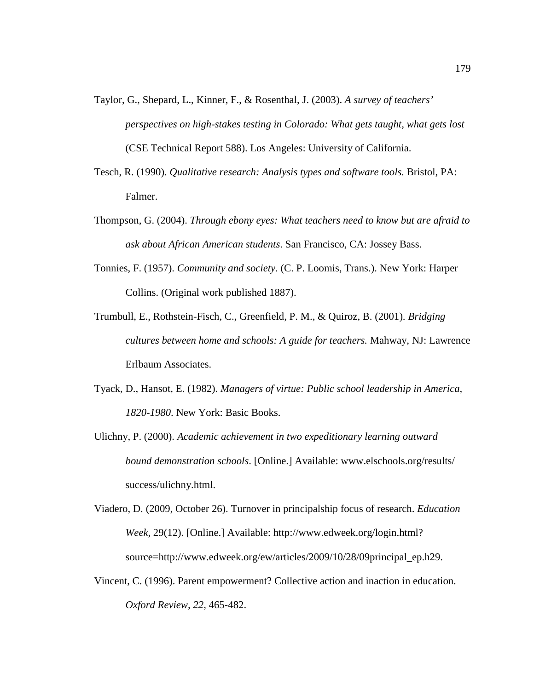- Taylor, G., Shepard, L., Kinner, F., & Rosenthal, J. (2003). *A survey of teachers' perspectives on high-stakes testing in Colorado: What gets taught, what gets lost* (CSE Technical Report 588). Los Angeles: University of California.
- Tesch, R. (1990). *Qualitative research: Analysis types and software tools.* Bristol, PA: Falmer.
- Thompson, G. (2004). *Through ebony eyes: What teachers need to know but are afraid to ask about African American students*. San Francisco, CA: Jossey Bass.
- Tonnies, F. (1957). *Community and society.* (C. P. Loomis, Trans.). New York: Harper Collins. (Original work published 1887).
- Trumbull, E., Rothstein-Fisch, C., Greenfield, P. M., & Quiroz, B. (2001). *Bridging cultures between home and schools: A guide for teachers.* Mahway, NJ: Lawrence Erlbaum Associates.
- Tyack, D., Hansot, E. (1982). *Managers of virtue: Public school leadership in America, 1820-1980*. New York: Basic Books.
- Ulichny, P. (2000). *Academic achievement in two expeditionary learning outward bound demonstration schools*. [Online.] Available: www.elschools.org/results/ success/ulichny.html.
- Viadero, D. (2009, October 26). Turnover in principalship focus of research. *Education Week,* 29(12). [Online.] Available: http://www.edweek.org/login.html? source=http://www.edweek.org/ew/articles/2009/10/28/09principal\_ep.h29.
- Vincent, C. (1996). Parent empowerment? Collective action and inaction in education. *Oxford Review, 22,* 465-482.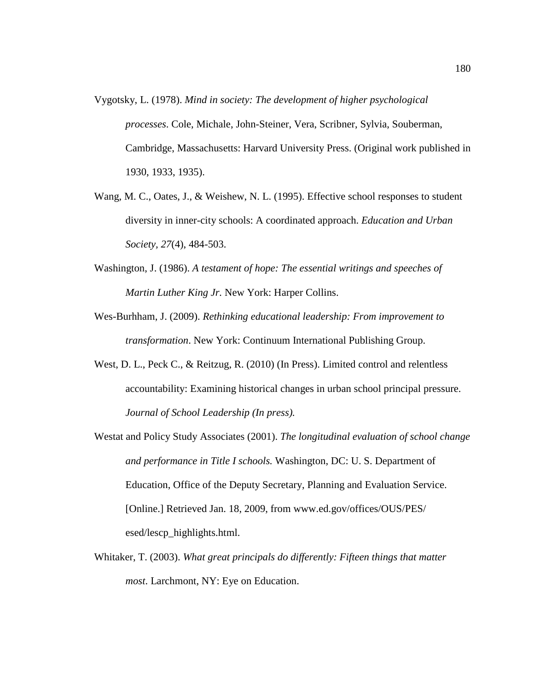- Vygotsky, L. (1978). *Mind in society: The development of higher psychological processes*. Cole, Michale, John-Steiner, Vera, Scribner, Sylvia, Souberman, Cambridge, Massachusetts: Harvard University Press. (Original work published in 1930, 1933, 1935).
- Wang, M. C., Oates, J., & Weishew, N. L. (1995). Effective school responses to student diversity in inner-city schools: A coordinated approach. *Education and Urban Society, 27*(4), 484-503.
- Washington, J. (1986). *A testament of hope: The essential writings and speeches of Martin Luther King Jr.* New York: Harper Collins.
- Wes-Burhham, J. (2009). *Rethinking educational leadership: From improvement to transformation*. New York: Continuum International Publishing Group.
- West, D. L., Peck C., & Reitzug, R. (2010) (In Press). Limited control and relentless accountability: Examining historical changes in urban school principal pressure. *Journal of School Leadership (In press).*
- Westat and Policy Study Associates (2001). *The longitudinal evaluation of school change and performance in Title I schools.* Washington, DC: U. S. Department of Education, Office of the Deputy Secretary, Planning and Evaluation Service. [Online.] Retrieved Jan. 18, 2009, from www.ed.gov/offices/OUS/PES/ esed/lescp\_highlights.html.
- Whitaker, T. (2003). *What great principals do differently: Fifteen things that matter most*. Larchmont, NY: Eye on Education.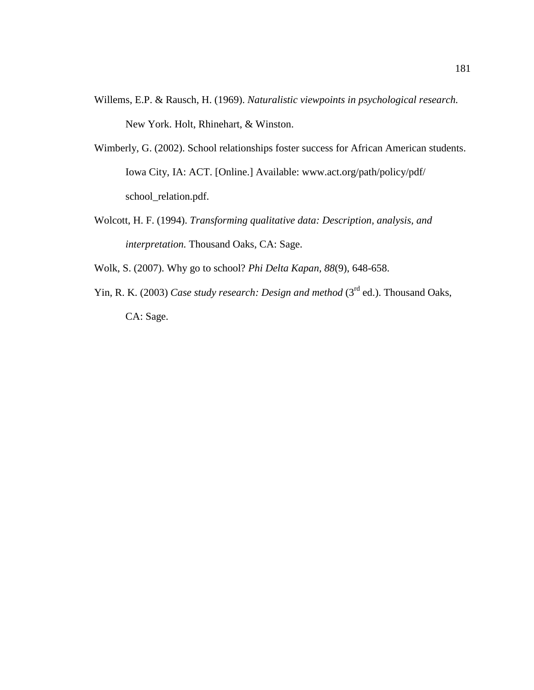- Willems, E.P. & Rausch, H. (1969). *Naturalistic viewpoints in psychological research.* New York. Holt, Rhinehart, & Winston.
- Wimberly, G. (2002). School relationships foster success for African American students. Iowa City, IA: ACT. [Online.] Available: www.act.org/path/policy/pdf/ school\_relation.pdf.
- Wolcott, H. F. (1994). *Transforming qualitative data: Description, analysis, and interpretation.* Thousand Oaks, CA: Sage.

Wolk, S. (2007). Why go to school? *Phi Delta Kapan, 88*(9), 648-658.

Yin, R. K. (2003) *Case study research: Design and method* (3<sup>rd</sup> ed.). Thousand Oaks, CA: Sage.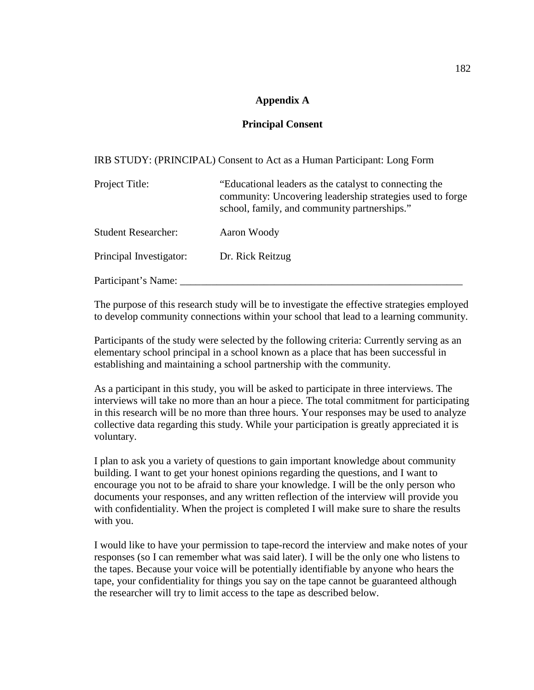# **Appendix A**

## **Principal Consent**

IRB STUDY: (PRINCIPAL) Consent to Act as a Human Participant: Long Form

| Project Title:             | "Educational leaders as the catalyst to connecting the<br>community: Uncovering leadership strategies used to forge<br>school, family, and community partnerships." |
|----------------------------|---------------------------------------------------------------------------------------------------------------------------------------------------------------------|
| <b>Student Researcher:</b> | Aaron Woody                                                                                                                                                         |
| Principal Investigator:    | Dr. Rick Reitzug                                                                                                                                                    |
| Participant's Name:        |                                                                                                                                                                     |

The purpose of this research study will be to investigate the effective strategies employed to develop community connections within your school that lead to a learning community.

Participants of the study were selected by the following criteria: Currently serving as an elementary school principal in a school known as a place that has been successful in establishing and maintaining a school partnership with the community.

As a participant in this study, you will be asked to participate in three interviews. The interviews will take no more than an hour a piece. The total commitment for participating in this research will be no more than three hours. Your responses may be used to analyze collective data regarding this study. While your participation is greatly appreciated it is voluntary.

I plan to ask you a variety of questions to gain important knowledge about community building. I want to get your honest opinions regarding the questions, and I want to encourage you not to be afraid to share your knowledge. I will be the only person who documents your responses, and any written reflection of the interview will provide you with confidentiality. When the project is completed I will make sure to share the results with you.

I would like to have your permission to tape-record the interview and make notes of your responses (so I can remember what was said later). I will be the only one who listens to the tapes. Because your voice will be potentially identifiable by anyone who hears the tape, your confidentiality for things you say on the tape cannot be guaranteed although the researcher will try to limit access to the tape as described below.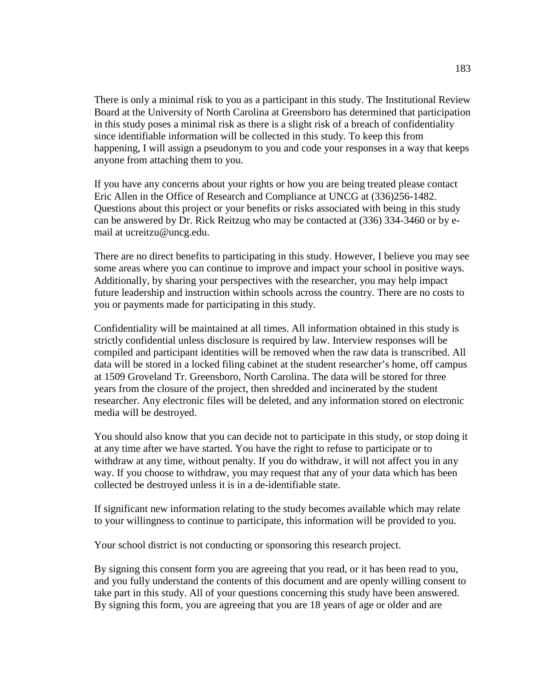There is only a minimal risk to you as a participant in this study. The Institutional Review Board at the University of North Carolina at Greensboro has determined that participation in this study poses a minimal risk as there is a slight risk of a breach of confidentiality since identifiable information will be collected in this study. To keep this from happening, I will assign a pseudonym to you and code your responses in a way that keeps anyone from attaching them to you.

If you have any concerns about your rights or how you are being treated please contact Eric Allen in the Office of Research and Compliance at UNCG at (336)256-1482. Questions about this project or your benefits or risks associated with being in this study can be answered by Dr. Rick Reitzug who may be contacted at (336) 334-3460 or by email at ucreitzu@uncg.edu.

There are no direct benefits to participating in this study. However, I believe you may see some areas where you can continue to improve and impact your school in positive ways. Additionally, by sharing your perspectives with the researcher, you may help impact future leadership and instruction within schools across the country. There are no costs to you or payments made for participating in this study.

Confidentiality will be maintained at all times. All information obtained in this study is strictly confidential unless disclosure is required by law. Interview responses will be compiled and participant identities will be removed when the raw data is transcribed. All data will be stored in a locked filing cabinet at the student researcher's home, off campus at 1509 Groveland Tr. Greensboro, North Carolina. The data will be stored for three years from the closure of the project, then shredded and incinerated by the student researcher. Any electronic files will be deleted, and any information stored on electronic media will be destroyed.

You should also know that you can decide not to participate in this study, or stop doing it at any time after we have started. You have the right to refuse to participate or to withdraw at any time, without penalty. If you do withdraw, it will not affect you in any way. If you choose to withdraw, you may request that any of your data which has been collected be destroyed unless it is in a de-identifiable state.

If significant new information relating to the study becomes available which may relate to your willingness to continue to participate, this information will be provided to you.

Your school district is not conducting or sponsoring this research project.

By signing this consent form you are agreeing that you read, or it has been read to you, and you fully understand the contents of this document and are openly willing consent to take part in this study. All of your questions concerning this study have been answered. By signing this form, you are agreeing that you are 18 years of age or older and are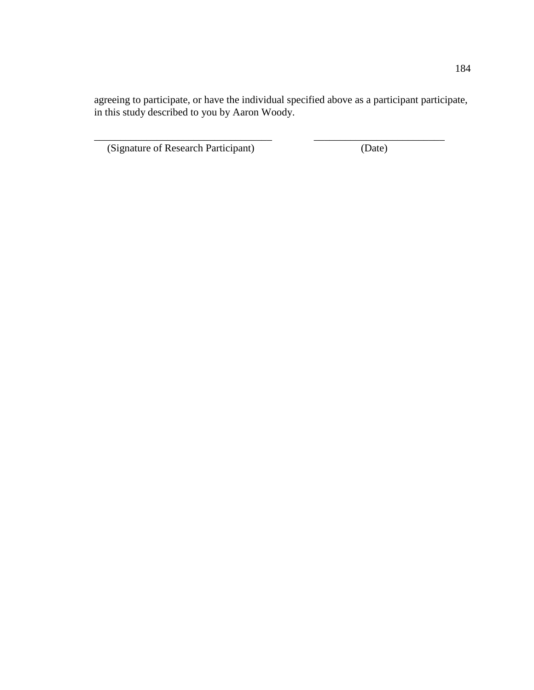agreeing to participate, or have the individual specified above as a participant participate, in this study described to you by Aaron Woody.

\_\_\_\_\_\_\_\_\_\_\_\_\_\_\_\_\_\_\_\_\_\_\_\_\_\_\_\_\_\_\_\_\_\_ \_\_\_\_\_\_\_\_\_\_\_\_\_\_\_\_\_\_\_\_\_\_\_\_\_

(Signature of Research Participant) (Date)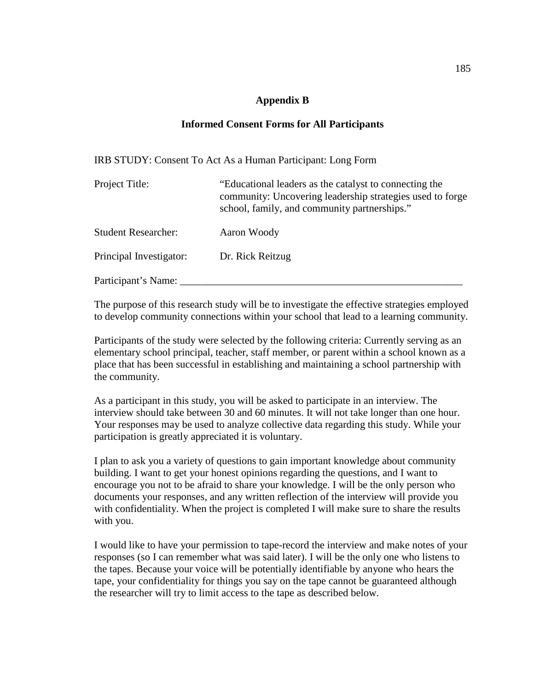### **Appendix B**

### **Informed Consent Forms for All Participants**

IRB STUDY: Consent To Act As a Human Participant: Long Form

| Project Title:             | "Educational leaders as the catalyst to connecting the<br>community: Uncovering leadership strategies used to forge<br>school, family, and community partnerships." |
|----------------------------|---------------------------------------------------------------------------------------------------------------------------------------------------------------------|
| <b>Student Researcher:</b> | Aaron Woody                                                                                                                                                         |
| Principal Investigator:    | Dr. Rick Reitzug                                                                                                                                                    |
| Participant's Name:        |                                                                                                                                                                     |

The purpose of this research study will be to investigate the effective strategies employed to develop community connections within your school that lead to a learning community.

Participants of the study were selected by the following criteria: Currently serving as an elementary school principal, teacher, staff member, or parent within a school known as a place that has been successful in establishing and maintaining a school partnership with the community.

As a participant in this study, you will be asked to participate in an interview. The interview should take between 30 and 60 minutes. It will not take longer than one hour. Your responses may be used to analyze collective data regarding this study. While your participation is greatly appreciated it is voluntary.

I plan to ask you a variety of questions to gain important knowledge about community building. I want to get your honest opinions regarding the questions, and I want to encourage you not to be afraid to share your knowledge. I will be the only person who documents your responses, and any written reflection of the interview will provide you with confidentiality. When the project is completed I will make sure to share the results with you.

I would like to have your permission to tape-record the interview and make notes of your responses (so I can remember what was said later). I will be the only one who listens to the tapes. Because your voice will be potentially identifiable by anyone who hears the tape, your confidentiality for things you say on the tape cannot be guaranteed although the researcher will try to limit access to the tape as described below.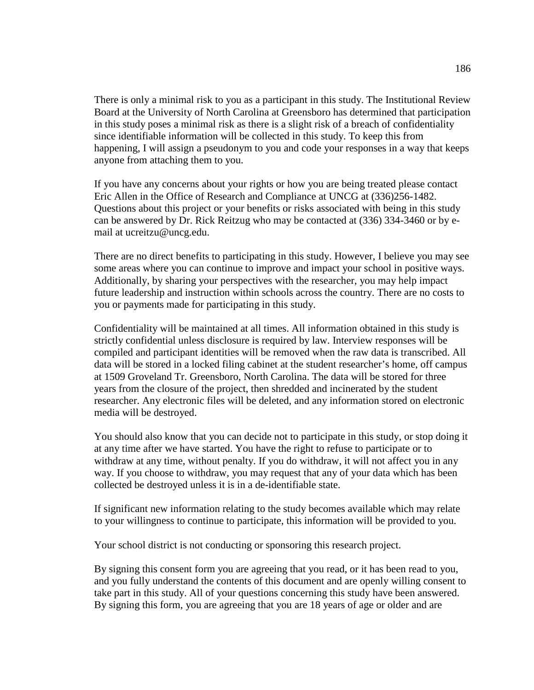There is only a minimal risk to you as a participant in this study. The Institutional Review Board at the University of North Carolina at Greensboro has determined that participation in this study poses a minimal risk as there is a slight risk of a breach of confidentiality since identifiable information will be collected in this study. To keep this from happening, I will assign a pseudonym to you and code your responses in a way that keeps anyone from attaching them to you.

If you have any concerns about your rights or how you are being treated please contact Eric Allen in the Office of Research and Compliance at UNCG at (336)256-1482. Questions about this project or your benefits or risks associated with being in this study can be answered by Dr. Rick Reitzug who may be contacted at (336) 334-3460 or by email at ucreitzu@uncg.edu.

There are no direct benefits to participating in this study. However, I believe you may see some areas where you can continue to improve and impact your school in positive ways. Additionally, by sharing your perspectives with the researcher, you may help impact future leadership and instruction within schools across the country. There are no costs to you or payments made for participating in this study.

Confidentiality will be maintained at all times. All information obtained in this study is strictly confidential unless disclosure is required by law. Interview responses will be compiled and participant identities will be removed when the raw data is transcribed. All data will be stored in a locked filing cabinet at the student researcher's home, off campus at 1509 Groveland Tr. Greensboro, North Carolina. The data will be stored for three years from the closure of the project, then shredded and incinerated by the student researcher. Any electronic files will be deleted, and any information stored on electronic media will be destroyed.

You should also know that you can decide not to participate in this study, or stop doing it at any time after we have started. You have the right to refuse to participate or to withdraw at any time, without penalty. If you do withdraw, it will not affect you in any way. If you choose to withdraw, you may request that any of your data which has been collected be destroyed unless it is in a de-identifiable state.

If significant new information relating to the study becomes available which may relate to your willingness to continue to participate, this information will be provided to you.

Your school district is not conducting or sponsoring this research project.

By signing this consent form you are agreeing that you read, or it has been read to you, and you fully understand the contents of this document and are openly willing consent to take part in this study. All of your questions concerning this study have been answered. By signing this form, you are agreeing that you are 18 years of age or older and are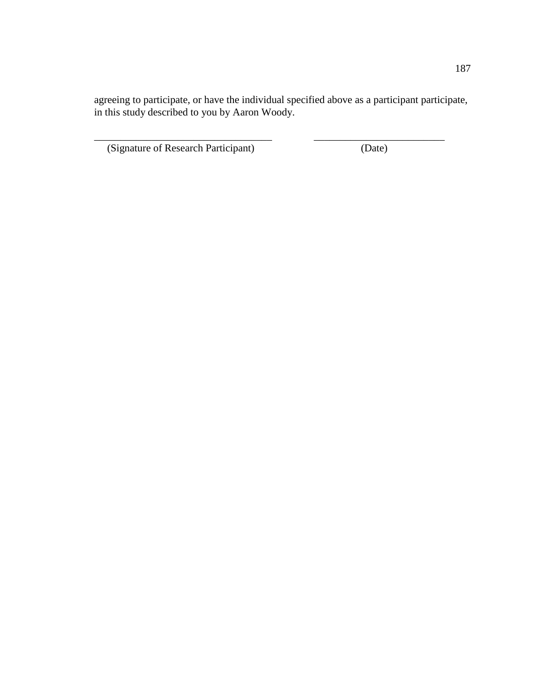agreeing to participate, or have the individual specified above as a participant participate, in this study described to you by Aaron Woody.

\_\_\_\_\_\_\_\_\_\_\_\_\_\_\_\_\_\_\_\_\_\_\_\_\_\_\_\_\_\_\_\_\_\_ \_\_\_\_\_\_\_\_\_\_\_\_\_\_\_\_\_\_\_\_\_\_\_\_\_

(Signature of Research Participant) (Date)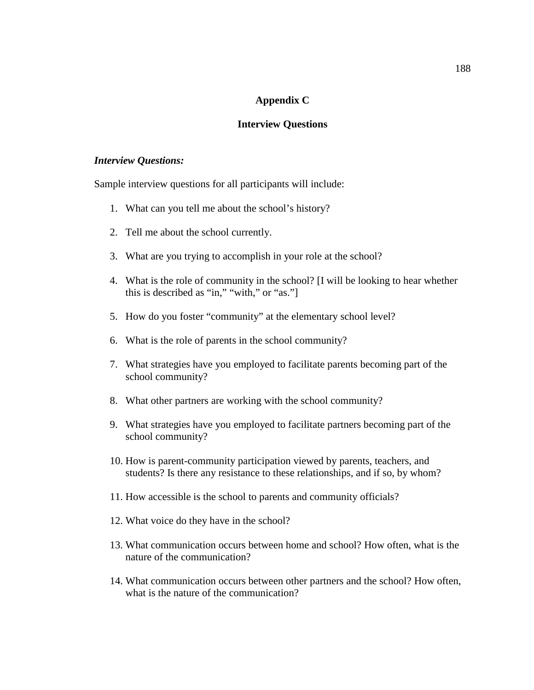### **Appendix C**

#### **Interview Questions**

#### *Interview Questions:*

Sample interview questions for all participants will include:

- 1. What can you tell me about the school's history?
- 2. Tell me about the school currently.
- 3. What are you trying to accomplish in your role at the school?
- 4. What is the role of community in the school? [I will be looking to hear whether this is described as "in," "with," or "as."]
- 5. How do you foster "community" at the elementary school level?
- 6. What is the role of parents in the school community?
- 7. What strategies have you employed to facilitate parents becoming part of the school community?
- 8. What other partners are working with the school community?
- 9. What strategies have you employed to facilitate partners becoming part of the school community?
- 10. How is parent-community participation viewed by parents, teachers, and students? Is there any resistance to these relationships, and if so, by whom?
- 11. How accessible is the school to parents and community officials?
- 12. What voice do they have in the school?
- 13. What communication occurs between home and school? How often, what is the nature of the communication?
- 14. What communication occurs between other partners and the school? How often, what is the nature of the communication?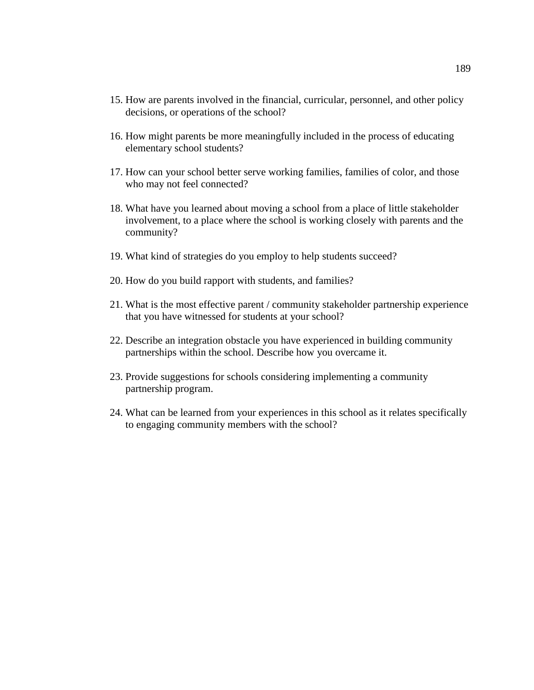- 15. How are parents involved in the financial, curricular, personnel, and other policy decisions, or operations of the school?
- 16. How might parents be more meaningfully included in the process of educating elementary school students?
- 17. How can your school better serve working families, families of color, and those who may not feel connected?
- 18. What have you learned about moving a school from a place of little stakeholder involvement, to a place where the school is working closely with parents and the community?
- 19. What kind of strategies do you employ to help students succeed?
- 20. How do you build rapport with students, and families?
- 21. What is the most effective parent / community stakeholder partnership experience that you have witnessed for students at your school?
- 22. Describe an integration obstacle you have experienced in building community partnerships within the school. Describe how you overcame it.
- 23. Provide suggestions for schools considering implementing a community partnership program.
- 24. What can be learned from your experiences in this school as it relates specifically to engaging community members with the school?